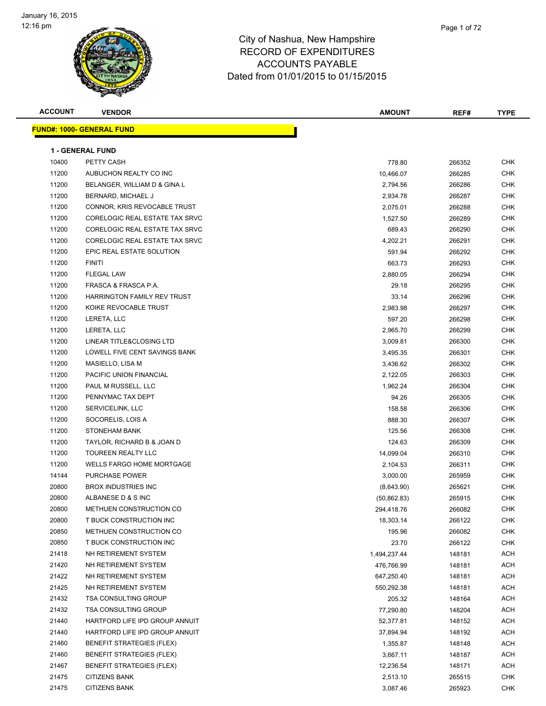

| <b>ACCOUNT</b> | <b>VENDOR</b>                     | <b>AMOUNT</b> | REF#   | <b>TYPE</b> |
|----------------|-----------------------------------|---------------|--------|-------------|
|                | <u> FUND#: 1000- GENERAL FUND</u> |               |        |             |
|                |                                   |               |        |             |
|                | <b>1 - GENERAL FUND</b>           |               |        |             |
| 10400          | PETTY CASH                        | 778.80        | 266352 | <b>CHK</b>  |
| 11200          | AUBUCHON REALTY CO INC            | 10,466.07     | 266285 | <b>CHK</b>  |
| 11200          | BELANGER, WILLIAM D & GINA L      | 2,794.56      | 266286 | <b>CHK</b>  |
| 11200          | BERNARD, MICHAEL J                | 2,934.78      | 266287 | <b>CHK</b>  |
| 11200          | CONNOR, KRIS REVOCABLE TRUST      | 2,075.01      | 266288 | CHK         |
| 11200          | CORELOGIC REAL ESTATE TAX SRVC    | 1,527.50      | 266289 | <b>CHK</b>  |
| 11200          | CORELOGIC REAL ESTATE TAX SRVC    | 689.43        | 266290 | <b>CHK</b>  |
| 11200          | CORELOGIC REAL ESTATE TAX SRVC    | 4,202.21      | 266291 | <b>CHK</b>  |
| 11200          | EPIC REAL ESTATE SOLUTION         | 591.94        | 266292 | <b>CHK</b>  |
| 11200          | <b>FINITI</b>                     | 663.73        | 266293 | <b>CHK</b>  |
| 11200          | FLEGAL LAW                        | 2,880.05      | 266294 | CHK         |
| 11200          | FRASCA & FRASCA P.A.              | 29.18         | 266295 | <b>CHK</b>  |
| 11200          | HARRINGTON FAMILY REV TRUST       | 33.14         | 266296 | <b>CHK</b>  |
| 11200          | KOIKE REVOCABLE TRUST             | 2,983.98      | 266297 | <b>CHK</b>  |
| 11200          | LERETA, LLC                       | 597.20        | 266298 | <b>CHK</b>  |
| 11200          | LERETA, LLC                       | 2,965.70      | 266299 | CHK         |
| 11200          | LINEAR TITLE&CLOSING LTD          | 3,009.81      | 266300 | CHK         |
| 11200          | LOWELL FIVE CENT SAVINGS BANK     | 3,495.35      | 266301 | CHK         |
| 11200          | MASIELLO, LISA M                  | 3,436.62      | 266302 | CHK         |
| 11200          | PACIFIC UNION FINANCIAL           | 2,122.05      | 266303 | <b>CHK</b>  |
| 11200          | PAUL M RUSSELL, LLC               | 1,962.24      | 266304 | <b>CHK</b>  |
| 11200          | PENNYMAC TAX DEPT                 | 94.26         | 266305 | <b>CHK</b>  |
| 11200          | SERVICELINK, LLC                  | 158.58        | 266306 | <b>CHK</b>  |
| 11200          | SOCORELIS, LOIS A                 | 888.30        | 266307 | <b>CHK</b>  |
| 11200          | <b>STONEHAM BANK</b>              | 125.56        | 266308 | <b>CHK</b>  |
| 11200          | TAYLOR, RICHARD B & JOAN D        | 124.63        | 266309 | <b>CHK</b>  |
| 11200          | TOUREEN REALTY LLC                | 14,099.04     | 266310 | CHK         |
| 11200          | WELLS FARGO HOME MORTGAGE         | 2,104.53      | 266311 | CHK         |
| 14144          | <b>PURCHASE POWER</b>             | 3,000.00      | 265959 | CHK         |
| 20800          | <b>BROX INDUSTRIES INC</b>        | (8,643.90)    | 265621 | CHK         |
| 20800          | ALBANESE D & S INC                | (50, 862.83)  | 265915 | <b>CHK</b>  |
| 20800          | METHUEN CONSTRUCTION CO           | 294,418.76    | 266082 | <b>CHK</b>  |
| 20800          | T BUCK CONSTRUCTION INC           | 18,303.14     | 266122 | <b>CHK</b>  |
| 20850          | METHUEN CONSTRUCTION CO           | 195.96        | 266082 | <b>CHK</b>  |
| 20850          | T BUCK CONSTRUCTION INC           | 23.70         | 266122 | CHK         |
| 21418          | NH RETIREMENT SYSTEM              | 1,494,237.44  | 148181 | ACH         |
| 21420          | NH RETIREMENT SYSTEM              | 476,766.99    | 148181 | ACH         |
| 21422          | NH RETIREMENT SYSTEM              | 647,250.40    | 148181 | ACH         |
| 21425          | NH RETIREMENT SYSTEM              | 550,292.38    | 148181 | ACH         |
| 21432          | <b>TSA CONSULTING GROUP</b>       | 205.32        | 148164 | ACH         |
| 21432          | <b>TSA CONSULTING GROUP</b>       | 77,290.80     | 148204 | ACH         |
| 21440          | HARTFORD LIFE IPD GROUP ANNUIT    | 52,377.81     | 148152 | <b>ACH</b>  |
| 21440          | HARTFORD LIFE IPD GROUP ANNUIT    | 37,894.94     | 148192 | ACH         |
| 21460          | <b>BENEFIT STRATEGIES (FLEX)</b>  | 1,355.87      | 148148 | ACH         |
| 21460          | <b>BENEFIT STRATEGIES (FLEX)</b>  | 3,667.11      | 148187 | <b>ACH</b>  |
| 21467          | <b>BENEFIT STRATEGIES (FLEX)</b>  | 12,236.54     | 148171 | ACH         |
| 21475          | <b>CITIZENS BANK</b>              | 2,513.10      | 265515 | CHK         |
| 21475          | <b>CITIZENS BANK</b>              | 3,087.46      | 265923 | CHK         |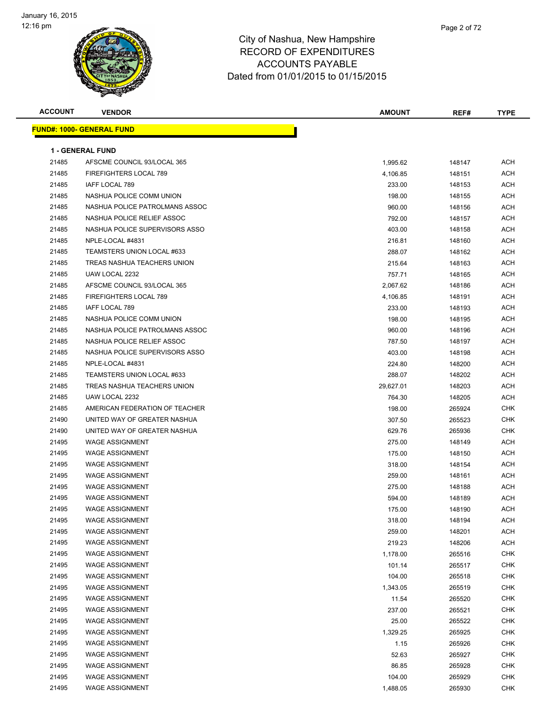

| <b>ACCOUNT</b> | <b>VENDOR</b>                    | <b>AMOUNT</b> | REF#   | <b>TYPE</b> |
|----------------|----------------------------------|---------------|--------|-------------|
|                | <b>FUND#: 1000- GENERAL FUND</b> |               |        |             |
|                |                                  |               |        |             |
|                | <b>1 - GENERAL FUND</b>          |               |        |             |
| 21485          | AFSCME COUNCIL 93/LOCAL 365      | 1,995.62      | 148147 | ACH         |
| 21485          | <b>FIREFIGHTERS LOCAL 789</b>    | 4,106.85      | 148151 | <b>ACH</b>  |
| 21485          | IAFF LOCAL 789                   | 233.00        | 148153 | ACH         |
| 21485          | NASHUA POLICE COMM UNION         | 198.00        | 148155 | ACH         |
| 21485          | NASHUA POLICE PATROLMANS ASSOC   | 960.00        | 148156 | <b>ACH</b>  |
| 21485          | NASHUA POLICE RELIEF ASSOC       | 792.00        | 148157 | <b>ACH</b>  |
| 21485          | NASHUA POLICE SUPERVISORS ASSO   | 403.00        | 148158 | <b>ACH</b>  |
| 21485          | NPLE-LOCAL #4831                 | 216.81        | 148160 | <b>ACH</b>  |
| 21485          | TEAMSTERS UNION LOCAL #633       | 288.07        | 148162 | <b>ACH</b>  |
| 21485          | TREAS NASHUA TEACHERS UNION      | 215.64        | 148163 | <b>ACH</b>  |
| 21485          | UAW LOCAL 2232                   | 757.71        | 148165 | <b>ACH</b>  |
| 21485          | AFSCME COUNCIL 93/LOCAL 365      | 2,067.62      | 148186 | <b>ACH</b>  |
| 21485          | FIREFIGHTERS LOCAL 789           | 4,106.85      | 148191 | <b>ACH</b>  |
| 21485          | IAFF LOCAL 789                   | 233.00        | 148193 | ACH         |
| 21485          | NASHUA POLICE COMM UNION         | 198.00        | 148195 | ACH         |
| 21485          | NASHUA POLICE PATROLMANS ASSOC   | 960.00        | 148196 | <b>ACH</b>  |
| 21485          | NASHUA POLICE RELIEF ASSOC       | 787.50        | 148197 | <b>ACH</b>  |
| 21485          | NASHUA POLICE SUPERVISORS ASSO   | 403.00        | 148198 | <b>ACH</b>  |
| 21485          | NPLE-LOCAL #4831                 | 224.80        | 148200 | <b>ACH</b>  |
| 21485          | TEAMSTERS UNION LOCAL #633       | 288.07        | 148202 | ACH         |
| 21485          | TREAS NASHUA TEACHERS UNION      | 29,627.01     | 148203 | ACH         |
| 21485          | UAW LOCAL 2232                   | 764.30        | 148205 | ACH         |
| 21485          | AMERICAN FEDERATION OF TEACHER   | 198.00        | 265924 | CHK         |
| 21490          | UNITED WAY OF GREATER NASHUA     | 307.50        | 265523 | <b>CHK</b>  |
| 21490          | UNITED WAY OF GREATER NASHUA     | 629.76        | 265936 | <b>CHK</b>  |
| 21495          | <b>WAGE ASSIGNMENT</b>           | 275.00        | 148149 | ACH         |
| 21495          | <b>WAGE ASSIGNMENT</b>           | 175.00        | 148150 | <b>ACH</b>  |
| 21495          | <b>WAGE ASSIGNMENT</b>           | 318.00        | 148154 | <b>ACH</b>  |
| 21495          | <b>WAGE ASSIGNMENT</b>           | 259.00        | 148161 | ACH         |
| 21495          | <b>WAGE ASSIGNMENT</b>           | 275.00        | 148188 | <b>ACH</b>  |
| 21495          | <b>WAGE ASSIGNMENT</b>           | 594.00        | 148189 | ACH         |
| 21495          | WAGE ASSIGNMENT                  | 175.00        | 148190 | ACH         |
| 21495          | <b>WAGE ASSIGNMENT</b>           | 318.00        | 148194 | <b>ACH</b>  |
| 21495          | <b>WAGE ASSIGNMENT</b>           | 259.00        | 148201 | <b>ACH</b>  |
| 21495          | <b>WAGE ASSIGNMENT</b>           | 219.23        | 148206 | <b>ACH</b>  |
| 21495          | <b>WAGE ASSIGNMENT</b>           | 1,178.00      | 265516 | CHK         |
| 21495          | <b>WAGE ASSIGNMENT</b>           | 101.14        | 265517 | <b>CHK</b>  |
| 21495          | <b>WAGE ASSIGNMENT</b>           | 104.00        | 265518 | <b>CHK</b>  |
| 21495          | <b>WAGE ASSIGNMENT</b>           | 1,343.05      | 265519 | <b>CHK</b>  |
| 21495          | <b>WAGE ASSIGNMENT</b>           | 11.54         | 265520 | <b>CHK</b>  |
| 21495          | <b>WAGE ASSIGNMENT</b>           | 237.00        | 265521 | <b>CHK</b>  |
| 21495          | <b>WAGE ASSIGNMENT</b>           | 25.00         | 265522 | CHK         |
| 21495          | <b>WAGE ASSIGNMENT</b>           | 1,329.25      | 265925 | <b>CHK</b>  |
| 21495          | <b>WAGE ASSIGNMENT</b>           | 1.15          | 265926 | <b>CHK</b>  |
| 21495          | <b>WAGE ASSIGNMENT</b>           | 52.63         | 265927 | <b>CHK</b>  |
| 21495          | <b>WAGE ASSIGNMENT</b>           | 86.85         | 265928 | <b>CHK</b>  |
| 21495          | <b>WAGE ASSIGNMENT</b>           | 104.00        | 265929 | CHK         |
| 21495          | <b>WAGE ASSIGNMENT</b>           | 1,488.05      | 265930 | <b>CHK</b>  |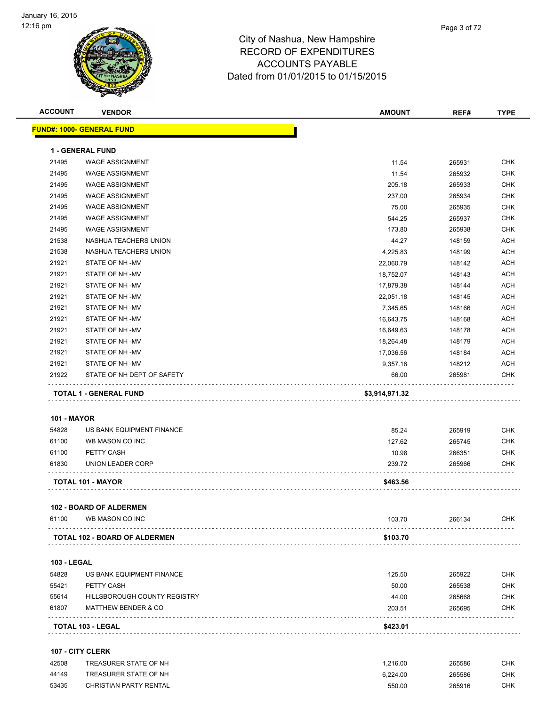

| <b>ACCOUNT</b>     | <b>VENDOR</b>                     | <b>AMOUNT</b> | REF#   | <b>TYPE</b> |
|--------------------|-----------------------------------|---------------|--------|-------------|
|                    | <u> FUND#: 1000- GENERAL FUND</u> |               |        |             |
|                    | <b>1 - GENERAL FUND</b>           |               |        |             |
| 21495              | <b>WAGE ASSIGNMENT</b>            | 11.54         | 265931 | <b>CHK</b>  |
| 21495              | <b>WAGE ASSIGNMENT</b>            | 11.54         | 265932 | <b>CHK</b>  |
| 21495              | <b>WAGE ASSIGNMENT</b>            | 205.18        | 265933 | <b>CHK</b>  |
| 21495              | <b>WAGE ASSIGNMENT</b>            | 237.00        | 265934 | <b>CHK</b>  |
| 21495              | <b>WAGE ASSIGNMENT</b>            | 75.00         | 265935 | <b>CHK</b>  |
| 21495              | <b>WAGE ASSIGNMENT</b>            | 544.25        | 265937 | <b>CHK</b>  |
| 21495              | <b>WAGE ASSIGNMENT</b>            | 173.80        | 265938 | <b>CHK</b>  |
| 21538              | NASHUA TEACHERS UNION             | 44.27         | 148159 | <b>ACH</b>  |
| 21538              | NASHUA TEACHERS UNION             | 4,225.83      | 148199 | <b>ACH</b>  |
| 21921              | STATE OF NH-MV                    | 22,060.79     | 148142 | <b>ACH</b>  |
| 21921              | STATE OF NH-MV                    | 18,752.07     | 148143 | <b>ACH</b>  |
| 21921              | STATE OF NH-MV                    | 17,879.38     | 148144 | <b>ACH</b>  |
| 21921              | STATE OF NH -MV                   | 22,051.18     | 148145 | <b>ACH</b>  |
| 21921              | STATE OF NH -MV                   | 7,345.65      | 148166 | <b>ACH</b>  |
| 21921              | STATE OF NH-MV                    | 16,643.75     | 148168 | <b>ACH</b>  |
| 21921              | STATE OF NH-MV                    | 16,649.63     | 148178 | ACH         |
| 21921              | STATE OF NH-MV                    | 18,264.48     | 148179 | ACH         |
| 21921              | STATE OF NH-MV                    | 17,036.56     | 148184 | <b>ACH</b>  |
| 21921              | STATE OF NH-MV                    | 9,357.16      | 148212 | ACH         |
| 21922              | STATE OF NH DEPT OF SAFETY        | 66.00         | 265981 | <b>CHK</b>  |
| <b>101 - MAYOR</b> |                                   |               |        |             |
| 54828              | US BANK EQUIPMENT FINANCE         | 85.24         | 265919 | <b>CHK</b>  |
| 61100              | WB MASON CO INC                   | 127.62        | 265745 | <b>CHK</b>  |
| 61100              | PETTY CASH                        | 10.98         | 266351 | <b>CHK</b>  |
| 61830              | UNION LEADER CORP                 | 239.72        | 265966 | <b>CHK</b>  |
|                    | TOTAL 101 - MAYOR                 | \$463.56      |        |             |
|                    | <b>102 - BOARD OF ALDERMEN</b>    |               |        |             |
| 61100              | WB MASON CO INC                   | 103.70        | 266134 | <b>CHK</b>  |
|                    | TOTAL 102 - BOARD OF ALDERMEN     | \$103.70      |        |             |
| <b>103 - LEGAL</b> |                                   |               |        |             |
| 54828              | US BANK EQUIPMENT FINANCE         | 125.50        | 265922 | <b>CHK</b>  |
| 55421              | PETTY CASH                        | 50.00         | 265538 | <b>CHK</b>  |
| 55614              | HILLSBOROUGH COUNTY REGISTRY      | 44.00         | 265668 | <b>CHK</b>  |
| 61807              | <b>MATTHEW BENDER &amp; CO</b>    | 203.51        | 265695 | <b>CHK</b>  |
|                    | TOTAL 103 - LEGAL                 | \$423.01      |        |             |
|                    | 107 - CITY CLERK                  |               |        |             |
| 42508              | TREASURER STATE OF NH             | 1,216.00      | 265586 | <b>CHK</b>  |
| 44149              | TREASURER STATE OF NH             | 6,224.00      | 265586 | <b>CHK</b>  |

CHRISTIAN PARTY RENTAL 550.00 265916 CHK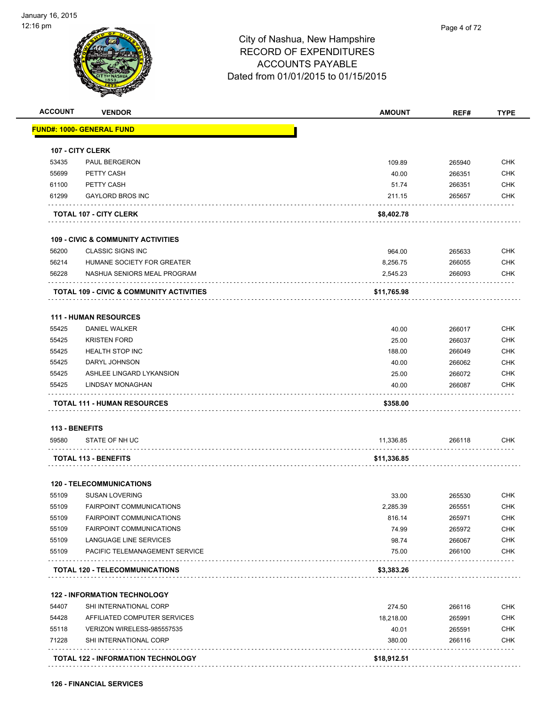

|                                |                                                          | <b>AMOUNT</b>  | REF#             | <b>TYPE</b>                                                                                                                              |
|--------------------------------|----------------------------------------------------------|----------------|------------------|------------------------------------------------------------------------------------------------------------------------------------------|
|                                | <u> FUND#: 1000- GENERAL FUND</u>                        |                |                  |                                                                                                                                          |
|                                | 107 - CITY CLERK                                         |                |                  |                                                                                                                                          |
| 53435                          | <b>PAUL BERGERON</b>                                     | 109.89         | 265940           | <b>CHK</b>                                                                                                                               |
| 55699                          | PETTY CASH                                               | 40.00          | 266351           | <b>CHK</b>                                                                                                                               |
| 61100                          | PETTY CASH                                               | 51.74          | 266351           | CHK                                                                                                                                      |
| 61299                          | <b>GAYLORD BROS INC</b>                                  | 211.15         | 265657           | <b>CHK</b>                                                                                                                               |
|                                | <b>TOTAL 107 - CITY CLERK</b>                            | \$8,402.78     |                  |                                                                                                                                          |
|                                |                                                          |                |                  |                                                                                                                                          |
|                                | <b>109 - CIVIC &amp; COMMUNITY ACTIVITIES</b>            |                |                  |                                                                                                                                          |
| 56200                          | <b>CLASSIC SIGNS INC</b>                                 | 964.00         | 265633           | <b>CHK</b>                                                                                                                               |
| 56214                          | HUMANE SOCIETY FOR GREATER                               | 8,256.75       | 266055           | <b>CHK</b>                                                                                                                               |
| 56228                          | NASHUA SENIORS MEAL PROGRAM                              | 2,545.23       | 266093           | <b>CHK</b>                                                                                                                               |
|                                | <b>TOTAL 109 - CIVIC &amp; COMMUNITY ACTIVITIES</b>      | \$11,765.98    |                  |                                                                                                                                          |
|                                | <b>111 - HUMAN RESOURCES</b>                             |                |                  |                                                                                                                                          |
| 55425                          | DANIEL WALKER                                            | 40.00          | 266017           | <b>CHK</b>                                                                                                                               |
| 55425                          | <b>KRISTEN FORD</b>                                      | 25.00          | 266037           | <b>CHK</b>                                                                                                                               |
| 55425                          | <b>HEALTH STOP INC</b>                                   | 188.00         | 266049           | <b>CHK</b>                                                                                                                               |
| 55425                          | DARYL JOHNSON                                            | 40.00          | 266062           | <b>CHK</b>                                                                                                                               |
|                                | ASHLEE LINGARD LYKANSION                                 |                |                  | <b>CHK</b>                                                                                                                               |
| 55425                          |                                                          | 25.00          | 266072           |                                                                                                                                          |
| 55425                          | LINDSAY MONAGHAN                                         | 40.00          | 266087           |                                                                                                                                          |
|                                | <b>TOTAL 111 - HUMAN RESOURCES</b>                       | \$358.00       |                  |                                                                                                                                          |
|                                |                                                          |                |                  |                                                                                                                                          |
| <b>113 - BENEFITS</b><br>59580 | STATE OF NH UC                                           | 11,336.85      | 266118           |                                                                                                                                          |
|                                | .<br><b>TOTAL 113 - BENEFITS</b>                         | \$11,336.85    |                  |                                                                                                                                          |
|                                |                                                          |                |                  |                                                                                                                                          |
|                                | <b>120 - TELECOMMUNICATIONS</b>                          |                |                  |                                                                                                                                          |
| 55109                          | <b>SUSAN LOVERING</b>                                    | 33.00          | 265530           |                                                                                                                                          |
| 55109                          | <b>FAIRPOINT COMMUNICATIONS</b>                          | 2,285.39       | 265551           |                                                                                                                                          |
| 55109                          | <b>FAIRPOINT COMMUNICATIONS</b>                          | 816.14         | 265971           |                                                                                                                                          |
| 55109                          | <b>FAIRPOINT COMMUNICATIONS</b>                          | 74.99          | 265972           |                                                                                                                                          |
| 55109<br>55109                 | LANGUAGE LINE SERVICES<br>PACIFIC TELEMANAGEMENT SERVICE | 98.74<br>75.00 | 266067<br>266100 |                                                                                                                                          |
|                                |                                                          |                |                  |                                                                                                                                          |
|                                | <b>TOTAL 120 - TELECOMMUNICATIONS</b>                    | \$3,383.26     |                  |                                                                                                                                          |
|                                | <b>122 - INFORMATION TECHNOLOGY</b>                      |                |                  |                                                                                                                                          |
| 54407                          | SHI INTERNATIONAL CORP                                   | 274.50         | 266116           |                                                                                                                                          |
| 54428                          | AFFILIATED COMPUTER SERVICES                             | 18,218.00      | 265991           |                                                                                                                                          |
| 55118                          | VERIZON WIRELESS-985557535                               | 40.01          | 265591           |                                                                                                                                          |
| 71228                          | SHI INTERNATIONAL CORP                                   | 380.00         | 266116           | <b>CHK</b><br><b>CHK</b><br><b>CHK</b><br>CHK<br><b>CHK</b><br><b>CHK</b><br><b>CHK</b><br><b>CHK</b><br><b>CHK</b><br>CHK<br>CHK<br>CHK |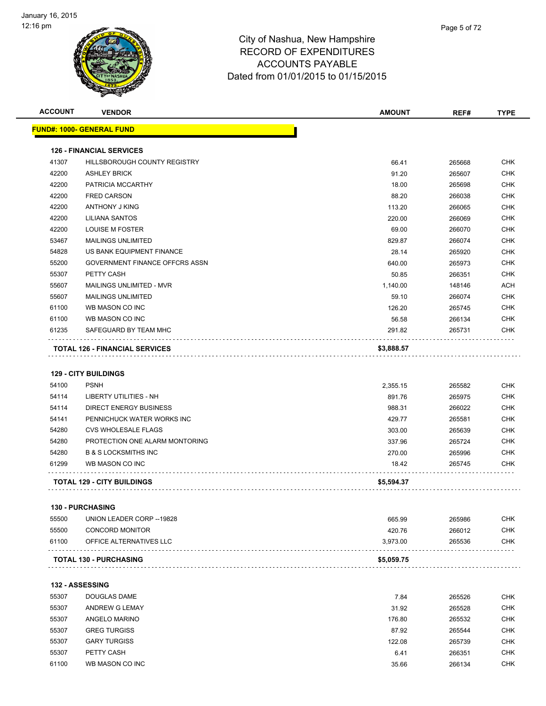

| <b>ACCOUNT</b> | <b>VENDOR</b>                         | <b>AMOUNT</b> | REF#   | <b>TYPE</b> |
|----------------|---------------------------------------|---------------|--------|-------------|
|                | <u> FUND#: 1000- GENERAL FUND</u>     |               |        |             |
|                | <b>126 - FINANCIAL SERVICES</b>       |               |        |             |
| 41307          | HILLSBOROUGH COUNTY REGISTRY          | 66.41         | 265668 | <b>CHK</b>  |
| 42200          | <b>ASHLEY BRICK</b>                   | 91.20         | 265607 | <b>CHK</b>  |
| 42200          | PATRICIA MCCARTHY                     | 18.00         | 265698 | CHK         |
| 42200          | <b>FRED CARSON</b>                    | 88.20         | 266038 | <b>CHK</b>  |
| 42200          | <b>ANTHONY J KING</b>                 | 113.20        | 266065 | <b>CHK</b>  |
| 42200          | LILIANA SANTOS                        | 220.00        | 266069 | <b>CHK</b>  |
| 42200          | <b>LOUISE M FOSTER</b>                | 69.00         | 266070 | <b>CHK</b>  |
| 53467          | <b>MAILINGS UNLIMITED</b>             | 829.87        | 266074 | <b>CHK</b>  |
| 54828          | US BANK EQUIPMENT FINANCE             | 28.14         | 265920 | <b>CHK</b>  |
| 55200          | GOVERNMENT FINANCE OFFCRS ASSN        | 640.00        | 265973 | <b>CHK</b>  |
| 55307          | PETTY CASH                            | 50.85         | 266351 | <b>CHK</b>  |
| 55607          | MAILINGS UNLIMITED - MVR              | 1,140.00      | 148146 | ACH         |
| 55607          | <b>MAILINGS UNLIMITED</b>             | 59.10         | 266074 | <b>CHK</b>  |
| 61100          | WB MASON CO INC                       | 126.20        | 265745 | <b>CHK</b>  |
| 61100          | WB MASON CO INC                       | 56.58         | 266134 | <b>CHK</b>  |
| 61235          | SAFEGUARD BY TEAM MHC                 | 291.82        | 265731 | CHK         |
|                | <b>TOTAL 126 - FINANCIAL SERVICES</b> | \$3,888.57    |        |             |
|                |                                       |               |        |             |
|                | <b>129 - CITY BUILDINGS</b>           |               |        |             |
| 54100          | <b>PSNH</b>                           | 2,355.15      | 265582 | CHK         |
| 54114          | LIBERTY UTILITIES - NH                | 891.76        | 265975 | <b>CHK</b>  |
| 54114          | <b>DIRECT ENERGY BUSINESS</b>         | 988.31        | 266022 | <b>CHK</b>  |
| 54141          | PENNICHUCK WATER WORKS INC            | 429.77        | 265581 | <b>CHK</b>  |
| 54280          | <b>CVS WHOLESALE FLAGS</b>            | 303.00        | 265639 | <b>CHK</b>  |
| 54280          | PROTECTION ONE ALARM MONTORING        | 337.96        | 265724 | <b>CHK</b>  |
| 54280          | <b>B &amp; S LOCKSMITHS INC</b>       | 270.00        | 265996 | <b>CHK</b>  |
| 61299          | WB MASON CO INC                       | 18.42         | 265745 | CHK         |
|                | <b>TOTAL 129 - CITY BUILDINGS</b>     | \$5,594.37    |        |             |
|                | 130 - PURCHASING                      |               |        |             |
| 55500          | UNION LEADER CORP--19828              | 665.99        | 265986 | <b>CHK</b>  |
| 55500          | <b>CONCORD MONITOR</b>                | 420.76        | 266012 | <b>CHK</b>  |
| 61100          | OFFICE ALTERNATIVES LLC               | 3,973.00      | 265536 | CHK         |
|                | <b>TOTAL 130 - PURCHASING</b>         | \$5,059.75    |        |             |
|                |                                       |               |        |             |
|                | <b>132 - ASSESSING</b>                |               |        |             |
| 55307          | DOUGLAS DAME                          | 7.84          | 265526 | CHK         |
| 55307          | ANDREW G LEMAY                        | 31.92         | 265528 | <b>CHK</b>  |
| 55307          | ANGELO MARINO                         | 176.80        | 265532 | <b>CHK</b>  |
| 55307          | <b>GREG TURGISS</b>                   | 87.92         | 265544 | <b>CHK</b>  |
| 55307          | <b>GARY TURGISS</b>                   | 122.08        | 265739 | <b>CHK</b>  |
| 55307          | PETTY CASH                            | 6.41          | 266351 | <b>CHK</b>  |
| 61100          | WB MASON CO INC                       | 35.66         | 266134 | <b>CHK</b>  |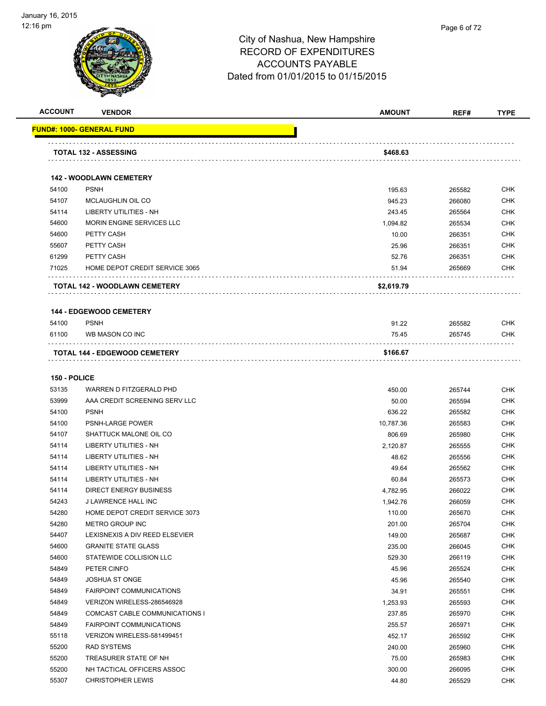**FUND#:** 



| ACCOUNT             | <b>VENDOR</b>                                 | <b>AMOUNT</b> | REF#   | <b>TYPE</b> |
|---------------------|-----------------------------------------------|---------------|--------|-------------|
|                     | <u> IND#: 1000- GENERAL FUND</u>              |               |        |             |
|                     | <b>TOTAL 132 - ASSESSING</b>                  | \$468.63      |        |             |
|                     |                                               |               |        |             |
| 54100               | <b>142 - WOODLAWN CEMETERY</b><br><b>PSNH</b> | 195.63        | 265582 | <b>CHK</b>  |
| 54107               | MCLAUGHLIN OIL CO                             | 945.23        | 266080 | <b>CHK</b>  |
| 54114               | LIBERTY UTILITIES - NH                        | 243.45        | 265564 | <b>CHK</b>  |
| 54600               | <b>MORIN ENGINE SERVICES LLC</b>              | 1,094.82      | 265534 | <b>CHK</b>  |
| 54600               | PETTY CASH                                    | 10.00         | 266351 | <b>CHK</b>  |
| 55607               | PETTY CASH                                    | 25.96         | 266351 | <b>CHK</b>  |
| 61299               | PETTY CASH                                    |               |        | <b>CHK</b>  |
| 71025               |                                               | 52.76         | 266351 |             |
|                     | HOME DEPOT CREDIT SERVICE 3065                | 51.94         | 265669 | <b>CHK</b>  |
|                     | <b>TOTAL 142 - WOODLAWN CEMETERY</b>          | \$2,619.79    |        |             |
|                     | <b>144 - EDGEWOOD CEMETERY</b>                |               |        |             |
| 54100               | <b>PSNH</b>                                   | 91.22         | 265582 | <b>CHK</b>  |
| 61100               | WB MASON CO INC                               | 75.45         | 265745 | <b>CHK</b>  |
|                     | <b>TOTAL 144 - EDGEWOOD CEMETERY</b>          | \$166.67      |        |             |
|                     |                                               |               |        |             |
| <b>150 - POLICE</b> |                                               |               |        |             |
| 53135               | WARREN D FITZGERALD PHD                       | 450.00        | 265744 | <b>CHK</b>  |
| 53999               | AAA CREDIT SCREENING SERV LLC                 | 50.00         | 265594 | <b>CHK</b>  |
| 54100               | <b>PSNH</b>                                   | 636.22        | 265582 | <b>CHK</b>  |
| 54100               | PSNH-LARGE POWER                              | 10,787.36     | 265583 | <b>CHK</b>  |
| 54107               | SHATTUCK MALONE OIL CO                        | 806.69        | 265980 | <b>CHK</b>  |
| 54114               | LIBERTY UTILITIES - NH                        | 2,120.87      | 265555 | <b>CHK</b>  |
| 54114               | LIBERTY UTILITIES - NH                        | 48.62         | 265556 | <b>CHK</b>  |
| 54114               | LIBERTY UTILITIES - NH                        | 49.64         | 265562 | <b>CHK</b>  |
| 54114               | <b>LIBERTY UTILITIES - NH</b>                 | 60.84         | 265573 | <b>CHK</b>  |
| 54114               | <b>DIRECT ENERGY BUSINESS</b>                 | 4,782.95      | 266022 | <b>CHK</b>  |
| 54243               | <b>J LAWRENCE HALL INC</b>                    | 1,942.76      | 266059 | <b>CHK</b>  |
| 54280               | HOME DEPOT CREDIT SERVICE 3073                | 110.00        | 265670 | <b>CHK</b>  |
| 54280               | <b>METRO GROUP INC</b>                        | 201.00        | 265704 | <b>CHK</b>  |
| 54407               | LEXISNEXIS A DIV REED ELSEVIER                | 149.00        | 265687 | <b>CHK</b>  |
| 54600               | <b>GRANITE STATE GLASS</b>                    | 235.00        | 266045 | <b>CHK</b>  |
| 54600               | STATEWIDE COLLISION LLC                       | 529.30        | 266119 | <b>CHK</b>  |
| 54849               | PETER CINFO                                   | 45.96         | 265524 | <b>CHK</b>  |
| 54849               | <b>JOSHUA ST ONGE</b>                         | 45.96         | 265540 | <b>CHK</b>  |
| 54849               | <b>FAIRPOINT COMMUNICATIONS</b>               | 34.91         | 265551 | <b>CHK</b>  |
| 54849               | VERIZON WIRELESS-286546928                    | 1,253.93      | 265593 | <b>CHK</b>  |
| 54849               | COMCAST CABLE COMMUNICATIONS I                | 237.85        | 265970 | <b>CHK</b>  |
| 54849               | <b>FAIRPOINT COMMUNICATIONS</b>               | 255.57        | 265971 | <b>CHK</b>  |
| 55118               | VERIZON WIRELESS-581499451                    | 452.17        | 265592 | <b>CHK</b>  |
| 55200               | RAD SYSTEMS                                   | 240.00        | 265960 | <b>CHK</b>  |
| 55200               | TREASURER STATE OF NH                         | 75.00         | 265983 | CHK         |
| 55200               | NH TACTICAL OFFICERS ASSOC                    | 300.00        | 266095 | <b>CHK</b>  |
| 55307               | <b>CHRISTOPHER LEWIS</b>                      | 44.80         | 265529 | <b>CHK</b>  |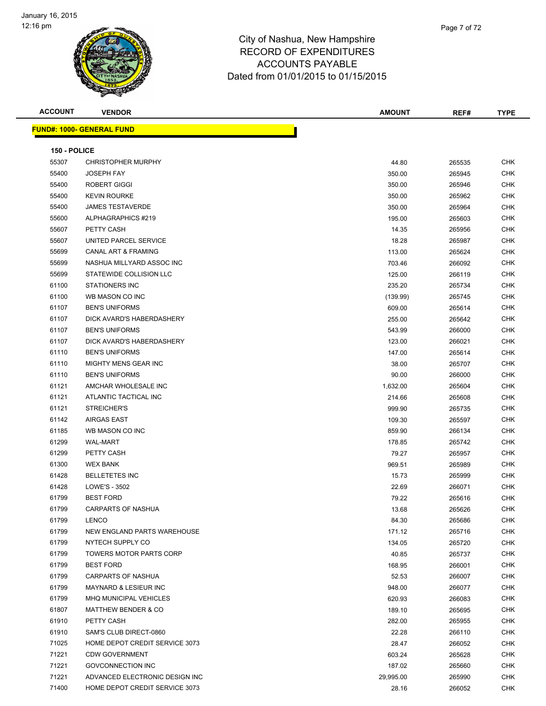

| <b>ACCOUNT</b> | <b>VENDOR</b>                     | <b>AMOUNT</b> | REF#   | <b>TYPE</b> |
|----------------|-----------------------------------|---------------|--------|-------------|
|                | <u> FUND#: 1000- GENERAL FUND</u> |               |        |             |
|                |                                   |               |        |             |
| 150 - POLICE   |                                   |               |        |             |
| 55307          | <b>CHRISTOPHER MURPHY</b>         | 44.80         | 265535 | <b>CHK</b>  |
| 55400          | <b>JOSEPH FAY</b>                 | 350.00        | 265945 | <b>CHK</b>  |
| 55400          | ROBERT GIGGI                      | 350.00        | 265946 | CHK         |
| 55400          | <b>KEVIN ROURKE</b>               | 350.00        | 265962 | <b>CHK</b>  |
| 55400          | <b>JAMES TESTAVERDE</b>           | 350.00        | 265964 | <b>CHK</b>  |
| 55600          | ALPHAGRAPHICS #219                | 195.00        | 265603 | <b>CHK</b>  |
| 55607          | PETTY CASH                        | 14.35         | 265956 | <b>CHK</b>  |
| 55607          | UNITED PARCEL SERVICE             | 18.28         | 265987 | <b>CHK</b>  |
| 55699          | <b>CANAL ART &amp; FRAMING</b>    | 113.00        | 265624 | <b>CHK</b>  |
| 55699          | NASHUA MILLYARD ASSOC INC         | 703.46        | 266092 | <b>CHK</b>  |
| 55699          | STATEWIDE COLLISION LLC           | 125.00        | 266119 | <b>CHK</b>  |
| 61100          | <b>STATIONERS INC</b>             | 235.20        | 265734 | <b>CHK</b>  |
| 61100          | WB MASON CO INC                   | (139.99)      | 265745 | <b>CHK</b>  |
| 61107          | <b>BEN'S UNIFORMS</b>             | 609.00        | 265614 | CHK         |
| 61107          | DICK AVARD'S HABERDASHERY         | 255.00        | 265642 | <b>CHK</b>  |
| 61107          | <b>BEN'S UNIFORMS</b>             | 543.99        | 266000 | <b>CHK</b>  |
| 61107          | DICK AVARD'S HABERDASHERY         | 123.00        | 266021 | <b>CHK</b>  |
| 61110          | <b>BEN'S UNIFORMS</b>             | 147.00        | 265614 | <b>CHK</b>  |
| 61110          | MIGHTY MENS GEAR INC              | 38.00         | 265707 | <b>CHK</b>  |
| 61110          | <b>BEN'S UNIFORMS</b>             | 90.00         | 266000 | <b>CHK</b>  |
| 61121          | AMCHAR WHOLESALE INC              | 1,632.00      | 265604 | <b>CHK</b>  |
| 61121          | ATLANTIC TACTICAL INC             | 214.66        | 265608 | <b>CHK</b>  |
| 61121          | STREICHER'S                       | 999.90        | 265735 | <b>CHK</b>  |
| 61142          | AIRGAS EAST                       | 109.30        | 265597 | <b>CHK</b>  |
| 61185          | WB MASON CO INC                   | 859.90        | 266134 | CHK         |
| 61299          | <b>WAL-MART</b>                   | 178.85        | 265742 | <b>CHK</b>  |
| 61299          | PETTY CASH                        | 79.27         | 265957 | <b>CHK</b>  |
| 61300          | <b>WEX BANK</b>                   | 969.51        | 265989 | <b>CHK</b>  |
| 61428          | <b>BELLETETES INC</b>             | 15.73         | 265999 | <b>CHK</b>  |
| 61428          | LOWE'S - 3502                     | 22.69         | 266071 | CHK         |
| 61799          | <b>BEST FORD</b>                  | 79.22         | 265616 | <b>CHK</b>  |
| 61799          | CARPARTS OF NASHUA                | 13.68         | 265626 | CHK         |
| 61799          | <b>LENCO</b>                      | 84.30         | 265686 | <b>CHK</b>  |
| 61799          | NEW ENGLAND PARTS WAREHOUSE       | 171.12        | 265716 | CHK         |
| 61799          | NYTECH SUPPLY CO                  | 134.05        | 265720 | <b>CHK</b>  |
| 61799          | <b>TOWERS MOTOR PARTS CORP</b>    | 40.85         | 265737 | CHK         |
| 61799          | <b>BEST FORD</b>                  | 168.95        | 266001 | CHK         |
| 61799          | CARPARTS OF NASHUA                | 52.53         | 266007 | CHK         |
| 61799          | <b>MAYNARD &amp; LESIEUR INC</b>  | 948.00        | 266077 | CHK         |
| 61799          | <b>MHQ MUNICIPAL VEHICLES</b>     | 620.93        | 266083 | CHK         |
| 61807          | <b>MATTHEW BENDER &amp; CO</b>    | 189.10        | 265695 | CHK         |
| 61910          | PETTY CASH                        | 282.00        | 265955 | CHK         |
| 61910          | SAM'S CLUB DIRECT-0860            | 22.28         | 266110 | <b>CHK</b>  |
| 71025          | HOME DEPOT CREDIT SERVICE 3073    | 28.47         | 266052 | CHK         |
| 71221          | <b>CDW GOVERNMENT</b>             | 603.24        | 265628 | CHK         |
| 71221          | <b>GOVCONNECTION INC</b>          | 187.02        | 265660 | <b>CHK</b>  |
| 71221          | ADVANCED ELECTRONIC DESIGN INC    | 29,995.00     | 265990 | CHK         |
| 71400          | HOME DEPOT CREDIT SERVICE 3073    | 28.16         | 266052 | CHK         |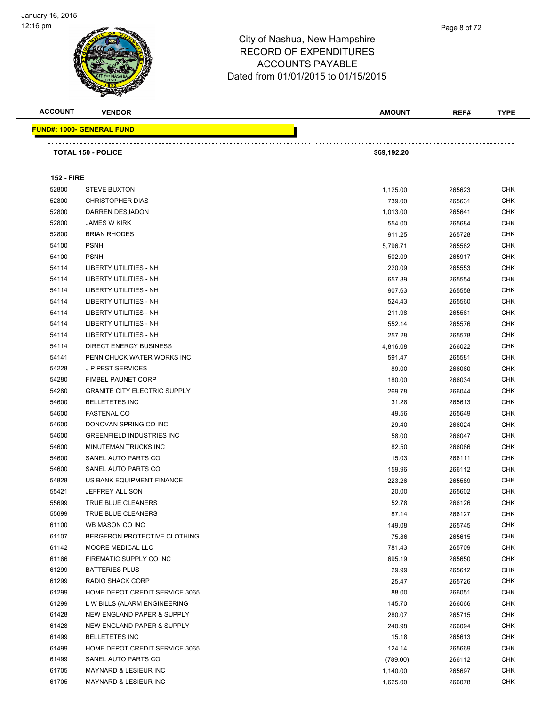

| <b>ACCOUNT</b>    | <b>VENDOR</b>                                  | <b>AMOUNT</b>      | REF#             | <b>TYPE</b>              |
|-------------------|------------------------------------------------|--------------------|------------------|--------------------------|
|                   | <u> FUND#: 1000- GENERAL FUND</u>              |                    |                  |                          |
|                   |                                                |                    |                  |                          |
|                   | <b>TOTAL 150 - POLICE</b>                      | \$69,192.20        |                  |                          |
|                   |                                                |                    |                  |                          |
| <b>152 - FIRE</b> |                                                |                    |                  |                          |
| 52800<br>52800    | <b>STEVE BUXTON</b><br><b>CHRISTOPHER DIAS</b> | 1,125.00<br>739.00 | 265623           | <b>CHK</b><br><b>CHK</b> |
| 52800             | DARREN DESJADON                                |                    | 265631           | CHK                      |
| 52800             | <b>JAMES W KIRK</b>                            | 1,013.00           | 265641           |                          |
| 52800             | <b>BRIAN RHODES</b>                            | 554.00             | 265684           | CHK<br>CHK               |
| 54100             | <b>PSNH</b>                                    | 911.25             | 265728<br>265582 | CHK                      |
| 54100             | <b>PSNH</b>                                    | 5,796.71           |                  | CHK                      |
| 54114             | LIBERTY UTILITIES - NH                         | 502.09             | 265917           | <b>CHK</b>               |
| 54114             | LIBERTY UTILITIES - NH                         | 220.09             | 265553           | CHK                      |
| 54114             | <b>LIBERTY UTILITIES - NH</b>                  | 657.89             | 265554           | CHK                      |
| 54114             | LIBERTY UTILITIES - NH                         | 907.63             | 265558           | <b>CHK</b>               |
| 54114             | <b>LIBERTY UTILITIES - NH</b>                  | 524.43             | 265560           | <b>CHK</b>               |
| 54114             | LIBERTY UTILITIES - NH                         | 211.98             | 265561           | <b>CHK</b>               |
| 54114             | LIBERTY UTILITIES - NH                         | 552.14             | 265576           | <b>CHK</b>               |
| 54114             | DIRECT ENERGY BUSINESS                         | 257.28<br>4,816.08 | 265578<br>266022 | CHK                      |
| 54141             | PENNICHUCK WATER WORKS INC                     | 591.47             | 265581           | <b>CHK</b>               |
| 54228             | <b>JP PEST SERVICES</b>                        | 89.00              | 266060           | <b>CHK</b>               |
| 54280             | <b>FIMBEL PAUNET CORP</b>                      | 180.00             | 266034           | CHK                      |
| 54280             | <b>GRANITE CITY ELECTRIC SUPPLY</b>            | 269.78             | 266044           | <b>CHK</b>               |
| 54600             | <b>BELLETETES INC</b>                          | 31.28              | 265613           | CHK                      |
| 54600             | <b>FASTENAL CO</b>                             | 49.56              | 265649           | <b>CHK</b>               |
| 54600             | DONOVAN SPRING CO INC                          | 29.40              | 266024           | <b>CHK</b>               |
| 54600             | <b>GREENFIELD INDUSTRIES INC</b>               | 58.00              | 266047           | CHK                      |
| 54600             | MINUTEMAN TRUCKS INC                           | 82.50              | 266086           | CHK                      |
| 54600             | SANEL AUTO PARTS CO                            | 15.03              | 266111           | CHK                      |
| 54600             | SANEL AUTO PARTS CO                            | 159.96             | 266112           | CHK                      |
| 54828             | US BANK EQUIPMENT FINANCE                      | 223.26             | 265589           | CHK                      |
| 55421             | <b>JEFFREY ALLISON</b>                         | 20.00              | 265602           | CHK                      |
| 55699             | TRUE BLUE CLEANERS                             | 52.78              | 266126           | CHK                      |
| 55699             | TRUE BLUE CLEANERS                             | 87.14              | 266127           | <b>CHK</b>               |
| 61100             | WB MASON CO INC                                | 149.08             | 265745           | <b>CHK</b>               |
| 61107             | BERGERON PROTECTIVE CLOTHING                   | 75.86              | 265615           | <b>CHK</b>               |
| 61142             | MOORE MEDICAL LLC                              | 781.43             | 265709           | <b>CHK</b>               |
| 61166             | FIREMATIC SUPPLY CO INC                        | 695.19             | 265650           | <b>CHK</b>               |
| 61299             | <b>BATTERIES PLUS</b>                          | 29.99              | 265612           | <b>CHK</b>               |
| 61299             | RADIO SHACK CORP                               | 25.47              | 265726           | <b>CHK</b>               |
| 61299             | HOME DEPOT CREDIT SERVICE 3065                 | 88.00              | 266051           | <b>CHK</b>               |
| 61299             | L W BILLS (ALARM ENGINEERING                   | 145.70             | 266066           | <b>CHK</b>               |
| 61428             | NEW ENGLAND PAPER & SUPPLY                     | 280.07             | 265715           | <b>CHK</b>               |
| 61428             | NEW ENGLAND PAPER & SUPPLY                     | 240.98             | 266094           | CHK                      |
| 61499             | <b>BELLETETES INC</b>                          | 15.18              | 265613           | <b>CHK</b>               |
| 61499             | HOME DEPOT CREDIT SERVICE 3065                 | 124.14             | 265669           | <b>CHK</b>               |
| 61499             | SANEL AUTO PARTS CO                            | (789.00)           | 266112           | <b>CHK</b>               |
| 61705             | MAYNARD & LESIEUR INC                          | 1,140.00           | 265697           | <b>CHK</b>               |
| 61705             | MAYNARD & LESIEUR INC                          | 1,625.00           | 266078           | <b>CHK</b>               |
|                   |                                                |                    |                  |                          |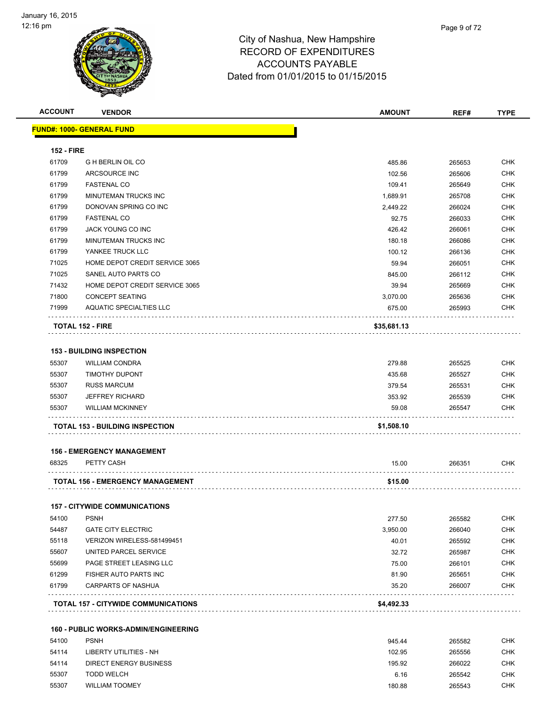

| <b>ACCOUNT</b>    | <b>VENDOR</b>                                   | <b>AMOUNT</b> | REF#   | <b>TYPE</b> |
|-------------------|-------------------------------------------------|---------------|--------|-------------|
|                   | <u> FUND#: 1000- GENERAL FUND</u>               |               |        |             |
| <b>152 - FIRE</b> |                                                 |               |        |             |
| 61709             | <b>G H BERLIN OIL CO</b>                        | 485.86        | 265653 | <b>CHK</b>  |
| 61799             | ARCSOURCE INC                                   | 102.56        | 265606 | <b>CHK</b>  |
| 61799             | <b>FASTENAL CO</b>                              | 109.41        | 265649 | <b>CHK</b>  |
| 61799             | MINUTEMAN TRUCKS INC                            | 1,689.91      | 265708 | <b>CHK</b>  |
| 61799             | DONOVAN SPRING CO INC                           | 2,449.22      | 266024 | CHK         |
| 61799             | <b>FASTENAL CO</b>                              | 92.75         | 266033 | <b>CHK</b>  |
| 61799             | <b>JACK YOUNG CO INC</b>                        | 426.42        | 266061 | <b>CHK</b>  |
| 61799             | MINUTEMAN TRUCKS INC                            |               |        | CHK         |
|                   |                                                 | 180.18        | 266086 |             |
| 61799             | YANKEE TRUCK LLC                                | 100.12        | 266136 | <b>CHK</b>  |
| 71025             | HOME DEPOT CREDIT SERVICE 3065                  | 59.94         | 266051 | <b>CHK</b>  |
| 71025             | SANEL AUTO PARTS CO                             | 845.00        | 266112 | CHK         |
| 71432             | HOME DEPOT CREDIT SERVICE 3065                  | 39.94         | 265669 | <b>CHK</b>  |
| 71800             | <b>CONCEPT SEATING</b>                          | 3,070.00      | 265636 | <b>CHK</b>  |
| 71999             | <b>AQUATIC SPECIALTIES LLC</b>                  | 675.00        | 265993 | CHK         |
|                   | <b>TOTAL 152 - FIRE</b>                         | \$35,681.13   |        |             |
|                   |                                                 |               |        |             |
|                   | <b>153 - BUILDING INSPECTION</b>                |               |        |             |
| 55307             | <b>WILLIAM CONDRA</b>                           | 279.88        | 265525 | <b>CHK</b>  |
| 55307             | <b>TIMOTHY DUPONT</b>                           | 435.68        | 265527 | CHK         |
| 55307             | <b>RUSS MARCUM</b>                              | 379.54        | 265531 | CHK         |
| 55307             | <b>JEFFREY RICHARD</b>                          | 353.92        | 265539 | CHK         |
| 55307             | <b>WILLIAM MCKINNEY</b>                         | 59.08         | 265547 | CHK         |
|                   | <b>TOTAL 153 - BUILDING INSPECTION</b>          | \$1,508.10    |        |             |
|                   |                                                 |               |        |             |
| 68325             | <b>156 - EMERGENCY MANAGEMENT</b><br>PETTY CASH | 15.00         | 266351 | <b>CHK</b>  |
|                   |                                                 |               |        |             |
|                   | <b>TOTAL 156 - EMERGENCY MANAGEMENT</b>         | \$15.00       |        |             |
|                   | <b>157 - CITYWIDE COMMUNICATIONS</b>            |               |        |             |
| 54100             | <b>PSNH</b>                                     | 277.50        | 265582 | <b>CHK</b>  |
| 54487             | <b>GATE CITY ELECTRIC</b>                       | 3,950.00      | 266040 | <b>CHK</b>  |
| 55118             | VERIZON WIRELESS-581499451                      | 40.01         | 265592 | CHK         |
| 55607             | UNITED PARCEL SERVICE                           | 32.72         | 265987 | <b>CHK</b>  |
| 55699             | PAGE STREET LEASING LLC                         | 75.00         | 266101 | <b>CHK</b>  |
| 61299             | <b>FISHER AUTO PARTS INC</b>                    | 81.90         | 265651 | <b>CHK</b>  |
| 61799             | <b>CARPARTS OF NASHUA</b>                       | 35.20         | 266007 | <b>CHK</b>  |
|                   | TOTAL 157 - CITYWIDE COMMUNICATIONS             | \$4,492.33    |        |             |
|                   |                                                 |               |        |             |
|                   | <b>160 - PUBLIC WORKS-ADMIN/ENGINEERING</b>     |               |        |             |
| 54100             | <b>PSNH</b>                                     | 945.44        | 265582 | <b>CHK</b>  |
| 54114             | <b>LIBERTY UTILITIES - NH</b>                   | 102.95        | 265556 | <b>CHK</b>  |
| 54114             | DIRECT ENERGY BUSINESS                          | 195.92        | 266022 | <b>CHK</b>  |
| 55307             | <b>TODD WELCH</b>                               | 6.16          | 265542 | <b>CHK</b>  |
| 55307             | <b>WILLIAM TOOMEY</b>                           | 180.88        | 265543 | CHK         |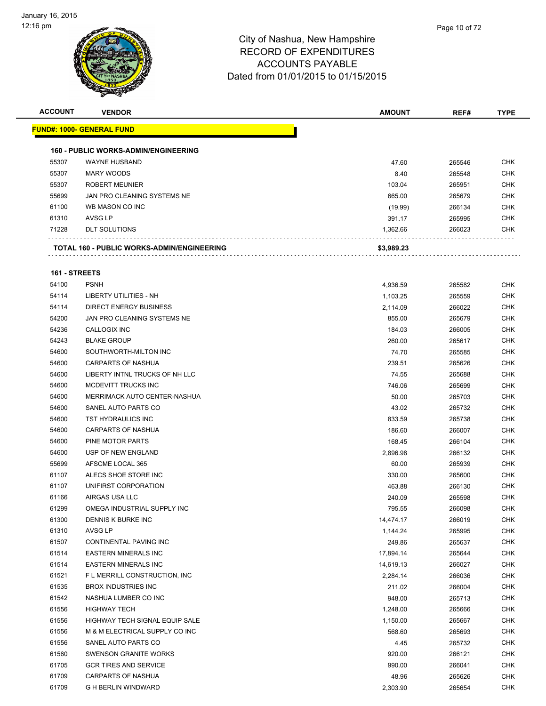

| <b>ACCOUNT</b> | <b>VENDOR</b>                               | <b>AMOUNT</b> | REF#   | <b>TYPE</b> |
|----------------|---------------------------------------------|---------------|--------|-------------|
|                | <b>FUND#: 1000- GENERAL FUND</b>            |               |        |             |
|                |                                             |               |        |             |
|                | <b>160 - PUBLIC WORKS-ADMIN/ENGINEERING</b> |               |        |             |
| 55307          | <b>WAYNE HUSBAND</b>                        | 47.60         | 265546 | <b>CHK</b>  |
| 55307          | <b>MARY WOODS</b>                           | 8.40          | 265548 | <b>CHK</b>  |
| 55307          | <b>ROBERT MEUNIER</b>                       | 103.04        | 265951 | <b>CHK</b>  |
| 55699          | JAN PRO CLEANING SYSTEMS NE                 | 665.00        | 265679 | <b>CHK</b>  |
| 61100          | WB MASON CO INC                             | (19.99)       | 266134 | <b>CHK</b>  |
| 61310          | AVSG LP                                     | 391.17        | 265995 | <b>CHK</b>  |
| 71228          | <b>DLT SOLUTIONS</b>                        | 1,362.66      | 266023 | <b>CHK</b>  |
|                | TOTAL 160 - PUBLIC WORKS-ADMIN/ENGINEERING  | \$3,989.23    |        |             |
| 161 - STREETS  |                                             |               |        |             |
| 54100          | <b>PSNH</b>                                 | 4,936.59      | 265582 | <b>CHK</b>  |
| 54114          | <b>LIBERTY UTILITIES - NH</b>               | 1,103.25      | 265559 | <b>CHK</b>  |
| 54114          | <b>DIRECT ENERGY BUSINESS</b>               | 2,114.09      | 266022 | <b>CHK</b>  |
| 54200          | JAN PRO CLEANING SYSTEMS NE                 | 855.00        | 265679 | <b>CHK</b>  |
| 54236          | CALLOGIX INC                                | 184.03        | 266005 | <b>CHK</b>  |
| 54243          | <b>BLAKE GROUP</b>                          | 260.00        | 265617 | <b>CHK</b>  |
| 54600          | SOUTHWORTH-MILTON INC                       | 74.70         | 265585 | <b>CHK</b>  |
| 54600          | <b>CARPARTS OF NASHUA</b>                   | 239.51        | 265626 | <b>CHK</b>  |
| 54600          | LIBERTY INTNL TRUCKS OF NH LLC              | 74.55         | 265688 | <b>CHK</b>  |
| 54600          | MCDEVITT TRUCKS INC                         | 746.06        | 265699 | <b>CHK</b>  |
| 54600          | MERRIMACK AUTO CENTER-NASHUA                | 50.00         | 265703 | <b>CHK</b>  |
| 54600          | SANEL AUTO PARTS CO                         | 43.02         | 265732 | <b>CHK</b>  |
| 54600          | TST HYDRAULICS INC                          | 833.59        | 265738 | <b>CHK</b>  |
| 54600          | <b>CARPARTS OF NASHUA</b>                   | 186.60        | 266007 | <b>CHK</b>  |
| 54600          | PINE MOTOR PARTS                            | 168.45        | 266104 | <b>CHK</b>  |
| 54600          | USP OF NEW ENGLAND                          | 2,896.98      | 266132 | <b>CHK</b>  |
| 55699          | AFSCME LOCAL 365                            | 60.00         | 265939 | <b>CHK</b>  |
| 61107          | ALECS SHOE STORE INC                        | 330.00        | 265600 | <b>CHK</b>  |
| 61107          | UNIFIRST CORPORATION                        | 463.88        | 266130 | CHK         |
| 61166          | AIRGAS USA LLC                              | 240.09        | 265598 | <b>CHK</b>  |
|                |                                             |               | 266098 | CHK         |
| 61299          | OMEGA INDUSTRIAL SUPPLY INC                 | 795.55        |        |             |
| 61300          | DENNIS K BURKE INC                          | 14,474.17     | 266019 | <b>CHK</b>  |
| 61310          | AVSG LP                                     | 1,144.24      | 265995 | <b>CHK</b>  |
| 61507          | CONTINENTAL PAVING INC                      | 249.86        | 265637 | <b>CHK</b>  |
| 61514          | <b>EASTERN MINERALS INC</b>                 | 17,894.14     | 265644 | <b>CHK</b>  |
| 61514          | <b>EASTERN MINERALS INC</b>                 | 14,619.13     | 266027 | <b>CHK</b>  |
| 61521          | F L MERRILL CONSTRUCTION, INC               | 2,284.14      | 266036 | <b>CHK</b>  |
| 61535          | <b>BROX INDUSTRIES INC</b>                  | 211.02        | 266004 | <b>CHK</b>  |
| 61542          | NASHUA LUMBER CO INC                        | 948.00        | 265713 | <b>CHK</b>  |
| 61556          | <b>HIGHWAY TECH</b>                         | 1,248.00      | 265666 | <b>CHK</b>  |
| 61556          | HIGHWAY TECH SIGNAL EQUIP SALE              | 1,150.00      | 265667 | <b>CHK</b>  |
| 61556          | M & M ELECTRICAL SUPPLY CO INC              | 568.60        | 265693 | CHK         |
| 61556          | SANEL AUTO PARTS CO                         | 4.45          | 265732 | <b>CHK</b>  |
| 61560          | SWENSON GRANITE WORKS                       | 920.00        | 266121 | CHK         |
| 61705          | <b>GCR TIRES AND SERVICE</b>                | 990.00        | 266041 | <b>CHK</b>  |
| 61709          | <b>CARPARTS OF NASHUA</b>                   | 48.96         | 265626 | <b>CHK</b>  |
| 61709          | G H BERLIN WINDWARD                         | 2,303.90      | 265654 | <b>CHK</b>  |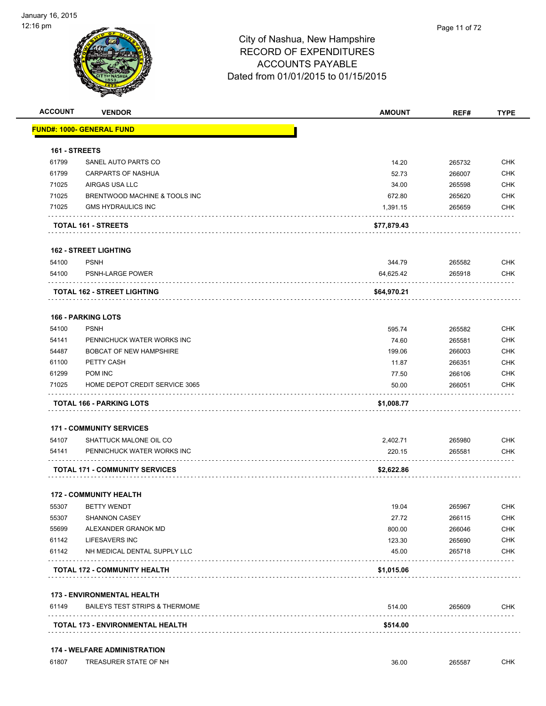

| <b>ACCOUNT</b>       | <b>VENDOR</b>                             | <b>AMOUNT</b> | REF#   | <b>TYPE</b> |
|----------------------|-------------------------------------------|---------------|--------|-------------|
|                      | <b>FUND#: 1000- GENERAL FUND</b>          |               |        |             |
| <b>161 - STREETS</b> |                                           |               |        |             |
| 61799                | SANEL AUTO PARTS CO                       | 14.20         | 265732 | <b>CHK</b>  |
| 61799                | CARPARTS OF NASHUA                        | 52.73         | 266007 | <b>CHK</b>  |
| 71025                | AIRGAS USA LLC                            | 34.00         | 265598 | <b>CHK</b>  |
| 71025                | BRENTWOOD MACHINE & TOOLS INC             | 672.80        | 265620 | <b>CHK</b>  |
| 71025                | <b>GMS HYDRAULICS INC</b>                 | 1,391.15      | 265659 | <b>CHK</b>  |
|                      | TOTAL 161 - STREETS                       | \$77,879.43   |        |             |
|                      | <b>162 - STREET LIGHTING</b>              |               |        |             |
| 54100                | <b>PSNH</b>                               | 344.79        | 265582 | <b>CHK</b>  |
| 54100                | PSNH-LARGE POWER                          | 64,625.42     | 265918 | <b>CHK</b>  |
|                      | <b>TOTAL 162 - STREET LIGHTING</b>        | \$64,970.21   |        |             |
|                      | <b>166 - PARKING LOTS</b>                 |               |        |             |
| 54100                | <b>PSNH</b>                               | 595.74        | 265582 | <b>CHK</b>  |
| 54141                | PENNICHUCK WATER WORKS INC                | 74.60         | 265581 | <b>CHK</b>  |
| 54487                | <b>BOBCAT OF NEW HAMPSHIRE</b>            | 199.06        | 266003 | <b>CHK</b>  |
| 61100                | PETTY CASH                                | 11.87         | 266351 | <b>CHK</b>  |
| 61299                | POM INC                                   | 77.50         | 266106 | <b>CHK</b>  |
| 71025                | HOME DEPOT CREDIT SERVICE 3065            | 50.00         | 266051 | <b>CHK</b>  |
|                      | TOTAL 166 - PARKING LOTS                  | \$1,008.77    |        |             |
|                      | <b>171 - COMMUNITY SERVICES</b>           |               |        |             |
| 54107                | SHATTUCK MALONE OIL CO                    | 2,402.71      | 265980 | <b>CHK</b>  |
| 54141                | PENNICHUCK WATER WORKS INC                | 220.15        | 265581 | <b>CHK</b>  |
|                      | <b>TOTAL 171 - COMMUNITY SERVICES</b>     | \$2,622.86    |        |             |
|                      | <b>172 - COMMUNITY HEALTH</b>             |               |        |             |
| 55307                | <b>BETTY WENDT</b>                        | 19.04         | 265967 | <b>CHK</b>  |
| 55307                | <b>SHANNON CASEY</b>                      | 27.72         | 266115 | <b>CHK</b>  |
| 55699                | ALEXANDER GRANOK MD                       | 800.00        | 266046 | <b>CHK</b>  |
| 61142                | LIFESAVERS INC                            | 123.30        | 265690 | <b>CHK</b>  |
| 61142                | NH MEDICAL DENTAL SUPPLY LLC              | 45.00         | 265718 | <b>CHK</b>  |
|                      | <b>TOTAL 172 - COMMUNITY HEALTH</b>       | \$1,015.06    |        |             |
|                      | <b>173 - ENVIRONMENTAL HEALTH</b>         |               |        |             |
|                      | <b>BAILEYS TEST STRIPS &amp; THERMOME</b> | 514.00        | 265609 | <b>CHK</b>  |
| 61149                |                                           |               |        |             |

61807 TREASURER STATE OF NH<br>
61807 TREASURER STATE OF NH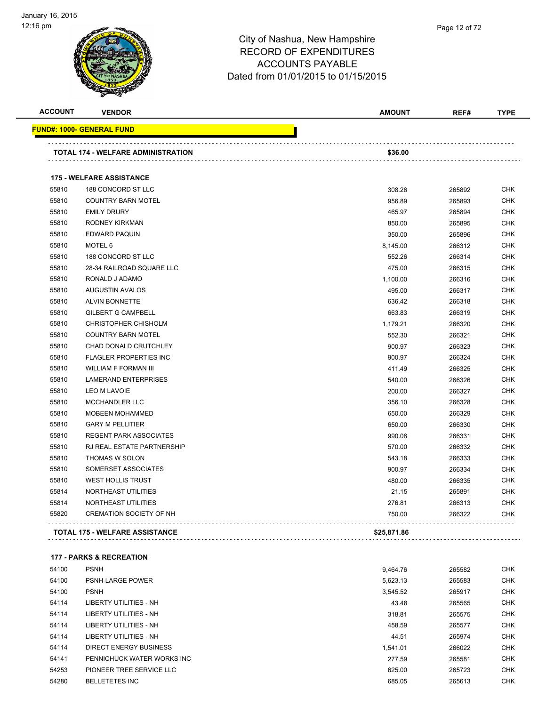

| <b>ACCOUNT</b> | <b>VENDOR</b>                      | <b>AMOUNT</b> | REF#   | <b>TYPE</b> |
|----------------|------------------------------------|---------------|--------|-------------|
|                | <u> FUND#: 1000- GENERAL FUND</u>  |               |        |             |
|                | TOTAL 174 - WELFARE ADMINISTRATION | \$36.00       |        |             |
|                | <b>175 - WELFARE ASSISTANCE</b>    |               |        |             |
| 55810          | 188 CONCORD ST LLC                 | 308.26        | 265892 | <b>CHK</b>  |
| 55810          | <b>COUNTRY BARN MOTEL</b>          | 956.89        | 265893 | <b>CHK</b>  |
| 55810          | <b>EMILY DRURY</b>                 | 465.97        | 265894 | <b>CHK</b>  |
| 55810          | RODNEY KIRKMAN                     | 850.00        | 265895 | <b>CHK</b>  |
| 55810          | EDWARD PAQUIN                      | 350.00        | 265896 | <b>CHK</b>  |
| 55810          | MOTEL 6                            | 8,145.00      | 266312 | <b>CHK</b>  |
| 55810          | 188 CONCORD ST LLC                 | 552.26        | 266314 | <b>CHK</b>  |
| 55810          | 28-34 RAILROAD SQUARE LLC          | 475.00        | 266315 | <b>CHK</b>  |
| 55810          | RONALD J ADAMO                     | 1,100.00      | 266316 | <b>CHK</b>  |
| 55810          | <b>AUGUSTIN AVALOS</b>             | 495.00        | 266317 | <b>CHK</b>  |
| 55810          | <b>ALVIN BONNETTE</b>              | 636.42        | 266318 | <b>CHK</b>  |
| 55810          | <b>GILBERT G CAMPBELL</b>          | 663.83        | 266319 | <b>CHK</b>  |
| 55810          | CHRISTOPHER CHISHOLM               | 1,179.21      | 266320 | <b>CHK</b>  |
| 55810          | <b>COUNTRY BARN MOTEL</b>          | 552.30        | 266321 | <b>CHK</b>  |
| 55810          | CHAD DONALD CRUTCHLEY              | 900.97        | 266323 | <b>CHK</b>  |
| 55810          | <b>FLAGLER PROPERTIES INC</b>      | 900.97        | 266324 | <b>CHK</b>  |
| 55810          | <b>WILLIAM F FORMAN III</b>        | 411.49        | 266325 | <b>CHK</b>  |
| 55810          | <b>LAMERAND ENTERPRISES</b>        | 540.00        | 266326 | <b>CHK</b>  |
| 55810          | <b>LEO M LAVOIE</b>                | 200.00        | 266327 | <b>CHK</b>  |
| 55810          | <b>MCCHANDLER LLC</b>              | 356.10        | 266328 | <b>CHK</b>  |
| 55810          | <b>MOBEEN MOHAMMED</b>             | 650.00        | 266329 | <b>CHK</b>  |
| 55810          | <b>GARY M PELLITIER</b>            | 650.00        | 266330 | <b>CHK</b>  |
| 55810          | <b>REGENT PARK ASSOCIATES</b>      | 990.08        | 266331 | <b>CHK</b>  |
| 55810          | RJ REAL ESTATE PARTNERSHIP         | 570.00        | 266332 | <b>CHK</b>  |
| 55810          | THOMAS W SOLON                     | 543.18        | 266333 | <b>CHK</b>  |
| 55810          | SOMERSET ASSOCIATES                | 900.97        | 266334 | <b>CHK</b>  |
| 55810          | <b>WEST HOLLIS TRUST</b>           | 480.00        | 266335 | <b>CHK</b>  |
| 55814          | NORTHEAST UTILITIES                | 21.15         | 265891 | <b>CHK</b>  |
| 55814          | NORTHEAST UTILITIES                | 276.81        | 266313 | <b>CHK</b>  |
| 55820          | <b>CREMATION SOCIETY OF NH</b>     | 750.00        | 266322 | <b>CHK</b>  |
|                | TOTAL 175 - WELFARE ASSISTANCE     | \$25,871.86   |        |             |

**177 - PARKS & RECREATION**

| 54100 | <b>PSNH</b>                   | 9.464.76 | 265582 | <b>CHK</b> |
|-------|-------------------------------|----------|--------|------------|
| 54100 | <b>PSNH-LARGE POWER</b>       | 5,623.13 | 265583 | <b>CHK</b> |
| 54100 | <b>PSNH</b>                   | 3,545.52 | 265917 | <b>CHK</b> |
| 54114 | <b>LIBERTY UTILITIES - NH</b> | 43.48    | 265565 | <b>CHK</b> |
| 54114 | LIBERTY UTILITIES - NH        | 318.81   | 265575 | <b>CHK</b> |
| 54114 | <b>LIBERTY UTILITIES - NH</b> | 458.59   | 265577 | <b>CHK</b> |
| 54114 | <b>LIBERTY UTILITIES - NH</b> | 44.51    | 265974 | <b>CHK</b> |
| 54114 | DIRECT ENERGY BUSINESS        | 1.541.01 | 266022 | <b>CHK</b> |
| 54141 | PENNICHUCK WATER WORKS INC    | 277.59   | 265581 | <b>CHK</b> |
| 54253 | PIONEER TREE SERVICE LLC      | 625.00   | 265723 | <b>CHK</b> |
| 54280 | <b>BELLETETES INC</b>         | 685.05   | 265613 | <b>CHK</b> |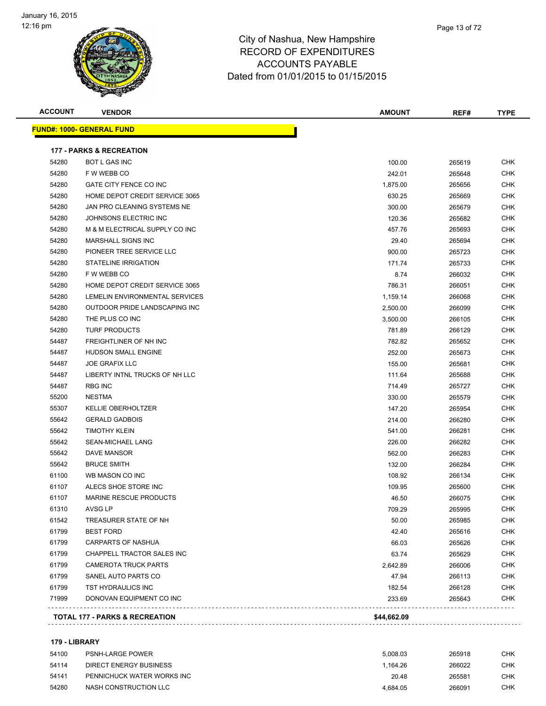

| Page 13 of 72 |
|---------------|
|               |

| <b>ACCOUNT</b> | <b>VENDOR</b>                             | <b>AMOUNT</b> | REF#   | <b>TYPE</b> |
|----------------|-------------------------------------------|---------------|--------|-------------|
|                | <b>FUND#: 1000- GENERAL FUND</b>          |               |        |             |
|                | <b>177 - PARKS &amp; RECREATION</b>       |               |        |             |
| 54280          | <b>BOT L GAS INC</b>                      | 100.00        | 265619 | <b>CHK</b>  |
| 54280          | F W WEBB CO                               | 242.01        | 265648 | CHK         |
| 54280          | GATE CITY FENCE CO INC                    | 1,875.00      | 265656 | CHK         |
| 54280          | HOME DEPOT CREDIT SERVICE 3065            | 630.25        | 265669 | <b>CHK</b>  |
| 54280          | JAN PRO CLEANING SYSTEMS NE               | 300.00        | 265679 | CHK         |
| 54280          | JOHNSONS ELECTRIC INC                     | 120.36        | 265682 | <b>CHK</b>  |
| 54280          | M & M ELECTRICAL SUPPLY CO INC            | 457.76        | 265693 | <b>CHK</b>  |
| 54280          | <b>MARSHALL SIGNS INC</b>                 | 29.40         | 265694 | CHK         |
| 54280          | PIONEER TREE SERVICE LLC                  | 900.00        | 265723 | <b>CHK</b>  |
| 54280          | STATELINE IRRIGATION                      | 171.74        | 265733 | CHK         |
| 54280          | F W WEBB CO                               | 8.74          | 266032 | CHK         |
| 54280          | HOME DEPOT CREDIT SERVICE 3065            | 786.31        | 266051 | <b>CHK</b>  |
| 54280          | LEMELIN ENVIRONMENTAL SERVICES            | 1,159.14      | 266068 | <b>CHK</b>  |
| 54280          | OUTDOOR PRIDE LANDSCAPING INC             | 2,500.00      | 266099 | <b>CHK</b>  |
| 54280          | THE PLUS CO INC                           | 3,500.00      | 266105 | <b>CHK</b>  |
| 54280          | <b>TURF PRODUCTS</b>                      | 781.89        | 266129 | CHK         |
| 54487          | FREIGHTLINER OF NH INC                    | 782.82        | 265652 | <b>CHK</b>  |
| 54487          | <b>HUDSON SMALL ENGINE</b>                | 252.00        | 265673 | CHK         |
| 54487          | <b>JOE GRAFIX LLC</b>                     | 155.00        | 265681 | CHK         |
| 54487          | LIBERTY INTNL TRUCKS OF NH LLC            | 111.64        | 265688 | CHK         |
| 54487          | <b>RBG INC</b>                            | 714.49        | 265727 | <b>CHK</b>  |
| 55200          | <b>NESTMA</b>                             | 330.00        | 265579 | CHK         |
| 55307          | <b>KELLIE OBERHOLTZER</b>                 | 147.20        | 265954 | CHK         |
| 55642          | <b>GERALD GADBOIS</b>                     | 214.00        | 266280 | CHK         |
| 55642          | <b>TIMOTHY KLEIN</b>                      | 541.00        | 266281 | <b>CHK</b>  |
| 55642          | <b>SEAN-MICHAEL LANG</b>                  | 226.00        | 266282 | <b>CHK</b>  |
| 55642          | <b>DAVE MANSOR</b>                        | 562.00        | 266283 | CHK         |
| 55642          | <b>BRUCE SMITH</b>                        | 132.00        | 266284 | CHK         |
| 61100          | WB MASON CO INC                           | 108.92        | 266134 | CHK         |
| 61107          | ALECS SHOE STORE INC                      | 109.95        | 265600 | CHK         |
| 61107          | <b>MARINE RESCUE PRODUCTS</b>             | 46.50         | 266075 | CHK         |
| 61310          | AVSG LP                                   | 709.29        | 265995 | <b>CHK</b>  |
| 61542          | TREASURER STATE OF NH                     | 50.00         | 265985 | <b>CHK</b>  |
| 61799          | <b>BEST FORD</b>                          | 42.40         | 265616 | <b>CHK</b>  |
| 61799          | CARPARTS OF NASHUA                        | 66.03         | 265626 | <b>CHK</b>  |
| 61799          | CHAPPELL TRACTOR SALES INC                | 63.74         | 265629 | <b>CHK</b>  |
| 61799          | <b>CAMEROTA TRUCK PARTS</b>               | 2,642.89      | 266006 | <b>CHK</b>  |
| 61799          | SANEL AUTO PARTS CO                       | 47.94         | 266113 | CHK         |
| 61799          | TST HYDRAULICS INC                        | 182.54        | 266128 | <b>CHK</b>  |
| 71999          | DONOVAN EQUIPMENT CO INC                  | 233.69        | 265643 | CHK         |
|                | <b>TOTAL 177 - PARKS &amp; RECREATION</b> | \$44,662.09   |        |             |

#### **179 - LIBRARY**

| 54100 | <b>PSNH-LARGE POWER</b>    | 5.008.03 | 265918 | СНК |
|-------|----------------------------|----------|--------|-----|
| 54114 | DIRECT ENERGY BUSINESS     | 1.164.26 | 266022 | СНК |
| 54141 | PENNICHUCK WATER WORKS INC | 20.48    | 265581 | снк |
| 54280 | NASH CONSTRUCTION LLC      | 4.684.05 | 266091 | СНК |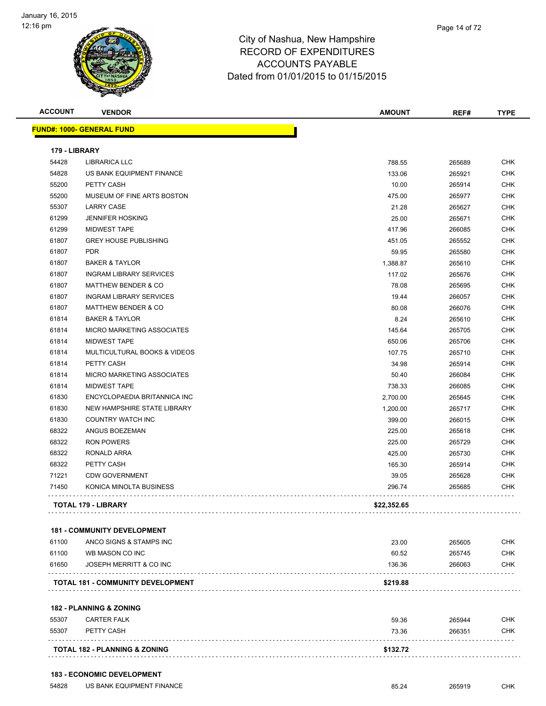

| <b>ACCOUNT</b> | <b>VENDOR</b>                            | <b>AMOUNT</b> | REF#   | <b>TYPE</b> |
|----------------|------------------------------------------|---------------|--------|-------------|
|                | <u> FUND#: 1000- GENERAL FUND</u>        |               |        |             |
| 179 - LIBRARY  |                                          |               |        |             |
| 54428          | <b>LIBRARICA LLC</b>                     | 788.55        | 265689 | <b>CHK</b>  |
| 54828          | US BANK EQUIPMENT FINANCE                | 133.06        | 265921 | <b>CHK</b>  |
| 55200          | PETTY CASH                               | 10.00         | 265914 | <b>CHK</b>  |
| 55200          | MUSEUM OF FINE ARTS BOSTON               | 475.00        | 265977 | <b>CHK</b>  |
| 55307          | <b>LARRY CASE</b>                        | 21.28         | 265627 | <b>CHK</b>  |
| 61299          | <b>JENNIFER HOSKING</b>                  | 25.00         | 265671 | <b>CHK</b>  |
| 61299          | <b>MIDWEST TAPE</b>                      | 417.96        | 266085 | <b>CHK</b>  |
| 61807          | <b>GREY HOUSE PUBLISHING</b>             | 451.05        | 265552 | <b>CHK</b>  |
| 61807          | <b>PDR</b>                               | 59.95         | 265580 | <b>CHK</b>  |
| 61807          | <b>BAKER &amp; TAYLOR</b>                | 1,388.87      | 265610 | <b>CHK</b>  |
| 61807          | <b>INGRAM LIBRARY SERVICES</b>           | 117.02        | 265676 | CHK         |
| 61807          | <b>MATTHEW BENDER &amp; CO</b>           | 78.08         | 265695 | CHK         |
| 61807          | <b>INGRAM LIBRARY SERVICES</b>           | 19.44         | 266057 | <b>CHK</b>  |
| 61807          | <b>MATTHEW BENDER &amp; CO</b>           | 80.08         | 266076 | <b>CHK</b>  |
| 61814          | <b>BAKER &amp; TAYLOR</b>                | 8.24          | 265610 | <b>CHK</b>  |
| 61814          | <b>MICRO MARKETING ASSOCIATES</b>        | 145.64        | 265705 | <b>CHK</b>  |
| 61814          | <b>MIDWEST TAPE</b>                      | 650.06        | 265706 | CHK         |
| 61814          | MULTICULTURAL BOOKS & VIDEOS             | 107.75        | 265710 | <b>CHK</b>  |
| 61814          | PETTY CASH                               | 34.98         | 265914 | CHK         |
| 61814          | <b>MICRO MARKETING ASSOCIATES</b>        | 50.40         | 266084 | <b>CHK</b>  |
| 61814          | <b>MIDWEST TAPE</b>                      | 738.33        | 266085 | <b>CHK</b>  |
| 61830          | ENCYCLOPAEDIA BRITANNICA INC             | 2,700.00      | 265645 | CHK         |
| 61830          | NEW HAMPSHIRE STATE LIBRARY              | 1,200.00      | 265717 | CHK         |
| 61830          | COUNTRY WATCH INC                        | 399.00        | 266015 | CHK         |
| 68322          | ANGUS BOEZEMAN                           | 225.00        | 265618 | CHK         |
| 68322          | RON POWERS                               | 225.00        | 265729 | <b>CHK</b>  |
| 68322          | RONALD ARRA                              | 425.00        | 265730 | <b>CHK</b>  |
| 68322          | PETTY CASH                               | 165.30        | 265914 | CHK         |
| 71221          | <b>CDW GOVERNMENT</b>                    | 39.05         | 265628 | <b>CHK</b>  |
| 71450          | KONICA MINOLTA BUSINESS                  | 296.74        | 265685 | CHK         |
|                | <b>TOTAL 179 - LIBRARY</b>               | \$22,352.65   |        |             |
|                | <b>181 - COMMUNITY DEVELOPMENT</b>       |               |        |             |
| 61100          | ANCO SIGNS & STAMPS INC                  | 23.00         | 265605 | <b>CHK</b>  |
| 61100          | WB MASON CO INC                          | 60.52         | 265745 | <b>CHK</b>  |
| 61650          | JOSEPH MERRITT & CO INC                  | 136.36        | 266063 | <b>CHK</b>  |
|                | TOTAL 181 - COMMUNITY DEVELOPMENT        | \$219.88      |        |             |
|                |                                          |               |        |             |
|                | <b>182 - PLANNING &amp; ZONING</b>       |               |        |             |
| 55307          | <b>CARTER FALK</b>                       | 59.36         | 265944 | CHK         |
| 55307          | PETTY CASH                               | 73.36         | 266351 | <b>CHK</b>  |
|                | <b>TOTAL 182 - PLANNING &amp; ZONING</b> | \$132.72      |        |             |

54828 US BANK EQUIPMENT FINANCE **Example 265919** CHK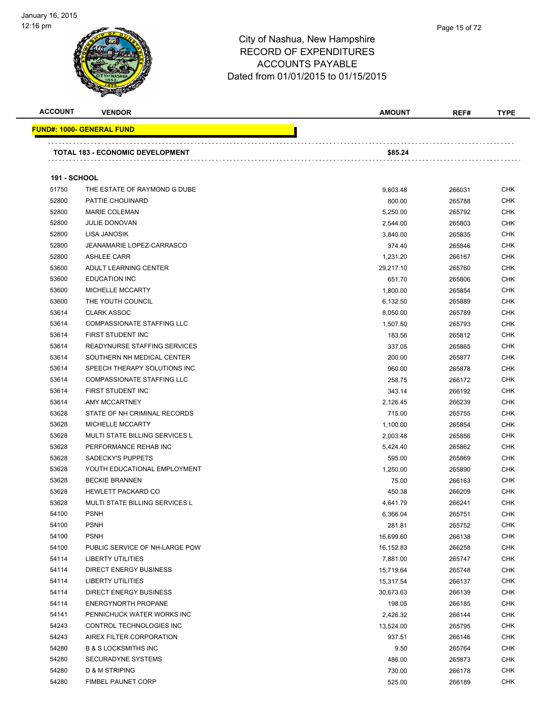

| <b>ACCOUNT</b>      | <b>VENDOR</b>                         | <b>AMOUNT</b> | REF#   | <b>TYPE</b> |
|---------------------|---------------------------------------|---------------|--------|-------------|
|                     | <b>FUND#: 1000- GENERAL FUND</b>      |               |        |             |
|                     | TOTAL 183 - ECONOMIC DEVELOPMENT      | \$85.24       |        |             |
|                     |                                       |               |        |             |
| <b>191 - SCHOOL</b> |                                       |               |        |             |
| 51750               | THE ESTATE OF RAYMOND G DUBE          | 9,603.48      | 266031 | <b>CHK</b>  |
| 52800               | PATTIE CHOUINARD                      | 800.00        | 265788 | <b>CHK</b>  |
| 52800               | <b>MARIE COLEMAN</b>                  | 5,250.00      | 265792 | <b>CHK</b>  |
| 52800               | <b>JULIE DONOVAN</b>                  | 2,544.00      | 265803 | <b>CHK</b>  |
| 52800               | LISA JANOSIK                          | 3,840.00      | 265835 | <b>CHK</b>  |
| 52800               | <b>JEANAMARIE LOPEZ-CARRASCO</b>      | 374.40        | 265846 | <b>CHK</b>  |
| 52800               | <b>ASHLEE CARR</b>                    | 1,231.20      | 266167 | <b>CHK</b>  |
| 53600               | ADULT LEARNING CENTER                 | 29,217.10     | 265760 | <b>CHK</b>  |
| 53600               | <b>EDUCATION INC</b>                  | 651.70        | 265806 | <b>CHK</b>  |
| 53600               | MICHELLE MCCARTY                      | 1,800.00      | 265854 | <b>CHK</b>  |
| 53600               | THE YOUTH COUNCIL                     | 6,132.50      | 265889 | <b>CHK</b>  |
| 53614               | <b>CLARK ASSOC</b>                    | 8,050.00      | 265789 | <b>CHK</b>  |
| 53614               | <b>COMPASSIONATE STAFFING LLC</b>     | 1,507.50      | 265793 | <b>CHK</b>  |
| 53614               | FIRST STUDENT INC                     | 183.56        | 265812 | <b>CHK</b>  |
| 53614               | READYNURSE STAFFING SERVICES          | 337.05        | 265865 | <b>CHK</b>  |
| 53614               | SOUTHERN NH MEDICAL CENTER            | 200.00        | 265877 | <b>CHK</b>  |
| 53614               | SPEECH THERAPY SOLUTIONS INC          | 960.00        | 265878 | <b>CHK</b>  |
| 53614               | <b>COMPASSIONATE STAFFING LLC</b>     | 258.75        | 266172 | <b>CHK</b>  |
| 53614               | FIRST STUDENT INC                     | 343.14        | 266192 | <b>CHK</b>  |
| 53614               | AMY MCCARTNEY                         | 2,126.45      | 266239 | <b>CHK</b>  |
| 53628               | STATE OF NH CRIMINAL RECORDS          | 715.00        | 265755 | <b>CHK</b>  |
| 53628               | MICHELLE MCCARTY                      | 1,100.00      | 265854 | <b>CHK</b>  |
| 53628               | <b>MULTI STATE BILLING SERVICES L</b> | 2,003.48      | 265856 | <b>CHK</b>  |
| 53628               | PERFORMANCE REHAB INC                 | 5,424.40      | 265862 | <b>CHK</b>  |
| 53628               | SADECKY'S PUPPETS                     | 595.00        | 265869 | <b>CHK</b>  |
| 53628               | YOUTH EDUCATIONAL EMPLOYMENT          | 1,250.00      | 265890 | <b>CHK</b>  |
| 53628               | <b>BECKIE BRANNEN</b>                 | 75.00         | 266163 | <b>CHK</b>  |
| 53628               | <b>HEWLETT PACKARD CO</b>             | 450.38        | 266209 | <b>CHK</b>  |
| 53628               | <b>MULTI STATE BILLING SERVICES L</b> | 4,641.79      | 266241 | <b>CHK</b>  |
| 54100               | <b>PSNH</b>                           | 6,366.04      | 265751 | <b>CHK</b>  |
| 54100               | <b>PSNH</b>                           | 281.81        | 265752 | <b>CHK</b>  |
| 54100               | <b>PSNH</b>                           | 16,699.60     | 266138 | <b>CHK</b>  |
| 54100               | PUBLIC SERVICE OF NH-LARGE POW        | 16,152.83     | 266258 | <b>CHK</b>  |
| 54114               | <b>LIBERTY UTILITIES</b>              | 7,881.00      | 265747 | <b>CHK</b>  |
| 54114               | <b>DIRECT ENERGY BUSINESS</b>         | 15,719.64     | 265748 | <b>CHK</b>  |
| 54114               | <b>LIBERTY UTILITIES</b>              | 15,317.54     | 266137 | <b>CHK</b>  |
| 54114               | <b>DIRECT ENERGY BUSINESS</b>         | 30,673.63     | 266139 | <b>CHK</b>  |
| 54114               | <b>ENERGYNORTH PROPANE</b>            | 198.05        | 266185 | <b>CHK</b>  |
| 54141               | PENNICHUCK WATER WORKS INC            | 2,426.32      | 266144 | <b>CHK</b>  |
| 54243               | CONTROL TECHNOLOGIES INC              | 13,524.00     | 265795 | CHK         |
| 54243               | AIREX FILTER CORPORATION              | 937.51        | 266146 | <b>CHK</b>  |
| 54280               | <b>B &amp; S LOCKSMITHS INC</b>       | 9.50          | 265764 | <b>CHK</b>  |
| 54280               | SECURADYNE SYSTEMS                    | 486.00        | 265873 | <b>CHK</b>  |
| 54280               | D & M STRIPING                        | 730.00        | 266178 | <b>CHK</b>  |
| 54280               | <b>FIMBEL PAUNET CORP</b>             | 525.00        | 266189 | <b>CHK</b>  |
|                     |                                       |               |        |             |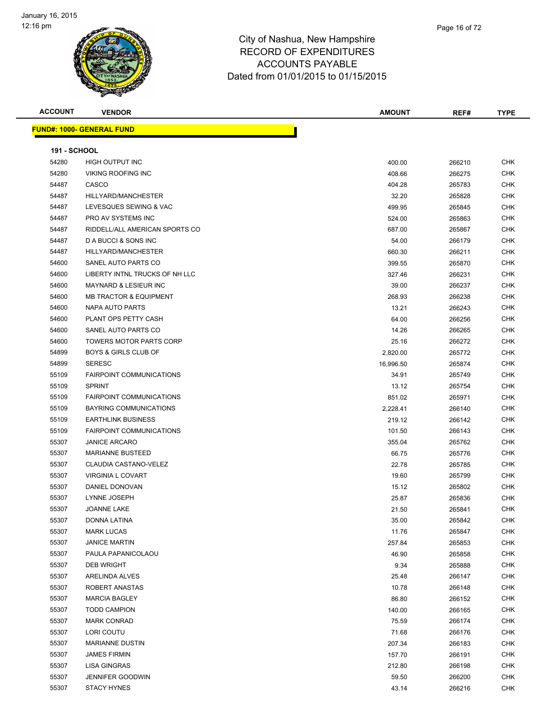

Page 16 of 72

| <b>ACCOUNT</b>      | <b>VENDOR</b>                     | <b>AMOUNT</b> | REF#   | <b>TYPE</b> |
|---------------------|-----------------------------------|---------------|--------|-------------|
|                     | <b>FUND#: 1000- GENERAL FUND</b>  |               |        |             |
|                     |                                   |               |        |             |
| <b>191 - SCHOOL</b> |                                   |               |        |             |
| 54280               | HIGH OUTPUT INC                   | 400.00        | 266210 | CHK         |
| 54280               | <b>VIKING ROOFING INC</b>         | 408.66        | 266275 | <b>CHK</b>  |
| 54487               | CASCO                             | 404.28        | 265783 | CHK         |
| 54487               | HILLYARD/MANCHESTER               | 32.20         | 265828 | CHK         |
| 54487               | LEVESQUES SEWING & VAC            | 499.95        | 265845 | CHK         |
| 54487               | PRO AV SYSTEMS INC                | 524.00        | 265863 | <b>CHK</b>  |
| 54487               | RIDDELL/ALL AMERICAN SPORTS CO    | 687.00        | 265867 | CHK         |
| 54487               | D A BUCCI & SONS INC              | 54.00         | 266179 | CHK         |
| 54487               | HILLYARD/MANCHESTER               | 660.30        | 266211 | <b>CHK</b>  |
| 54600               | SANEL AUTO PARTS CO               | 399.55        | 265870 | <b>CHK</b>  |
| 54600               | LIBERTY INTNL TRUCKS OF NH LLC    | 327.46        | 266231 | <b>CHK</b>  |
| 54600               | MAYNARD & LESIEUR INC             | 39.00         | 266237 | <b>CHK</b>  |
| 54600               | <b>MB TRACTOR &amp; EQUIPMENT</b> | 268.93        | 266238 | CHK         |
| 54600               | NAPA AUTO PARTS                   | 13.21         | 266243 | <b>CHK</b>  |
| 54600               | PLANT OPS PETTY CASH              | 64.00         | 266256 | <b>CHK</b>  |
| 54600               | SANEL AUTO PARTS CO               | 14.26         | 266265 | <b>CHK</b>  |
| 54600               | <b>TOWERS MOTOR PARTS CORP</b>    | 25.16         | 266272 | CHK         |
| 54899               | <b>BOYS &amp; GIRLS CLUB OF</b>   | 2,820.00      | 265772 | CHK         |
| 54899               | <b>SERESC</b>                     | 16,996.50     | 265874 | CHK         |
| 55109               | <b>FAIRPOINT COMMUNICATIONS</b>   | 34.91         | 265749 | <b>CHK</b>  |
| 55109               | <b>SPRINT</b>                     | 13.12         | 265754 | <b>CHK</b>  |
| 55109               | <b>FAIRPOINT COMMUNICATIONS</b>   | 851.02        | 265971 | <b>CHK</b>  |
| 55109               | BAYRING COMMUNICATIONS            | 2,228.41      | 266140 | <b>CHK</b>  |
| 55109               | <b>EARTHLINK BUSINESS</b>         | 219.12        | 266142 | CHK         |
| 55109               | <b>FAIRPOINT COMMUNICATIONS</b>   | 101.50        | 266143 | CHK         |
| 55307               | <b>JANICE ARCARO</b>              | 355.04        | 265762 | <b>CHK</b>  |
| 55307               | <b>MARIANNE BUSTEED</b>           | 66.75         | 265776 | CHK         |
| 55307               | CLAUDIA CASTANO-VELEZ             | 22.78         | 265785 | CHK         |
| 55307               | <b>VIRGINIA L COVART</b>          | 19.60         | 265799 | CHK         |
| 55307               | DANIEL DONOVAN                    | 15.12         | 265802 | CHK         |
| 55307               | LYNNE JOSEPH                      | 25.87         | 265836 | CHK         |
| 55307               | JOANNE LAKE                       | 21.50         | 265841 | <b>CHK</b>  |
| 55307               | DONNA LATINA                      | 35.00         | 265842 | <b>CHK</b>  |
| 55307               | <b>MARK LUCAS</b>                 | 11.76         | 265847 | <b>CHK</b>  |
| 55307               | <b>JANICE MARTIN</b>              | 257.84        | 265853 | <b>CHK</b>  |
| 55307               | PAULA PAPANICOLAOU                | 46.90         | 265858 | CHK         |
| 55307               | <b>DEB WRIGHT</b>                 | 9.34          | 265888 | <b>CHK</b>  |
| 55307               | ARELINDA ALVES                    | 25.48         | 266147 | <b>CHK</b>  |
| 55307               | ROBERT ANASTAS                    | 10.78         | 266148 | <b>CHK</b>  |
| 55307               | <b>MARCIA BAGLEY</b>              | 86.80         | 266152 | <b>CHK</b>  |
| 55307               | <b>TODD CAMPION</b>               | 140.00        | 266165 | <b>CHK</b>  |
| 55307               | <b>MARK CONRAD</b>                | 75.59         | 266174 | CHK         |
| 55307               | LORI COUTU                        | 71.68         | 266176 | CHK         |
| 55307               | <b>MARIANNE DUSTIN</b>            | 207.34        | 266183 | CHK         |
| 55307               | <b>JAMES FIRMIN</b>               | 157.70        | 266191 | CHK         |
| 55307               | LISA GINGRAS                      | 212.80        | 266198 | <b>CHK</b>  |
| 55307               | JENNIFER GOODWIN                  | 59.50         | 266200 | <b>CHK</b>  |
| 55307               | <b>STACY HYNES</b>                | 43.14         | 266216 | <b>CHK</b>  |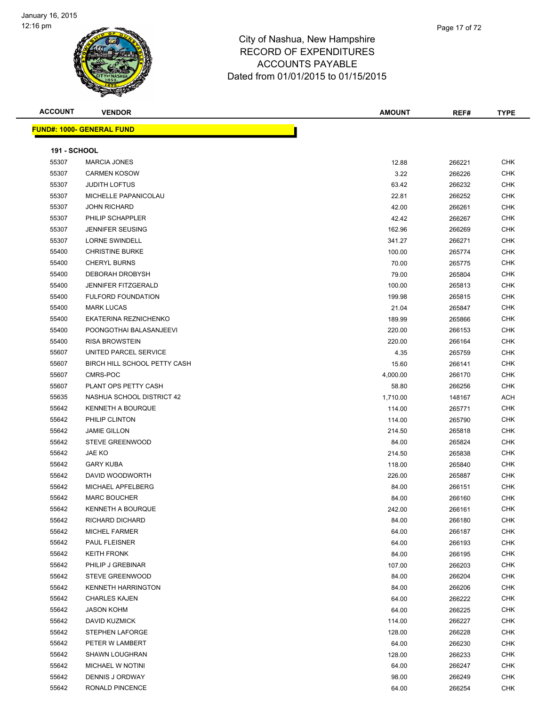

**ACCOUNT VENDOR AMOUNT REF# TYPE FUND#: 1000- GENERAL FUND 191 - SCHOOL** MARCIA JONES 12.88 266221 CHK CARMEN KOSOW 3.22 266226 CHK JUDITH LOFTUS 63.42 266232 CHK MICHELLE PAPANICOLAU 22.81 266252 CHK JOHN RICHARD 42.00 266261 CHK PHILIP SCHAPPLER 42.42 266267 CHK JENNIFER SEUSING 162.96 266269 CHK LORNE SWINDELL 341.27 266271 CHK External of the SURKE CHK of the SURKE 100.00 CHRISTINE BURKE CHK CHK CHK CHK 265774 CHK CHERYL BURNS 70.00 265775 CHK DEBORAH DROBYSH 79.00 265804 CHK 55400 JENNIFER FITZGERALD 100.00 265813 CHK FULFORD FOUNDATION 199.98 265815 CHK MARK LUCAS 21.04 265847 CHK EKATERINA REZNICHENKO 189.99 265866 CHK POONGOTHAI BALASANJEEVI 220.00 266153 CHK RISA BROWSTEIN 220.00 266164 CHK 55607 UNITED PARCEL SERVICE A LOCAL CONSTRUCTION OF A LOCAL CONSTRUCTION OF A LOCAL ASSAULT AND LOCAL CHK 55607 BIRCH HILL SCHOOL PETTY CASH 15.60 266141 CHK CMRS-POC 4,000.00 266170 CHK PLANT OPS PETTY CASH 58.80 266256 CHK 55635 NASHUA SCHOOL DISTRICT 42 2000 100 100 100 100 100 1,710.00 148167 ACH KENNETH A BOURQUE 114.00 265771 CHK PHILIP CLINTON 114.00 265790 CHK JAMIE GILLON 214.50 265818 CHK STEVE GREENWOOD 84.00 265824 CHK JAE KO 214.50 265838 CHK GARY KUBA 118.00 265840 CHK DAVID WOODWORTH 226.00 265887 CHK MICHAEL APFELBERG 84.00 266151 CHK MARC BOUCHER 84.00 266160 CHK KENNETH A BOURQUE 242.00 266161 CHK RICHARD DICHARD 84.00 266180 CHK MICHEL FARMER 64.00 266187 CHK PAUL FLEISNER 64.00 266193 CHK KEITH FRONK 84.00 266195 CHK PHILIP J GREBINAR 107.00 266203 CHK STEVE GREENWOOD 84.00 266204 CHK KENNETH HARRINGTON 84.00 266206 CHK CHARLES KAJEN 64.00 266222 CHK JASON KOHM 64.00 266225 CHK DAVID KUZMICK 114.00 266227 CHK STEPHEN LAFORGE 128.00 266228 CHK PETER W LAMBERT 64.00 266230 CHK SHAWN LOUGHRAN 128.00 266233 CHK MICHAEL W NOTINI 64.00 266247 CHK DENNIS J ORDWAY 98.00 266249 CHK RONALD PINCENCE 64.00 266254 CHK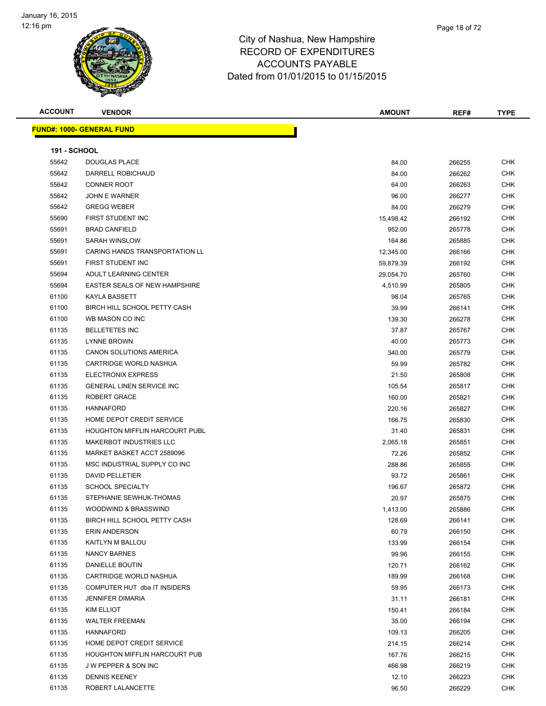| <b>ACCOUNT</b>      | <b>VENDOR</b>                         | <b>AMOUNT</b> | REF#   | <b>TYPE</b> |
|---------------------|---------------------------------------|---------------|--------|-------------|
|                     | <u> FUND#: 1000- GENERAL FUND</u>     |               |        |             |
|                     |                                       |               |        |             |
| <b>191 - SCHOOL</b> |                                       |               |        |             |
| 55642               | <b>DOUGLAS PLACE</b>                  | 84.00         | 266255 | <b>CHK</b>  |
| 55642               | DARRELL ROBICHAUD                     | 84.00         | 266262 | <b>CHK</b>  |
| 55642               | <b>CONNER ROOT</b>                    | 64.00         | 266263 | <b>CHK</b>  |
| 55642               | <b>JOHN E WARNER</b>                  | 96.00         | 266277 | <b>CHK</b>  |
| 55642               | <b>GREGG WEBER</b>                    | 84.00         | 266279 | CHK         |
| 55690               | FIRST STUDENT INC                     | 15,498.42     | 266192 | CHK         |
| 55691               | <b>BRAD CANFIELD</b>                  | 952.00        | 265778 | CHK         |
| 55691               | <b>SARAH WINSLOW</b>                  | 164.86        | 265885 | CHK         |
| 55691               | <b>CARING HANDS TRANSPORTATION LL</b> | 12,345.00     | 266166 | <b>CHK</b>  |
| 55691               | FIRST STUDENT INC                     | 59,879.39     | 266192 | CHK         |
| 55694               | ADULT LEARNING CENTER                 | 29,054.70     | 265760 | CHK         |
| 55694               | EASTER SEALS OF NEW HAMPSHIRE         | 4,510.99      | 265805 | CHK         |
| 61100               | KAYLA BASSETT                         | 98.04         | 265765 | CHK         |
| 61100               | BIRCH HILL SCHOOL PETTY CASH          | 39.99         | 266141 | CHK         |
| 61100               | WB MASON CO INC                       | 139.30        | 266278 | CHK         |
| 61135               | <b>BELLETETES INC</b>                 | 37.87         | 265767 | CHK         |
| 61135               | <b>LYNNE BROWN</b>                    | 40.00         | 265773 | CHK         |
| 61135               | <b>CANON SOLUTIONS AMERICA</b>        | 340.00        | 265779 | CHK         |
| 61135               | CARTRIDGE WORLD NASHUA                | 59.99         | 265782 | CHK         |
| 61135               | <b>ELECTRONIX EXPRESS</b>             | 21.50         | 265808 | <b>CHK</b>  |
| 61135               | <b>GENERAL LINEN SERVICE INC</b>      | 105.54        | 265817 | CHK         |
| 61135               | ROBERT GRACE                          | 160.00        | 265821 | <b>CHK</b>  |
| 61135               | <b>HANNAFORD</b>                      | 220.16        | 265827 | <b>CHK</b>  |
| 61135               | HOME DEPOT CREDIT SERVICE             | 166.75        | 265830 | CHK         |
| 61135               | <b>HOUGHTON MIFFLIN HARCOURT PUBL</b> | 31.40         | 265831 | CHK         |
| 61135               | <b>MAKERBOT INDUSTRIES LLC</b>        | 2,065.18      | 265851 | CHK         |
| 61135               | MARKET BASKET ACCT 2589096            | 72.26         | 265852 | CHK         |
| 61135               | MSC INDUSTRIAL SUPPLY CO INC          | 288.86        | 265855 | CHK         |
| 61135               | <b>DAVID PELLETIER</b>                | 93.72         | 265861 | CHK         |
| 61135               | <b>SCHOOL SPECIALTY</b>               | 196.67        | 265872 | CHK         |
| 61135               | STEPHANIE SEWHUK-THOMAS               | 20.97         | 265875 | <b>CHK</b>  |
| 61135               | WOODWIND & BRASSWIND                  | 1,413.00      | 265886 | <b>CHK</b>  |
| 61135               | BIRCH HILL SCHOOL PETTY CASH          | 128.69        | 266141 | <b>CHK</b>  |
| 61135               | <b>ERIN ANDERSON</b>                  | 60.79         | 266150 | <b>CHK</b>  |
| 61135               | KAITLYN M BALLOU                      | 133.99        | 266154 | <b>CHK</b>  |
| 61135               | <b>NANCY BARNES</b>                   | 99.96         | 266155 | <b>CHK</b>  |
| 61135               | DANIELLE BOUTIN                       | 120.71        | 266162 | CHK         |
| 61135               | CARTRIDGE WORLD NASHUA                | 189.99        | 266168 | CHK         |
| 61135               | COMPUTER HUT dba IT INSIDERS          | 59.95         | 266173 | <b>CHK</b>  |
| 61135               | <b>JENNIFER DIMARIA</b>               | 31.11         | 266181 | <b>CHK</b>  |
| 61135               | <b>KIM ELLIOT</b>                     | 150.41        | 266184 | CHK         |
| 61135               | <b>WALTER FREEMAN</b>                 | 35.00         | 266194 | <b>CHK</b>  |
| 61135               | HANNAFORD                             | 109.13        | 266205 | CHK         |
| 61135               | HOME DEPOT CREDIT SERVICE             | 214.15        | 266214 | CHK         |
| 61135               | <b>HOUGHTON MIFFLIN HARCOURT PUB</b>  | 167.76        | 266215 | CHK         |
| 61135               | J W PEPPER & SON INC                  | 466.98        | 266219 | CHK         |
| 61135               | <b>DENNIS KEENEY</b>                  | 12.10         | 266223 | <b>CHK</b>  |
| 61135               | ROBERT LALANCETTE                     | 96.50         | 266229 | CHK         |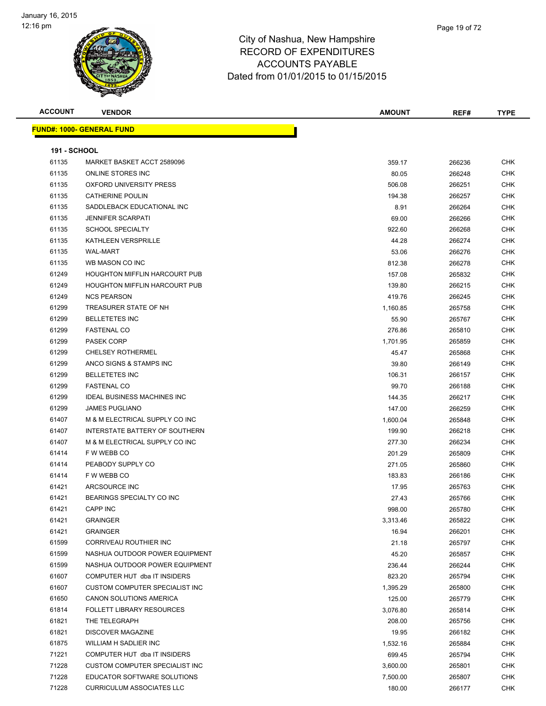

| <b>ACCOUNT</b>      | <b>VENDOR</b>                        | <b>AMOUNT</b> | REF#   | <b>TYPE</b> |
|---------------------|--------------------------------------|---------------|--------|-------------|
|                     | <u> FUND#: 1000- GENERAL FUND</u>    |               |        |             |
| <b>191 - SCHOOL</b> |                                      |               |        |             |
| 61135               | MARKET BASKET ACCT 2589096           | 359.17        | 266236 | CHK         |
| 61135               | ONLINE STORES INC                    | 80.05         | 266248 | <b>CHK</b>  |
| 61135               | OXFORD UNIVERSITY PRESS              | 506.08        | 266251 | CHK         |
| 61135               | <b>CATHERINE POULIN</b>              | 194.38        | 266257 | CHK         |
| 61135               | SADDLEBACK EDUCATIONAL INC           | 8.91          | 266264 | <b>CHK</b>  |
| 61135               | <b>JENNIFER SCARPATI</b>             | 69.00         | 266266 | CHK         |
| 61135               | <b>SCHOOL SPECIALTY</b>              | 922.60        | 266268 | <b>CHK</b>  |
| 61135               | KATHLEEN VERSPRILLE                  | 44.28         | 266274 | CHK         |
| 61135               | <b>WAL-MART</b>                      | 53.06         | 266276 | CHK         |
| 61135               | WB MASON CO INC                      | 812.38        | 266278 | CHK         |
| 61249               | <b>HOUGHTON MIFFLIN HARCOURT PUB</b> | 157.08        | 265832 | CHK         |
| 61249               | <b>HOUGHTON MIFFLIN HARCOURT PUB</b> | 139.80        | 266215 | <b>CHK</b>  |
| 61249               | <b>NCS PEARSON</b>                   | 419.76        | 266245 | <b>CHK</b>  |
| 61299               | TREASURER STATE OF NH                | 1,160.85      | 265758 | CHK         |
| 61299               | <b>BELLETETES INC</b>                | 55.90         | 265767 | CHK         |
| 61299               | <b>FASTENAL CO</b>                   | 276.86        | 265810 | CHK         |
| 61299               | PASEK CORP                           | 1,701.95      | 265859 | CHK         |
| 61299               | <b>CHELSEY ROTHERMEL</b>             | 45.47         | 265868 | CHK         |
| 61299               | ANCO SIGNS & STAMPS INC              | 39.80         | 266149 | CHK         |
| 61299               | <b>BELLETETES INC</b>                | 106.31        | 266157 | CHK         |
| 61299               | <b>FASTENAL CO</b>                   | 99.70         | 266188 | CHK         |
| 61299               | <b>IDEAL BUSINESS MACHINES INC</b>   | 144.35        | 266217 | CHK         |
| 61299               | <b>JAMES PUGLIANO</b>                | 147.00        | 266259 | CHK         |
| 61407               | M & M ELECTRICAL SUPPLY CO INC       | 1,600.04      | 265848 | <b>CHK</b>  |
| 61407               | INTERSTATE BATTERY OF SOUTHERN       | 199.90        | 266218 | CHK         |
| 61407               | M & M ELECTRICAL SUPPLY CO INC       | 277.30        | 266234 | CHK         |
| 61414               | F W WEBB CO                          | 201.29        | 265809 | <b>CHK</b>  |
| 61414               | PEABODY SUPPLY CO                    | 271.05        | 265860 | <b>CHK</b>  |
| 61414               | F W WEBB CO                          | 183.83        | 266186 | CHK         |
| 61421               | ARCSOURCE INC                        | 17.95         | 265763 | CHK         |
| 61421               | BEARINGS SPECIALTY CO INC            | 27.43         | 265766 | <b>CHK</b>  |
| 61421               | CAPP INC                             | 998.00        | 265780 | <b>CHK</b>  |
| 61421               | <b>GRAINGER</b>                      | 3,313.46      | 265822 | CHK         |
| 61421               | <b>GRAINGER</b>                      | 16.94         | 266201 | CHK         |
| 61599               | CORRIVEAU ROUTHIER INC               | 21.18         | 265797 | <b>CHK</b>  |
| 61599               | NASHUA OUTDOOR POWER EQUIPMENT       | 45.20         | 265857 | CHK         |
| 61599               | NASHUA OUTDOOR POWER EQUIPMENT       | 236.44        | 266244 | <b>CHK</b>  |
| 61607               | COMPUTER HUT dba IT INSIDERS         | 823.20        | 265794 | <b>CHK</b>  |
| 61607               | CUSTOM COMPUTER SPECIALIST INC       | 1,395.29      | 265800 | <b>CHK</b>  |
| 61650               | CANON SOLUTIONS AMERICA              | 125.00        | 265779 | <b>CHK</b>  |
| 61814               | FOLLETT LIBRARY RESOURCES            | 3,076.80      | 265814 | <b>CHK</b>  |
| 61821               | THE TELEGRAPH                        | 208.00        | 265756 | <b>CHK</b>  |
| 61821               | <b>DISCOVER MAGAZINE</b>             | 19.95         | 266182 | <b>CHK</b>  |
| 61875               | WILLIAM H SADLIER INC                | 1,532.16      | 265884 | <b>CHK</b>  |
| 71221               | COMPUTER HUT dba IT INSIDERS         | 699.45        | 265794 | <b>CHK</b>  |
| 71228               | CUSTOM COMPUTER SPECIALIST INC       | 3,600.00      | 265801 | <b>CHK</b>  |
| 71228               | EDUCATOR SOFTWARE SOLUTIONS          | 7,500.00      | 265807 | CHK         |
| 71228               | <b>CURRICULUM ASSOCIATES LLC</b>     | 180.00        | 266177 | <b>CHK</b>  |
|                     |                                      |               |        |             |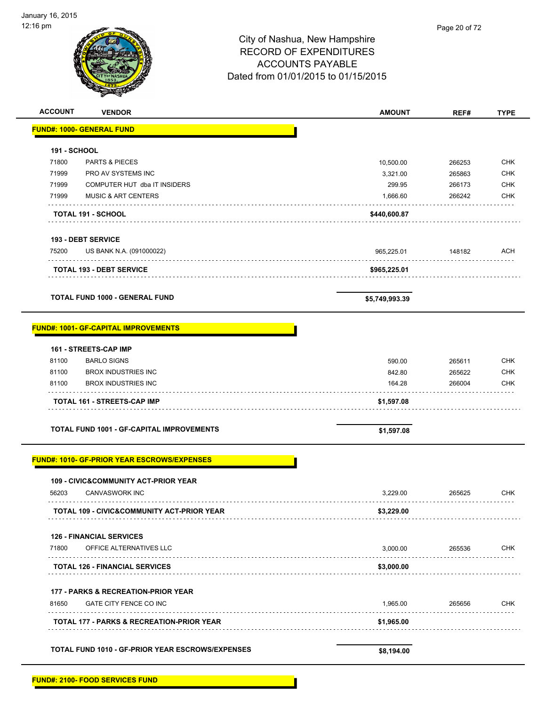| <b>ACCOUNT</b>      | <b>VENDOR</b>                                         | <b>AMOUNT</b>  | REF#   | <b>TYPE</b> |
|---------------------|-------------------------------------------------------|----------------|--------|-------------|
|                     | <b>FUND#: 1000- GENERAL FUND</b>                      |                |        |             |
| <b>191 - SCHOOL</b> |                                                       |                |        |             |
| 71800               | <b>PARTS &amp; PIECES</b>                             | 10,500.00      | 266253 | <b>CHK</b>  |
| 71999               | PRO AV SYSTEMS INC                                    | 3,321.00       | 265863 | <b>CHK</b>  |
| 71999               | COMPUTER HUT dba IT INSIDERS                          | 299.95         | 266173 | <b>CHK</b>  |
| 71999               | <b>MUSIC &amp; ART CENTERS</b>                        | 1,666.60       | 266242 | <b>CHK</b>  |
|                     | <b>TOTAL 191 - SCHOOL</b>                             | \$440,600.87   |        |             |
|                     | <b>193 - DEBT SERVICE</b>                             |                |        |             |
| 75200               | US BANK N.A. (091000022)                              | 965,225.01     | 148182 | <b>ACH</b>  |
|                     | <b>TOTAL 193 - DEBT SERVICE</b>                       | \$965,225.01   |        |             |
|                     | <b>TOTAL FUND 1000 - GENERAL FUND</b>                 | \$5,749,993.39 |        |             |
|                     | <b>FUND#: 1001- GF-CAPITAL IMPROVEMENTS</b>           |                |        |             |
|                     | 161 - STREETS-CAP IMP                                 |                |        |             |
| 81100               | <b>BARLO SIGNS</b>                                    | 590.00         | 265611 | <b>CHK</b>  |
| 81100               | <b>BROX INDUSTRIES INC</b>                            | 842.80         | 265622 | <b>CHK</b>  |
| 81100               | <b>BROX INDUSTRIES INC</b>                            | 164.28         | 266004 | <b>CHK</b>  |
|                     | TOTAL 161 - STREETS-CAP IMP                           | \$1,597.08     |        |             |
|                     | <b>TOTAL FUND 1001 - GF-CAPITAL IMPROVEMENTS</b>      | \$1,597.08     |        |             |
|                     | FUND#: 1010- GF-PRIOR YEAR ESCROWS/EXPENSES           |                |        |             |
|                     | <b>109 - CIVIC&amp;COMMUNITY ACT-PRIOR YEAR</b>       |                |        |             |
| 56203               | <b>CANVASWORK INC</b>                                 | 3,229.00       | 265625 | <b>CHK</b>  |
|                     | <b>TOTAL 109 - CIVIC&amp;COMMUNITY ACT-PRIOR YEAR</b> | \$3,229.00     |        |             |
|                     | <b>126 - FINANCIAL SERVICES</b>                       |                |        |             |
| 71800               | OFFICE ALTERNATIVES LLC<br>.                          | 3,000.00       | 265536 | <b>CHK</b>  |
|                     | <b>TOTAL 126 - FINANCIAL SERVICES</b>                 | \$3,000.00     |        |             |
|                     | 177 - PARKS & RECREATION-PRIOR YEAR                   |                |        |             |
|                     | GATE CITY FENCE CO INC                                | 1,965.00       | 265656 | <b>CHK</b>  |
| 81650               |                                                       |                |        |             |
|                     | TOTAL 177 - PARKS & RECREATION-PRIOR YEAR             | \$1,965.00     |        |             |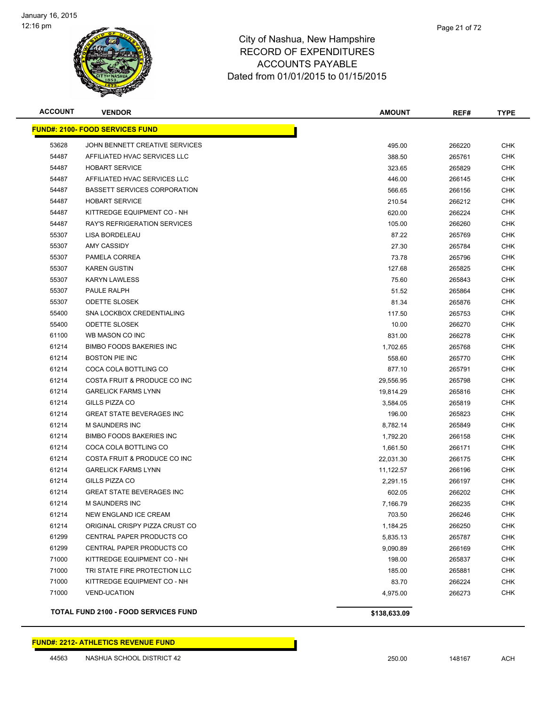

| <b>ACCOUNT</b> | <b>VENDOR</b>                               | <b>AMOUNT</b> | REF#   | <b>TYPE</b> |
|----------------|---------------------------------------------|---------------|--------|-------------|
|                | <b>FUND#: 2100- FOOD SERVICES FUND</b>      |               |        |             |
| 53628          | JOHN BENNETT CREATIVE SERVICES              | 495.00        | 266220 | <b>CHK</b>  |
| 54487          | AFFILIATED HVAC SERVICES LLC                | 388.50        | 265761 | CHK         |
| 54487          | <b>HOBART SERVICE</b>                       | 323.65        | 265829 | CHK         |
| 54487          | AFFILIATED HVAC SERVICES LLC                | 446.00        | 266145 | CHK         |
| 54487          | <b>BASSETT SERVICES CORPORATION</b>         | 566.65        | 266156 | <b>CHK</b>  |
| 54487          | <b>HOBART SERVICE</b>                       | 210.54        | 266212 | <b>CHK</b>  |
| 54487          | KITTREDGE EQUIPMENT CO - NH                 | 620.00        | 266224 | <b>CHK</b>  |
| 54487          | <b>RAY'S REFRIGERATION SERVICES</b>         | 105.00        | 266260 | <b>CHK</b>  |
| 55307          | LISA BORDELEAU                              | 87.22         | 265769 | CHK         |
| 55307          | <b>AMY CASSIDY</b>                          | 27.30         | 265784 | CHK         |
| 55307          | PAMELA CORREA                               | 73.78         | 265796 | CHK         |
| 55307          | <b>KAREN GUSTIN</b>                         | 127.68        | 265825 | CHK         |
| 55307          | <b>KARYN LAWLESS</b>                        | 75.60         | 265843 | CHK         |
| 55307          | PAULE RALPH                                 | 51.52         | 265864 | CHK         |
| 55307          | <b>ODETTE SLOSEK</b>                        | 81.34         | 265876 | CHK         |
| 55400          | SNA LOCKBOX CREDENTIALING                   | 117.50        | 265753 | CHK         |
| 55400          | <b>ODETTE SLOSEK</b>                        | 10.00         | 266270 | <b>CHK</b>  |
| 61100          | WB MASON CO INC                             | 831.00        | 266278 | <b>CHK</b>  |
| 61214          | <b>BIMBO FOODS BAKERIES INC</b>             | 1,702.65      | 265768 | <b>CHK</b>  |
| 61214          | <b>BOSTON PIE INC</b>                       | 558.60        | 265770 | <b>CHK</b>  |
| 61214          | COCA COLA BOTTLING CO                       | 877.10        | 265791 | CHK         |
| 61214          | COSTA FRUIT & PRODUCE CO INC                | 29,556.95     | 265798 | CHK         |
| 61214          | <b>GARELICK FARMS LYNN</b>                  | 19,814.29     | 265816 | CHK         |
| 61214          | GILLS PIZZA CO                              | 3,584.05      | 265819 | CHK         |
| 61214          | <b>GREAT STATE BEVERAGES INC</b>            | 196.00        | 265823 | CHK         |
| 61214          | <b>M SAUNDERS INC</b>                       | 8,782.14      | 265849 | CHK         |
| 61214          | <b>BIMBO FOODS BAKERIES INC</b>             | 1,792.20      | 266158 | <b>CHK</b>  |
| 61214          | COCA COLA BOTTLING CO                       | 1,661.50      | 266171 | <b>CHK</b>  |
| 61214          | COSTA FRUIT & PRODUCE CO INC                | 22,031.30     | 266175 | CHK         |
| 61214          | <b>GARELICK FARMS LYNN</b>                  | 11,122.57     | 266196 | <b>CHK</b>  |
| 61214          | GILLS PIZZA CO                              | 2,291.15      | 266197 | CHK         |
| 61214          | <b>GREAT STATE BEVERAGES INC</b>            | 602.05        | 266202 | CHK         |
| 61214          | <b>M SAUNDERS INC</b>                       | 7,166.79      | 266235 | CHK         |
| 61214          | NEW ENGLAND ICE CREAM                       | 703.50        | 266246 | CHK         |
| 61214          | ORIGINAL CRISPY PIZZA CRUST CO              | 1,184.25      | 266250 | <b>CHK</b>  |
| 61299          | CENTRAL PAPER PRODUCTS CO                   | 5,835.13      | 265787 | <b>CHK</b>  |
| 61299          | CENTRAL PAPER PRODUCTS CO                   | 9,090.89      | 266169 | <b>CHK</b>  |
| 71000          | KITTREDGE EQUIPMENT CO - NH                 | 198.00        | 265837 | <b>CHK</b>  |
| 71000          | TRI STATE FIRE PROTECTION LLC               | 185.00        | 265881 | <b>CHK</b>  |
| 71000          | KITTREDGE EQUIPMENT CO - NH                 | 83.70         | 266224 | <b>CHK</b>  |
| 71000          | <b>VEND-UCATION</b>                         | 4,975.00      | 266273 | <b>CHK</b>  |
|                | <b>TOTAL FUND 2100 - FOOD SERVICES FUND</b> | \$138,633.09  |        |             |

### **FUND#: 2212- ATHLETICS REVENUE FUND**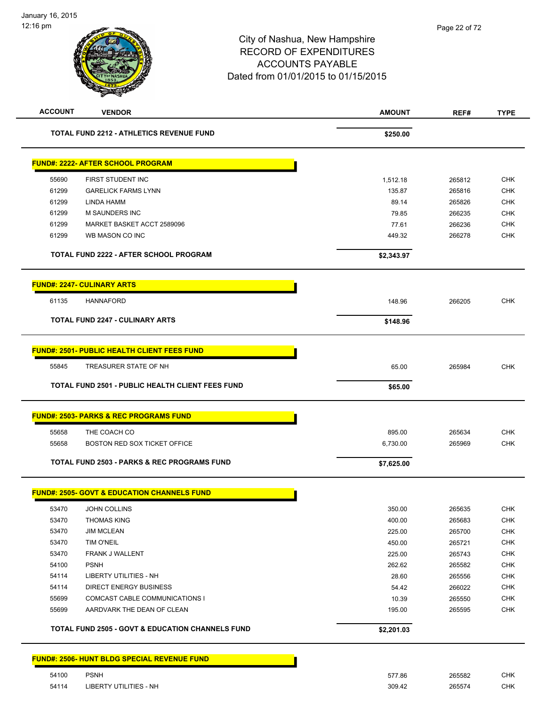| <b>ACCOUNT</b> | <b>VENDOR</b>                                               | <b>AMOUNT</b> | REF#   | <b>TYPE</b> |
|----------------|-------------------------------------------------------------|---------------|--------|-------------|
|                | <b>TOTAL FUND 2212 - ATHLETICS REVENUE FUND</b>             | \$250.00      |        |             |
|                | <b>FUND#: 2222- AFTER SCHOOL PROGRAM</b>                    |               |        |             |
| 55690          | FIRST STUDENT INC                                           | 1,512.18      | 265812 | <b>CHK</b>  |
| 61299          | <b>GARELICK FARMS LYNN</b>                                  | 135.87        | 265816 | <b>CHK</b>  |
| 61299          | LINDA HAMM                                                  | 89.14         | 265826 | <b>CHK</b>  |
| 61299          | M SAUNDERS INC                                              | 79.85         | 266235 | <b>CHK</b>  |
| 61299          | MARKET BASKET ACCT 2589096                                  | 77.61         | 266236 | <b>CHK</b>  |
| 61299          | WB MASON CO INC                                             | 449.32        | 266278 | <b>CHK</b>  |
|                | <b>TOTAL FUND 2222 - AFTER SCHOOL PROGRAM</b>               | \$2,343.97    |        |             |
|                | <b>FUND#: 2247- CULINARY ARTS</b>                           |               |        |             |
| 61135          | <b>HANNAFORD</b>                                            | 148.96        | 266205 | <b>CHK</b>  |
|                | <b>TOTAL FUND 2247 - CULINARY ARTS</b>                      | \$148.96      |        |             |
|                | <b>FUND#: 2501- PUBLIC HEALTH CLIENT FEES FUND</b>          |               |        |             |
| 55845          | TREASURER STATE OF NH                                       | 65.00         | 265984 | <b>CHK</b>  |
|                | <b>TOTAL FUND 2501 - PUBLIC HEALTH CLIENT FEES FUND</b>     | \$65.00       |        |             |
|                | <b>FUND#: 2503- PARKS &amp; REC PROGRAMS FUND</b>           |               |        |             |
|                |                                                             |               |        |             |
| 55658          | THE COACH CO                                                | 895.00        | 265634 | <b>CHK</b>  |
| 55658          | <b>BOSTON RED SOX TICKET OFFICE</b>                         | 6,730.00      | 265969 | <b>CHK</b>  |
|                | <b>TOTAL FUND 2503 - PARKS &amp; REC PROGRAMS FUND</b>      | \$7,625.00    |        |             |
|                | <b>FUND#: 2505- GOVT &amp; EDUCATION CHANNELS FUND</b>      |               |        |             |
| 53470          | JOHN COLLINS                                                | 350.00        | 265635 | <b>CHK</b>  |
| 53470          | <b>THOMAS KING</b>                                          | 400.00        | 265683 | <b>CHK</b>  |
| 53470          | <b>JIM MCLEAN</b>                                           | 225.00        | 265700 | <b>CHK</b>  |
| 53470          | TIM O'NEIL                                                  | 450.00        | 265721 | <b>CHK</b>  |
| 53470          | FRANK J WALLENT                                             | 225.00        | 265743 | <b>CHK</b>  |
| 54100          | <b>PSNH</b>                                                 | 262.62        | 265582 | <b>CHK</b>  |
| 54114          | <b>LIBERTY UTILITIES - NH</b>                               | 28.60         | 265556 | CHK         |
| 54114          | <b>DIRECT ENERGY BUSINESS</b>                               | 54.42         | 266022 | <b>CHK</b>  |
| 55699          | COMCAST CABLE COMMUNICATIONS I                              | 10.39         | 265550 | <b>CHK</b>  |
| 55699          | AARDVARK THE DEAN OF CLEAN                                  | 195.00        | 265595 | <b>CHK</b>  |
|                | <b>TOTAL FUND 2505 - GOVT &amp; EDUCATION CHANNELS FUND</b> | \$2,201.03    |        |             |
|                | <b>FUND#: 2506- HUNT BLDG SPECIAL REVENUE FUND</b>          |               |        |             |
| 54100          | <b>PSNH</b>                                                 | 577.86        | 265582 | <b>CHK</b>  |
| 54114          | LIBERTY UTILITIES - NH                                      | 309.42        | 265574 | <b>CHK</b>  |
|                |                                                             |               |        |             |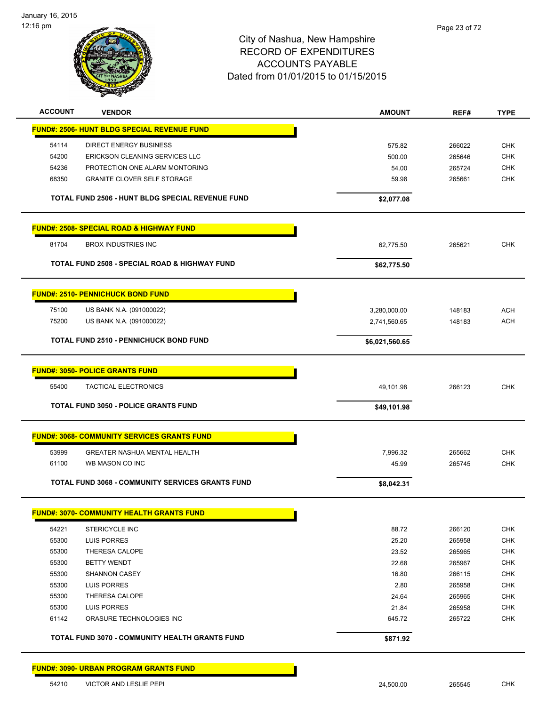

| <b>ACCOUNT</b> | <b>VENDOR</b>                                         | <b>AMOUNT</b>  | REF#   | <b>TYPE</b> |
|----------------|-------------------------------------------------------|----------------|--------|-------------|
|                | <b>FUND#: 2506- HUNT BLDG SPECIAL REVENUE FUND</b>    |                |        |             |
| 54114          | <b>DIRECT ENERGY BUSINESS</b>                         | 575.82         | 266022 | <b>CHK</b>  |
| 54200          | ERICKSON CLEANING SERVICES LLC                        | 500.00         | 265646 | <b>CHK</b>  |
| 54236          | PROTECTION ONE ALARM MONTORING                        | 54.00          | 265724 | <b>CHK</b>  |
| 68350          | <b>GRANITE CLOVER SELF STORAGE</b>                    | 59.98          | 265661 | <b>CHK</b>  |
|                | TOTAL FUND 2506 - HUNT BLDG SPECIAL REVENUE FUND      | \$2,077.08     |        |             |
|                | <b>FUND#: 2508- SPECIAL ROAD &amp; HIGHWAY FUND</b>   |                |        |             |
| 81704          | <b>BROX INDUSTRIES INC</b>                            | 62,775.50      | 265621 | <b>CHK</b>  |
|                | TOTAL FUND 2508 - SPECIAL ROAD & HIGHWAY FUND         | \$62,775.50    |        |             |
|                | <b>FUND#: 2510- PENNICHUCK BOND FUND</b>              |                |        |             |
| 75100          | US BANK N.A. (091000022)                              | 3,280,000.00   | 148183 | <b>ACH</b>  |
| 75200          | US BANK N.A. (091000022)                              | 2,741,560.65   | 148183 | <b>ACH</b>  |
|                |                                                       |                |        |             |
|                | <b>TOTAL FUND 2510 - PENNICHUCK BOND FUND</b>         | \$6,021,560.65 |        |             |
|                | <b>FUND#: 3050- POLICE GRANTS FUND</b>                |                |        |             |
| 55400          | <b>TACTICAL ELECTRONICS</b>                           | 49,101.98      | 266123 | <b>CHK</b>  |
|                | <b>TOTAL FUND 3050 - POLICE GRANTS FUND</b>           | \$49,101.98    |        |             |
|                | <b>FUND#: 3068- COMMUNITY SERVICES GRANTS FUND</b>    |                |        |             |
| 53999          | GREATER NASHUA MENTAL HEALTH                          | 7,996.32       | 265662 | <b>CHK</b>  |
| 61100          | WB MASON CO INC                                       | 45.99          | 265745 | <b>CHK</b>  |
|                | TOTAL FUND 3068 - COMMUNITY SERVICES GRANTS FUND      |                |        |             |
|                |                                                       | \$8,042.31     |        |             |
|                | <b>FUND#: 3070- COMMUNITY HEALTH GRANTS FUND</b>      |                |        |             |
| 54221          | <b>STERICYCLE INC</b>                                 | 88.72          | 266120 | <b>CHK</b>  |
| 55300          | LUIS PORRES                                           | 25.20          | 265958 | <b>CHK</b>  |
| 55300          | THERESA CALOPE                                        | 23.52          | 265965 | <b>CHK</b>  |
| 55300          | <b>BETTY WENDT</b>                                    | 22.68          | 265967 | <b>CHK</b>  |
| 55300          | <b>SHANNON CASEY</b>                                  | 16.80          | 266115 | CHK         |
| 55300          | LUIS PORRES                                           | 2.80           | 265958 | CHK         |
| 55300          | THERESA CALOPE                                        | 24.64          | 265965 | CHK         |
| 55300          | <b>LUIS PORRES</b>                                    | 21.84          | 265958 | <b>CHK</b>  |
| 61142          | ORASURE TECHNOLOGIES INC                              | 645.72         | 265722 | <b>CHK</b>  |
|                | <b>TOTAL FUND 3070 - COMMUNITY HEALTH GRANTS FUND</b> | \$871.92       |        |             |
|                | <b>FUND#: 3090- URBAN PROGRAM GRANTS FUND</b>         |                |        |             |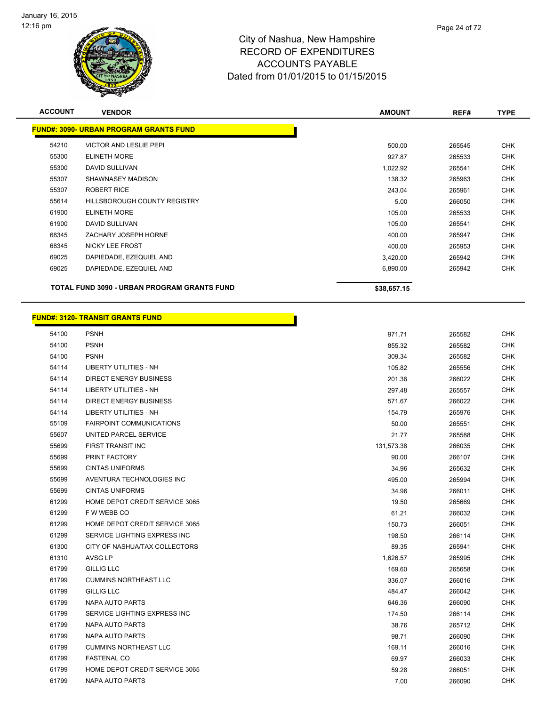

| <b>ACCOUNT</b> | <b>VENDOR</b>                                 | <b>AMOUNT</b> | REF#   | <b>TYPE</b> |
|----------------|-----------------------------------------------|---------------|--------|-------------|
|                | <b>FUND#: 3090- URBAN PROGRAM GRANTS FUND</b> |               |        |             |
| 54210          | <b>VICTOR AND LESLIE PEPI</b>                 | 500.00        | 265545 | <b>CHK</b>  |
| 55300          | <b>ELINETH MORE</b>                           | 927.87        | 265533 | <b>CHK</b>  |
| 55300          | <b>DAVID SULLIVAN</b>                         | 1,022.92      | 265541 | <b>CHK</b>  |
| 55307          | SHAWNASEY MADISON                             | 138.32        | 265963 | <b>CHK</b>  |
| 55307          | <b>ROBERT RICE</b>                            | 243.04        | 265961 | <b>CHK</b>  |
| 55614          | <b>HILLSBOROUGH COUNTY REGISTRY</b>           | 5.00          | 266050 | <b>CHK</b>  |
| 61900          | <b>ELINETH MORE</b>                           | 105.00        | 265533 | <b>CHK</b>  |
| 61900          | <b>DAVID SULLIVAN</b>                         | 105.00        | 265541 | <b>CHK</b>  |
| 68345          | ZACHARY JOSEPH HORNE                          | 400.00        | 265947 | <b>CHK</b>  |
| 68345          | <b>NICKY LEE FROST</b>                        | 400.00        | 265953 | CHK         |
| 69025          | DAPIEDADE, EZEQUIEL AND                       | 3,420.00      | 265942 | <b>CHK</b>  |
| 69025          | DAPIEDADE, EZEQUIEL AND                       | 6,890.00      | 265942 | <b>CHK</b>  |
|                | TOTAL FUND 3090 - URBAN PROGRAM GRANTS FUND   | \$38,657.15   |        |             |

|       | <u> FUND#: 3120- TRANSIT GRANTS FUND</u> |            |        |  |
|-------|------------------------------------------|------------|--------|--|
| 54100 | <b>PSNH</b>                              | 971.71     | 265582 |  |
| 54100 | <b>PSNH</b>                              | 855.32     | 265582 |  |
| 54100 | <b>PSNH</b>                              | 309.34     | 265582 |  |
| 54114 | LIBERTY UTILITIES - NH                   | 105.82     | 265556 |  |
| 54114 | <b>DIRECT ENERGY BUSINESS</b>            | 201.36     | 266022 |  |
| 54114 | LIBERTY UTILITIES - NH                   | 297.48     | 265557 |  |
| 54114 | <b>DIRECT ENERGY BUSINESS</b>            | 571.67     | 266022 |  |
| 54114 | LIBERTY UTILITIES - NH                   | 154.79     | 265976 |  |
| 55109 | <b>FAIRPOINT COMMUNICATIONS</b>          | 50.00      | 265551 |  |
| 55607 | UNITED PARCEL SERVICE                    | 21.77      | 265588 |  |
| 55699 | FIRST TRANSIT INC                        | 131,573.38 | 266035 |  |
| 55699 | <b>PRINT FACTORY</b>                     | 90.00      | 266107 |  |
| 55699 | <b>CINTAS UNIFORMS</b>                   | 34.96      | 265632 |  |
| 55699 | AVENTURA TECHNOLOGIES INC                | 495.00     | 265994 |  |
| 55699 | <b>CINTAS UNIFORMS</b>                   | 34.96      | 266011 |  |
| 61299 | HOME DEPOT CREDIT SERVICE 3065           | 19.50      | 265669 |  |
| 61299 | F W WEBB CO                              | 61.21      | 266032 |  |
| 61299 | HOME DEPOT CREDIT SERVICE 3065           | 150.73     | 266051 |  |
| 61299 | SERVICE LIGHTING EXPRESS INC             | 198.50     | 266114 |  |
| 61300 | CITY OF NASHUA/TAX COLLECTORS            | 89.35      | 265941 |  |
| 61310 | AVSG LP                                  | 1,626.57   | 265995 |  |
| 61799 | <b>GILLIG LLC</b>                        | 169.60     | 265658 |  |
| 61799 | <b>CUMMINS NORTHEAST LLC</b>             | 336.07     | 266016 |  |
| 61799 | <b>GILLIG LLC</b>                        | 484.47     | 266042 |  |
| 61799 | NAPA AUTO PARTS                          | 646.36     | 266090 |  |
| 61799 | SERVICE LIGHTING EXPRESS INC             | 174.50     | 266114 |  |
| 61799 | NAPA AUTO PARTS                          | 38.76      | 265712 |  |
| 61799 | NAPA AUTO PARTS                          | 98.71      | 266090 |  |
| 61799 | <b>CUMMINS NORTHEAST LLC</b>             | 169.11     | 266016 |  |
| 61799 | <b>FASTENAL CO</b>                       | 69.97      | 266033 |  |

 HOME DEPOT CREDIT SERVICE 3065 59.28 266051 CHK NAPA AUTO PARTS 7.00 266090 CHK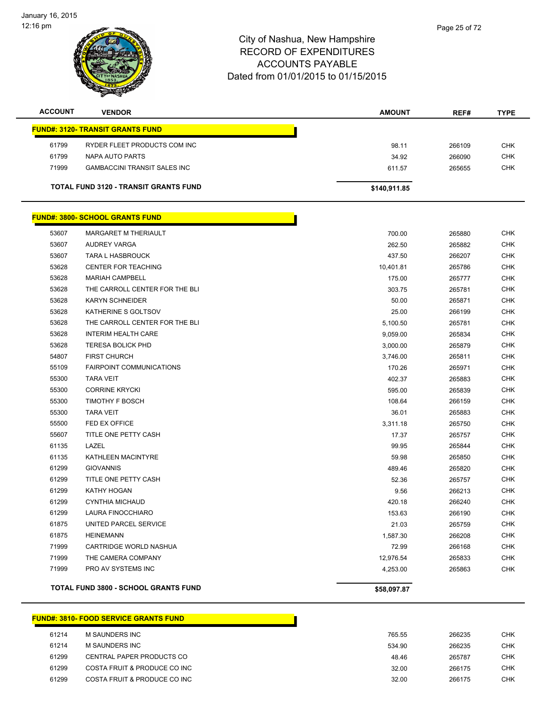

| <b>ACCOUNT</b> | <b>VENDOR</b>                                | <b>AMOUNT</b> | REF#   | <b>TYPE</b> |
|----------------|----------------------------------------------|---------------|--------|-------------|
|                | <b>FUND#: 3120- TRANSIT GRANTS FUND</b>      |               |        |             |
| 61799          | RYDER FLEET PRODUCTS COM INC                 | 98.11         | 266109 | <b>CHK</b>  |
| 61799          | NAPA AUTO PARTS                              | 34.92         | 266090 | <b>CHK</b>  |
| 71999          | <b>GAMBACCINI TRANSIT SALES INC</b>          | 611.57        | 265655 | <b>CHK</b>  |
|                | <b>TOTAL FUND 3120 - TRANSIT GRANTS FUND</b> | \$140,911.85  |        |             |

|       | <u> FUND#: 3800- SCHOOL GRANTS FUND</u>     |             |        |            |
|-------|---------------------------------------------|-------------|--------|------------|
| 53607 | <b>MARGARET M THERIAULT</b>                 | 700.00      | 265880 | <b>CHK</b> |
| 53607 | AUDREY VARGA                                | 262.50      | 265882 | <b>CHK</b> |
| 53607 | <b>TARA L HASBROUCK</b>                     | 437.50      | 266207 | <b>CHK</b> |
| 53628 | CENTER FOR TEACHING                         | 10,401.81   | 265786 | <b>CHK</b> |
| 53628 | <b>MARIAH CAMPBELL</b>                      | 175.00      | 265777 | <b>CHK</b> |
| 53628 | THE CARROLL CENTER FOR THE BLI              | 303.75      | 265781 | <b>CHK</b> |
| 53628 | <b>KARYN SCHNEIDER</b>                      | 50.00       | 265871 | <b>CHK</b> |
| 53628 | KATHERINE S GOLTSOV                         | 25.00       | 266199 | <b>CHK</b> |
| 53628 | THE CARROLL CENTER FOR THE BLI              | 5,100.50    | 265781 | <b>CHK</b> |
| 53628 | <b>INTERIM HEALTH CARE</b>                  | 9,059.00    | 265834 | <b>CHK</b> |
| 53628 | <b>TERESA BOLICK PHD</b>                    | 3,000.00    | 265879 | <b>CHK</b> |
| 54807 | <b>FIRST CHURCH</b>                         | 3,746.00    | 265811 | CHK        |
| 55109 | <b>FAIRPOINT COMMUNICATIONS</b>             | 170.26      | 265971 | CHK        |
| 55300 | TARA VEIT                                   | 402.37      | 265883 | <b>CHK</b> |
| 55300 | <b>CORRINE KRYCKI</b>                       | 595.00      | 265839 | <b>CHK</b> |
| 55300 | TIMOTHY F BOSCH                             | 108.64      | 266159 | <b>CHK</b> |
| 55300 | <b>TARA VEIT</b>                            | 36.01       | 265883 | <b>CHK</b> |
| 55500 | FED EX OFFICE                               | 3,311.18    | 265750 | <b>CHK</b> |
| 55607 | TITLE ONE PETTY CASH                        | 17.37       | 265757 | <b>CHK</b> |
| 61135 | LAZEL                                       | 99.95       | 265844 | <b>CHK</b> |
| 61135 | KATHLEEN MACINTYRE                          | 59.98       | 265850 | CHK        |
| 61299 | <b>GIOVANNIS</b>                            | 489.46      | 265820 | <b>CHK</b> |
| 61299 | TITLE ONE PETTY CASH                        | 52.36       | 265757 | <b>CHK</b> |
| 61299 | KATHY HOGAN                                 | 9.56        | 266213 | CHK        |
| 61299 | <b>CYNTHIA MICHAUD</b>                      | 420.18      | 266240 | <b>CHK</b> |
| 61299 | LAURA FINOCCHIARO                           | 153.63      | 266190 | <b>CHK</b> |
| 61875 | UNITED PARCEL SERVICE                       | 21.03       | 265759 | <b>CHK</b> |
| 61875 | <b>HEINEMANN</b>                            | 1,587.30    | 266208 | <b>CHK</b> |
| 71999 | CARTRIDGE WORLD NASHUA                      | 72.99       | 266168 | CHK        |
| 71999 | THE CAMERA COMPANY                          | 12,976.54   | 265833 | <b>CHK</b> |
| 71999 | PRO AV SYSTEMS INC                          | 4,253.00    | 265863 | <b>CHK</b> |
|       | <b>TOTAL FUND 3800 - SCHOOL GRANTS FUND</b> | \$58,097.87 |        |            |
|       |                                             |             |        |            |

### **FUND#: 3810- FOOD SERVICE GRANTS FUND**

| 61214 | M SAUNDERS INC               | 765.55 | 266235 | CHK |
|-------|------------------------------|--------|--------|-----|
| 61214 | M SAUNDERS INC               | 534.90 | 266235 | СНК |
| 61299 | CENTRAL PAPER PRODUCTS CO    | 48.46  | 265787 | СНК |
| 61299 | COSTA FRUIT & PRODUCE CO INC | 32.00  | 266175 | СНК |
| 61299 | COSTA FRUIT & PRODUCE CO INC | 32.00  | 266175 | СНК |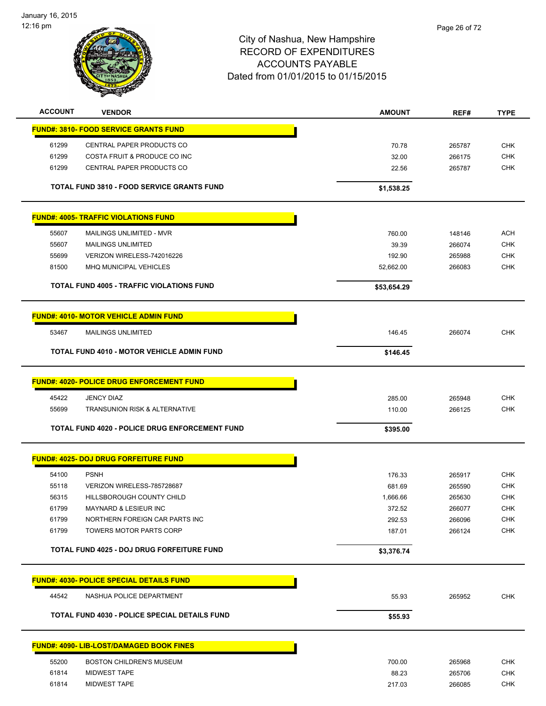January 16, 2015 12:16 pm



| <b>ACCOUNT</b> | <b>VENDOR</b>                                         | <b>AMOUNT</b> | REF#   | <b>TYPE</b> |
|----------------|-------------------------------------------------------|---------------|--------|-------------|
|                | <b>FUND#: 3810- FOOD SERVICE GRANTS FUND</b>          |               |        |             |
| 61299          | CENTRAL PAPER PRODUCTS CO                             | 70.78         | 265787 | <b>CHK</b>  |
| 61299          | COSTA FRUIT & PRODUCE CO INC                          | 32.00         | 266175 | <b>CHK</b>  |
| 61299          | CENTRAL PAPER PRODUCTS CO                             | 22.56         | 265787 | <b>CHK</b>  |
|                | <b>TOTAL FUND 3810 - FOOD SERVICE GRANTS FUND</b>     | \$1,538.25    |        |             |
|                | <b>FUND#: 4005- TRAFFIC VIOLATIONS FUND</b>           |               |        |             |
| 55607          | MAILINGS UNLIMITED - MVR                              | 760.00        | 148146 | <b>ACH</b>  |
| 55607          | <b>MAILINGS UNLIMITED</b>                             | 39.39         | 266074 | <b>CHK</b>  |
| 55699          | VERIZON WIRELESS-742016226                            | 192.90        | 265988 | <b>CHK</b>  |
| 81500          | <b>MHQ MUNICIPAL VEHICLES</b>                         | 52,662.00     | 266083 | <b>CHK</b>  |
|                | <b>TOTAL FUND 4005 - TRAFFIC VIOLATIONS FUND</b>      | \$53,654.29   |        |             |
|                | <b>FUND#: 4010- MOTOR VEHICLE ADMIN FUND</b>          |               |        |             |
| 53467          | <b>MAILINGS UNLIMITED</b>                             | 146.45        | 266074 | <b>CHK</b>  |
|                | <b>TOTAL FUND 4010 - MOTOR VEHICLE ADMIN FUND</b>     | \$146.45      |        |             |
|                | <b>FUND#: 4020- POLICE DRUG ENFORCEMENT FUND</b>      |               |        |             |
| 45422          | <b>JENCY DIAZ</b>                                     | 285.00        | 265948 | <b>CHK</b>  |
| 55699          | <b>TRANSUNION RISK &amp; ALTERNATIVE</b>              | 110.00        | 266125 | <b>CHK</b>  |
|                | <b>TOTAL FUND 4020 - POLICE DRUG ENFORCEMENT FUND</b> | \$395.00      |        |             |
|                | <b>FUND#: 4025- DOJ DRUG FORFEITURE FUND</b>          |               |        |             |
| 54100          | <b>PSNH</b>                                           | 176.33        | 265917 | <b>CHK</b>  |
| 55118          | VERIZON WIRELESS-785728687                            | 681.69        | 265590 | <b>CHK</b>  |
| 56315          | HILLSBOROUGH COUNTY CHILD                             | 1,666.66      | 265630 | <b>CHK</b>  |
| 61799          | MAYNARD & LESIEUR INC                                 | 372.52        | 266077 | <b>CHK</b>  |
| 61799          | NORTHERN FOREIGN CAR PARTS INC                        | 292.53        | 266096 | <b>CHK</b>  |
| 61799          | TOWERS MOTOR PARTS CORP                               | 187.01        | 266124 | <b>CHK</b>  |
|                | TOTAL FUND 4025 - DOJ DRUG FORFEITURE FUND            | \$3,376.74    |        |             |
|                | <b>FUND#: 4030- POLICE SPECIAL DETAILS FUND</b>       |               |        |             |
| 44542          | NASHUA POLICE DEPARTMENT                              | 55.93         | 265952 | <b>CHK</b>  |
|                | TOTAL FUND 4030 - POLICE SPECIAL DETAILS FUND         | \$55.93       |        |             |
|                | <b>FUND#: 4090- LIB-LOST/DAMAGED BOOK FINES</b>       |               |        |             |
| 55200          | <b>BOSTON CHILDREN'S MUSEUM</b>                       | 700.00        | 265968 | <b>CHK</b>  |
| 61814          | <b>MIDWEST TAPE</b>                                   | 88.23         | 265706 | <b>CHK</b>  |
| 61814          | <b>MIDWEST TAPE</b>                                   | 217.03        | 266085 | <b>CHK</b>  |
|                |                                                       |               |        |             |
|                |                                                       |               |        |             |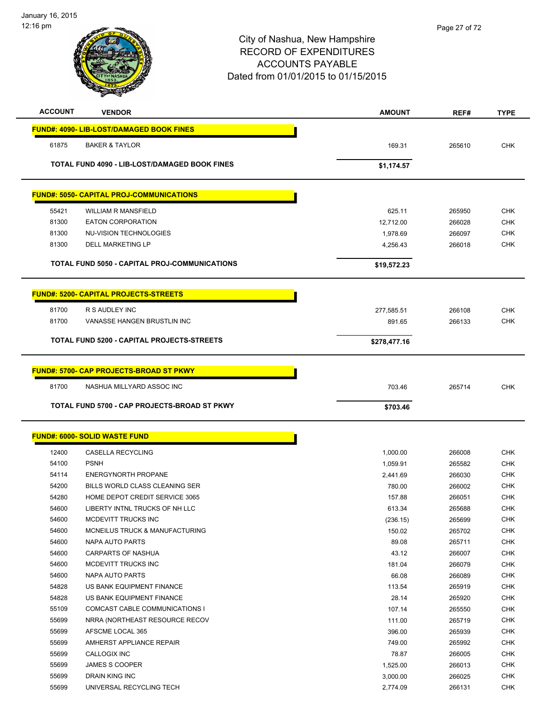| <b>ACCOUNT</b> | <b>VENDOR</b>                                   | <b>AMOUNT</b>        | REF#             | <b>TYPE</b>              |
|----------------|-------------------------------------------------|----------------------|------------------|--------------------------|
|                | <b>FUND#: 4090- LIB-LOST/DAMAGED BOOK FINES</b> |                      |                  |                          |
| 61875          | <b>BAKER &amp; TAYLOR</b>                       | 169.31               | 265610           | <b>CHK</b>               |
|                |                                                 |                      |                  |                          |
|                | TOTAL FUND 4090 - LIB-LOST/DAMAGED BOOK FINES   | \$1,174.57           |                  |                          |
|                | <b>FUND#: 5050- CAPITAL PROJ-COMMUNICATIONS</b> |                      |                  |                          |
| 55421          | <b>WILLIAM R MANSFIELD</b>                      | 625.11               | 265950           | <b>CHK</b>               |
| 81300          | <b>EATON CORPORATION</b>                        | 12,712.00            | 266028           | <b>CHK</b>               |
| 81300          | NU-VISION TECHNOLOGIES                          | 1,978.69             | 266097           | <b>CHK</b>               |
| 81300          | <b>DELL MARKETING LP</b>                        | 4,256.43             | 266018           | <b>CHK</b>               |
|                | TOTAL FUND 5050 - CAPITAL PROJ-COMMUNICATIONS   |                      |                  |                          |
|                |                                                 | \$19,572.23          |                  |                          |
|                | <b>FUND#: 5200- CAPITAL PROJECTS-STREETS</b>    |                      |                  |                          |
| 81700          | R S AUDLEY INC                                  | 277,585.51           | 266108           | <b>CHK</b>               |
| 81700          | VANASSE HANGEN BRUSTLIN INC                     | 891.65               | 266133           | <b>CHK</b>               |
|                | TOTAL FUND 5200 - CAPITAL PROJECTS-STREETS      | \$278,477.16         |                  |                          |
|                |                                                 |                      |                  |                          |
|                | <b>FUND#: 5700- CAP PROJECTS-BROAD ST PKWY</b>  |                      |                  |                          |
| 81700          | NASHUA MILLYARD ASSOC INC                       | 703.46               | 265714           | <b>CHK</b>               |
|                |                                                 |                      |                  |                          |
|                |                                                 |                      |                  |                          |
|                | TOTAL FUND 5700 - CAP PROJECTS-BROAD ST PKWY    | \$703.46             |                  |                          |
|                | <b>FUND#: 6000- SOLID WASTE FUND</b>            |                      |                  |                          |
|                | <b>CASELLA RECYCLING</b>                        |                      |                  |                          |
| 12400<br>54100 | <b>PSNH</b>                                     | 1,000.00<br>1,059.91 | 266008<br>265582 | <b>CHK</b><br><b>CHK</b> |
| 54114          | <b>ENERGYNORTH PROPANE</b>                      | 2,441.69             | 266030           | <b>CHK</b>               |
| 54200          | BILLS WORLD CLASS CLEANING SER                  | 780.00               | 266002           | <b>CHK</b>               |
| 54280          | HOME DEPOT CREDIT SERVICE 3065                  | 157.88               | 266051           | <b>CHK</b>               |
| 54600          | LIBERTY INTNL TRUCKS OF NH LLC                  | 613.34               | 265688           | <b>CHK</b>               |
| 54600          | MCDEVITT TRUCKS INC                             | (236.15)             | 265699           | CHK                      |
| 54600          | MCNEILUS TRUCK & MANUFACTURING                  | 150.02               | 265702           | <b>CHK</b>               |
| 54600          | NAPA AUTO PARTS                                 | 89.08                | 265711           | <b>CHK</b>               |
| 54600          | <b>CARPARTS OF NASHUA</b>                       | 43.12                | 266007           | <b>CHK</b>               |
| 54600          | MCDEVITT TRUCKS INC                             | 181.04               | 266079           | <b>CHK</b>               |
| 54600          | NAPA AUTO PARTS                                 | 66.08                | 266089           | <b>CHK</b>               |
| 54828          | US BANK EQUIPMENT FINANCE                       | 113.54               | 265919           | <b>CHK</b>               |
| 54828          | US BANK EQUIPMENT FINANCE                       | 28.14                | 265920           | <b>CHK</b>               |
| 55109          | COMCAST CABLE COMMUNICATIONS I                  | 107.14               | 265550           | <b>CHK</b>               |
| 55699          | NRRA (NORTHEAST RESOURCE RECOV                  | 111.00               | 265719           | <b>CHK</b>               |
| 55699          | AFSCME LOCAL 365                                | 396.00               | 265939           | <b>CHK</b>               |
| 55699          | AMHERST APPLIANCE REPAIR                        | 749.00               | 265992           | <b>CHK</b>               |
| 55699          | CALLOGIX INC                                    | 78.87                | 266005           | <b>CHK</b>               |
| 55699          | JAMES S COOPER                                  | 1,525.00             | 266013           | <b>CHK</b>               |

UNIVERSAL RECYCLING TECH 2,774.09 266131 CHK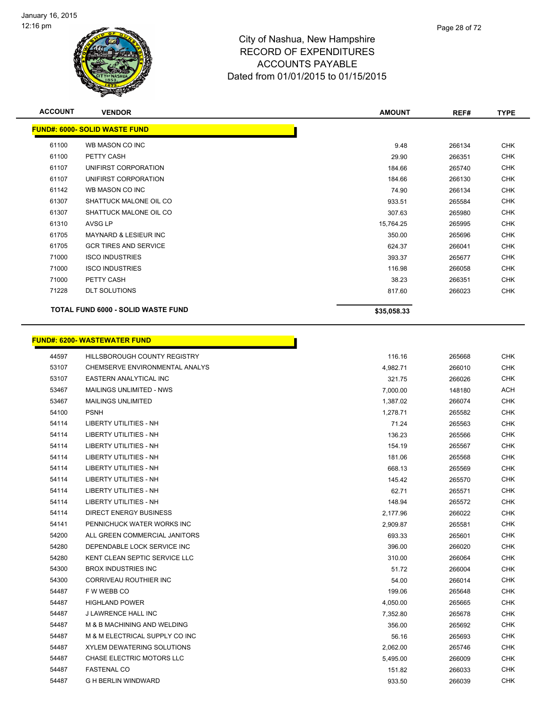

| <b>ACCOUNT</b> | <b>VENDOR</b>                        | <b>AMOUNT</b> | REF#   | <b>TYPE</b> |
|----------------|--------------------------------------|---------------|--------|-------------|
|                | <b>FUND#: 6000- SOLID WASTE FUND</b> |               |        |             |
| 61100          | WB MASON CO INC                      | 9.48          | 266134 | <b>CHK</b>  |
| 61100          | PETTY CASH                           | 29.90         | 266351 | <b>CHK</b>  |
| 61107          | UNIFIRST CORPORATION                 | 184.66        | 265740 | <b>CHK</b>  |
| 61107          | UNIFIRST CORPORATION                 | 184.66        | 266130 | <b>CHK</b>  |
| 61142          | WB MASON CO INC                      | 74.90         | 266134 | <b>CHK</b>  |
| 61307          | SHATTUCK MALONE OIL CO               | 933.51        | 265584 | <b>CHK</b>  |
| 61307          | SHATTUCK MALONE OIL CO               | 307.63        | 265980 | <b>CHK</b>  |
| 61310          | AVSG LP                              | 15,764.25     | 265995 | <b>CHK</b>  |
| 61705          | <b>MAYNARD &amp; LESIEUR INC</b>     | 350.00        | 265696 | <b>CHK</b>  |
| 61705          | <b>GCR TIRES AND SERVICE</b>         | 624.37        | 266041 | <b>CHK</b>  |
| 71000          | <b>ISCO INDUSTRIES</b>               | 393.37        | 265677 | <b>CHK</b>  |
| 71000          | <b>ISCO INDUSTRIES</b>               | 116.98        | 266058 | <b>CHK</b>  |
| 71000          | PETTY CASH                           | 38.23         | 266351 | CHK         |
| 71228          | <b>DLT SOLUTIONS</b>                 | 817.60        | 266023 | <b>CHK</b>  |
|                | TOTAL FUND 6000 - SOLID WASTE FUND   | \$35,058.33   |        |             |

### **FUND#: 6200- WASTEWATER FUND** And the set of the set of the set of the set of the set of the set of the set of the set of the set of the set of the set of the set of the set of the set of the set of the set of the set of the set of the set of the set o CHEMSERVE ENVIRONMENTAL ANALYS 4,982.71 266010 CHK EASTERN ANALYTICAL INC 321.75 266026 CHK MAILINGS UNLIMITED - NWS 7,000.00 148180 ACH 53467 MAILINGS UNLIMITED **1,387.02** 266074 CHK PSNH 1,278.71 265582 CHK LIBERTY UTILITIES - NH 71.24 265563 CHK LIBERTY UTILITIES - NH 136.23 265566 CHK 54114 LIBERTY UTILITIES - NH 154.19 265567 CHK LIBERTY UTILITIES - NH 181.06 265568 CHK LIBERTY UTILITIES - NH 668.13 265569 CHK LIBERTY UTILITIES - NH 145.42 265570 CHK LIBERTY UTILITIES - NH 62.71 265571 CHK LIBERTY UTILITIES - NH 148.94 265572 CHK DIRECT ENERGY BUSINESS 2,177.96 266022 CHK PENNICHUCK WATER WORKS INC 2,909.87 265581 CHK ALL GREEN COMMERCIAL JANITORS 693.33 265601 CHK DEPENDABLE LOCK SERVICE INC 396.00 266020 CHK KENT CLEAN SEPTIC SERVICE LLC 310.00 266064 CHK 54300 BROX INDUSTRIES INC 61.0 CHK STATES INC 51.72 266004 CHK CORRIVEAU ROUTHIER INC 54.00 266014 CHK F W WEBB CO 199.06 265648 CHK HIGHLAND POWER 4,050.00 265665 CHK J LAWRENCE HALL INC 7,352.80 265678 CHK M & B MACHINING AND WELDING 356.00 265692 CHK M & M ELECTRICAL SUPPLY CO INC 56.16 265693 CHK XYLEM DEWATERING SOLUTIONS 2,062.00 265746 CHK CHASE ELECTRIC MOTORS LLC 5,495.00 266009 CHK FASTENAL CO 151.82 266033 CHK G H BERLIN WINDWARD 933.50 266039 CHK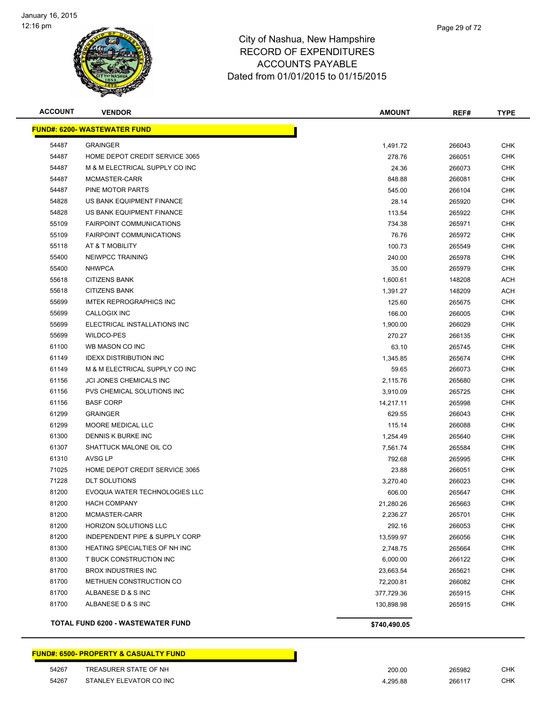

| <b>ACCOUNT</b> | <b>VENDOR</b>                       | <b>AMOUNT</b> | REF#   | <b>TYPE</b> |
|----------------|-------------------------------------|---------------|--------|-------------|
|                | <b>FUND#: 6200- WASTEWATER FUND</b> |               |        |             |
| 54487          | <b>GRAINGER</b>                     | 1,491.72      | 266043 | <b>CHK</b>  |
| 54487          | HOME DEPOT CREDIT SERVICE 3065      | 278.76        | 266051 | <b>CHK</b>  |
| 54487          | M & M ELECTRICAL SUPPLY CO INC      | 24.36         | 266073 | <b>CHK</b>  |
| 54487          | MCMASTER-CARR                       | 848.88        | 266081 | <b>CHK</b>  |
| 54487          | PINE MOTOR PARTS                    | 545.00        | 266104 | <b>CHK</b>  |
| 54828          | US BANK EQUIPMENT FINANCE           | 28.14         | 265920 | <b>CHK</b>  |
| 54828          | US BANK EQUIPMENT FINANCE           | 113.54        | 265922 | CHK         |
| 55109          | <b>FAIRPOINT COMMUNICATIONS</b>     | 734.38        | 265971 | <b>CHK</b>  |
| 55109          | <b>FAIRPOINT COMMUNICATIONS</b>     | 76.76         | 265972 | <b>CHK</b>  |
| 55118          | AT & T MOBILITY                     | 100.73        | 265549 | <b>CHK</b>  |
| 55400          | NEIWPCC TRAINING                    | 240.00        | 265978 | <b>CHK</b>  |
| 55400          | <b>NHWPCA</b>                       | 35.00         | 265979 | <b>CHK</b>  |
| 55618          | <b>CITIZENS BANK</b>                | 1,600.61      | 148208 | ACH         |
| 55618          | <b>CITIZENS BANK</b>                | 1,391.27      | 148209 | ACH         |
| 55699          | <b>IMTEK REPROGRAPHICS INC</b>      | 125.60        | 265675 | <b>CHK</b>  |
| 55699          | CALLOGIX INC                        | 166.00        | 266005 | <b>CHK</b>  |
| 55699          | ELECTRICAL INSTALLATIONS INC        | 1,900.00      | 266029 | <b>CHK</b>  |
| 55699          | WILDCO-PES                          | 270.27        | 266135 | <b>CHK</b>  |
| 61100          | WB MASON CO INC                     | 63.10         | 265745 | <b>CHK</b>  |
| 61149          | <b>IDEXX DISTRIBUTION INC</b>       | 1,345.85      | 265674 | <b>CHK</b>  |
| 61149          | M & M ELECTRICAL SUPPLY CO INC      | 59.65         | 266073 | <b>CHK</b>  |
| 61156          | <b>JCI JONES CHEMICALS INC</b>      | 2,115.76      | 265680 | <b>CHK</b>  |
| 61156          | PVS CHEMICAL SOLUTIONS INC          | 3,910.09      | 265725 | <b>CHK</b>  |
| 61156          | <b>BASF CORP</b>                    | 14,217.11     | 265998 | <b>CHK</b>  |
| 61299          | <b>GRAINGER</b>                     | 629.55        | 266043 | <b>CHK</b>  |
| 61299          | MOORE MEDICAL LLC                   | 115.14        | 266088 | <b>CHK</b>  |
| 61300          | DENNIS K BURKE INC                  | 1,254.49      | 265640 | <b>CHK</b>  |
| 61307          | SHATTUCK MALONE OIL CO              | 7,561.74      | 265584 | <b>CHK</b>  |
| 61310          | AVSG LP                             | 792.68        | 265995 | <b>CHK</b>  |
| 71025          | HOME DEPOT CREDIT SERVICE 3065      | 23.88         | 266051 | <b>CHK</b>  |
| 71228          | <b>DLT SOLUTIONS</b>                | 3,270.40      | 266023 | <b>CHK</b>  |
| 81200          | EVOQUA WATER TECHNOLOGIES LLC       | 606.00        | 265647 | <b>CHK</b>  |
| 81200          | <b>HACH COMPANY</b>                 | 21,280.26     | 265663 | <b>CHK</b>  |
| 81200          | MCMASTER-CARR                       | 2,236.27      | 265701 | <b>CHK</b>  |
| 81200          | <b>HORIZON SOLUTIONS LLC</b>        | 292.16        | 266053 | CHK         |
| 81200          | INDEPENDENT PIPE & SUPPLY CORP      | 13,599.97     | 266056 | <b>CHK</b>  |
| 81300          | HEATING SPECIALTIES OF NH INC       | 2,748.75      | 265664 | <b>CHK</b>  |
| 81300          | T BUCK CONSTRUCTION INC             | 6,000.00      | 266122 | <b>CHK</b>  |
| 81700          | <b>BROX INDUSTRIES INC</b>          | 23,663.54     | 265621 | <b>CHK</b>  |
| 81700          | METHUEN CONSTRUCTION CO             | 72,200.81     | 266082 | <b>CHK</b>  |
| 81700          | ALBANESE D & S INC                  | 377,729.36    | 265915 | <b>CHK</b>  |
| 81700          | ALBANESE D & S INC                  | 130,898.98    | 265915 | <b>CHK</b>  |
|                | TOTAL FUND 6200 - WASTEWATER FUND   | \$740,490.05  |        |             |

### **FUND#: 6500- PROPERTY & CASUALTY FUND**

| 54267 | TREASURER STATE OF NH   | 200.00  | 265982 | <b>CHK</b> |
|-------|-------------------------|---------|--------|------------|
| 54267 | STANLEY ELEVATOR CO INC | .295.88 | 266117 | CHK        |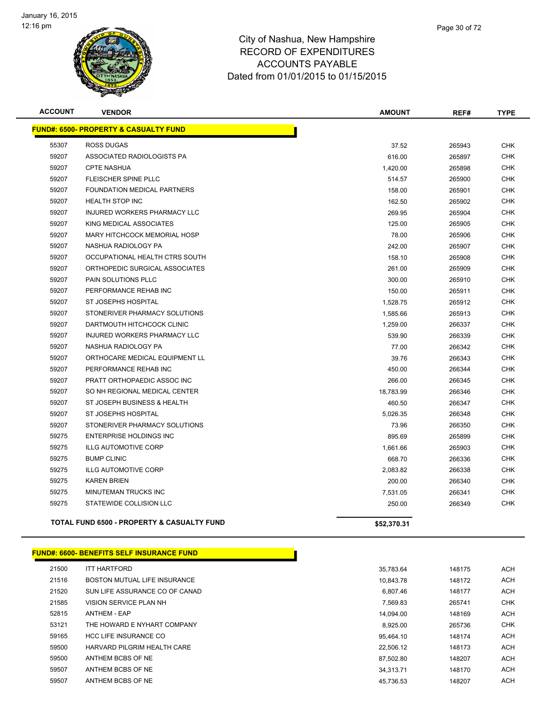

| Hampshire       |  |  |
|-----------------|--|--|
| <b>IDITURES</b> |  |  |
| $\cdots$        |  |  |

Page 30 of 72

| <b>ACCOUNT</b> | <b>VENDOR</b>                                         | <b>AMOUNT</b> | REF#   | <b>TYPE</b> |
|----------------|-------------------------------------------------------|---------------|--------|-------------|
|                | <b>FUND#: 6500- PROPERTY &amp; CASUALTY FUND</b>      |               |        |             |
| 55307          | <b>ROSS DUGAS</b>                                     | 37.52         | 265943 | <b>CHK</b>  |
| 59207          | ASSOCIATED RADIOLOGISTS PA                            | 616.00        | 265897 | <b>CHK</b>  |
| 59207          | <b>CPTE NASHUA</b>                                    | 1,420.00      | 265898 | <b>CHK</b>  |
| 59207          | FLEISCHER SPINE PLLC                                  | 514.57        | 265900 | <b>CHK</b>  |
| 59207          | FOUNDATION MEDICAL PARTNERS                           | 158.00        | 265901 | <b>CHK</b>  |
| 59207          | <b>HEALTH STOP INC</b>                                | 162.50        | 265902 | <b>CHK</b>  |
| 59207          | INJURED WORKERS PHARMACY LLC                          | 269.95        | 265904 | <b>CHK</b>  |
| 59207          | KING MEDICAL ASSOCIATES                               | 125.00        | 265905 | <b>CHK</b>  |
| 59207          | MARY HITCHCOCK MEMORIAL HOSP                          | 78.00         | 265906 | <b>CHK</b>  |
| 59207          | NASHUA RADIOLOGY PA                                   | 242.00        | 265907 | <b>CHK</b>  |
| 59207          | OCCUPATIONAL HEALTH CTRS SOUTH                        | 158.10        | 265908 | <b>CHK</b>  |
| 59207          | ORTHOPEDIC SURGICAL ASSOCIATES                        | 261.00        | 265909 | <b>CHK</b>  |
| 59207          | PAIN SOLUTIONS PLLC                                   | 300.00        | 265910 | <b>CHK</b>  |
| 59207          | PERFORMANCE REHAB INC                                 | 150.00        | 265911 | <b>CHK</b>  |
| 59207          | ST JOSEPHS HOSPITAL                                   | 1,528.75      | 265912 | <b>CHK</b>  |
| 59207          | STONERIVER PHARMACY SOLUTIONS                         | 1,585.66      | 265913 | <b>CHK</b>  |
| 59207          | DARTMOUTH HITCHCOCK CLINIC                            | 1,259.00      | 266337 | <b>CHK</b>  |
| 59207          | INJURED WORKERS PHARMACY LLC                          | 539.90        | 266339 | <b>CHK</b>  |
| 59207          | NASHUA RADIOLOGY PA                                   | 77.00         | 266342 | <b>CHK</b>  |
| 59207          | ORTHOCARE MEDICAL EQUIPMENT LL                        | 39.76         | 266343 | <b>CHK</b>  |
| 59207          | PERFORMANCE REHAB INC                                 | 450.00        | 266344 | <b>CHK</b>  |
| 59207          | PRATT ORTHOPAEDIC ASSOC INC                           | 266.00        | 266345 | <b>CHK</b>  |
| 59207          | SO NH REGIONAL MEDICAL CENTER                         | 18,783.99     | 266346 | <b>CHK</b>  |
| 59207          | ST JOSEPH BUSINESS & HEALTH                           | 460.50        | 266347 | <b>CHK</b>  |
| 59207          | ST JOSEPHS HOSPITAL                                   | 5,026.35      | 266348 | <b>CHK</b>  |
| 59207          | STONERIVER PHARMACY SOLUTIONS                         | 73.96         | 266350 | <b>CHK</b>  |
| 59275          | <b>ENTERPRISE HOLDINGS INC</b>                        | 895.69        | 265899 | <b>CHK</b>  |
| 59275          | <b>ILLG AUTOMOTIVE CORP</b>                           | 1,661.66      | 265903 | <b>CHK</b>  |
| 59275          | <b>BUMP CLINIC</b>                                    | 668.70        | 266336 | <b>CHK</b>  |
| 59275          | <b>ILLG AUTOMOTIVE CORP</b>                           | 2,083.82      | 266338 | <b>CHK</b>  |
| 59275          | <b>KAREN BRIEN</b>                                    | 200.00        | 266340 | <b>CHK</b>  |
| 59275          | MINUTEMAN TRUCKS INC                                  | 7,531.05      | 266341 | <b>CHK</b>  |
| 59275          | STATEWIDE COLLISION LLC                               | 250.00        | 266349 | <b>CHK</b>  |
|                | <b>TOTAL FUND 6500 - PROPERTY &amp; CASUALTY FUND</b> | \$52,370.31   |        |             |

### **FUND#: 6600- BENEFITS SELF INSURANCE FUND**

| 21500 | <b>ITT HARTFORD</b>            | 35.783.64 |
|-------|--------------------------------|-----------|
| 21516 | BOSTON MUTUAL LIFE INSURANCE   | 10.843.78 |
| 21520 | SUN LIFE ASSURANCE CO OF CANAD | 6.807.46  |
| 21585 | VISION SERVICE PLAN NH         | 7.569.83  |
| 52815 | <b>ANTHEM - EAP</b>            | 14.094.00 |
| 53121 | THE HOWARD E NYHART COMPANY    | 8.925.00  |
| 59165 | <b>HCC LIFE INSURANCE CO</b>   | 95.464.10 |
| 59500 | HARVARD PILGRIM HEALTH CARE    | 22.506.12 |
| 59500 | ANTHEM BCBS OF NE              | 87.502.80 |
| 59507 | ANTHEM BCBS OF NE              | 34.313.71 |
| 59507 | ANTHEM BCBS OF NE              | 45.736.53 |
|       |                                |           |

П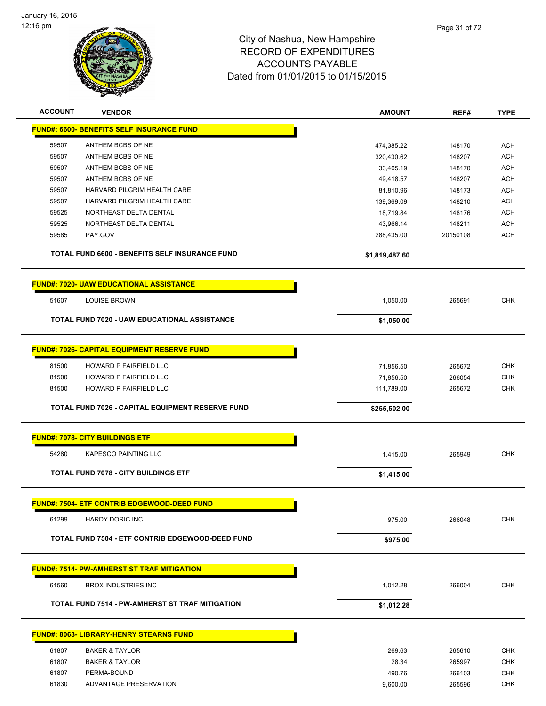

| <b>ACCOUNT</b> | <b>VENDOR</b>                                          | <b>AMOUNT</b>           | REF#             | <b>TYPE</b>              |
|----------------|--------------------------------------------------------|-------------------------|------------------|--------------------------|
|                | <b>FUND#: 6600- BENEFITS SELF INSURANCE FUND</b>       |                         |                  |                          |
| 59507          | ANTHEM BCBS OF NE                                      | 474,385.22              | 148170           | <b>ACH</b>               |
| 59507          | ANTHEM BCBS OF NE                                      | 320,430.62              | 148207           | <b>ACH</b>               |
| 59507          | ANTHEM BCBS OF NE                                      | 33,405.19               | 148170           | <b>ACH</b>               |
| 59507          | ANTHEM BCBS OF NE                                      | 49,418.57               | 148207           | <b>ACH</b>               |
| 59507          | HARVARD PILGRIM HEALTH CARE                            | 81,810.96               | 148173           | <b>ACH</b>               |
| 59507          | HARVARD PILGRIM HEALTH CARE                            | 139,369.09              | 148210           | <b>ACH</b>               |
| 59525          | NORTHEAST DELTA DENTAL                                 | 18,719.84               | 148176           | <b>ACH</b>               |
| 59525          | NORTHEAST DELTA DENTAL                                 | 43,966.14               | 148211           | <b>ACH</b>               |
| 59585          | PAY.GOV                                                | 288,435.00              | 20150108         | <b>ACH</b>               |
|                | TOTAL FUND 6600 - BENEFITS SELF INSURANCE FUND         | \$1,819,487.60          |                  |                          |
|                |                                                        |                         |                  |                          |
|                | <b>FUND#: 7020- UAW EDUCATIONAL ASSISTANCE</b>         |                         |                  |                          |
| 51607          | <b>LOUISE BROWN</b>                                    | 1,050.00                | 265691           | <b>CHK</b>               |
|                | <b>TOTAL FUND 7020 - UAW EDUCATIONAL ASSISTANCE</b>    | \$1,050.00              |                  |                          |
|                | <b>FUND#: 7026- CAPITAL EQUIPMENT RESERVE FUND</b>     |                         |                  |                          |
| 81500          | HOWARD P FAIRFIELD LLC                                 |                         |                  | <b>CHK</b>               |
| 81500          | HOWARD P FAIRFIELD LLC                                 | 71,856.50               | 265672           |                          |
| 81500          | HOWARD P FAIRFIELD LLC                                 | 71,856.50<br>111,789.00 | 266054<br>265672 | <b>CHK</b><br><b>CHK</b> |
|                |                                                        |                         |                  |                          |
|                | TOTAL FUND 7026 - CAPITAL EQUIPMENT RESERVE FUND       | \$255,502.00            |                  |                          |
|                | <b>FUND#: 7078- CITY BUILDINGS ETF</b>                 |                         |                  |                          |
| 54280          | KAPESCO PAINTING LLC                                   | 1,415.00                | 265949           | <b>CHK</b>               |
|                | <b>TOTAL FUND 7078 - CITY BUILDINGS ETF</b>            | \$1,415.00              |                  |                          |
|                | <b>FUND#: 7504- ETF CONTRIB EDGEWOOD-DEED FUND</b>     |                         |                  |                          |
| 61299          | <b>HARDY DORIC INC</b>                                 | 975.00                  | 266048           | <b>CHK</b>               |
|                | TOTAL FUND 7504 - ETF CONTRIB EDGEWOOD-DEED FUND       | \$975.00                |                  |                          |
|                | <b>FUND#: 7514- PW-AMHERST ST TRAF MITIGATION</b>      |                         |                  |                          |
|                |                                                        |                         |                  |                          |
| 61560          | <b>BROX INDUSTRIES INC</b>                             | 1,012.28                | 266004           | <b>CHK</b>               |
|                | <b>TOTAL FUND 7514 - PW-AMHERST ST TRAF MITIGATION</b> | \$1,012.28              |                  |                          |
|                | <b>FUND#: 8063- LIBRARY-HENRY STEARNS FUND</b>         |                         |                  |                          |
| 61807          | <b>BAKER &amp; TAYLOR</b>                              | 269.63                  | 265610           | <b>CHK</b>               |
| 61807          | <b>BAKER &amp; TAYLOR</b>                              | 28.34                   | 265997           | <b>CHK</b>               |
| 61807          | PERMA-BOUND                                            | 490.76                  | 266103           | <b>CHK</b>               |
| 61830          | ADVANTAGE PRESERVATION                                 | 9,600.00                | 265596           | CHK                      |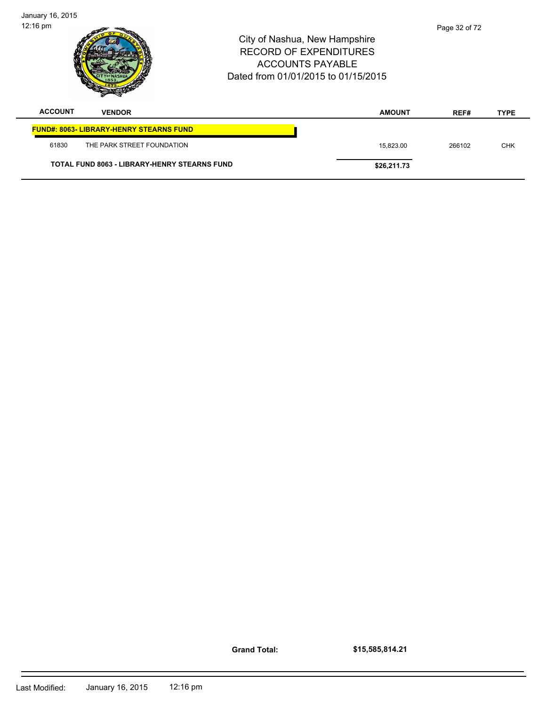| January 16, 2015 |                                                |                                                                                                                                  |               |             |
|------------------|------------------------------------------------|----------------------------------------------------------------------------------------------------------------------------------|---------------|-------------|
| 12:16 pm         |                                                | City of Nashua, New Hampshire<br><b>RECORD OF EXPENDITURES</b><br><b>ACCOUNTS PAYABLE</b><br>Dated from 01/01/2015 to 01/15/2015 | Page 32 of 72 |             |
| <b>ACCOUNT</b>   | <b>VENDOR</b>                                  | <b>AMOUNT</b>                                                                                                                    | REF#          | <b>TYPE</b> |
|                  | <b>FUND#: 8063- LIBRARY-HENRY STEARNS FUND</b> |                                                                                                                                  |               |             |
| 61830            | THE PARK STREET FOUNDATION                     | 15,823.00                                                                                                                        | 266102        | <b>CHK</b>  |
|                  | TOTAL FUND 8063 - LIBRARY-HENRY STEARNS FUND   | \$26,211.73                                                                                                                      |               |             |

**Grand Total:**

**\$15,585,814.21**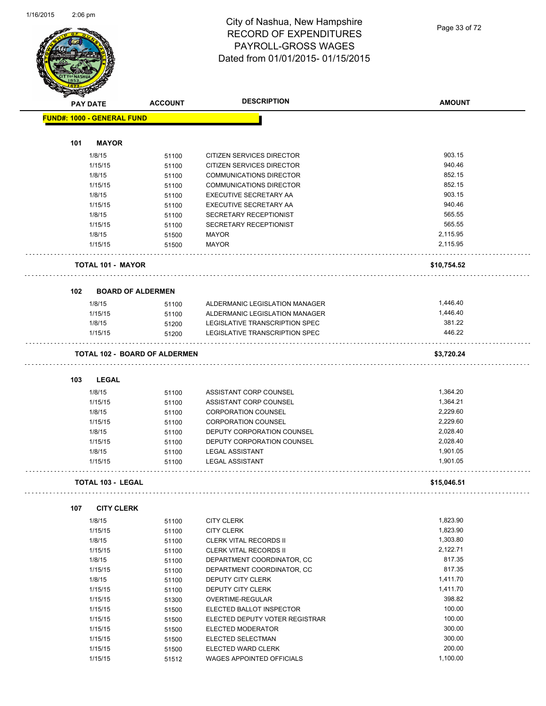

### City of Nashua, New Hampshire RECORD OF EXPENDITURES PAYROLL-GROSS WAGES Dated from 01/01/2015- 01/15/2015

Page 33 of 72

| $\rightarrow$ | <b>PAY DATE</b>                   | <b>ACCOUNT</b>                       | <b>DESCRIPTION</b>                    | <b>AMOUNT</b> |
|---------------|-----------------------------------|--------------------------------------|---------------------------------------|---------------|
|               | <b>FUND#: 1000 - GENERAL FUND</b> |                                      |                                       |               |
|               |                                   |                                      |                                       |               |
| 101           | <b>MAYOR</b>                      |                                      |                                       |               |
|               | 1/8/15                            | 51100                                | CITIZEN SERVICES DIRECTOR             | 903.15        |
|               | 1/15/15                           | 51100                                | CITIZEN SERVICES DIRECTOR             | 940.46        |
|               | 1/8/15                            | 51100                                | <b>COMMUNICATIONS DIRECTOR</b>        | 852.15        |
|               | 1/15/15                           | 51100                                | <b>COMMUNICATIONS DIRECTOR</b>        | 852.15        |
|               | 1/8/15                            | 51100                                | EXECUTIVE SECRETARY AA                | 903.15        |
|               | 1/15/15                           | 51100                                | EXECUTIVE SECRETARY AA                | 940.46        |
|               | 1/8/15                            | 51100                                | SECRETARY RECEPTIONIST                | 565.55        |
|               | 1/15/15                           | 51100                                | SECRETARY RECEPTIONIST                | 565.55        |
|               | 1/8/15                            | 51500                                | <b>MAYOR</b>                          | 2,115.95      |
|               | 1/15/15                           | 51500                                | <b>MAYOR</b>                          | 2,115.95      |
|               | <b>TOTAL 101 - MAYOR</b>          |                                      |                                       | \$10,754.52   |
| 102           |                                   | <b>BOARD OF ALDERMEN</b>             |                                       |               |
|               | 1/8/15                            | 51100                                | ALDERMANIC LEGISLATION MANAGER        | 1,446.40      |
|               | 1/15/15                           | 51100                                | ALDERMANIC LEGISLATION MANAGER        | 1,446.40      |
|               | 1/8/15                            | 51200                                | LEGISLATIVE TRANSCRIPTION SPEC        | 381.22        |
|               | 1/15/15                           | 51200                                | <b>LEGISLATIVE TRANSCRIPTION SPEC</b> | 446.22        |
|               |                                   |                                      |                                       |               |
|               |                                   | <b>TOTAL 102 - BOARD OF ALDERMEN</b> |                                       | \$3,720.24    |
|               |                                   |                                      |                                       |               |
| 103           | <b>LEGAL</b>                      |                                      |                                       |               |
|               | 1/8/15                            | 51100                                | ASSISTANT CORP COUNSEL                | 1,364.20      |
|               | 1/15/15                           | 51100                                | ASSISTANT CORP COUNSEL                | 1,364.21      |
|               | 1/8/15                            | 51100                                | <b>CORPORATION COUNSEL</b>            | 2,229.60      |
|               | 1/15/15                           | 51100                                | <b>CORPORATION COUNSEL</b>            | 2,229.60      |
|               | 1/8/15                            | 51100                                | DEPUTY CORPORATION COUNSEL            | 2,028.40      |
|               | 1/15/15                           | 51100                                | DEPUTY CORPORATION COUNSEL            | 2,028.40      |
|               | 1/8/15                            | 51100                                | <b>LEGAL ASSISTANT</b>                | 1,901.05      |
|               | 1/15/15                           | 51100                                | <b>LEGAL ASSISTANT</b>                | 1,901.05      |
|               | <b>TOTAL 103 - LEGAL</b>          |                                      |                                       | \$15,046.51   |
| 107           | <b>CITY CLERK</b>                 |                                      |                                       |               |
|               | 1/8/15                            | 51100                                | <b>CITY CLERK</b>                     | 1,823.90      |
|               | 1/15/15                           | 51100                                | <b>CITY CLERK</b>                     | 1,823.90      |
|               | 1/8/15                            | 51100                                | <b>CLERK VITAL RECORDS II</b>         | 1,303.80      |
|               | 1/15/15                           | 51100                                | CLERK VITAL RECORDS II                | 2,122.71      |
|               | 1/8/15                            | 51100                                | DEPARTMENT COORDINATOR, CC            | 817.35        |
|               | 1/15/15                           |                                      | DEPARTMENT COORDINATOR, CC            | 817.35        |
|               | 1/8/15                            | 51100                                | DEPUTY CITY CLERK                     | 1,411.70      |
|               |                                   | 51100                                |                                       | 1,411.70      |
|               | 1/15/15                           | 51100                                | DEPUTY CITY CLERK                     | 398.82        |
|               | 1/15/15                           | 51300                                | OVERTIME-REGULAR                      |               |
|               | 1/15/15                           | 51500                                | ELECTED BALLOT INSPECTOR              | 100.00        |
|               | 1/15/15                           | 51500                                | ELECTED DEPUTY VOTER REGISTRAR        | 100.00        |
|               | 1/15/15                           | 51500                                | ELECTED MODERATOR                     | 300.00        |
|               | 1/15/15                           | 51500                                | ELECTED SELECTMAN                     | 300.00        |
|               | 1/15/15                           | 51500                                | ELECTED WARD CLERK                    | 200.00        |
|               | 1/15/15                           | 51512                                | WAGES APPOINTED OFFICIALS             | 1,100.00      |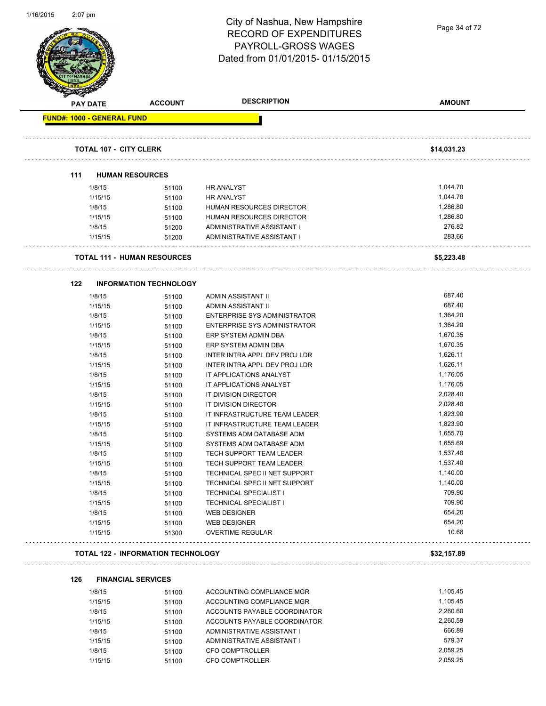| 1/16/2015 | 2:07 pm                           |                                           | City of Nashua, New Hampshire<br><b>RECORD OF EXPENDITURES</b><br>PAYROLL-GROSS WAGES<br>Dated from 01/01/2015-01/15/2015 | Page 34 of 72        |
|-----------|-----------------------------------|-------------------------------------------|---------------------------------------------------------------------------------------------------------------------------|----------------------|
|           | <b>PAY DATE</b>                   | <b>ACCOUNT</b>                            | <b>DESCRIPTION</b>                                                                                                        | <b>AMOUNT</b>        |
|           | <b>FUND#: 1000 - GENERAL FUND</b> |                                           |                                                                                                                           |                      |
|           | <b>TOTAL 107 - CITY CLERK</b>     |                                           |                                                                                                                           | \$14,031.23          |
|           | 111                               | <b>HUMAN RESOURCES</b>                    |                                                                                                                           |                      |
|           | 1/8/15                            | 51100                                     | <b>HR ANALYST</b>                                                                                                         | 1,044.70             |
|           | 1/15/15                           | 51100                                     | <b>HR ANALYST</b>                                                                                                         | 1,044.70             |
|           | 1/8/15                            | 51100                                     | HUMAN RESOURCES DIRECTOR                                                                                                  | 1,286.80             |
|           | 1/15/15                           | 51100                                     | HUMAN RESOURCES DIRECTOR                                                                                                  | 1,286.80             |
|           | 1/8/15                            | 51200                                     | ADMINISTRATIVE ASSISTANT I                                                                                                | 276.82               |
|           | 1/15/15                           | 51200                                     | ADMINISTRATIVE ASSISTANT I                                                                                                | 283.66               |
|           |                                   | <b>TOTAL 111 - HUMAN RESOURCES</b>        |                                                                                                                           | \$5,223.48           |
|           | 122                               | <b>INFORMATION TECHNOLOGY</b>             |                                                                                                                           |                      |
|           | 1/8/15                            | 51100                                     | ADMIN ASSISTANT II                                                                                                        | 687.40               |
|           | 1/15/15                           | 51100                                     | ADMIN ASSISTANT II                                                                                                        | 687.40               |
|           | 1/8/15                            | 51100                                     | ENTERPRISE SYS ADMINISTRATOR                                                                                              | 1,364.20             |
|           | 1/15/15                           | 51100                                     | <b>ENTERPRISE SYS ADMINISTRATOR</b>                                                                                       | 1,364.20             |
|           | 1/8/15                            | 51100                                     | ERP SYSTEM ADMIN DBA                                                                                                      | 1,670.35             |
|           | 1/15/15                           | 51100                                     | ERP SYSTEM ADMIN DBA                                                                                                      | 1,670.35             |
|           | 1/8/15                            | 51100                                     | INTER INTRA APPL DEV PROJ LDR                                                                                             | 1,626.11             |
|           | 1/15/15                           | 51100                                     | INTER INTRA APPL DEV PROJ LDR                                                                                             | 1,626.11             |
|           | 1/8/15                            | 51100                                     | IT APPLICATIONS ANALYST                                                                                                   | 1,176.05             |
|           | 1/15/15                           | 51100                                     | IT APPLICATIONS ANALYST                                                                                                   | 1,176.05             |
|           | 1/8/15                            | 51100                                     | IT DIVISION DIRECTOR                                                                                                      | 2,028.40             |
|           | 1/15/15                           | 51100                                     | IT DIVISION DIRECTOR                                                                                                      | 2,028.40             |
|           | 1/8/15                            | 51100                                     | IT INFRASTRUCTURE TEAM LEADER                                                                                             | 1,823.90             |
|           | 1/15/15                           | 51100                                     | IT INFRASTRUCTURE TEAM LEADER                                                                                             | 1,823.90             |
|           | 1/8/15                            | 51100                                     | SYSTEMS ADM DATABASE ADM                                                                                                  | 1,655.70             |
|           | 1/15/15                           | 51100                                     | SYSTEMS ADM DATABASE ADM                                                                                                  | 1,655.69             |
|           | 1/8/15                            | 51100                                     | TECH SUPPORT TEAM LEADER                                                                                                  | 1,537.40             |
|           | 1/15/15                           | 51100                                     | TECH SUPPORT TEAM LEADER                                                                                                  | 1,537.40             |
|           | 1/8/15                            | 51100                                     | TECHNICAL SPEC II NET SUPPORT                                                                                             | 1,140.00<br>1,140.00 |
|           | 1/15/15<br>1/8/15                 | 51100                                     | TECHNICAL SPEC II NET SUPPORT<br><b>TECHNICAL SPECIALIST I</b>                                                            | 709.90               |
|           | 1/15/15                           | 51100<br>51100                            | <b>TECHNICAL SPECIALIST I</b>                                                                                             | 709.90               |
|           | 1/8/15                            |                                           | <b>WEB DESIGNER</b>                                                                                                       | 654.20               |
|           | 1/15/15                           | 51100<br>51100                            | <b>WEB DESIGNER</b>                                                                                                       | 654.20               |
|           | 1/15/15                           | 51300                                     | OVERTIME-REGULAR                                                                                                          | 10.68                |
|           |                                   | <b>TOTAL 122 - INFORMATION TECHNOLOGY</b> |                                                                                                                           | \$32,157.89          |
|           | 126                               | <b>FINANCIAL SERVICES</b>                 |                                                                                                                           |                      |
|           | 41014E                            |                                           | ACCOUNTING COMPLIANCE MOD                                                                                                 | 1.105A5              |

1/8/15 51100 ACCOUNTING COMPLIANCE MGR 1,105.45 1/15/15 51100 ACCOUNTING COMPLIANCE MGR 1,105.45 1/8/15 51100 ACCOUNTS PAYABLE COORDINATOR 2,260.60 1/15/15 51100 ACCOUNTS PAYABLE COORDINATOR 2,260.59 1/8/15 51100 ADMINISTRATIVE ASSISTANT I 666.89 1/15/15 579.37 51100 ADMINISTRATIVE ASSISTANT I 1/8/15 51100 CFO COMPTROLLER 2,059.25 1/15/15 51100 CFO COMPTROLLER 2,059.25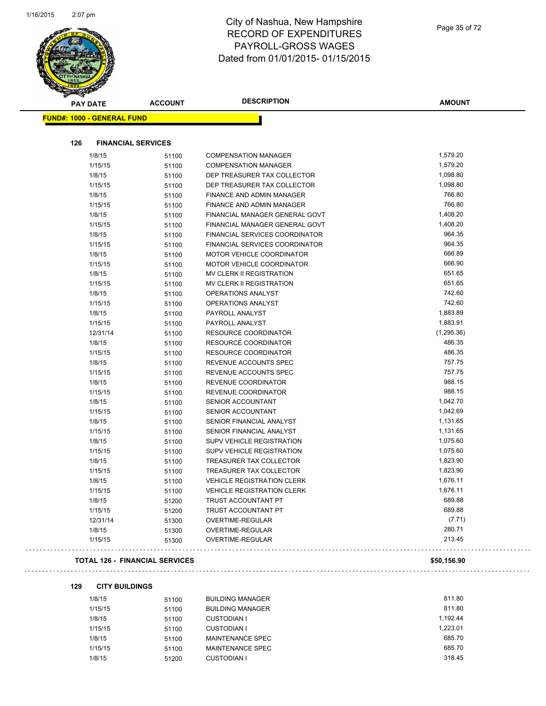

### City of Nashua, New Hampshire RECORD OF EXPENDITURES PAYROLL-GROSS WAGES Dated from 01/01/2015- 01/15/2015

| <b>PAY DATE</b> |                                   | <b>ACCOUNT</b>                        | <b>DESCRIPTION</b>                | <b>AMOUNT</b> |
|-----------------|-----------------------------------|---------------------------------------|-----------------------------------|---------------|
|                 | <b>FUND#: 1000 - GENERAL FUND</b> |                                       |                                   |               |
| 126             | <b>FINANCIAL SERVICES</b>         |                                       |                                   |               |
|                 | 1/8/15                            | 51100                                 | <b>COMPENSATION MANAGER</b>       | 1,579.20      |
|                 | 1/15/15                           | 51100                                 | <b>COMPENSATION MANAGER</b>       | 1,579.20      |
|                 | 1/8/15                            | 51100                                 | DEP TREASURER TAX COLLECTOR       | 1,098.80      |
|                 | 1/15/15                           | 51100                                 | DEP TREASURER TAX COLLECTOR       | 1,098.80      |
|                 | 1/8/15                            | 51100                                 | <b>FINANCE AND ADMIN MANAGER</b>  | 766.80        |
|                 | 1/15/15                           | 51100                                 | <b>FINANCE AND ADMIN MANAGER</b>  | 766.80        |
|                 | 1/8/15                            | 51100                                 | FINANCIAL MANAGER GENERAL GOVT    | 1,408.20      |
|                 | 1/15/15                           | 51100                                 | FINANCIAL MANAGER GENERAL GOVT    | 1,408.20      |
|                 | 1/8/15                            | 51100                                 | FINANCIAL SERVICES COORDINATOR    | 964.35        |
|                 | 1/15/15                           | 51100                                 | FINANCIAL SERVICES COORDINATOR    | 964.35        |
|                 | 1/8/15                            | 51100                                 | MOTOR VEHICLE COORDINATOR         | 666.89        |
|                 | 1/15/15                           | 51100                                 | MOTOR VEHICLE COORDINATOR         | 666.90        |
|                 | 1/8/15                            | 51100                                 | MV CLERK II REGISTRATION          | 651.65        |
|                 | 1/15/15                           | 51100                                 | MV CLERK II REGISTRATION          | 651.65        |
|                 | 1/8/15                            | 51100                                 | OPERATIONS ANALYST                | 742.60        |
|                 | 1/15/15                           | 51100                                 | <b>OPERATIONS ANALYST</b>         | 742.60        |
|                 | 1/8/15                            | 51100                                 | PAYROLL ANALYST                   | 1,883.89      |
|                 | 1/15/15                           | 51100                                 | PAYROLL ANALYST                   | 1,883.91      |
|                 | 12/31/14                          | 51100                                 | <b>RESOURCE COORDINATOR</b>       | (1, 295.36)   |
|                 | 1/8/15                            | 51100                                 | <b>RESOURCE COORDINATOR</b>       | 486.35        |
|                 | 1/15/15                           | 51100                                 | <b>RESOURCE COORDINATOR</b>       | 486.35        |
|                 | 1/8/15                            | 51100                                 | REVENUE ACCOUNTS SPEC             | 757.75        |
|                 | 1/15/15                           | 51100                                 | REVENUE ACCOUNTS SPEC             | 757.75        |
|                 | 1/8/15                            | 51100                                 | REVENUE COORDINATOR               | 988.15        |
|                 | 1/15/15                           | 51100                                 | REVENUE COORDINATOR               | 988.15        |
|                 | 1/8/15                            | 51100                                 | SENIOR ACCOUNTANT                 | 1,042.70      |
|                 | 1/15/15                           | 51100                                 | <b>SENIOR ACCOUNTANT</b>          | 1,042.69      |
|                 | 1/8/15                            | 51100                                 | SENIOR FINANCIAL ANALYST          | 1,131.65      |
|                 | 1/15/15                           | 51100                                 | SENIOR FINANCIAL ANALYST          | 1,131.65      |
|                 | 1/8/15                            | 51100                                 | <b>SUPV VEHICLE REGISTRATION</b>  | 1,075.60      |
|                 | 1/15/15                           | 51100                                 | <b>SUPV VEHICLE REGISTRATION</b>  | 1,075.60      |
|                 | 1/8/15                            | 51100                                 | TREASURER TAX COLLECTOR           | 1,823.90      |
|                 | 1/15/15                           | 51100                                 | TREASURER TAX COLLECTOR           | 1,823.90      |
|                 | 1/8/15                            | 51100                                 | <b>VEHICLE REGISTRATION CLERK</b> | 1,676.11      |
|                 | 1/15/15                           | 51100                                 | <b>VEHICLE REGISTRATION CLERK</b> | 1,676.11      |
|                 | 1/8/15                            | 51200                                 | TRUST ACCOUNTANT PT               | 689.88        |
|                 | 1/15/15                           | 51200                                 | <b>TRUST ACCOUNTANT PT</b>        | 689.88        |
|                 | 12/31/14                          | 51300                                 | OVERTIME-REGULAR                  | (7.71)        |
|                 | 1/8/15                            | 51300                                 | OVERTIME-REGULAR                  | 280.71        |
|                 | 1/15/15                           | 51300                                 | OVERTIME-REGULAR                  | 213.45        |
|                 |                                   | <b>TOTAL 126 - FINANCIAL SERVICES</b> |                                   | \$50,156.90   |

## 

#### **129 CITY BUILDINGS**

 $\sim 100$ 

| 1/8/15  | 51100 | <b>BUILDING MANAGER</b> | 811.80   |
|---------|-------|-------------------------|----------|
| 1/15/15 | 51100 | <b>BUILDING MANAGER</b> | 811.80   |
| 1/8/15  | 51100 | <b>CUSTODIAN I</b>      | 1.192.44 |
| 1/15/15 | 51100 | <b>CUSTODIAN I</b>      | 1.223.01 |
| 1/8/15  | 51100 | MAINTENANCE SPEC        | 685.70   |
| 1/15/15 | 51100 | MAINTENANCE SPEC        | 685.70   |
| 1/8/15  | 51200 | <b>CUSTODIAN I</b>      | 318.45   |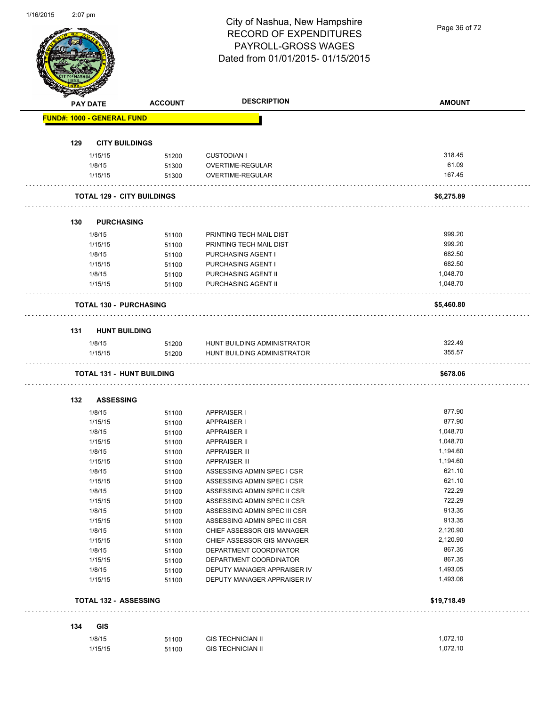## City of Nashua, New Hampshire RECORD OF EXPENDITURES PAYROLL-GROSS WAGES Dated from 01/01/2015- 01/15/2015

Page 36 of 72

|     | <b>PAY DATE</b>                   | <b>ACCOUNT</b>                    | <b>DESCRIPTION</b>                       | <b>AMOUNT</b>    |
|-----|-----------------------------------|-----------------------------------|------------------------------------------|------------------|
|     | <b>FUND#: 1000 - GENERAL FUND</b> |                                   |                                          |                  |
| 129 |                                   | <b>CITY BUILDINGS</b>             |                                          |                  |
|     | 1/15/15                           | 51200                             | <b>CUSTODIAN I</b>                       | 318.45           |
|     | 1/8/15                            | 51300                             | OVERTIME-REGULAR                         | 61.09            |
|     | 1/15/15                           | 51300                             | OVERTIME-REGULAR                         | 167.45           |
|     |                                   | <b>TOTAL 129 - CITY BUILDINGS</b> |                                          | \$6,275.89       |
|     |                                   |                                   |                                          |                  |
| 130 |                                   | <b>PURCHASING</b>                 |                                          |                  |
|     | 1/8/15                            | 51100                             | PRINTING TECH MAIL DIST                  | 999.20           |
|     | 1/15/15                           | 51100                             | PRINTING TECH MAIL DIST                  | 999.20<br>682.50 |
|     | 1/8/15<br>1/15/15                 | 51100                             | PURCHASING AGENT I<br>PURCHASING AGENT I | 682.50           |
|     | 1/8/15                            | 51100<br>51100                    | PURCHASING AGENT II                      | 1,048.70         |
|     | 1/15/15                           | 51100                             | PURCHASING AGENT II                      | 1,048.70         |
|     |                                   | <b>TOTAL 130 - PURCHASING</b>     |                                          | \$5,460.80       |
|     |                                   |                                   |                                          |                  |
|     |                                   | 131 HUNT BUILDING                 |                                          |                  |
|     | 1/8/15                            | 51200                             | HUNT BUILDING ADMINISTRATOR              | 322.49           |
|     | 1/15/15                           | 51200                             | HUNT BUILDING ADMINISTRATOR              | 355.57           |
|     |                                   | <b>TOTAL 131 - HUNT BUILDING</b>  |                                          | \$678.06         |
| 132 | <b>ASSESSING</b>                  |                                   |                                          |                  |
|     | 1/8/15                            | 51100                             | <b>APPRAISER I</b>                       | 877.90           |
|     | 1/15/15                           | 51100                             | <b>APPRAISER I</b>                       | 877.90           |
|     | 1/8/15                            | 51100                             | <b>APPRAISER II</b>                      | 1,048.70         |
|     | 1/15/15                           | 51100                             | <b>APPRAISER II</b>                      | 1,048.70         |
|     | 1/8/15                            | 51100                             | <b>APPRAISER III</b>                     | 1,194.60         |
|     | 1/15/15                           | 51100                             | <b>APPRAISER III</b>                     | 1,194.60         |
|     | 1/8/15                            | 51100                             | ASSESSING ADMIN SPEC I CSR               | 621.10           |
|     | 1/15/15                           | 51100                             | ASSESSING ADMIN SPEC I CSR               | 621.10           |
|     | 1/8/15                            | 51100                             | ASSESSING ADMIN SPEC II CSR              | 722.29           |
|     | 1/15/15                           | 51100                             | ASSESSING ADMIN SPEC II CSR              | 722.29           |
|     | 1/8/15                            | 51100                             | ASSESSING ADMIN SPEC III CSR             | 913.35           |
|     | 1/15/15                           | 51100                             | ASSESSING ADMIN SPEC III CSR             | 913.35           |
|     | 1/8/15                            | 51100                             | CHIEF ASSESSOR GIS MANAGER               | 2,120.90         |
|     | 1/15/15                           | 51100                             | CHIEF ASSESSOR GIS MANAGER               | 2,120.90         |
|     | 1/8/15                            | 51100                             | DEPARTMENT COORDINATOR                   | 867.35           |
|     | 1/15/15                           | 51100                             | DEPARTMENT COORDINATOR                   | 867.35           |
|     | 1/8/15                            | 51100                             | DEPUTY MANAGER APPRAISER IV              | 1,493.05         |
|     | 1/15/15                           | 51100                             | DEPUTY MANAGER APPRAISER IV              | 1,493.06         |
|     |                                   | <b>TOTAL 132 - ASSESSING</b>      |                                          | \$19,718.49      |
|     |                                   |                                   |                                          |                  |
|     |                                   |                                   |                                          |                  |
| 134 | GIS<br>1/8/15                     | 51100                             | <b>GIS TECHNICIAN II</b>                 | 1,072.10         |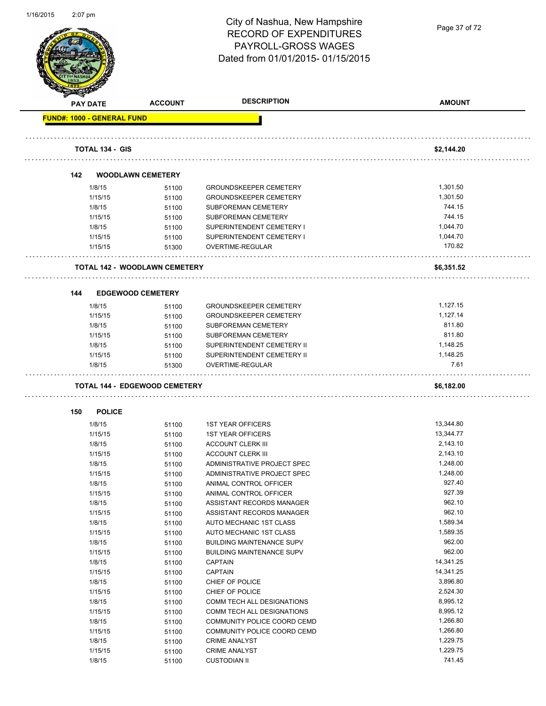

Page 37 of 72

|     | <b>PAY DATE</b>                   | <b>ACCOUNT</b>                       | <b>DESCRIPTION</b>               | <b>AMOUNT</b> |
|-----|-----------------------------------|--------------------------------------|----------------------------------|---------------|
|     | <b>FUND#: 1000 - GENERAL FUND</b> |                                      |                                  |               |
|     | <b>TOTAL 134 - GIS</b>            |                                      |                                  | \$2,144.20    |
|     |                                   |                                      |                                  |               |
| 142 |                                   | <b>WOODLAWN CEMETERY</b>             |                                  |               |
|     | 1/8/15                            | 51100                                | <b>GROUNDSKEEPER CEMETERY</b>    | 1,301.50      |
|     | 1/15/15                           | 51100                                | <b>GROUNDSKEEPER CEMETERY</b>    | 1,301.50      |
|     | 1/8/15                            | 51100                                | SUBFOREMAN CEMETERY              | 744.15        |
|     | 1/15/15                           | 51100                                | SUBFOREMAN CEMETERY              | 744.15        |
|     | 1/8/15                            | 51100                                | SUPERINTENDENT CEMETERY I        | 1,044.70      |
|     | 1/15/15                           | 51100                                | SUPERINTENDENT CEMETERY I        | 1,044.70      |
|     | 1/15/15                           | 51300                                | OVERTIME-REGULAR                 | 170.82        |
|     |                                   | <b>TOTAL 142 - WOODLAWN CEMETERY</b> |                                  | \$6,351.52    |
| 144 | <b>EDGEWOOD CEMETERY</b>          |                                      |                                  |               |
|     | 1/8/15                            | 51100                                | <b>GROUNDSKEEPER CEMETERY</b>    | 1,127.15      |
|     | 1/15/15                           | 51100                                | <b>GROUNDSKEEPER CEMETERY</b>    | 1,127.14      |
|     | 1/8/15                            | 51100                                | SUBFOREMAN CEMETERY              | 811.80        |
|     | 1/15/15                           | 51100                                | SUBFOREMAN CEMETERY              | 811.80        |
|     | 1/8/15                            | 51100                                | SUPERINTENDENT CEMETERY II       | 1,148.25      |
|     | 1/15/15                           | 51100                                | SUPERINTENDENT CEMETERY II       | 1,148.25      |
|     | 1/8/15                            | 51300                                | OVERTIME-REGULAR                 | 7.61          |
|     |                                   | <b>TOTAL 144 - EDGEWOOD CEMETERY</b> |                                  | \$6,182.00    |
| 150 | <b>POLICE</b>                     |                                      |                                  |               |
|     | 1/8/15                            | 51100                                | <b>1ST YEAR OFFICERS</b>         | 13,344.80     |
|     | 1/15/15                           | 51100                                | <b>1ST YEAR OFFICERS</b>         | 13,344.77     |
|     | 1/8/15                            | 51100                                | <b>ACCOUNT CLERK III</b>         | 2,143.10      |
|     | 1/15/15                           | 51100                                | <b>ACCOUNT CLERK III</b>         | 2,143.10      |
|     | 1/8/15                            | 51100                                | ADMINISTRATIVE PROJECT SPEC      | 1,248.00      |
|     | 1/15/15                           | 51100                                | ADMINISTRATIVE PROJECT SPEC      | 1,248.00      |
|     | 1/8/15                            | 51100                                | ANIMAL CONTROL OFFICER           | 927.40        |
|     | 1/15/15                           | 51100                                | ANIMAL CONTROL OFFICER           | 927.39        |
|     | 1/8/15                            | 51100                                | ASSISTANT RECORDS MANAGER        | 962.10        |
|     | 1/15/15                           | 51100                                | ASSISTANT RECORDS MANAGER        | 962.10        |
|     | 1/8/15                            | 51100                                | AUTO MECHANIC 1ST CLASS          | 1,589.34      |
|     | 1/15/15                           | 51100                                | AUTO MECHANIC 1ST CLASS          | 1,589.35      |
|     | 1/8/15                            | 51100                                | <b>BUILDING MAINTENANCE SUPV</b> | 962.00        |
|     | 1/15/15                           | 51100                                | <b>BUILDING MAINTENANCE SUPV</b> | 962.00        |
|     | 1/8/15                            | 51100                                | <b>CAPTAIN</b>                   | 14,341.25     |
|     | 1/15/15                           | 51100                                | <b>CAPTAIN</b>                   | 14,341.25     |
|     | 1/8/15                            | 51100                                | CHIEF OF POLICE                  | 3,896.80      |
|     | 1/15/15                           | 51100                                | CHIEF OF POLICE                  | 2,524.30      |
|     | 1/8/15                            | 51100                                | COMM TECH ALL DESIGNATIONS       | 8,995.12      |
|     | 1/15/15                           | 51100                                | COMM TECH ALL DESIGNATIONS       | 8,995.12      |
|     | 1/8/15                            | 51100                                | COMMUNITY POLICE COORD CEMD      | 1,266.80      |
|     | 1/15/15                           | 51100                                | COMMUNITY POLICE COORD CEMD      | 1,266.80      |
|     | 1/8/15                            | 51100                                | <b>CRIME ANALYST</b>             | 1,229.75      |
|     | 1/15/15                           | 51100                                | <b>CRIME ANALYST</b>             | 1,229.75      |
|     | 1/8/15                            |                                      | <b>CUSTODIAN II</b>              | 741.45        |
|     |                                   | 51100                                |                                  |               |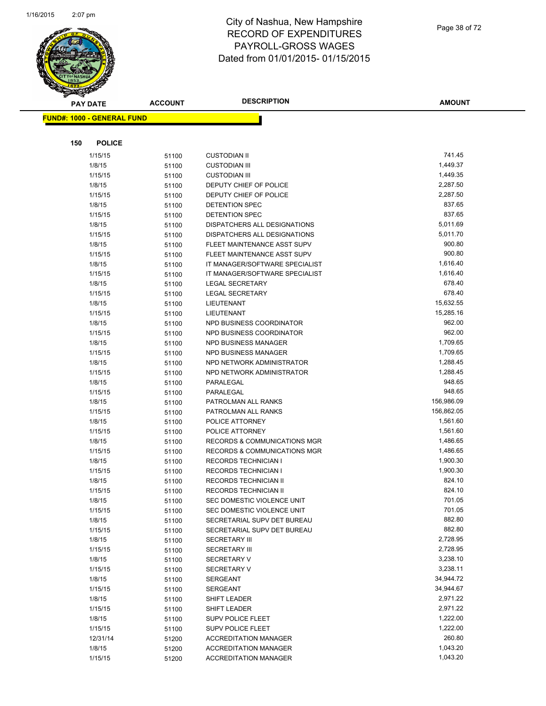

|     | <b>PAY DATE</b>                   | <b>ACCOUNT</b> | <b>DESCRIPTION</b>                      | <b>AMOUNT</b>        |
|-----|-----------------------------------|----------------|-----------------------------------------|----------------------|
|     | <b>FUND#: 1000 - GENERAL FUND</b> |                |                                         |                      |
|     |                                   |                |                                         |                      |
|     |                                   |                |                                         |                      |
| 150 | <b>POLICE</b>                     |                |                                         |                      |
|     | 1/15/15                           | 51100          | <b>CUSTODIAN II</b>                     | 741.45               |
|     | 1/8/15                            | 51100          | <b>CUSTODIAN III</b>                    | 1,449.37             |
|     | 1/15/15                           | 51100          | <b>CUSTODIAN III</b>                    | 1,449.35             |
|     | 1/8/15                            | 51100          | DEPUTY CHIEF OF POLICE                  | 2,287.50             |
|     | 1/15/15                           | 51100          | DEPUTY CHIEF OF POLICE                  | 2,287.50             |
|     | 1/8/15                            | 51100          | <b>DETENTION SPEC</b>                   | 837.65               |
|     | 1/15/15                           | 51100          | <b>DETENTION SPEC</b>                   | 837.65               |
|     | 1/8/15                            | 51100          | DISPATCHERS ALL DESIGNATIONS            | 5,011.69             |
|     | 1/15/15                           | 51100          | DISPATCHERS ALL DESIGNATIONS            | 5,011.70             |
|     | 1/8/15                            | 51100          | FLEET MAINTENANCE ASST SUPV             | 900.80               |
|     | 1/15/15                           | 51100          | FLEET MAINTENANCE ASST SUPV             | 900.80               |
|     | 1/8/15                            | 51100          | IT MANAGER/SOFTWARE SPECIALIST          | 1,616.40             |
|     | 1/15/15                           | 51100          | IT MANAGER/SOFTWARE SPECIALIST          | 1,616.40             |
|     | 1/8/15                            | 51100          | <b>LEGAL SECRETARY</b>                  | 678.40               |
|     | 1/15/15                           | 51100          | <b>LEGAL SECRETARY</b>                  | 678.40               |
|     | 1/8/15                            | 51100          | <b>LIEUTENANT</b>                       | 15,632.55            |
|     | 1/15/15                           | 51100          | LIEUTENANT                              | 15,285.16            |
|     | 1/8/15                            | 51100          | NPD BUSINESS COORDINATOR                | 962.00               |
|     | 1/15/15                           | 51100          | NPD BUSINESS COORDINATOR                | 962.00               |
|     | 1/8/15                            | 51100          | NPD BUSINESS MANAGER                    | 1,709.65             |
|     | 1/15/15                           | 51100          | NPD BUSINESS MANAGER                    | 1,709.65             |
|     | 1/8/15                            | 51100          | NPD NETWORK ADMINISTRATOR               | 1,288.45             |
|     | 1/15/15                           | 51100          | NPD NETWORK ADMINISTRATOR               | 1,288.45             |
|     | 1/8/15                            | 51100          | PARALEGAL                               | 948.65               |
|     | 1/15/15                           | 51100          | PARALEGAL                               | 948.65               |
|     | 1/8/15                            | 51100          | PATROLMAN ALL RANKS                     | 156,986.09           |
|     | 1/15/15                           | 51100          | PATROLMAN ALL RANKS                     | 156,862.05           |
|     | 1/8/15                            | 51100          | POLICE ATTORNEY                         | 1,561.60             |
|     | 1/15/15                           | 51100          | POLICE ATTORNEY                         | 1,561.60             |
|     | 1/8/15                            | 51100          | RECORDS & COMMUNICATIONS MGR            | 1,486.65             |
|     | 1/15/15                           | 51100          | <b>RECORDS &amp; COMMUNICATIONS MGR</b> | 1,486.65             |
|     | 1/8/15                            | 51100          | <b>RECORDS TECHNICIAN I</b>             | 1,900.30             |
|     | 1/15/15                           | 51100          | <b>RECORDS TECHNICIAN I</b>             | 1,900.30             |
|     | 1/8/15                            | 51100          | RECORDS TECHNICIAN II                   | 824.10               |
|     | 1/15/15                           | 51100          | RECORDS TECHNICIAN II                   | 824.10               |
|     | 1/8/15                            | 51100          | SEC DOMESTIC VIOLENCE UNIT              | 701.05               |
|     | 1/15/15                           | 51100          | SEC DOMESTIC VIOLENCE UNIT              | 701.05               |
|     | 1/8/15                            | 51100          | SECRETARIAL SUPV DET BUREAU             | 882.80               |
|     | 1/15/15                           | 51100          | SECRETARIAL SUPV DET BUREAU             | 882.80<br>2,728.95   |
|     | 1/8/15                            | 51100          | <b>SECRETARY III</b>                    |                      |
|     | 1/15/15                           | 51100          | <b>SECRETARY III</b>                    | 2,728.95<br>3,238.10 |
|     | 1/8/15                            | 51100          | <b>SECRETARY V</b>                      | 3,238.11             |
|     | 1/15/15                           | 51100          | <b>SECRETARY V</b>                      |                      |
|     | 1/8/15                            | 51100          | SERGEANT<br><b>SERGEANT</b>             | 34,944.72            |
|     | 1/15/15                           | 51100          |                                         | 34,944.67            |
|     | 1/8/15                            | 51100          | SHIFT LEADER                            | 2,971.22             |
|     | 1/15/15                           | 51100          | SHIFT LEADER                            | 2,971.22             |
|     | 1/8/15                            | 51100          | <b>SUPV POLICE FLEET</b>                | 1,222.00             |
|     | 1/15/15                           | 51100          | <b>SUPV POLICE FLEET</b>                | 1,222.00             |
|     | 12/31/14                          | 51200          | <b>ACCREDITATION MANAGER</b>            | 260.80               |
|     | 1/8/15                            | 51200          | <b>ACCREDITATION MANAGER</b>            | 1,043.20             |
|     | 1/15/15                           | 51200          | <b>ACCREDITATION MANAGER</b>            | 1,043.20             |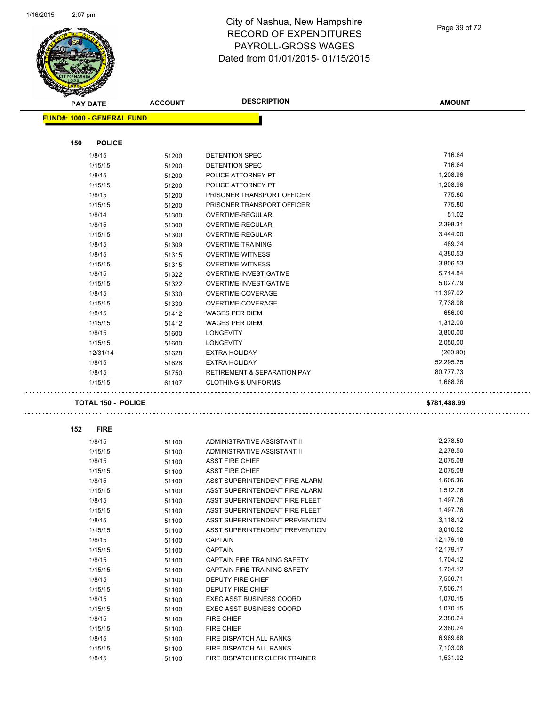L.



#### City of Nashua, New Hampshire RECORD OF EXPENDITURES PAYROLL-GROSS WAGES Dated from 01/01/2015- 01/15/2015

Page 39 of 72

| <b>SANGA</b>                      |                |                                                                  |                      |
|-----------------------------------|----------------|------------------------------------------------------------------|----------------------|
| <b>PAY DATE</b>                   | <b>ACCOUNT</b> | <b>DESCRIPTION</b>                                               | <b>AMOUNT</b>        |
| <b>FUND#: 1000 - GENERAL FUND</b> |                |                                                                  |                      |
|                                   |                |                                                                  |                      |
| 150<br><b>POLICE</b>              |                |                                                                  |                      |
| 1/8/15                            | 51200          | <b>DETENTION SPEC</b>                                            | 716.64               |
| 1/15/15                           | 51200          | DETENTION SPEC                                                   | 716.64               |
| 1/8/15                            | 51200          | POLICE ATTORNEY PT                                               | 1,208.96             |
| 1/15/15                           | 51200          | POLICE ATTORNEY PT                                               | 1,208.96             |
| 1/8/15                            | 51200          | PRISONER TRANSPORT OFFICER                                       | 775.80               |
| 1/15/15                           | 51200          | PRISONER TRANSPORT OFFICER                                       | 775.80               |
| 1/8/14                            | 51300          | OVERTIME-REGULAR                                                 | 51.02                |
| 1/8/15                            | 51300          | OVERTIME-REGULAR                                                 | 2,398.31             |
| 1/15/15                           | 51300          | OVERTIME-REGULAR                                                 | 3,444.00             |
| 1/8/15                            | 51309          | OVERTIME-TRAINING                                                | 489.24               |
| 1/8/15                            | 51315          | <b>OVERTIME-WITNESS</b>                                          | 4,380.53             |
| 1/15/15                           | 51315          | <b>OVERTIME-WITNESS</b>                                          | 3,806.53             |
| 1/8/15                            | 51322          | OVERTIME-INVESTIGATIVE                                           | 5,714.84             |
| 1/15/15                           | 51322          | OVERTIME-INVESTIGATIVE                                           | 5,027.79             |
| 1/8/15                            | 51330          | OVERTIME-COVERAGE                                                | 11,397.02            |
| 1/15/15                           | 51330          | OVERTIME-COVERAGE                                                | 7,738.08             |
| 1/8/15                            | 51412          | <b>WAGES PER DIEM</b>                                            | 656.00               |
| 1/15/15                           | 51412          | <b>WAGES PER DIEM</b>                                            | 1,312.00             |
| 1/8/15                            | 51600          | <b>LONGEVITY</b>                                                 | 3,800.00             |
| 1/15/15                           | 51600          | <b>LONGEVITY</b>                                                 | 2,050.00             |
| 12/31/14                          | 51628          | <b>EXTRA HOLIDAY</b>                                             | (260.80)             |
| 1/8/15                            | 51628          | <b>EXTRA HOLIDAY</b>                                             | 52,295.25            |
| 1/8/15                            | 51750          | <b>RETIREMENT &amp; SEPARATION PAY</b>                           | 80,777.73            |
| 1/15/15                           | 61107          | <b>CLOTHING &amp; UNIFORMS</b>                                   | 1,668.26             |
|                                   |                |                                                                  |                      |
| <b>TOTAL 150 - POLICE</b>         |                |                                                                  | \$781,488.99         |
| 152<br><b>FIRE</b>                |                |                                                                  |                      |
| 1/8/15                            |                | ADMINISTRATIVE ASSISTANT II                                      | 2,278.50             |
| 1/15/15                           | 51100          | ADMINISTRATIVE ASSISTANT II                                      | 2,278.50             |
| 1/8/15                            | 51100          | <b>ASST FIRE CHIEF</b>                                           | 2,075.08             |
| 1/15/15                           | 51100          | <b>ASST FIRE CHIEF</b>                                           | 2,075.08             |
| 1/8/15                            | 51100          | ASST SUPERINTENDENT FIRE ALARM                                   | 1,605.36             |
| 1/15/15                           | 51100          | ASST SUPERINTENDENT FIRE ALARM                                   | 1,512.76             |
| 1/8/15                            | 51100          |                                                                  | 1,497.76             |
| 1/15/15                           | 51100          | ASST SUPERINTENDENT FIRE FLEET<br>ASST SUPERINTENDENT FIRE FLEET | 1,497.76             |
|                                   | 51100          | ASST SUPERINTENDENT PREVENTION                                   | 3,118.12             |
| 1/8/15                            | 51100          | ASST SUPERINTENDENT PREVENTION                                   | 3,010.52             |
| 1/15/15                           | 51100          |                                                                  | 12,179.18            |
| 1/8/15                            | 51100          | <b>CAPTAIN</b>                                                   | 12,179.17            |
| 1/15/15<br>1/8/15                 | 51100          | <b>CAPTAIN</b><br>CAPTAIN FIRE TRAINING SAFETY                   | 1,704.12             |
|                                   | 51100          | CAPTAIN FIRE TRAINING SAFETY                                     | 1,704.12             |
| 1/15/15                           | 51100          |                                                                  |                      |
| 1/8/15                            | 51100          | DEPUTY FIRE CHIEF                                                | 7,506.71<br>7,506.71 |
| 1/15/15                           | 51100          | DEPUTY FIRE CHIEF                                                |                      |
| 1/8/15                            | 51100          | <b>EXEC ASST BUSINESS COORD</b>                                  | 1,070.15<br>1,070.15 |
| 1/15/15                           | 51100          | EXEC ASST BUSINESS COORD                                         |                      |
| 1/8/15                            | 51100          | FIRE CHIEF                                                       | 2,380.24             |
| 1/15/15                           | 51100          | FIRE CHIEF                                                       | 2,380.24             |
| 1/8/15                            | 51100          | FIRE DISPATCH ALL RANKS                                          | 6,969.68             |
| 1/15/15                           | 51100          | FIRE DISPATCH ALL RANKS                                          | 7,103.08             |
| 1/8/15                            | 51100          | FIRE DISPATCHER CLERK TRAINER                                    | 1,531.02             |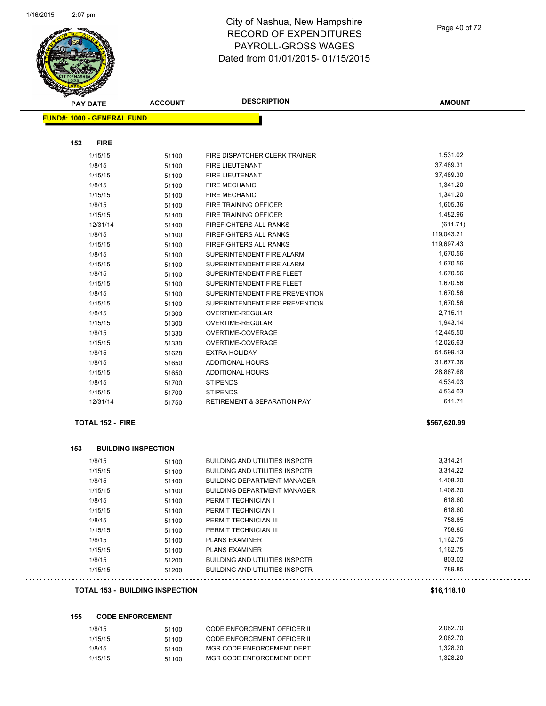

| <b>PAY DATE</b>                        | <b>ACCOUNT</b>             | <b>DESCRIPTION</b>                     | <b>AMOUNT</b> |
|----------------------------------------|----------------------------|----------------------------------------|---------------|
| <b>FUND#: 1000 - GENERAL FUND</b>      |                            |                                        |               |
|                                        |                            |                                        |               |
| 152<br><b>FIRE</b>                     |                            |                                        |               |
| 1/15/15                                | 51100                      | FIRE DISPATCHER CLERK TRAINER          | 1,531.02      |
| 1/8/15                                 | 51100                      | FIRE LIEUTENANT                        | 37,489.31     |
| 1/15/15                                | 51100                      | FIRE LIEUTENANT                        | 37,489.30     |
| 1/8/15                                 | 51100                      | <b>FIRE MECHANIC</b>                   | 1,341.20      |
| 1/15/15                                | 51100                      | <b>FIRE MECHANIC</b>                   | 1,341.20      |
| 1/8/15                                 | 51100                      | FIRE TRAINING OFFICER                  | 1,605.36      |
| 1/15/15                                | 51100                      | FIRE TRAINING OFFICER                  | 1,482.96      |
| 12/31/14                               | 51100                      | <b>FIREFIGHTERS ALL RANKS</b>          | (611.71)      |
| 1/8/15                                 | 51100                      | <b>FIREFIGHTERS ALL RANKS</b>          | 119,043.21    |
| 1/15/15                                | 51100                      | <b>FIREFIGHTERS ALL RANKS</b>          | 119,697.43    |
| 1/8/15                                 | 51100                      | SUPERINTENDENT FIRE ALARM              | 1,670.56      |
| 1/15/15                                | 51100                      | SUPERINTENDENT FIRE ALARM              | 1,670.56      |
| 1/8/15                                 | 51100                      | SUPERINTENDENT FIRE FLEET              | 1,670.56      |
| 1/15/15                                | 51100                      | SUPERINTENDENT FIRE FLEET              | 1,670.56      |
| 1/8/15                                 | 51100                      | SUPERINTENDENT FIRE PREVENTION         | 1,670.56      |
| 1/15/15                                | 51100                      | SUPERINTENDENT FIRE PREVENTION         | 1,670.56      |
| 1/8/15                                 | 51300                      | OVERTIME-REGULAR                       | 2,715.11      |
| 1/15/15                                | 51300                      | OVERTIME-REGULAR                       | 1,943.14      |
| 1/8/15                                 | 51330                      | OVERTIME-COVERAGE                      | 12,445.50     |
| 1/15/15                                | 51330                      | OVERTIME-COVERAGE                      | 12,026.63     |
| 1/8/15                                 | 51628                      | <b>EXTRA HOLIDAY</b>                   | 51,599.13     |
| 1/8/15                                 | 51650                      | <b>ADDITIONAL HOURS</b>                | 31,677.38     |
| 1/15/15                                | 51650                      | <b>ADDITIONAL HOURS</b>                | 28,867.68     |
| 1/8/15                                 | 51700                      | <b>STIPENDS</b>                        | 4,534.03      |
| 1/15/15                                | 51700                      | <b>STIPENDS</b>                        | 4,534.03      |
| 12/31/14                               | 51750                      | <b>RETIREMENT &amp; SEPARATION PAY</b> | 611.71        |
| <b>TOTAL 152 - FIRE</b>                |                            |                                        | \$567,620.99  |
| 153                                    | <b>BUILDING INSPECTION</b> |                                        |               |
| 1/8/15                                 | 51100                      | <b>BUILDING AND UTILITIES INSPCTR</b>  | 3,314.21      |
| 1/15/15                                | 51100                      | BUILDING AND UTILITIES INSPCTR         | 3,314.22      |
| 1/8/15                                 | 51100                      | <b>BUILDING DEPARTMENT MANAGER</b>     | 1,408.20      |
| 1/15/15                                | 51100                      | <b>BUILDING DEPARTMENT MANAGER</b>     | 1,408.20      |
| 1/8/15                                 | 51100                      | PERMIT TECHNICIAN I                    | 618.60        |
| 1/15/15                                | 51100                      | PERMIT TECHNICIAN I                    | 618.60        |
| 1/8/15                                 | 51100                      | PERMIT TECHNICIAN III                  | 758.85        |
| 1/15/15                                | 51100                      | PERMIT TECHNICIAN III                  | 758.85        |
| 1/8/15                                 | 51100                      | <b>PLANS EXAMINER</b>                  | 1,162.75      |
| 1/15/15                                | 51100                      | <b>PLANS EXAMINER</b>                  | 1,162.75      |
| 1/8/15                                 | 51200                      | <b>BUILDING AND UTILITIES INSPCTR</b>  | 803.02        |
| 1/15/15                                | 51200                      | <b>BUILDING AND UTILITIES INSPCTR</b>  | 789.85        |
| <b>TOTAL 153 - BUILDING INSPECTION</b> |                            |                                        | \$16,118.10   |
| 155                                    | <b>CODE ENFORCEMENT</b>    |                                        |               |
| 1/8/15                                 | 51100                      | CODE ENFORCEMENT OFFICER II            | 2,082.70      |

| 1/8/15  | 51100 | CODE ENFORCEMENT OFFICER II | 2.082.70 |
|---------|-------|-----------------------------|----------|
| 1/15/15 | 51100 | CODE ENFORCEMENT OFFICER II | 2.082.70 |
| 1/8/15  | 51100 | MGR CODE ENFORCEMENT DEPT   | 1.328.20 |
| 1/15/15 | 51100 | MGR CODE ENFORCEMENT DEPT   | 1.328.20 |

Page 40 of 72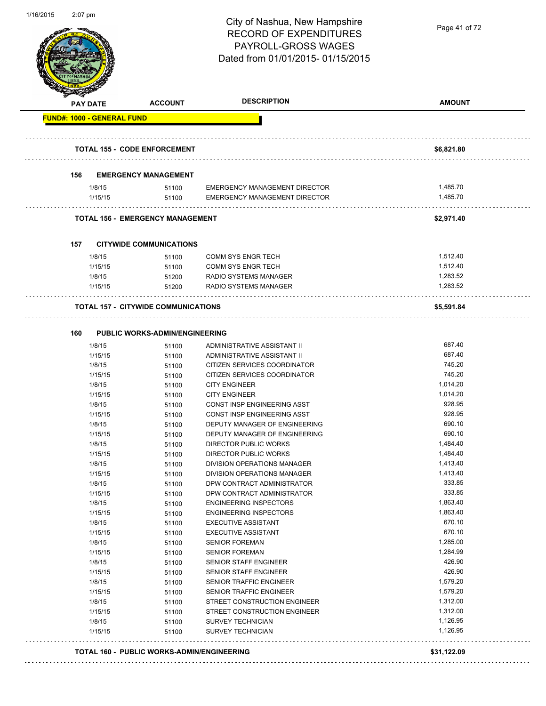| 1/16/2015 | $2:07$ pm |                   |                                            | City of Nashua, New Hampshire<br><b>RECORD OF EXPENDITURES</b><br>PAYROLL-GROSS WAGES<br>Dated from 01/01/2015-01/15/2015 | Page 41 of 72        |
|-----------|-----------|-------------------|--------------------------------------------|---------------------------------------------------------------------------------------------------------------------------|----------------------|
|           |           | PAY DATE          | <b>ACCOUNT</b>                             | <b>DESCRIPTION</b>                                                                                                        | <b>AMOUNT</b>        |
|           |           |                   | FUND#: 1000 - GENERAL FUND                 |                                                                                                                           |                      |
|           |           |                   | <b>TOTAL 155 - CODE ENFORCEMENT</b>        |                                                                                                                           | \$6,821.80           |
|           | 156       |                   | <b>EMERGENCY MANAGEMENT</b>                |                                                                                                                           |                      |
|           |           | 1/8/15<br>1/15/15 | 51100<br>51100                             | <b>EMERGENCY MANAGEMENT DIRECTOR</b><br>EMERGENCY MANAGEMENT DIRECTOR                                                     | 1,485.70<br>1,485.70 |
|           |           |                   | <b>TOTAL 156 - EMERGENCY MANAGEMENT</b>    |                                                                                                                           | \$2,971.40           |
|           | 157       |                   | <b>CITYWIDE COMMUNICATIONS</b>             |                                                                                                                           |                      |
|           |           | 1/8/15            | 51100                                      | COMM SYS ENGR TECH                                                                                                        | 1,512.40             |
|           |           | 1/15/15           | 51100                                      | <b>COMM SYS ENGR TECH</b>                                                                                                 | 1,512.40             |
|           |           | 1/8/15            | 51200                                      | RADIO SYSTEMS MANAGER                                                                                                     | 1,283.52             |
|           |           | 1/15/15           | 51200                                      | RADIO SYSTEMS MANAGER                                                                                                     | 1,283.52             |
|           |           |                   | <b>TOTAL 157 - CITYWIDE COMMUNICATIONS</b> |                                                                                                                           | \$5,591.84           |
|           | 160       |                   | <b>PUBLIC WORKS-ADMIN/ENGINEERING</b>      |                                                                                                                           |                      |
|           |           | 1/8/15            | 51100                                      | ADMINISTRATIVE ASSISTANT II                                                                                               | 687.40               |
|           |           | 1/15/15           | 51100                                      | ADMINISTRATIVE ASSISTANT II                                                                                               | 687.40               |
|           |           | 1/8/15            | 51100                                      | CITIZEN SERVICES COORDINATOR                                                                                              | 745.20               |
|           |           | 1/15/15           | 51100                                      | CITIZEN SERVICES COORDINATOR                                                                                              | 745.20               |
|           |           | 1/8/15            | 51100                                      | <b>CITY ENGINEER</b>                                                                                                      | 1,014.20             |
|           |           | 1/15/15           | 51100                                      | <b>CITY ENGINEER</b>                                                                                                      | 1,014.20             |
|           |           | 1/8/15            | 51100                                      | CONST INSP ENGINEERING ASST<br>CONST INSP ENGINEERING ASST                                                                | 928.95<br>928.95     |
|           |           | 1/15/15<br>1/8/15 | 51100                                      | DEPUTY MANAGER OF ENGINEERING                                                                                             | 690.10               |
|           |           | 1/15/15           | 51100<br>51100                             | DEPUTY MANAGER OF ENGINEERING                                                                                             | 690.10               |
|           |           | 1/8/15            | 51100                                      | DIRECTOR PUBLIC WORKS                                                                                                     | 1,484.40             |
|           |           | 1/15/15           | 51100                                      | DIRECTOR PUBLIC WORKS                                                                                                     | 1,484.40             |
|           |           | 1/8/15            | 51100                                      | DIVISION OPERATIONS MANAGER                                                                                               | 1,413.40             |
|           |           | 1/15/15           | 51100                                      | DIVISION OPERATIONS MANAGER                                                                                               | 1,413.40             |
|           |           | 1/8/15            | 51100                                      | DPW CONTRACT ADMINISTRATOR                                                                                                | 333.85               |
|           |           | 1/15/15           | 51100                                      | DPW CONTRACT ADMINISTRATOR                                                                                                | 333.85               |
|           |           | 1/8/15            | 51100                                      | <b>ENGINEERING INSPECTORS</b>                                                                                             | 1,863.40             |
|           |           | 1/15/15           | 51100                                      | <b>ENGINEERING INSPECTORS</b>                                                                                             | 1,863.40             |
|           |           | 1/8/15            | 51100                                      | <b>EXECUTIVE ASSISTANT</b>                                                                                                | 670.10               |
|           |           | 1/15/15           | 51100                                      | <b>EXECUTIVE ASSISTANT</b>                                                                                                | 670.10               |
|           |           | 1/8/15            | 51100                                      | <b>SENIOR FOREMAN</b>                                                                                                     | 1,285.00             |
|           |           | 1/15/15           | 51100                                      | <b>SENIOR FOREMAN</b>                                                                                                     | 1,284.99             |
|           |           | 1/8/15            | 51100                                      | SENIOR STAFF ENGINEER                                                                                                     | 426.90               |
|           |           | 1/15/15           | 51100                                      | SENIOR STAFF ENGINEER                                                                                                     | 426.90<br>1,579.20   |
|           |           | 1/8/15            | 51100                                      | SENIOR TRAFFIC ENGINEER                                                                                                   |                      |
|           |           | 1/15/15           | 51100                                      | SENIOR TRAFFIC ENGINEER<br>STREET CONSTRUCTION ENGINEER                                                                   | 1,579.20<br>1,312.00 |
|           |           | 1/8/15<br>1/15/15 | 51100                                      | STREET CONSTRUCTION ENGINEER                                                                                              | 1,312.00             |
|           |           | 1/8/15            | 51100<br>51100                             | <b>SURVEY TECHNICIAN</b>                                                                                                  | 1,126.95             |
|           |           | 1/15/15           | 51100                                      | SURVEY TECHNICIAN                                                                                                         | 1,126.95             |
|           |           |                   | TOTAL 160 - PUBLIC WORKS-ADMIN/ENGINEERING |                                                                                                                           | \$31,122.09          |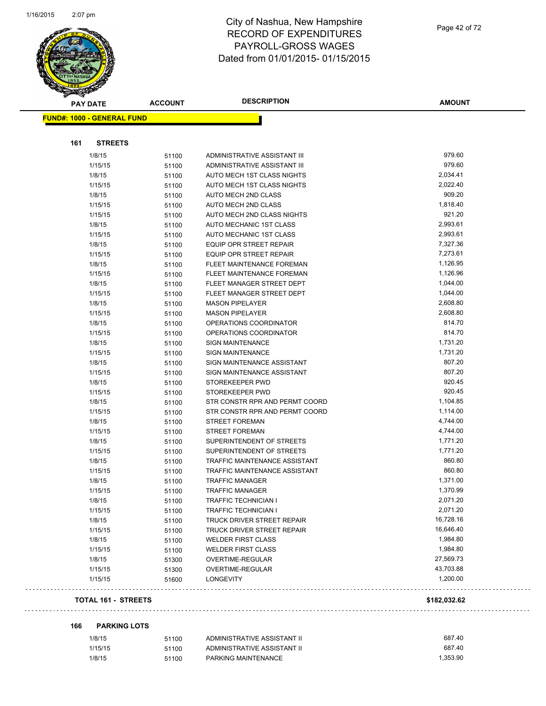

Page 42 of 72

| <b>PAY DATE</b>                   | <b>ACCOUNT</b> | <b>DESCRIPTION</b>             | <b>AMOUNT</b> |
|-----------------------------------|----------------|--------------------------------|---------------|
| <b>FUND#: 1000 - GENERAL FUND</b> |                |                                |               |
|                                   |                |                                |               |
| <b>STREETS</b><br>161             |                |                                |               |
| 1/8/15                            | 51100          | ADMINISTRATIVE ASSISTANT III   | 979.60        |
| 1/15/15                           | 51100          | ADMINISTRATIVE ASSISTANT III   | 979.60        |
| 1/8/15                            | 51100          | AUTO MECH 1ST CLASS NIGHTS     | 2,034.41      |
| 1/15/15                           | 51100          | AUTO MECH 1ST CLASS NIGHTS     | 2,022.40      |
| 1/8/15                            | 51100          | AUTO MECH 2ND CLASS            | 909.20        |
| 1/15/15                           | 51100          | AUTO MECH 2ND CLASS            | 1,818.40      |
| 1/15/15                           | 51100          | AUTO MECH 2ND CLASS NIGHTS     | 921.20        |
| 1/8/15                            | 51100          | AUTO MECHANIC 1ST CLASS        | 2,993.61      |
| 1/15/15                           | 51100          | AUTO MECHANIC 1ST CLASS        | 2,993.61      |
| 1/8/15                            | 51100          | EQUIP OPR STREET REPAIR        | 7,327.36      |
| 1/15/15                           | 51100          | EQUIP OPR STREET REPAIR        | 7,273.61      |
| 1/8/15                            | 51100          | FLEET MAINTENANCE FOREMAN      | 1,126.95      |
| 1/15/15                           | 51100          | FLEET MAINTENANCE FOREMAN      | 1,126.96      |
| 1/8/15                            | 51100          | FLEET MANAGER STREET DEPT      | 1,044.00      |
| 1/15/15                           | 51100          | FLEET MANAGER STREET DEPT      | 1,044.00      |
| 1/8/15                            | 51100          | <b>MASON PIPELAYER</b>         | 2,608.80      |
| 1/15/15                           | 51100          | <b>MASON PIPELAYER</b>         | 2,608.80      |
| 1/8/15                            | 51100          | OPERATIONS COORDINATOR         | 814.70        |
| 1/15/15                           | 51100          | OPERATIONS COORDINATOR         | 814.70        |
| 1/8/15                            | 51100          | <b>SIGN MAINTENANCE</b>        | 1,731.20      |
| 1/15/15                           |                | <b>SIGN MAINTENANCE</b>        | 1,731.20      |
| 1/8/15                            | 51100          | SIGN MAINTENANCE ASSISTANT     | 807.20        |
|                                   | 51100          | SIGN MAINTENANCE ASSISTANT     | 807.20        |
| 1/15/15<br>1/8/15                 | 51100          | STOREKEEPER PWD                | 920.45        |
| 1/15/15                           | 51100          | STOREKEEPER PWD                | 920.45        |
| 1/8/15                            | 51100          | STR CONSTR RPR AND PERMT COORD | 1,104.85      |
|                                   | 51100          | STR CONSTR RPR AND PERMT COORD | 1,114.00      |
| 1/15/15<br>1/8/15                 | 51100          | <b>STREET FOREMAN</b>          | 4,744.00      |
|                                   | 51100          |                                | 4,744.00      |
| 1/15/15                           | 51100          | <b>STREET FOREMAN</b>          |               |
| 1/8/15                            | 51100          | SUPERINTENDENT OF STREETS      | 1,771.20      |
| 1/15/15                           | 51100          | SUPERINTENDENT OF STREETS      | 1,771.20      |
| 1/8/15                            | 51100          | TRAFFIC MAINTENANCE ASSISTANT  | 860.80        |
| 1/15/15                           | 51100          | TRAFFIC MAINTENANCE ASSISTANT  | 860.80        |
| 1/8/15                            | 51100          | <b>TRAFFIC MANAGER</b>         | 1,371.00      |
| 1/15/15                           | 51100          | <b>TRAFFIC MANAGER</b>         | 1,370.99      |
| 1/8/15                            | 51100          | TRAFFIC TECHNICIAN I           | 2,071.20      |
| 1/15/15                           | 51100          | <b>TRAFFIC TECHNICIAN I</b>    | 2,071.20      |
| 1/8/15                            | 51100          | TRUCK DRIVER STREET REPAIR     | 16,728.16     |
| 1/15/15                           | 51100          | TRUCK DRIVER STREET REPAIR     | 16,646.40     |
| 1/8/15                            | 51100          | <b>WELDER FIRST CLASS</b>      | 1,984.80      |
| 1/15/15                           | 51100          | <b>WELDER FIRST CLASS</b>      | 1,984.80      |
| 1/8/15                            | 51300          | OVERTIME-REGULAR               | 27,569.73     |
| 1/15/15                           | 51300          | OVERTIME-REGULAR               | 43,703.88     |
| 1/15/15                           | 51600          | <b>LONGEVITY</b>               | 1,200.00      |
| <b>TOTAL 161 - STREETS</b>        |                |                                | \$182,032.62  |

#### **166 PARKING LOTS**

 $\sim$   $\sim$ 

| 1/8/15  | 51100 | ADMINISTRATIVE ASSISTANT II | 687.40   |
|---------|-------|-----------------------------|----------|
| 1/15/15 | 51100 | ADMINISTRATIVE ASSISTANT II | 687.40   |
| 1/8/15  | 51100 | PARKING MAINTENANCE         | 1.353.90 |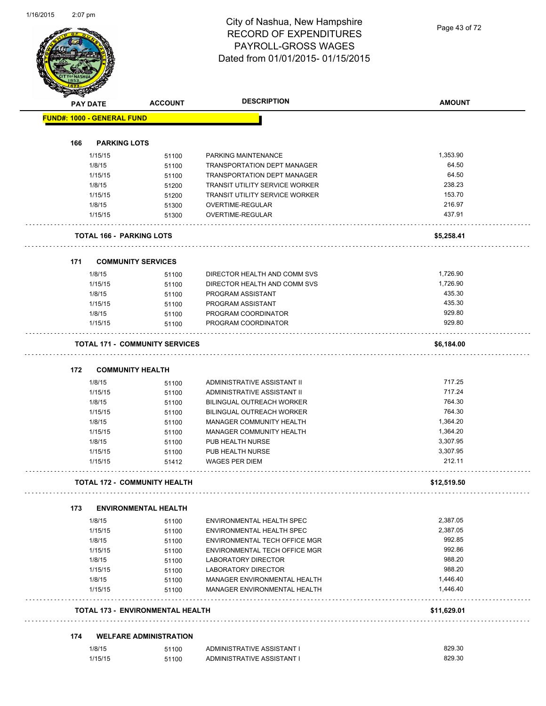Page 43 of 72

|     | <b>PAY DATE</b>                   | <b>ACCOUNT</b>                        | <b>DESCRIPTION</b>                    | <b>AMOUNT</b> |
|-----|-----------------------------------|---------------------------------------|---------------------------------------|---------------|
|     | <b>FUND#: 1000 - GENERAL FUND</b> |                                       |                                       |               |
|     |                                   |                                       |                                       |               |
| 166 | <b>PARKING LOTS</b>               |                                       |                                       |               |
|     | 1/15/15                           | 51100                                 | PARKING MAINTENANCE                   | 1,353.90      |
|     | 1/8/15                            | 51100                                 | TRANSPORTATION DEPT MANAGER           | 64.50         |
|     | 1/15/15                           | 51100                                 | <b>TRANSPORTATION DEPT MANAGER</b>    | 64.50         |
|     | 1/8/15                            | 51200                                 | <b>TRANSIT UTILITY SERVICE WORKER</b> | 238.23        |
|     | 1/15/15                           | 51200                                 | <b>TRANSIT UTILITY SERVICE WORKER</b> | 153.70        |
|     | 1/8/15                            | 51300                                 | OVERTIME-REGULAR                      | 216.97        |
|     | 1/15/15                           | 51300                                 | OVERTIME-REGULAR                      | 437.91        |
|     | TOTAL 166 - PARKING LOTS          |                                       |                                       | \$5,258.41    |
| 171 |                                   | <b>COMMUNITY SERVICES</b>             |                                       |               |
|     | 1/8/15                            | 51100                                 | DIRECTOR HEALTH AND COMM SVS          | 1,726.90      |
|     | 1/15/15                           | 51100                                 | DIRECTOR HEALTH AND COMM SVS          | 1.726.90      |
|     | 1/8/15                            | 51100                                 | PROGRAM ASSISTANT                     | 435.30        |
|     | 1/15/15                           | 51100                                 | PROGRAM ASSISTANT                     | 435.30        |
|     | 1/8/15                            | 51100                                 | PROGRAM COORDINATOR                   | 929.80        |
|     | 1/15/15                           | 51100                                 | PROGRAM COORDINATOR                   | 929.80        |
|     |                                   | <b>TOTAL 171 - COMMUNITY SERVICES</b> |                                       | \$6,184.00    |
| 172 |                                   | <b>COMMUNITY HEALTH</b>               |                                       |               |
|     | 1/8/15                            | 51100                                 | ADMINISTRATIVE ASSISTANT II           | 717.25        |
|     | 1/15/15                           | 51100                                 | ADMINISTRATIVE ASSISTANT II           | 717.24        |
|     | 1/8/15                            | 51100                                 | BILINGUAL OUTREACH WORKER             | 764.30        |
|     | 1/15/15                           | 51100                                 | <b>BILINGUAL OUTREACH WORKER</b>      | 764.30        |
|     | 1/8/15                            | 51100                                 | MANAGER COMMUNITY HEALTH              | 1,364.20      |
|     | 1/15/15                           | 51100                                 | MANAGER COMMUNITY HEALTH              | 1,364.20      |
|     | 1/8/15                            | 51100                                 | PUB HEALTH NURSE                      | 3,307.95      |
|     | 1/15/15                           | 51100                                 | PUB HEALTH NURSE                      | 3,307.95      |
|     | 1/15/15                           | 51412                                 | <b>WAGES PER DIEM</b>                 | 212.11        |
|     |                                   | <b>TOTAL 172 - COMMUNITY HEALTH</b>   |                                       | \$12,519.50   |
| 173 |                                   | <b>ENVIRONMENTAL HEALTH</b>           |                                       |               |
|     | 1/8/15                            | 51100                                 | ENVIRONMENTAL HEALTH SPEC             | 2,387.05      |
|     | 1/15/15                           | 51100                                 | ENVIRONMENTAL HEALTH SPEC             | 2,387.05      |
|     | 1/8/15                            | 51100                                 | ENVIRONMENTAL TECH OFFICE MGR         | 992.85        |
|     | 1/15/15                           | 51100                                 | ENVIRONMENTAL TECH OFFICE MGR         | 992.86        |
|     | 1/8/15                            | 51100                                 | LABORATORY DIRECTOR                   | 988.20        |
|     | 1/15/15                           | 51100                                 | <b>LABORATORY DIRECTOR</b>            | 988.20        |
|     | 1/8/15                            | 51100                                 | MANAGER ENVIRONMENTAL HEALTH          | 1,446.40      |
|     | 1/15/15                           | 51100                                 | MANAGER ENVIRONMENTAL HEALTH          | 1,446.40      |
|     |                                   | TOTAL 173 - ENVIRONMENTAL HEALTH      |                                       | \$11,629.01   |
| 174 |                                   | <b>WELFARE ADMINISTRATION</b>         |                                       |               |
|     | 1/8/15                            | 51100                                 | ADMINISTRATIVE ASSISTANT I            | 829.30        |
|     |                                   |                                       |                                       |               |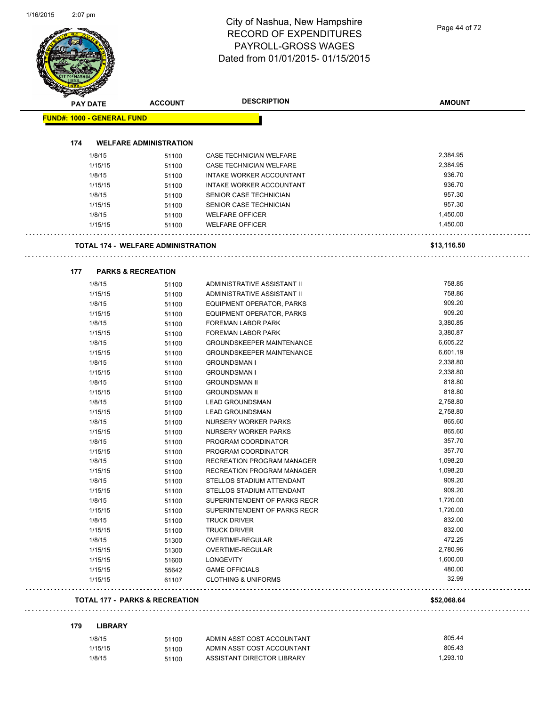|     | <b>PAY DATE</b>                   | <b>ACCOUNT</b>                            | <b>DESCRIPTION</b>                               | <b>AMOUNT</b>        |
|-----|-----------------------------------|-------------------------------------------|--------------------------------------------------|----------------------|
|     | <b>FUND#: 1000 - GENERAL FUND</b> |                                           |                                                  |                      |
|     |                                   |                                           |                                                  |                      |
| 174 |                                   | <b>WELFARE ADMINISTRATION</b>             |                                                  |                      |
|     | 1/8/15                            | 51100                                     | <b>CASE TECHNICIAN WELFARE</b>                   | 2,384.95             |
|     | 1/15/15                           | 51100                                     | CASE TECHNICIAN WELFARE                          | 2,384.95<br>936.70   |
|     | 1/8/15                            | 51100                                     | INTAKE WORKER ACCOUNTANT                         |                      |
|     | 1/15/15                           | 51100                                     | INTAKE WORKER ACCOUNTANT                         | 936.70<br>957.30     |
|     | 1/8/15                            | 51100                                     | SENIOR CASE TECHNICIAN                           |                      |
|     | 1/15/15                           | 51100                                     | SENIOR CASE TECHNICIAN                           | 957.30               |
|     | 1/8/15<br>1/15/15                 | 51100<br>51100                            | <b>WELFARE OFFICER</b><br><b>WELFARE OFFICER</b> | 1,450.00<br>1,450.00 |
|     |                                   | <b>TOTAL 174 - WELFARE ADMINISTRATION</b> |                                                  |                      |
|     |                                   |                                           |                                                  | \$13,116.50          |
| 177 |                                   | <b>PARKS &amp; RECREATION</b>             |                                                  |                      |
|     | 1/8/15                            | 51100                                     | ADMINISTRATIVE ASSISTANT II                      | 758.85               |
|     | 1/15/15                           | 51100                                     | ADMINISTRATIVE ASSISTANT II                      | 758.86               |
|     | 1/8/15                            | 51100                                     | EQUIPMENT OPERATOR, PARKS                        | 909.20               |
|     | 1/15/15                           | 51100                                     | EQUIPMENT OPERATOR, PARKS                        | 909.20               |
|     | 1/8/15                            | 51100                                     | FOREMAN LABOR PARK                               | 3,380.85             |
|     | 1/15/15                           | 51100                                     | FOREMAN LABOR PARK                               | 3,380.87             |
|     | 1/8/15                            | 51100                                     | <b>GROUNDSKEEPER MAINTENANCE</b>                 | 6,605.22             |
|     | 1/15/15                           | 51100                                     | <b>GROUNDSKEEPER MAINTENANCE</b>                 | 6,601.19             |
|     | 1/8/15                            | 51100                                     | <b>GROUNDSMAN I</b>                              | 2,338.80             |
|     | 1/15/15                           | 51100                                     | <b>GROUNDSMAN I</b>                              | 2,338.80             |
|     | 1/8/15                            | 51100                                     | <b>GROUNDSMAN II</b>                             | 818.80               |
|     | 1/15/15                           | 51100                                     | <b>GROUNDSMAN II</b>                             | 818.80               |
|     | 1/8/15                            | 51100                                     | <b>LEAD GROUNDSMAN</b>                           | 2,758.80             |
|     | 1/15/15                           | 51100                                     | <b>LEAD GROUNDSMAN</b>                           | 2,758.80             |
|     | 1/8/15                            | 51100                                     | NURSERY WORKER PARKS                             | 865.60               |
|     | 1/15/15                           | 51100                                     | NURSERY WORKER PARKS                             | 865.60               |
|     | 1/8/15                            | 51100                                     | PROGRAM COORDINATOR                              | 357.70               |
|     | 1/15/15                           | 51100                                     | PROGRAM COORDINATOR                              | 357.70               |
|     | 1/8/15                            | 51100                                     | RECREATION PROGRAM MANAGER                       | 1,098.20             |
|     | 1/15/15                           | 51100                                     | RECREATION PROGRAM MANAGER                       | 1,098.20             |
|     | 1/8/15                            | 51100                                     | STELLOS STADIUM ATTENDANT                        | 909.20               |
|     | 1/15/15                           | 51100                                     | STELLOS STADIUM ATTENDANT                        | 909.20               |
|     | 1/8/15                            | 51100                                     | SUPERINTENDENT OF PARKS RECR                     | 1,720.00             |
|     | 1/15/15                           | 51100                                     | SUPERINTENDENT OF PARKS RECR                     | 1,720.00             |
|     | 1/8/15                            | 51100                                     | <b>TRUCK DRIVER</b>                              | 832.00               |
|     | 1/15/15                           | 51100                                     | <b>TRUCK DRIVER</b>                              | 832.00               |
|     | 1/8/15                            | 51300                                     | OVERTIME-REGULAR                                 | 472.25               |
|     | 1/15/15                           | 51300                                     | OVERTIME-REGULAR                                 | 2,780.96             |
|     | 1/15/15                           | 51600                                     | <b>LONGEVITY</b>                                 | 1,600.00             |
|     | 1/15/15                           | 55642                                     | <b>GAME OFFICIALS</b>                            | 480.00               |
|     | 1/15/15                           | 61107                                     | <b>CLOTHING &amp; UNIFORMS</b>                   | 32.99                |

#### **179 LIBRARY**

| 1/8/15  | 51100 | ADMIN ASST COST ACCOUNTANT | 805.44   |
|---------|-------|----------------------------|----------|
| 1/15/15 | 51100 | ADMIN ASST COST ACCOUNTANT | 805.43   |
| 1/8/15  | 51100 | ASSISTANT DIRECTOR LIBRARY | 1.293.10 |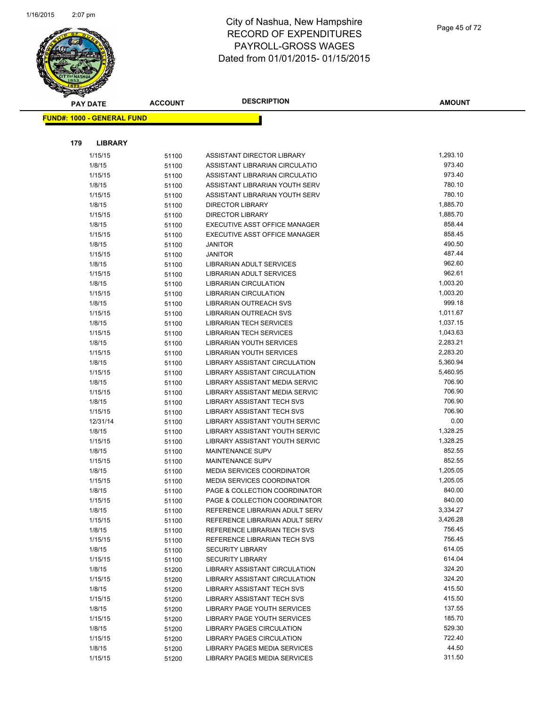

| Page 45 of 72 |
|---------------|
|               |

| <b>PAY DATE</b>                   | <b>ACCOUNT</b> | <b>DESCRIPTION</b>                | <b>AMOUNT</b> |
|-----------------------------------|----------------|-----------------------------------|---------------|
| <b>FUND#: 1000 - GENERAL FUND</b> |                |                                   |               |
|                                   |                |                                   |               |
|                                   |                |                                   |               |
| 179<br><b>LIBRARY</b>             |                |                                   |               |
| 1/15/15                           | 51100          | ASSISTANT DIRECTOR LIBRARY        | 1,293.10      |
| 1/8/15                            | 51100          | ASSISTANT LIBRARIAN CIRCULATIO    | 973.40        |
| 1/15/15                           | 51100          | ASSISTANT LIBRARIAN CIRCULATIO    | 973.40        |
| 1/8/15                            | 51100          | ASSISTANT LIBRARIAN YOUTH SERV    | 780.10        |
| 1/15/15                           | 51100          | ASSISTANT LIBRARIAN YOUTH SERV    | 780.10        |
| 1/8/15                            | 51100          | <b>DIRECTOR LIBRARY</b>           | 1,885.70      |
| 1/15/15                           | 51100          | <b>DIRECTOR LIBRARY</b>           | 1,885.70      |
| 1/8/15                            | 51100          | EXECUTIVE ASST OFFICE MANAGER     | 858.44        |
| 1/15/15                           | 51100          | EXECUTIVE ASST OFFICE MANAGER     | 858.45        |
| 1/8/15                            | 51100          | <b>JANITOR</b>                    | 490.50        |
| 1/15/15                           | 51100          | <b>JANITOR</b>                    | 487.44        |
| 1/8/15                            | 51100          | LIBRARIAN ADULT SERVICES          | 962.60        |
| 1/15/15                           | 51100          | <b>LIBRARIAN ADULT SERVICES</b>   | 962.61        |
| 1/8/15                            | 51100          | <b>LIBRARIAN CIRCULATION</b>      | 1,003.20      |
| 1/15/15                           | 51100          | <b>LIBRARIAN CIRCULATION</b>      | 1,003.20      |
| 1/8/15                            | 51100          | <b>LIBRARIAN OUTREACH SVS</b>     | 999.18        |
| 1/15/15                           | 51100          | <b>LIBRARIAN OUTREACH SVS</b>     | 1,011.67      |
| 1/8/15                            | 51100          | <b>LIBRARIAN TECH SERVICES</b>    | 1,037.15      |
| 1/15/15                           | 51100          | LIBRARIAN TECH SERVICES           | 1,043.63      |
| 1/8/15                            | 51100          | LIBRARIAN YOUTH SERVICES          | 2,283.21      |
| 1/15/15                           | 51100          | LIBRARIAN YOUTH SERVICES          | 2,283.20      |
| 1/8/15                            | 51100          | LIBRARY ASSISTANT CIRCULATION     | 5,360.94      |
| 1/15/15                           | 51100          | LIBRARY ASSISTANT CIRCULATION     | 5,460.95      |
| 1/8/15                            | 51100          | LIBRARY ASSISTANT MEDIA SERVIC    | 706.90        |
| 1/15/15                           | 51100          | LIBRARY ASSISTANT MEDIA SERVIC    | 706.90        |
| 1/8/15                            | 51100          | LIBRARY ASSISTANT TECH SVS        | 706.90        |
| 1/15/15                           | 51100          | LIBRARY ASSISTANT TECH SVS        | 706.90        |
| 12/31/14                          | 51100          | LIBRARY ASSISTANT YOUTH SERVIC    | 0.00          |
| 1/8/15                            | 51100          | LIBRARY ASSISTANT YOUTH SERVIC    | 1,328.25      |
| 1/15/15                           | 51100          | LIBRARY ASSISTANT YOUTH SERVIC    | 1,328.25      |
| 1/8/15                            | 51100          | <b>MAINTENANCE SUPV</b>           | 852.55        |
| 1/15/15                           | 51100          | MAINTENANCE SUPV                  | 852.55        |
| 1/8/15                            | 51100          | <b>MEDIA SERVICES COORDINATOR</b> | 1,205.05      |
| 1/15/15                           | 51100          | <b>MEDIA SERVICES COORDINATOR</b> | 1,205.05      |
| 1/8/15                            | 51100          | PAGE & COLLECTION COORDINATOR     | 840.00        |
| 1/15/15                           | 51100          | PAGE & COLLECTION COORDINATOR     | 840.00        |
| 1/8/15                            | 51100          | REFERENCE LIBRARIAN ADULT SERV    | 3,334.27      |
| 1/15/15                           | 51100          | REFERENCE LIBRARIAN ADULT SERV    | 3,426.28      |
| 1/8/15                            | 51100          | REFERENCE LIBRARIAN TECH SVS      | 756.45        |
| 1/15/15                           | 51100          | REFERENCE LIBRARIAN TECH SVS      | 756.45        |
| 1/8/15                            | 51100          | <b>SECURITY LIBRARY</b>           | 614.05        |
| 1/15/15                           | 51100          | <b>SECURITY LIBRARY</b>           | 614.04        |
| 1/8/15                            | 51200          | LIBRARY ASSISTANT CIRCULATION     | 324.20        |
| 1/15/15                           | 51200          | LIBRARY ASSISTANT CIRCULATION     | 324.20        |
| 1/8/15                            | 51200          | LIBRARY ASSISTANT TECH SVS        | 415.50        |
| 1/15/15                           | 51200          | <b>LIBRARY ASSISTANT TECH SVS</b> | 415.50        |
| 1/8/15                            | 51200          | LIBRARY PAGE YOUTH SERVICES       | 137.55        |
| 1/15/15                           | 51200          | LIBRARY PAGE YOUTH SERVICES       | 185.70        |
| 1/8/15                            | 51200          | LIBRARY PAGES CIRCULATION         | 529.30        |
| 1/15/15                           | 51200          | LIBRARY PAGES CIRCULATION         | 722.40        |
| 1/8/15                            | 51200          | LIBRARY PAGES MEDIA SERVICES      | 44.50         |
| 1/15/15                           | 51200          | LIBRARY PAGES MEDIA SERVICES      | 311.50        |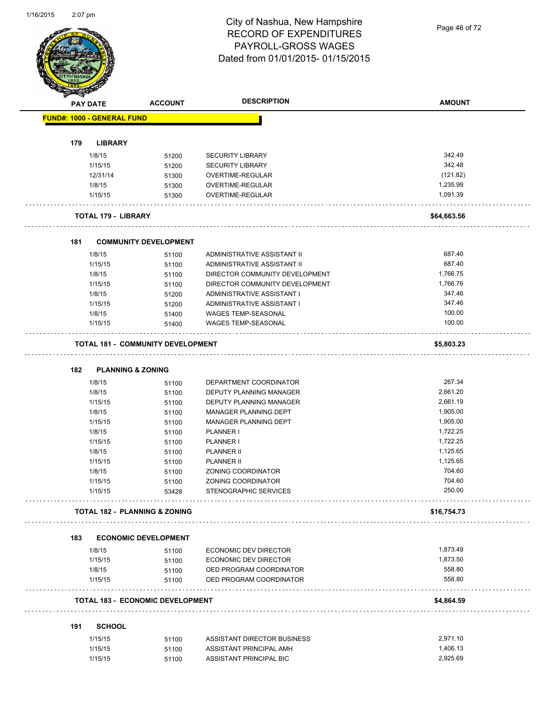Page 46 of 72

|     | <b>PAY DATE</b>                   | <b>ACCOUNT</b>                           | <b>DESCRIPTION</b>                                | <b>AMOUNT</b> |
|-----|-----------------------------------|------------------------------------------|---------------------------------------------------|---------------|
|     | <b>FUND#: 1000 - GENERAL FUND</b> |                                          |                                                   |               |
|     |                                   |                                          |                                                   |               |
| 179 | <b>LIBRARY</b>                    |                                          |                                                   |               |
|     | 1/8/15                            | 51200                                    | <b>SECURITY LIBRARY</b>                           | 342.49        |
|     | 1/15/15                           | 51200                                    | <b>SECURITY LIBRARY</b>                           | 342.48        |
|     | 12/31/14                          | 51300                                    | <b>OVERTIME-REGULAR</b>                           | (121.82)      |
|     | 1/8/15                            | 51300                                    | OVERTIME-REGULAR                                  | 1,235.99      |
|     | 1/15/15                           | 51300                                    | OVERTIME-REGULAR                                  | 1,091.39      |
|     | <b>TOTAL 179 - LIBRARY</b>        |                                          |                                                   | \$64,663.56   |
| 181 |                                   | <b>COMMUNITY DEVELOPMENT</b>             |                                                   |               |
|     | 1/8/15                            | 51100                                    | ADMINISTRATIVE ASSISTANT II                       | 687.40        |
|     | 1/15/15                           | 51100                                    | ADMINISTRATIVE ASSISTANT II                       | 687.40        |
|     | 1/8/15                            | 51100                                    | DIRECTOR COMMUNITY DEVELOPMENT                    | 1,766.75      |
|     | 1/15/15                           | 51100                                    | DIRECTOR COMMUNITY DEVELOPMENT                    | 1,766.76      |
|     | 1/8/15                            | 51200                                    | ADMINISTRATIVE ASSISTANT I                        | 347.46        |
|     | 1/15/15                           | 51200                                    | ADMINISTRATIVE ASSISTANT I                        | 347.46        |
|     |                                   |                                          |                                                   | 100.00        |
|     | 1/8/15<br>1/15/15                 | 51400<br>51400                           | WAGES TEMP-SEASONAL<br><b>WAGES TEMP-SEASONAL</b> | 100.00        |
|     |                                   |                                          |                                                   |               |
|     |                                   | <b>TOTAL 181 - COMMUNITY DEVELOPMENT</b> |                                                   | \$5,803.23    |
| 182 | <b>PLANNING &amp; ZONING</b>      |                                          |                                                   |               |
|     | 1/8/15                            | 51100                                    | DEPARTMENT COORDINATOR                            | 267.34        |
|     | 1/8/15                            | 51100                                    | DEPUTY PLANNING MANAGER                           | 2,661.20      |
|     | 1/15/15                           | 51100                                    | DEPUTY PLANNING MANAGER                           | 2,661.19      |
|     | 1/8/15                            | 51100                                    | MANAGER PLANNING DEPT                             | 1,905.00      |
|     | 1/15/15                           | 51100                                    | MANAGER PLANNING DEPT                             | 1,905.00      |
|     | 1/8/15                            | 51100                                    | PLANNER I                                         | 1,722.25      |
|     | 1/15/15                           | 51100                                    | PLANNER I                                         | 1,722.25      |
|     | 1/8/15                            | 51100                                    | PLANNER II                                        | 1,125.65      |
|     | 1/15/15                           |                                          | <b>PLANNER II</b>                                 | 1,125.65      |
|     |                                   | 51100                                    |                                                   | 704.60        |
|     | 1/8/15                            | 51100                                    | ZONING COORDINATOR                                |               |
|     | 1/15/15                           | 51100                                    | ZONING COORDINATOR                                | 704.60        |
|     | 1/15/15                           | 53428                                    | STENOGRAPHIC SERVICES                             | 250.00        |
|     |                                   | <b>TOTAL 182 - PLANNING &amp; ZONING</b> |                                                   | \$16,754.73   |
| 183 |                                   | <b>ECONOMIC DEVELOPMENT</b>              |                                                   |               |
|     | 1/8/15                            | 51100                                    | ECONOMIC DEV DIRECTOR                             | 1,873.49      |
|     | 1/15/15                           | 51100                                    | ECONOMIC DEV DIRECTOR                             | 1,873.50      |
|     | 1/8/15                            | 51100                                    | OED PROGRAM COORDINATOR                           | 558.80        |
|     | 1/15/15                           | 51100                                    | OED PROGRAM COORDINATOR                           | 558.80        |
|     |                                   |                                          |                                                   |               |
|     |                                   | <b>TOTAL 183 - ECONOMIC DEVELOPMENT</b>  |                                                   | \$4,864.59    |
| 191 | <b>SCHOOL</b>                     |                                          |                                                   |               |
|     | 1/15/15                           | 51100                                    | ASSISTANT DIRECTOR BUSINESS                       | 2,971.10      |
|     | 1/15/15                           | 51100                                    | ASSISTANT PRINCIPAL AMH                           | 1,406.13      |
|     |                                   |                                          |                                                   |               |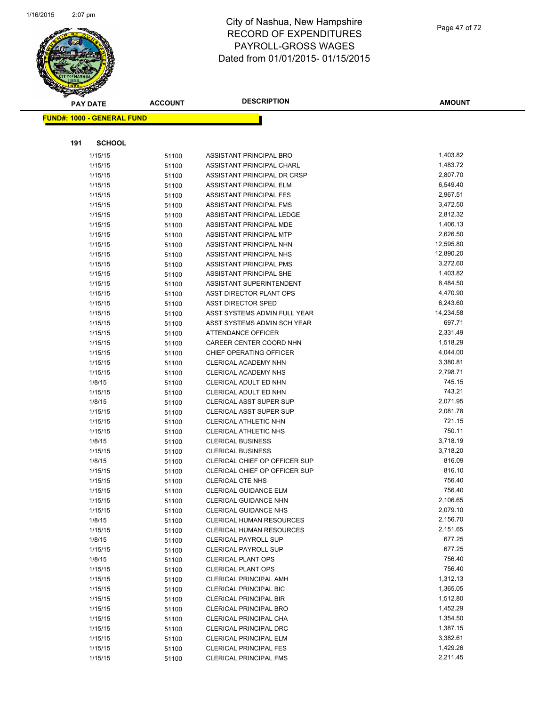

|     | <b>PAY DATE</b>                   | <b>ACCOUNT</b> | <b>DESCRIPTION</b>                               | <b>AMOUNT</b>        |
|-----|-----------------------------------|----------------|--------------------------------------------------|----------------------|
|     | <b>FUND#: 1000 - GENERAL FUND</b> |                |                                                  |                      |
|     |                                   |                |                                                  |                      |
|     |                                   |                |                                                  |                      |
| 191 | <b>SCHOOL</b>                     |                |                                                  |                      |
|     | 1/15/15                           | 51100          | ASSISTANT PRINCIPAL BRO                          | 1,403.82             |
|     | 1/15/15                           | 51100          | ASSISTANT PRINCIPAL CHARL                        | 1,483.72             |
|     | 1/15/15                           | 51100          | ASSISTANT PRINCIPAL DR CRSP                      | 2,807.70             |
|     | 1/15/15                           | 51100          | ASSISTANT PRINCIPAL ELM                          | 6,549.40             |
|     | 1/15/15                           | 51100          | ASSISTANT PRINCIPAL FES                          | 2,967.51             |
|     | 1/15/15                           | 51100          | ASSISTANT PRINCIPAL FMS                          | 3,472.50             |
|     | 1/15/15                           | 51100          | ASSISTANT PRINCIPAL LEDGE                        | 2,812.32             |
|     | 1/15/15                           | 51100          | ASSISTANT PRINCIPAL MDE                          | 1,406.13             |
|     | 1/15/15                           | 51100          | ASSISTANT PRINCIPAL MTP                          | 2,626.50             |
|     | 1/15/15                           | 51100          | ASSISTANT PRINCIPAL NHN                          | 12,595.80            |
|     | 1/15/15                           | 51100          | ASSISTANT PRINCIPAL NHS                          | 12,890.20            |
|     | 1/15/15                           | 51100          | ASSISTANT PRINCIPAL PMS                          | 3,272.60             |
|     | 1/15/15                           | 51100          | ASSISTANT PRINCIPAL SHE                          | 1,403.82             |
|     | 1/15/15                           | 51100          | ASSISTANT SUPERINTENDENT                         | 8,484.50             |
|     | 1/15/15                           | 51100          | ASST DIRECTOR PLANT OPS                          | 4,470.90             |
|     | 1/15/15                           | 51100          | <b>ASST DIRECTOR SPED</b>                        | 6,243.60             |
|     | 1/15/15                           | 51100          | ASST SYSTEMS ADMIN FULL YEAR                     | 14,234.58            |
|     | 1/15/15                           | 51100          | ASST SYSTEMS ADMIN SCH YEAR                      | 697.71               |
|     | 1/15/15                           | 51100          | ATTENDANCE OFFICER                               | 2,331.49             |
|     | 1/15/15                           | 51100          | CAREER CENTER COORD NHN                          | 1,518.29             |
|     | 1/15/15                           | 51100          | CHIEF OPERATING OFFICER                          | 4,044.00             |
|     | 1/15/15                           | 51100          | CLERICAL ACADEMY NHN                             | 3,380.81<br>2,798.71 |
|     | 1/15/15                           | 51100          | CLERICAL ACADEMY NHS                             | 745.15               |
|     | 1/8/15                            | 51100          | CLERICAL ADULT ED NHN                            | 743.21               |
|     | 1/15/15<br>1/8/15                 | 51100          | CLERICAL ADULT ED NHN<br>CLERICAL ASST SUPER SUP | 2,071.95             |
|     | 1/15/15                           | 51100          | <b>CLERICAL ASST SUPER SUP</b>                   | 2,081.78             |
|     | 1/15/15                           | 51100<br>51100 | CLERICAL ATHLETIC NHN                            | 721.15               |
|     | 1/15/15                           | 51100          | CLERICAL ATHLETIC NHS                            | 750.11               |
|     | 1/8/15                            | 51100          | <b>CLERICAL BUSINESS</b>                         | 3,718.19             |
|     | 1/15/15                           | 51100          | <b>CLERICAL BUSINESS</b>                         | 3,718.20             |
|     | 1/8/15                            | 51100          | CLERICAL CHIEF OP OFFICER SUP                    | 816.09               |
|     | 1/15/15                           | 51100          | CLERICAL CHIEF OP OFFICER SUP                    | 816.10               |
|     | 1/15/15                           | 51100          | CLERICAL CTE NHS                                 | 756.40               |
|     | 1/15/15                           | 51100          | <b>CLERICAL GUIDANCE ELM</b>                     | 756.40               |
|     | 1/15/15                           | 51100          | CLERICAL GUIDANCE NHN                            | 2,106.65             |
|     | 1/15/15                           | 51100          | <b>CLERICAL GUIDANCE NHS</b>                     | 2,079.10             |
|     | 1/8/15                            | 51100          | CLERICAL HUMAN RESOURCES                         | 2,156.70             |
|     | 1/15/15                           | 51100          | CLERICAL HUMAN RESOURCES                         | 2,151.65             |
|     | 1/8/15                            | 51100          | <b>CLERICAL PAYROLL SUP</b>                      | 677.25               |
|     | 1/15/15                           | 51100          | <b>CLERICAL PAYROLL SUP</b>                      | 677.25               |
|     | 1/8/15                            | 51100          | <b>CLERICAL PLANT OPS</b>                        | 756.40               |
|     | 1/15/15                           | 51100          | <b>CLERICAL PLANT OPS</b>                        | 756.40               |
|     | 1/15/15                           | 51100          | <b>CLERICAL PRINCIPAL AMH</b>                    | 1,312.13             |
|     | 1/15/15                           | 51100          | <b>CLERICAL PRINCIPAL BIC</b>                    | 1,365.05             |
|     | 1/15/15                           | 51100          | <b>CLERICAL PRINCIPAL BIR</b>                    | 1,512.80             |
|     | 1/15/15                           | 51100          | <b>CLERICAL PRINCIPAL BRO</b>                    | 1,452.29             |
|     | 1/15/15                           | 51100          | CLERICAL PRINCIPAL CHA                           | 1,354.50             |
|     | 1/15/15                           | 51100          | <b>CLERICAL PRINCIPAL DRC</b>                    | 1,387.15             |
|     | 1/15/15                           | 51100          | <b>CLERICAL PRINCIPAL ELM</b>                    | 3,382.61             |
|     | 1/15/15                           | 51100          | <b>CLERICAL PRINCIPAL FES</b>                    | 1,429.26             |
|     | 1/15/15                           | 51100          | <b>CLERICAL PRINCIPAL FMS</b>                    | 2,211.45             |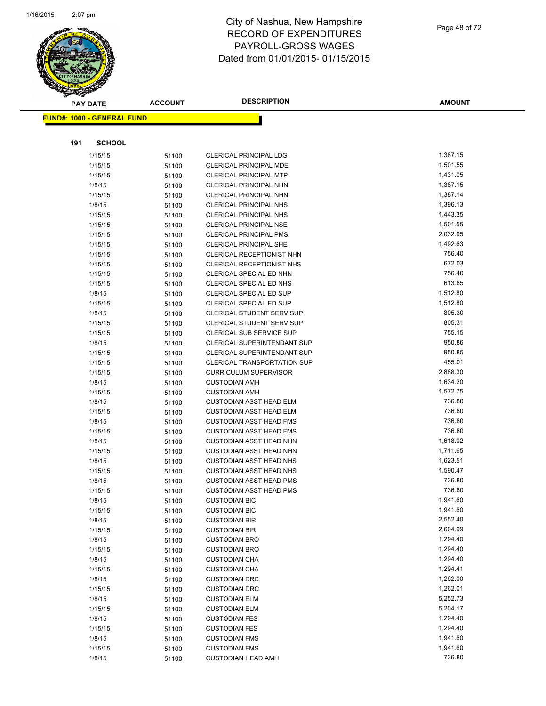

|     | <b>PAY DATE</b>                   | <b>ACCOUNT</b> | <b>DESCRIPTION</b>                           | <b>AMOUNT</b>        |
|-----|-----------------------------------|----------------|----------------------------------------------|----------------------|
|     | <b>FUND#: 1000 - GENERAL FUND</b> |                |                                              |                      |
|     |                                   |                |                                              |                      |
| 191 | <b>SCHOOL</b>                     |                |                                              |                      |
|     | 1/15/15                           | 51100          | CLERICAL PRINCIPAL LDG                       | 1,387.15             |
|     | 1/15/15                           | 51100          | <b>CLERICAL PRINCIPAL MDE</b>                | 1,501.55             |
|     | 1/15/15                           | 51100          | <b>CLERICAL PRINCIPAL MTP</b>                | 1,431.05             |
|     | 1/8/15                            | 51100          | CLERICAL PRINCIPAL NHN                       | 1,387.15             |
|     | 1/15/15                           | 51100          | CLERICAL PRINCIPAL NHN                       | 1,387.14             |
|     | 1/8/15                            | 51100          | <b>CLERICAL PRINCIPAL NHS</b>                | 1,396.13             |
|     | 1/15/15                           | 51100          | <b>CLERICAL PRINCIPAL NHS</b>                | 1,443.35             |
|     | 1/15/15                           | 51100          | <b>CLERICAL PRINCIPAL NSE</b>                | 1,501.55             |
|     | 1/15/15                           | 51100          | <b>CLERICAL PRINCIPAL PMS</b>                | 2,032.95             |
|     | 1/15/15                           | 51100          | <b>CLERICAL PRINCIPAL SHE</b>                | 1,492.63             |
|     | 1/15/15                           | 51100          | CLERICAL RECEPTIONIST NHN                    | 756.40               |
|     | 1/15/15                           | 51100          | <b>CLERICAL RECEPTIONIST NHS</b>             | 672.03               |
|     | 1/15/15                           | 51100          | CLERICAL SPECIAL ED NHN                      | 756.40               |
|     | 1/15/15                           | 51100          | CLERICAL SPECIAL ED NHS                      | 613.85               |
|     | 1/8/15                            | 51100          | CLERICAL SPECIAL ED SUP                      | 1,512.80             |
|     | 1/15/15                           | 51100          | CLERICAL SPECIAL ED SUP                      | 1,512.80             |
|     | 1/8/15                            | 51100          | <b>CLERICAL STUDENT SERV SUP</b>             | 805.30               |
|     | 1/15/15                           | 51100          | CLERICAL STUDENT SERV SUP                    | 805.31               |
|     | 1/15/15                           | 51100          | <b>CLERICAL SUB SERVICE SUP</b>              | 755.15               |
|     | 1/8/15                            | 51100          | CLERICAL SUPERINTENDANT SUP                  | 950.86               |
|     | 1/15/15                           | 51100          | <b>CLERICAL SUPERINTENDANT SUP</b>           | 950.85               |
|     | 1/15/15                           | 51100          | <b>CLERICAL TRANSPORTATION SUP</b>           | 455.01               |
|     | 1/15/15                           | 51100          | <b>CURRICULUM SUPERVISOR</b>                 | 2,888.30             |
|     | 1/8/15                            | 51100          | <b>CUSTODIAN AMH</b>                         | 1,634.20             |
|     | 1/15/15                           | 51100          | <b>CUSTODIAN AMH</b>                         | 1,572.75             |
|     | 1/8/15                            | 51100          | <b>CUSTODIAN ASST HEAD ELM</b>               | 736.80               |
|     | 1/15/15                           | 51100          | <b>CUSTODIAN ASST HEAD ELM</b>               | 736.80               |
|     | 1/8/15                            | 51100          | <b>CUSTODIAN ASST HEAD FMS</b>               | 736.80               |
|     | 1/15/15                           | 51100          | <b>CUSTODIAN ASST HEAD FMS</b>               | 736.80               |
|     | 1/8/15                            | 51100          | <b>CUSTODIAN ASST HEAD NHN</b>               | 1,618.02             |
|     | 1/15/15                           | 51100          | <b>CUSTODIAN ASST HEAD NHN</b>               | 1,711.65             |
|     | 1/8/15                            | 51100          | <b>CUSTODIAN ASST HEAD NHS</b>               | 1,623.51             |
|     | 1/15/15                           | 51100          | <b>CUSTODIAN ASST HEAD NHS</b>               | 1,590.47             |
|     | 1/8/15                            | 51100          | <b>CUSTODIAN ASST HEAD PMS</b>               | 736.80               |
|     | 1/15/15                           | 51100          | <b>CUSTODIAN ASST HEAD PMS</b>               | 736.80               |
|     | 1/8/15                            | 51100          | <b>CUSTODIAN BIC</b>                         | 1,941.60<br>1,941.60 |
|     | 1/15/15<br>1/8/15                 | 51100          | <b>CUSTODIAN BIC</b><br><b>CUSTODIAN BIR</b> | 2,552.40             |
|     | 1/15/15                           | 51100<br>51100 | <b>CUSTODIAN BIR</b>                         | 2,604.99             |
|     | 1/8/15                            | 51100          | <b>CUSTODIAN BRO</b>                         | 1,294.40             |
|     | 1/15/15                           | 51100          | <b>CUSTODIAN BRO</b>                         | 1,294.40             |
|     | 1/8/15                            | 51100          | <b>CUSTODIAN CHA</b>                         | 1,294.40             |
|     | 1/15/15                           | 51100          | <b>CUSTODIAN CHA</b>                         | 1,294.41             |
|     | 1/8/15                            | 51100          | <b>CUSTODIAN DRC</b>                         | 1,262.00             |
|     | 1/15/15                           | 51100          | <b>CUSTODIAN DRC</b>                         | 1,262.01             |
|     | 1/8/15                            | 51100          | <b>CUSTODIAN ELM</b>                         | 5,252.73             |
|     | 1/15/15                           | 51100          | <b>CUSTODIAN ELM</b>                         | 5,204.17             |
|     | 1/8/15                            | 51100          | <b>CUSTODIAN FES</b>                         | 1,294.40             |
|     | 1/15/15                           | 51100          | <b>CUSTODIAN FES</b>                         | 1,294.40             |
|     | 1/8/15                            | 51100          | <b>CUSTODIAN FMS</b>                         | 1,941.60             |
|     | 1/15/15                           | 51100          | <b>CUSTODIAN FMS</b>                         | 1,941.60             |
|     | 1/8/15                            | 51100          | <b>CUSTODIAN HEAD AMH</b>                    | 736.80               |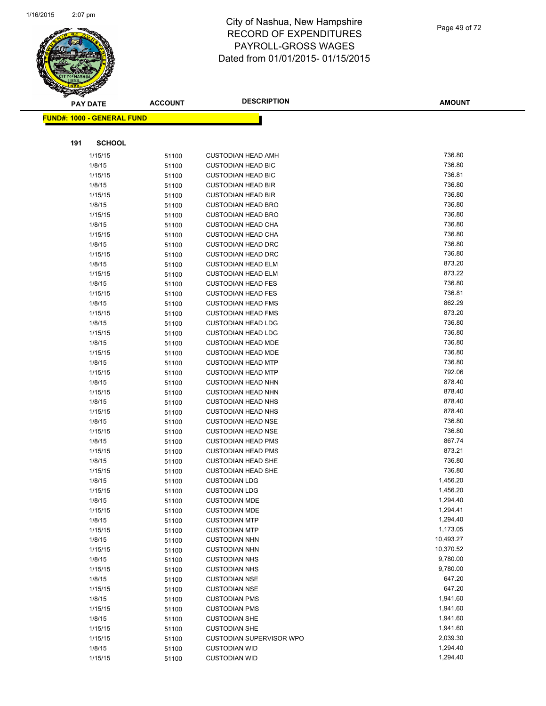

|     | <b>PAY DATE</b>                   | <b>ACCOUNT</b> | <b>DESCRIPTION</b>                                     | <b>AMOUNT</b>    |
|-----|-----------------------------------|----------------|--------------------------------------------------------|------------------|
|     | <b>FUND#: 1000 - GENERAL FUND</b> |                |                                                        |                  |
|     |                                   |                |                                                        |                  |
| 191 | <b>SCHOOL</b>                     |                |                                                        |                  |
|     |                                   |                |                                                        |                  |
|     | 1/15/15                           | 51100          | <b>CUSTODIAN HEAD AMH</b>                              | 736.80           |
|     | 1/8/15                            | 51100          | <b>CUSTODIAN HEAD BIC</b>                              | 736.80           |
|     | 1/15/15                           | 51100          | <b>CUSTODIAN HEAD BIC</b>                              | 736.81           |
|     | 1/8/15                            | 51100          | <b>CUSTODIAN HEAD BIR</b>                              | 736.80           |
|     | 1/15/15                           | 51100          | <b>CUSTODIAN HEAD BIR</b>                              | 736.80           |
|     | 1/8/15                            | 51100          | <b>CUSTODIAN HEAD BRO</b>                              | 736.80<br>736.80 |
|     | 1/15/15                           | 51100          | <b>CUSTODIAN HEAD BRO</b>                              | 736.80           |
|     | 1/8/15                            | 51100          | <b>CUSTODIAN HEAD CHA</b>                              |                  |
|     | 1/15/15                           | 51100          | <b>CUSTODIAN HEAD CHA</b>                              | 736.80<br>736.80 |
|     | 1/8/15                            | 51100          | <b>CUSTODIAN HEAD DRC</b>                              | 736.80           |
|     | 1/15/15                           | 51100          | <b>CUSTODIAN HEAD DRC</b>                              | 873.20           |
|     | 1/8/15<br>1/15/15                 | 51100          | <b>CUSTODIAN HEAD ELM</b>                              | 873.22           |
|     |                                   | 51100          | <b>CUSTODIAN HEAD ELM</b>                              | 736.80           |
|     | 1/8/15<br>1/15/15                 | 51100          | <b>CUSTODIAN HEAD FES</b><br><b>CUSTODIAN HEAD FES</b> | 736.81           |
|     | 1/8/15                            | 51100          | <b>CUSTODIAN HEAD FMS</b>                              | 862.29           |
|     | 1/15/15                           | 51100<br>51100 | <b>CUSTODIAN HEAD FMS</b>                              | 873.20           |
|     | 1/8/15                            |                | <b>CUSTODIAN HEAD LDG</b>                              | 736.80           |
|     | 1/15/15                           | 51100<br>51100 | <b>CUSTODIAN HEAD LDG</b>                              | 736.80           |
|     | 1/8/15                            | 51100          | <b>CUSTODIAN HEAD MDE</b>                              | 736.80           |
|     | 1/15/15                           | 51100          | <b>CUSTODIAN HEAD MDE</b>                              | 736.80           |
|     | 1/8/15                            | 51100          | <b>CUSTODIAN HEAD MTP</b>                              | 736.80           |
|     | 1/15/15                           | 51100          | <b>CUSTODIAN HEAD MTP</b>                              | 792.06           |
|     | 1/8/15                            | 51100          | <b>CUSTODIAN HEAD NHN</b>                              | 878.40           |
|     | 1/15/15                           | 51100          | <b>CUSTODIAN HEAD NHN</b>                              | 878.40           |
|     | 1/8/15                            | 51100          | <b>CUSTODIAN HEAD NHS</b>                              | 878.40           |
|     | 1/15/15                           | 51100          | <b>CUSTODIAN HEAD NHS</b>                              | 878.40           |
|     | 1/8/15                            | 51100          | <b>CUSTODIAN HEAD NSE</b>                              | 736.80           |
|     | 1/15/15                           | 51100          | <b>CUSTODIAN HEAD NSE</b>                              | 736.80           |
|     | 1/8/15                            | 51100          | <b>CUSTODIAN HEAD PMS</b>                              | 867.74           |
|     | 1/15/15                           | 51100          | <b>CUSTODIAN HEAD PMS</b>                              | 873.21           |
|     | 1/8/15                            | 51100          | <b>CUSTODIAN HEAD SHE</b>                              | 736.80           |
|     | 1/15/15                           | 51100          | <b>CUSTODIAN HEAD SHE</b>                              | 736.80           |
|     | 1/8/15                            | 51100          | <b>CUSTODIAN LDG</b>                                   | 1,456.20         |
|     | 1/15/15                           | 51100          | <b>CUSTODIAN LDG</b>                                   | 1,456.20         |
|     | 1/8/15                            | 51100          | <b>CUSTODIAN MDE</b>                                   | 1,294.40         |
|     | 1/15/15                           | 51100          | <b>CUSTODIAN MDE</b>                                   | 1,294.41         |
|     | 1/8/15                            | 51100          | <b>CUSTODIAN MTP</b>                                   | 1,294.40         |
|     | 1/15/15                           | 51100          | <b>CUSTODIAN MTP</b>                                   | 1,173.05         |
|     | 1/8/15                            | 51100          | <b>CUSTODIAN NHN</b>                                   | 10,493.27        |
|     | 1/15/15                           | 51100          | <b>CUSTODIAN NHN</b>                                   | 10,370.52        |
|     | 1/8/15                            | 51100          | <b>CUSTODIAN NHS</b>                                   | 9,780.00         |
|     | 1/15/15                           | 51100          | <b>CUSTODIAN NHS</b>                                   | 9,780.00         |
|     | 1/8/15                            | 51100          | <b>CUSTODIAN NSE</b>                                   | 647.20           |
|     | 1/15/15                           | 51100          | <b>CUSTODIAN NSE</b>                                   | 647.20           |
|     | 1/8/15                            | 51100          | <b>CUSTODIAN PMS</b>                                   | 1,941.60         |
|     | 1/15/15                           | 51100          | <b>CUSTODIAN PMS</b>                                   | 1,941.60         |
|     | 1/8/15                            | 51100          | <b>CUSTODIAN SHE</b>                                   | 1,941.60         |
|     | 1/15/15                           | 51100          | <b>CUSTODIAN SHE</b>                                   | 1,941.60         |
|     | 1/15/15                           | 51100          | <b>CUSTODIAN SUPERVISOR WPO</b>                        | 2,039.30         |
|     | 1/8/15                            | 51100          | <b>CUSTODIAN WID</b>                                   | 1,294.40         |
|     | 1/15/15                           | 51100          | <b>CUSTODIAN WID</b>                                   | 1,294.40         |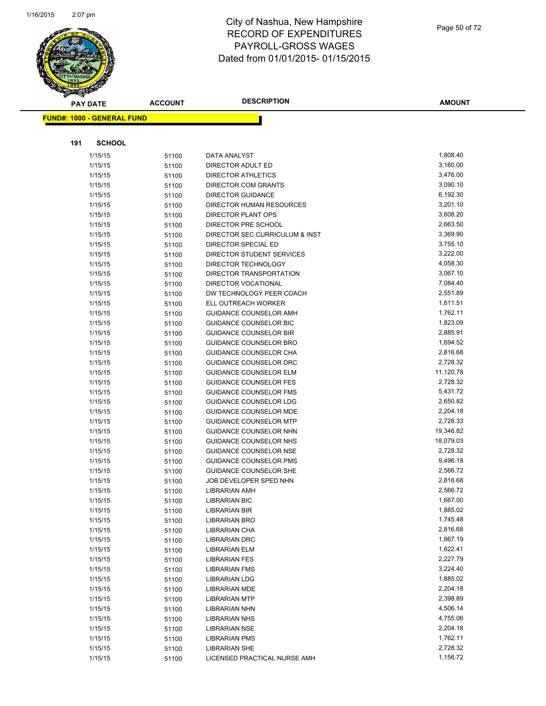

|     | <b>PAY DATE</b>                   | <b>ACCOUNT</b> | <b>DESCRIPTION</b>             | <b>AMOUNT</b> |
|-----|-----------------------------------|----------------|--------------------------------|---------------|
|     | <b>FUND#: 1000 - GENERAL FUND</b> |                |                                |               |
|     |                                   |                |                                |               |
| 191 | <b>SCHOOL</b>                     |                |                                |               |
|     | 1/15/15                           | 51100          | DATA ANALYST                   | 1,808.40      |
|     | 1/15/15                           | 51100          | DIRECTOR ADULT ED              | 3,160.00      |
|     | 1/15/15                           | 51100          | <b>DIRECTOR ATHLETICS</b>      | 3,476.00      |
|     | 1/15/15                           | 51100          | DIRECTOR COM GRANTS            | 3,090.10      |
|     | 1/15/15                           | 51100          | <b>DIRECTOR GUIDANCE</b>       | 6,192.30      |
|     | 1/15/15                           | 51100          | DIRECTOR HUMAN RESOURCES       | 3,201.10      |
|     | 1/15/15                           | 51100          | <b>DIRECTOR PLANT OPS</b>      | 3,608.20      |
|     | 1/15/15                           | 51100          | DIRECTOR PRE SCHOOL            | 2,663.50      |
|     | 1/15/15                           | 51100          | DIRECTOR SEC CURRICULUM & INST | 3,369.90      |
|     | 1/15/15                           | 51100          | DIRECTOR SPECIAL ED            | 3,755.10      |
|     | 1/15/15                           | 51100          | DIRECTOR STUDENT SERVICES      | 3,222.00      |
|     | 1/15/15                           | 51100          | DIRECTOR TECHNOLOGY            | 4,058.30      |
|     | 1/15/15                           | 51100          | DIRECTOR TRANSPORTATION        | 3,067.10      |
|     | 1/15/15                           | 51100          | DIRECTOR VOCATIONAL            | 7,084.40      |
|     | 1/15/15                           | 51100          | DW TECHNOLOGY PEER COACH       | 2,551.89      |
|     | 1/15/15                           | 51100          | ELL OUTREACH WORKER            | 1,611.51      |
|     | 1/15/15                           | 51100          | <b>GUIDANCE COUNSELOR AMH</b>  | 1,762.11      |
|     | 1/15/15                           | 51100          | <b>GUIDANCE COUNSELOR BIC</b>  | 1,823.09      |
|     | 1/15/15                           | 51100          | <b>GUIDANCE COUNSELOR BIR</b>  | 2,885.91      |
|     | 1/15/15                           | 51100          | GUIDANCE COUNSELOR BRO         | 1,694.52      |
|     | 1/15/15                           | 51100          | GUIDANCE COUNSELOR CHA         | 2,816.68      |
|     | 1/15/15                           | 51100          | GUIDANCE COUNSELOR DRC         | 2,728.32      |
|     | 1/15/15                           | 51100          | <b>GUIDANCE COUNSELOR ELM</b>  | 11,120.78     |
|     | 1/15/15                           | 51100          | <b>GUIDANCE COUNSELOR FES</b>  | 2,728.32      |
|     | 1/15/15                           | 51100          | <b>GUIDANCE COUNSELOR FMS</b>  | 5,431.72      |
|     | 1/15/15                           | 51100          | <b>GUIDANCE COUNSELOR LDG</b>  | 2,650.82      |
|     | 1/15/15                           | 51100          | <b>GUIDANCE COUNSELOR MDE</b>  | 2,204.18      |
|     | 1/15/15                           | 51100          | <b>GUIDANCE COUNSELOR MTP</b>  | 2,728.33      |
|     | 1/15/15                           | 51100          | <b>GUIDANCE COUNSELOR NHN</b>  | 19,346.82     |
|     | 1/15/15                           | 51100          | GUIDANCE COUNSELOR NHS         | 18,079.03     |
|     | 1/15/15                           | 51100          | <b>GUIDANCE COUNSELOR NSE</b>  | 2,728.32      |
|     | 1/15/15                           | 51100          | <b>GUIDANCE COUNSELOR PMS</b>  | 9,496.18      |
|     | 1/15/15                           | 51100          | GUIDANCE COUNSELOR SHE         | 2,566.72      |
|     | 1/15/15                           | 51100          | JOB DEVELOPER SPED NHN         | 2,816.68      |
|     | 1/15/15                           | 51100          | <b>LIBRARIAN AMH</b>           | 2,566.72      |
|     | 1/15/15                           | 51100          | <b>LIBRARIAN BIC</b>           | 1,667.00      |
|     | 1/15/15                           | 51100          | <b>LIBRARIAN BIR</b>           | 1,885.02      |
|     | 1/15/15                           | 51100          | LIBRARIAN BRO                  | 1,745.48      |
|     | 1/15/15                           | 51100          | LIBRARIAN CHA                  | 2,816.68      |
|     | 1/15/15                           | 51100          | LIBRARIAN DRC                  | 1,867.19      |
|     | 1/15/15                           | 51100          | <b>LIBRARIAN ELM</b>           | 1,622.41      |
|     | 1/15/15                           | 51100          | <b>LIBRARIAN FES</b>           | 2,227.79      |
|     | 1/15/15                           | 51100          | <b>LIBRARIAN FMS</b>           | 3,224.40      |
|     | 1/15/15                           | 51100          | <b>LIBRARIAN LDG</b>           | 1,885.02      |
|     | 1/15/15                           | 51100          | <b>LIBRARIAN MDE</b>           | 2,204.18      |
|     | 1/15/15                           | 51100          | <b>LIBRARIAN MTP</b>           | 2,398.89      |
|     | 1/15/15                           | 51100          | <b>LIBRARIAN NHN</b>           | 4,506.14      |
|     | 1/15/15                           | 51100          | <b>LIBRARIAN NHS</b>           | 4,755.06      |
|     | 1/15/15                           | 51100          | LIBRARIAN NSE                  | 2,204.18      |
|     | 1/15/15                           | 51100          | <b>LIBRARIAN PMS</b>           | 1,762.11      |
|     | 1/15/15                           | 51100          | <b>LIBRARIAN SHE</b>           | 2,728.32      |
|     | 1/15/15                           | 51100          | LICENSED PRACTICAL NURSE AMH   | 1,156.72      |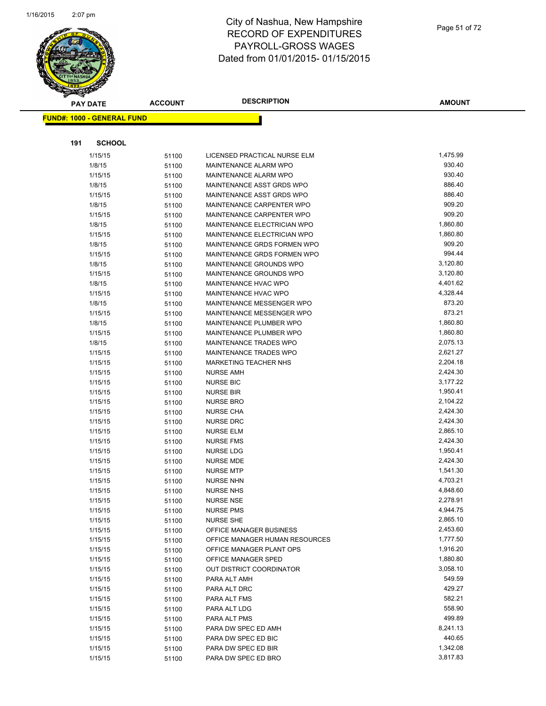

**AMOUNT**

| <b>FUND#: 1000 - GENERAL FUND</b> |                |                                      |                      |
|-----------------------------------|----------------|--------------------------------------|----------------------|
|                                   |                |                                      |                      |
| 191                               | <b>SCHOOL</b>  |                                      |                      |
| 1/15/15                           | 51100          | LICENSED PRACTICAL NURSE ELM         | 1,475.99             |
| 1/8/15                            | 51100          | MAINTENANCE ALARM WPO                | 930.40               |
| 1/15/15                           | 51100          | MAINTENANCE ALARM WPO                | 930.40               |
| 1/8/15                            | 51100          | MAINTENANCE ASST GRDS WPO            | 886.40               |
| 1/15/15                           | 51100          | MAINTENANCE ASST GRDS WPO            | 886.40               |
| 1/8/15                            | 51100          | MAINTENANCE CARPENTER WPO            | 909.20               |
| 1/15/15                           | 51100          | MAINTENANCE CARPENTER WPO            | 909.20               |
| 1/8/15                            | 51100          | MAINTENANCE ELECTRICIAN WPO          | 1,860.80             |
| 1/15/15                           | 51100          | MAINTENANCE ELECTRICIAN WPO          | 1,860.80             |
| 1/8/15                            | 51100          | MAINTENANCE GRDS FORMEN WPO          | 909.20               |
| 1/15/15                           | 51100          | MAINTENANCE GRDS FORMEN WPO          | 994.44               |
| 1/8/15                            | 51100          | MAINTENANCE GROUNDS WPO              | 3,120.80             |
| 1/15/15                           | 51100          | MAINTENANCE GROUNDS WPO              | 3,120.80             |
| 1/8/15                            | 51100          | MAINTENANCE HVAC WPO                 | 4,401.62             |
| 1/15/15                           | 51100          | MAINTENANCE HVAC WPO                 | 4,328.44             |
| 1/8/15                            | 51100          | MAINTENANCE MESSENGER WPO            | 873.20               |
| 1/15/15                           | 51100          | MAINTENANCE MESSENGER WPO            | 873.21               |
| 1/8/15                            | 51100          | MAINTENANCE PLUMBER WPO              | 1,860.80             |
| 1/15/15                           | 51100          | MAINTENANCE PLUMBER WPO              | 1,860.80             |
| 1/8/15                            | 51100          | MAINTENANCE TRADES WPO               | 2,075.13             |
| 1/15/15                           | 51100          | MAINTENANCE TRADES WPO               | 2,621.27             |
| 1/15/15                           | 51100          | MARKETING TEACHER NHS                | 2,204.18             |
| 1/15/15                           | 51100          | <b>NURSE AMH</b>                     | 2,424.30             |
| 1/15/15                           | 51100          | <b>NURSE BIC</b>                     | 3,177.22             |
| 1/15/15                           | 51100          | <b>NURSE BIR</b>                     | 1,950.41             |
| 1/15/15                           | 51100          | <b>NURSE BRO</b>                     | 2,104.22             |
| 1/15/15                           | 51100          | <b>NURSE CHA</b>                     | 2,424.30             |
| 1/15/15                           | 51100          | <b>NURSE DRC</b>                     | 2,424.30             |
| 1/15/15                           | 51100          | <b>NURSE ELM</b>                     | 2,865.10             |
| 1/15/15                           | 51100          | <b>NURSE FMS</b>                     | 2,424.30             |
| 1/15/15                           | 51100          | <b>NURSE LDG</b>                     | 1,950.41             |
| 1/15/15                           | 51100          | <b>NURSE MDE</b>                     | 2,424.30             |
| 1/15/15                           | 51100          | <b>NURSE MTP</b>                     | 1,541.30             |
| 1/15/15                           | 51100          | <b>NURSE NHN</b>                     | 4,703.21             |
| 1/15/15<br>1/15/15                | 51100          | <b>NURSE NHS</b><br><b>NURSE NSE</b> | 4,848.60<br>2,278.91 |
| 1/15/15                           | 51100          | <b>NURSE PMS</b>                     | 4,944.75             |
| 1/15/15                           | 51100          | <b>NURSE SHE</b>                     | 2,865.10             |
| 1/15/15                           | 51100<br>51100 | OFFICE MANAGER BUSINESS              | 2,453.60             |
| 1/15/15                           | 51100          | OFFICE MANAGER HUMAN RESOURCES       | 1,777.50             |
| 1/15/15                           | 51100          | OFFICE MANAGER PLANT OPS             | 1,916.20             |
| 1/15/15                           | 51100          | OFFICE MANAGER SPED                  | 1,880.80             |
| 1/15/15                           | 51100          | OUT DISTRICT COORDINATOR             | 3,058.10             |
| 1/15/15                           | 51100          | PARA ALT AMH                         | 549.59               |
| 1/15/15                           | 51100          | PARA ALT DRC                         | 429.27               |
| 1/15/15                           | 51100          | PARA ALT FMS                         | 582.21               |
| 1/15/15                           | 51100          | PARA ALT LDG                         | 558.90               |
| 1/15/15                           | 51100          | PARA ALT PMS                         | 499.89               |
| 1/15/15                           | 51100          | PARA DW SPEC ED AMH                  | 8,241.13             |
| 1/15/15                           | 51100          | PARA DW SPEC ED BIC                  | 440.65               |
| 1/15/15                           | 51100          | PARA DW SPEC ED BIR                  | 1,342.08             |
| 1/15/15                           | 51100          | PARA DW SPEC ED BRO                  | 3,817.83             |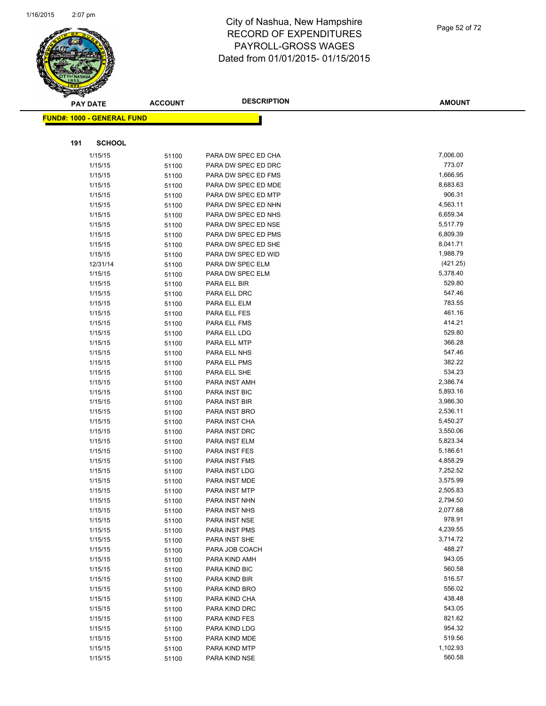

|     | <b>PAY DATE</b>                   | <b>ACCOUNT</b> | <b>DESCRIPTION</b>                         | <b>AMOUNT</b>      |
|-----|-----------------------------------|----------------|--------------------------------------------|--------------------|
|     | <b>FUND#: 1000 - GENERAL FUND</b> |                |                                            |                    |
|     |                                   |                |                                            |                    |
| 191 | <b>SCHOOL</b>                     |                |                                            |                    |
|     |                                   |                |                                            |                    |
|     | 1/15/15                           | 51100          | PARA DW SPEC ED CHA                        | 7,006.00<br>773.07 |
|     | 1/15/15                           | 51100          | PARA DW SPEC ED DRC                        | 1,666.95           |
|     | 1/15/15<br>1/15/15                | 51100          | PARA DW SPEC ED FMS<br>PARA DW SPEC ED MDE | 8,683.63           |
|     | 1/15/15                           | 51100          | PARA DW SPEC ED MTP                        | 906.31             |
|     | 1/15/15                           | 51100<br>51100 | PARA DW SPEC ED NHN                        | 4,563.11           |
|     | 1/15/15                           | 51100          | PARA DW SPEC ED NHS                        | 6,659.34           |
|     | 1/15/15                           | 51100          | PARA DW SPEC ED NSE                        | 5,517.79           |
|     | 1/15/15                           | 51100          | PARA DW SPEC ED PMS                        | 6,809.39           |
|     | 1/15/15                           | 51100          | PARA DW SPEC ED SHE                        | 8,041.71           |
|     | 1/15/15                           | 51100          | PARA DW SPEC ED WID                        | 1,988.79           |
|     | 12/31/14                          | 51100          | PARA DW SPEC ELM                           | (421.25)           |
|     | 1/15/15                           | 51100          | PARA DW SPEC ELM                           | 5,378.40           |
|     | 1/15/15                           | 51100          | PARA ELL BIR                               | 529.80             |
|     | 1/15/15                           | 51100          | PARA ELL DRC                               | 547.46             |
|     | 1/15/15                           | 51100          | PARA ELL ELM                               | 783.55             |
|     | 1/15/15                           | 51100          | PARA ELL FES                               | 461.16             |
|     | 1/15/15                           | 51100          | PARA ELL FMS                               | 414.21             |
|     | 1/15/15                           | 51100          | PARA ELL LDG                               | 529.80             |
|     | 1/15/15                           | 51100          | PARA ELL MTP                               | 366.28             |
|     | 1/15/15                           | 51100          | PARA ELL NHS                               | 547.46             |
|     | 1/15/15                           | 51100          | PARA ELL PMS                               | 382.22             |
|     | 1/15/15                           | 51100          | PARA ELL SHE                               | 534.23             |
|     | 1/15/15                           | 51100          | PARA INST AMH                              | 2,386.74           |
|     | 1/15/15                           | 51100          | PARA INST BIC                              | 5,893.16           |
|     | 1/15/15                           | 51100          | PARA INST BIR                              | 3,986.30           |
|     | 1/15/15                           | 51100          | PARA INST BRO                              | 2,536.11           |
|     | 1/15/15                           | 51100          | PARA INST CHA                              | 5,450.27           |
|     | 1/15/15                           | 51100          | PARA INST DRC                              | 3,550.06           |
|     | 1/15/15                           | 51100          | PARA INST ELM                              | 5,823.34           |
|     | 1/15/15                           | 51100          | PARA INST FES                              | 5,186.61           |
|     | 1/15/15                           | 51100          | PARA INST FMS                              | 4,858.29           |
|     | 1/15/15                           | 51100          | PARA INST LDG                              | 7,252.52           |
|     | 1/15/15                           | 51100          | PARA INST MDE                              | 3,575.99           |
|     | 1/15/15                           | 51100          | <b>PARA INST MTP</b>                       | 2,505.83           |
|     | 1/15/15                           | 51100          | PARA INST NHN                              | 2,794.50           |
|     | 1/15/15                           | 51100          | PARA INST NHS                              | 2,077.68           |
|     | 1/15/15                           | 51100          | PARA INST NSE                              | 978.91             |
|     | 1/15/15                           | 51100          | PARA INST PMS                              | 4,239.55           |
|     | 1/15/15                           | 51100          | PARA INST SHE                              | 3,714.72           |
|     | 1/15/15                           | 51100          | PARA JOB COACH                             | 488.27             |
|     | 1/15/15                           | 51100          | PARA KIND AMH                              | 943.05             |
|     | 1/15/15                           | 51100          | PARA KIND BIC                              | 560.58             |
|     | 1/15/15                           | 51100          | PARA KIND BIR                              | 516.57             |
|     | 1/15/15                           | 51100          | PARA KIND BRO                              | 556.02             |
|     | 1/15/15                           | 51100          | PARA KIND CHA                              | 438.48             |
|     | 1/15/15                           | 51100          | PARA KIND DRC                              | 543.05             |
|     | 1/15/15                           | 51100          | PARA KIND FES                              | 821.62             |
|     | 1/15/15                           | 51100          | PARA KIND LDG                              | 954.32             |
|     | 1/15/15                           | 51100          | PARA KIND MDE                              | 519.56             |
|     | 1/15/15                           | 51100          | PARA KIND MTP                              | 1,102.93           |
|     | 1/15/15                           | 51100          | PARA KIND NSE                              | 560.58             |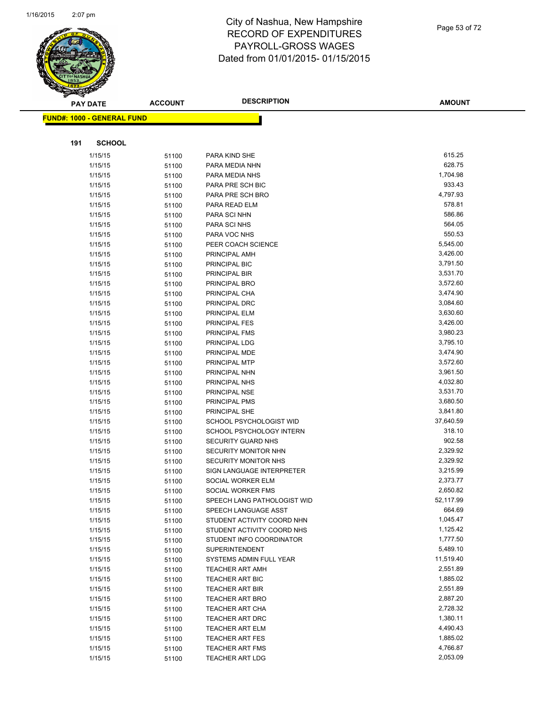

Page 53 of 72

|     | <b>PAY DATE</b>                   | <b>ACCOUNT</b> | <b>DESCRIPTION</b>                                       | <b>AMOUNT</b>       |
|-----|-----------------------------------|----------------|----------------------------------------------------------|---------------------|
|     | <b>FUND#: 1000 - GENERAL FUND</b> |                |                                                          |                     |
|     |                                   |                |                                                          |                     |
|     |                                   |                |                                                          |                     |
| 191 | <b>SCHOOL</b>                     |                |                                                          |                     |
|     | 1/15/15                           | 51100          | PARA KIND SHE                                            | 615.25              |
|     | 1/15/15                           | 51100          | PARA MEDIA NHN                                           | 628.75              |
|     | 1/15/15                           | 51100          | PARA MEDIA NHS                                           | 1,704.98            |
|     | 1/15/15                           | 51100          | PARA PRE SCH BIC                                         | 933.43              |
|     | 1/15/15                           | 51100          | PARA PRE SCH BRO                                         | 4,797.93            |
|     | 1/15/15                           | 51100          | PARA READ ELM                                            | 578.81              |
|     | 1/15/15                           | 51100          | PARA SCI NHN                                             | 586.86              |
|     | 1/15/15                           | 51100          | PARA SCI NHS                                             | 564.05              |
|     | 1/15/15                           | 51100          | PARA VOC NHS                                             | 550.53              |
|     | 1/15/15                           | 51100          | PEER COACH SCIENCE                                       | 5,545.00            |
|     | 1/15/15                           | 51100          | PRINCIPAL AMH                                            | 3,426.00            |
|     | 1/15/15                           | 51100          | PRINCIPAL BIC                                            | 3,791.50            |
|     | 1/15/15                           | 51100          | PRINCIPAL BIR                                            | 3,531.70            |
|     | 1/15/15                           | 51100          | PRINCIPAL BRO                                            | 3,572.60            |
|     | 1/15/15                           | 51100          | PRINCIPAL CHA                                            | 3,474.90            |
|     | 1/15/15                           | 51100          | PRINCIPAL DRC                                            | 3,084.60            |
|     | 1/15/15                           | 51100          | PRINCIPAL ELM                                            | 3,630.60            |
|     | 1/15/15                           | 51100          | PRINCIPAL FES                                            | 3,426.00            |
|     | 1/15/15                           | 51100          | PRINCIPAL FMS                                            | 3,980.23            |
|     | 1/15/15                           | 51100          | PRINCIPAL LDG                                            | 3,795.10            |
|     | 1/15/15                           | 51100          | PRINCIPAL MDE                                            | 3,474.90            |
|     | 1/15/15                           | 51100          | PRINCIPAL MTP                                            | 3,572.60            |
|     | 1/15/15                           | 51100          | PRINCIPAL NHN                                            | 3,961.50            |
|     | 1/15/15                           | 51100          | PRINCIPAL NHS                                            | 4,032.80            |
|     | 1/15/15                           | 51100          | PRINCIPAL NSE                                            | 3,531.70            |
|     | 1/15/15                           | 51100          | PRINCIPAL PMS                                            | 3,680.50            |
|     | 1/15/15                           | 51100          | PRINCIPAL SHE                                            | 3,841.80            |
|     | 1/15/15                           | 51100          | SCHOOL PSYCHOLOGIST WID                                  | 37,640.59           |
|     | 1/15/15                           | 51100          | SCHOOL PSYCHOLOGY INTERN                                 | 318.10              |
|     | 1/15/15                           | 51100          | <b>SECURITY GUARD NHS</b>                                | 902.58              |
|     | 1/15/15                           | 51100          | <b>SECURITY MONITOR NHN</b>                              | 2,329.92            |
|     | 1/15/15                           | 51100          | SECURITY MONITOR NHS                                     | 2,329.92            |
|     | 1/15/15                           | 51100          | SIGN LANGUAGE INTERPRETER                                | 3,215.99            |
|     | 1/15/15                           | 51100          | SOCIAL WORKER ELM                                        | 2,373.77            |
|     | 1/15/15                           | 51100          | SOCIAL WORKER FMS                                        | 2,650.82            |
|     | 1/15/15                           | 51100          | SPEECH LANG PATHOLOGIST WID                              | 52,117.99<br>664.69 |
|     | 1/15/15                           | 51100          | SPEECH LANGUAGE ASST                                     | 1,045.47            |
|     | 1/15/15                           | 51100          | STUDENT ACTIVITY COORD NHN<br>STUDENT ACTIVITY COORD NHS | 1,125.42            |
|     | 1/15/15                           | 51100          |                                                          | 1,777.50            |
|     | 1/15/15<br>1/15/15                | 51100          | STUDENT INFO COORDINATOR<br><b>SUPERINTENDENT</b>        | 5,489.10            |
|     | 1/15/15                           | 51100          | SYSTEMS ADMIN FULL YEAR                                  | 11,519.40           |
|     | 1/15/15                           | 51100          | <b>TEACHER ART AMH</b>                                   | 2,551.89            |
|     | 1/15/15                           | 51100          | TEACHER ART BIC                                          | 1,885.02            |
|     | 1/15/15                           | 51100          | <b>TEACHER ART BIR</b>                                   | 2,551.89            |
|     | 1/15/15                           | 51100          | <b>TEACHER ART BRO</b>                                   | 2,887.20            |
|     | 1/15/15                           | 51100          | <b>TEACHER ART CHA</b>                                   | 2,728.32            |
|     | 1/15/15                           | 51100          | TEACHER ART DRC                                          | 1,380.11            |
|     | 1/15/15                           | 51100          | TEACHER ART ELM                                          | 4,490.43            |
|     | 1/15/15                           | 51100          | <b>TEACHER ART FES</b>                                   | 1,885.02            |
|     | 1/15/15                           | 51100          | <b>TEACHER ART FMS</b>                                   | 4,766.87            |
|     | 1/15/15                           | 51100          | <b>TEACHER ART LDG</b>                                   | 2,053.09            |
|     |                                   | 51100          |                                                          |                     |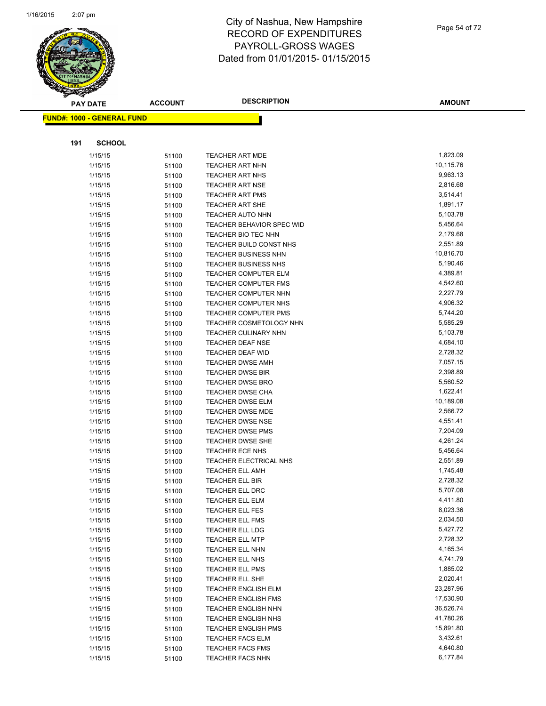

|     | <b>PAY DATE</b>                   | <b>ACCOUNT</b> | <b>DESCRIPTION</b>                                  | <b>AMOUNT</b>        |
|-----|-----------------------------------|----------------|-----------------------------------------------------|----------------------|
|     | <b>FUND#: 1000 - GENERAL FUND</b> |                |                                                     |                      |
|     |                                   |                |                                                     |                      |
|     |                                   |                |                                                     |                      |
| 191 | <b>SCHOOL</b>                     |                |                                                     |                      |
|     | 1/15/15                           | 51100          | <b>TEACHER ART MDE</b>                              | 1,823.09             |
|     | 1/15/15                           | 51100          | <b>TEACHER ART NHN</b>                              | 10,115.76            |
|     | 1/15/15                           | 51100          | <b>TEACHER ART NHS</b>                              | 9,963.13             |
|     | 1/15/15                           | 51100          | <b>TEACHER ART NSE</b>                              | 2,816.68             |
|     | 1/15/15                           | 51100          | <b>TEACHER ART PMS</b>                              | 3,514.41             |
|     | 1/15/15                           | 51100          | <b>TEACHER ART SHE</b>                              | 1,891.17             |
|     | 1/15/15                           | 51100          | TEACHER AUTO NHN                                    | 5,103.78             |
|     | 1/15/15                           | 51100          | TEACHER BEHAVIOR SPEC WID                           | 5,456.64             |
|     | 1/15/15                           | 51100          | TEACHER BIO TEC NHN                                 | 2,179.68             |
|     | 1/15/15                           | 51100          | TEACHER BUILD CONST NHS                             | 2,551.89             |
|     | 1/15/15                           | 51100          | <b>TEACHER BUSINESS NHN</b>                         | 10,816.70            |
|     | 1/15/15                           | 51100          | <b>TEACHER BUSINESS NHS</b>                         | 5,190.46             |
|     | 1/15/15                           | 51100          | TEACHER COMPUTER ELM                                | 4,389.81             |
|     | 1/15/15                           | 51100          | <b>TEACHER COMPUTER FMS</b><br>TEACHER COMPUTER NHN | 4,542.60<br>2,227.79 |
|     | 1/15/15                           | 51100          |                                                     | 4,906.32             |
|     | 1/15/15<br>1/15/15                | 51100          | TEACHER COMPUTER NHS<br><b>TEACHER COMPUTER PMS</b> | 5,744.20             |
|     | 1/15/15                           | 51100          | TEACHER COSMETOLOGY NHN                             | 5,585.29             |
|     | 1/15/15                           | 51100          | TEACHER CULINARY NHN                                | 5,103.78             |
|     | 1/15/15                           | 51100<br>51100 | TEACHER DEAF NSE                                    | 4,684.10             |
|     | 1/15/15                           | 51100          | TEACHER DEAF WID                                    | 2,728.32             |
|     | 1/15/15                           | 51100          | <b>TEACHER DWSE AMH</b>                             | 7,057.15             |
|     | 1/15/15                           | 51100          | <b>TEACHER DWSE BIR</b>                             | 2,398.89             |
|     | 1/15/15                           | 51100          | TEACHER DWSE BRO                                    | 5,560.52             |
|     | 1/15/15                           | 51100          | <b>TEACHER DWSE CHA</b>                             | 1,622.41             |
|     | 1/15/15                           | 51100          | TEACHER DWSE ELM                                    | 10,189.08            |
|     | 1/15/15                           | 51100          | <b>TEACHER DWSE MDE</b>                             | 2,566.72             |
|     | 1/15/15                           | 51100          | <b>TEACHER DWSE NSE</b>                             | 4,551.41             |
|     | 1/15/15                           | 51100          | <b>TEACHER DWSE PMS</b>                             | 7,204.09             |
|     | 1/15/15                           | 51100          | TEACHER DWSE SHE                                    | 4,261.24             |
|     | 1/15/15                           | 51100          | <b>TEACHER ECE NHS</b>                              | 5,456.64             |
|     | 1/15/15                           | 51100          | TEACHER ELECTRICAL NHS                              | 2,551.89             |
|     | 1/15/15                           | 51100          | <b>TEACHER ELL AMH</b>                              | 1,745.48             |
|     | 1/15/15                           | 51100          | TEACHER ELL BIR                                     | 2,728.32             |
|     | 1/15/15                           | 51100          | <b>TEACHER ELL DRC</b>                              | 5,707.08             |
|     | 1/15/15                           | 51100          | <b>TEACHER ELL ELM</b>                              | 4,411.80             |
|     | 1/15/15                           | 51100          | <b>TEACHER ELL FES</b>                              | 8,023.36             |
|     | 1/15/15                           | 51100          | <b>TEACHER ELL FMS</b>                              | 2,034.50             |
|     | 1/15/15                           | 51100          | TEACHER ELL LDG                                     | 5,427.72             |
|     | 1/15/15                           | 51100          | <b>TEACHER ELL MTP</b>                              | 2,728.32             |
|     | 1/15/15                           | 51100          | TEACHER ELL NHN                                     | 4,165.34             |
|     | 1/15/15                           | 51100          | TEACHER ELL NHS                                     | 4,741.79             |
|     | 1/15/15                           | 51100          | <b>TEACHER ELL PMS</b>                              | 1,885.02             |
|     | 1/15/15                           | 51100          | TEACHER ELL SHE                                     | 2,020.41             |
|     | 1/15/15                           | 51100          | <b>TEACHER ENGLISH ELM</b>                          | 23,287.96            |
|     | 1/15/15                           | 51100          | <b>TEACHER ENGLISH FMS</b>                          | 17,530.90            |
|     | 1/15/15                           | 51100          | <b>TEACHER ENGLISH NHN</b>                          | 36,526.74            |
|     | 1/15/15                           | 51100          | TEACHER ENGLISH NHS                                 | 41,780.26            |
|     | 1/15/15                           | 51100          | <b>TEACHER ENGLISH PMS</b>                          | 15,891.80            |
|     | 1/15/15                           | 51100          | <b>TEACHER FACS ELM</b>                             | 3,432.61             |
|     | 1/15/15                           | 51100          | TEACHER FACS FMS                                    | 4,640.80             |
|     | 1/15/15                           | 51100          | TEACHER FACS NHN                                    | 6,177.84             |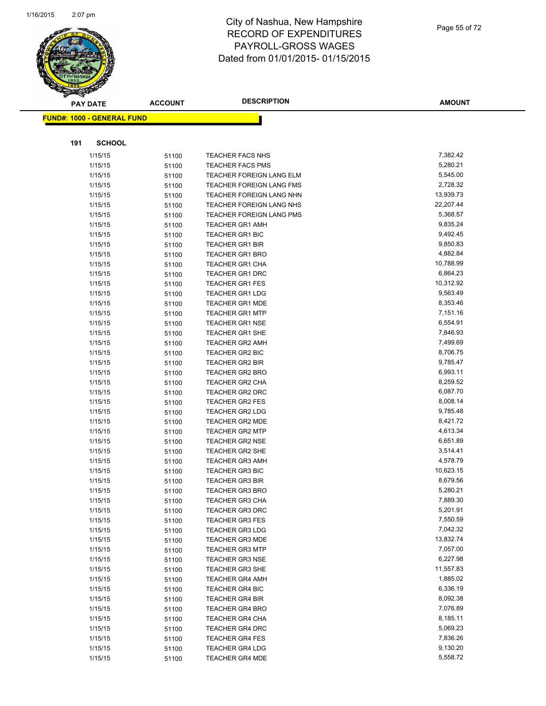

| <b>PAY DATE</b>                   | <b>ACCOUNT</b> | <b>DESCRIPTION</b>              | AMOUNT    |
|-----------------------------------|----------------|---------------------------------|-----------|
| <b>FUND#: 1000 - GENERAL FUND</b> |                |                                 |           |
|                                   |                |                                 |           |
| 191<br><b>SCHOOL</b>              |                |                                 |           |
| 1/15/15                           | 51100          | <b>TEACHER FACS NHS</b>         | 7,382.42  |
| 1/15/15                           | 51100          | <b>TEACHER FACS PMS</b>         | 5,280.21  |
| 1/15/15                           | 51100          | <b>TEACHER FOREIGN LANG ELM</b> | 5,545.00  |
| 1/15/15                           | 51100          | <b>TEACHER FOREIGN LANG FMS</b> | 2,728.32  |
| 1/15/15                           | 51100          | TEACHER FOREIGN LANG NHN        | 13,939.73 |
| 1/15/15                           | 51100          | <b>TEACHER FOREIGN LANG NHS</b> | 22,207.44 |
| 1/15/15                           | 51100          | TEACHER FOREIGN LANG PMS        | 5,368.57  |
| 1/15/15                           | 51100          | <b>TEACHER GR1 AMH</b>          | 9,835.24  |
| 1/15/15                           | 51100          | <b>TEACHER GR1 BIC</b>          | 9,492.45  |
| 1/15/15                           | 51100          | <b>TEACHER GR1 BIR</b>          | 9,850.83  |
| 1/15/15                           | 51100          | <b>TEACHER GR1 BRO</b>          | 4,882.84  |
| 1/15/15                           | 51100          | <b>TEACHER GR1 CHA</b>          | 10,788.99 |
| 1/15/15                           | 51100          | <b>TEACHER GR1 DRC</b>          | 6,864.23  |
| 1/15/15                           | 51100          | <b>TEACHER GR1 FES</b>          | 10,312.92 |
| 1/15/15                           | 51100          | <b>TEACHER GR1 LDG</b>          | 9,563.49  |
| 1/15/15                           | 51100          | <b>TEACHER GR1 MDE</b>          | 8,353.46  |
| 1/15/15                           | 51100          | <b>TEACHER GR1 MTP</b>          | 7,151.16  |
| 1/15/15                           | 51100          | <b>TEACHER GR1 NSE</b>          | 6,554.91  |
| 1/15/15                           | 51100          | <b>TEACHER GR1 SHE</b>          | 7,846.93  |
| 1/15/15                           | 51100          | <b>TEACHER GR2 AMH</b>          | 7,499.69  |
| 1/15/15                           | 51100          | <b>TEACHER GR2 BIC</b>          | 8,706.75  |
| 1/15/15                           | 51100          | <b>TEACHER GR2 BIR</b>          | 9,785.47  |
| 1/15/15                           | 51100          | <b>TEACHER GR2 BRO</b>          | 6,993.11  |
| 1/15/15                           | 51100          | TEACHER GR2 CHA                 | 8,259.52  |
| 1/15/15                           | 51100          | <b>TEACHER GR2 DRC</b>          | 6,087.70  |
| 1/15/15                           | 51100          | <b>TEACHER GR2 FES</b>          | 8,008.14  |
| 1/15/15                           | 51100          | <b>TEACHER GR2 LDG</b>          | 9,785.48  |
| 1/15/15                           | 51100          | <b>TEACHER GR2 MDE</b>          | 8,421.72  |
| 1/15/15                           | 51100          | <b>TEACHER GR2 MTP</b>          | 4,613.34  |
| 1/15/15                           | 51100          | <b>TEACHER GR2 NSE</b>          | 6,651.89  |
| 1/15/15                           | 51100          | <b>TEACHER GR2 SHE</b>          | 3,514.41  |
| 1/15/15                           | 51100          | <b>TEACHER GR3 AMH</b>          | 4,578.79  |
| 1/15/15                           | 51100          | <b>TEACHER GR3 BIC</b>          | 10,623.15 |
| 1/15/15                           | 51100          | <b>TEACHER GR3 BIR</b>          | 8,679.56  |
| 1/15/15                           | 51100          | <b>TEACHER GR3 BRO</b>          | 5,280.21  |
| 1/15/15                           | 51100          | <b>TEACHER GR3 CHA</b>          | 7,889.30  |
| 1/15/15                           | 51100          | <b>TEACHER GR3 DRC</b>          | 5,201.91  |
| 1/15/15                           | 51100          | <b>TEACHER GR3 FES</b>          | 7,550.59  |
| 1/15/15                           | 51100          | <b>TEACHER GR3 LDG</b>          | 7,042.32  |
| 1/15/15                           | 51100          | <b>TEACHER GR3 MDE</b>          | 13,832.74 |
| 1/15/15                           | 51100          | <b>TEACHER GR3 MTP</b>          | 7,057.00  |
| 1/15/15                           | 51100          | <b>TEACHER GR3 NSE</b>          | 6,227.98  |
| 1/15/15                           | 51100          | <b>TEACHER GR3 SHE</b>          | 11,557.83 |
| 1/15/15                           | 51100          | <b>TEACHER GR4 AMH</b>          | 1,885.02  |
| 1/15/15                           | 51100          | <b>TEACHER GR4 BIC</b>          | 6,336.19  |
| 1/15/15                           | 51100          | <b>TEACHER GR4 BIR</b>          | 8,092.38  |
| 1/15/15                           | 51100          | <b>TEACHER GR4 BRO</b>          | 7,076.89  |
| 1/15/15                           | 51100          | TEACHER GR4 CHA                 | 8,185.11  |
| 1/15/15                           | 51100          | <b>TEACHER GR4 DRC</b>          | 5,069.23  |
| 1/15/15                           | 51100          | <b>TEACHER GR4 FES</b>          | 7,836.26  |
| 1/15/15                           | 51100          | <b>TEACHER GR4 LDG</b>          | 9,130.20  |
| 1/15/15                           | 51100          | <b>TEACHER GR4 MDE</b>          | 5,558.72  |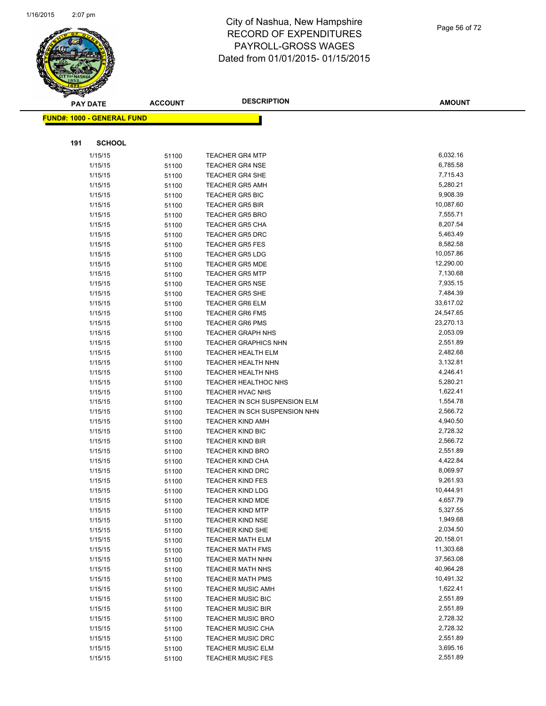

Page 56 of 72

| <b>PAY DATE</b>                   | <b>ACCOUNT</b> | <b>DESCRIPTION</b>            | <b>AMOUNT</b> |
|-----------------------------------|----------------|-------------------------------|---------------|
| <b>FUND#: 1000 - GENERAL FUND</b> |                |                               |               |
|                                   |                |                               |               |
|                                   |                |                               |               |
| 191<br><b>SCHOOL</b>              |                |                               |               |
| 1/15/15                           | 51100          | <b>TEACHER GR4 MTP</b>        | 6,032.16      |
| 1/15/15                           | 51100          | <b>TEACHER GR4 NSE</b>        | 6,785.58      |
| 1/15/15                           | 51100          | <b>TEACHER GR4 SHE</b>        | 7,715.43      |
| 1/15/15                           | 51100          | <b>TEACHER GR5 AMH</b>        | 5,280.21      |
| 1/15/15                           | 51100          | <b>TEACHER GR5 BIC</b>        | 9,908.39      |
| 1/15/15                           | 51100          | <b>TEACHER GR5 BIR</b>        | 10,087.60     |
| 1/15/15                           | 51100          | <b>TEACHER GR5 BRO</b>        | 7,555.71      |
| 1/15/15                           | 51100          | <b>TEACHER GR5 CHA</b>        | 8,207.54      |
| 1/15/15                           | 51100          | <b>TEACHER GR5 DRC</b>        | 5,463.49      |
| 1/15/15                           | 51100          | <b>TEACHER GR5 FES</b>        | 8,582.58      |
| 1/15/15                           | 51100          | <b>TEACHER GR5 LDG</b>        | 10,057.86     |
| 1/15/15                           | 51100          | <b>TEACHER GR5 MDE</b>        | 12,290.00     |
| 1/15/15                           | 51100          | <b>TEACHER GR5 MTP</b>        | 7,130.68      |
| 1/15/15                           | 51100          | <b>TEACHER GR5 NSE</b>        | 7,935.15      |
| 1/15/15                           | 51100          | <b>TEACHER GR5 SHE</b>        | 7,484.39      |
| 1/15/15                           | 51100          | TEACHER GR6 ELM               | 33,617.02     |
| 1/15/15                           | 51100          | <b>TEACHER GR6 FMS</b>        | 24,547.65     |
| 1/15/15                           | 51100          | <b>TEACHER GR6 PMS</b>        | 23,270.13     |
| 1/15/15                           | 51100          | <b>TEACHER GRAPH NHS</b>      | 2,053.09      |
| 1/15/15                           | 51100          | <b>TEACHER GRAPHICS NHN</b>   | 2,551.89      |
| 1/15/15                           | 51100          | <b>TEACHER HEALTH ELM</b>     | 2,482.68      |
| 1/15/15                           | 51100          | <b>TEACHER HEALTH NHN</b>     | 3,132.81      |
| 1/15/15                           | 51100          | <b>TEACHER HEALTH NHS</b>     | 4,246.41      |
| 1/15/15                           | 51100          | <b>TEACHER HEALTHOC NHS</b>   | 5,280.21      |
| 1/15/15                           | 51100          | TEACHER HVAC NHS              | 1,622.41      |
| 1/15/15                           | 51100          | TEACHER IN SCH SUSPENSION ELM | 1,554.78      |
| 1/15/15                           | 51100          | TEACHER IN SCH SUSPENSION NHN | 2,566.72      |
| 1/15/15                           | 51100          | <b>TEACHER KIND AMH</b>       | 4,940.50      |
| 1/15/15                           | 51100          | <b>TEACHER KIND BIC</b>       | 2,728.32      |
| 1/15/15                           | 51100          | <b>TEACHER KIND BIR</b>       | 2,566.72      |
| 1/15/15                           | 51100          | <b>TEACHER KIND BRO</b>       | 2,551.89      |
| 1/15/15                           | 51100          | <b>TEACHER KIND CHA</b>       | 4,422.84      |
| 1/15/15                           | 51100          | <b>TEACHER KIND DRC</b>       | 8,069.97      |
| 1/15/15                           | 51100          | <b>TEACHER KIND FES</b>       | 9,261.93      |
| 1/15/15                           | 51100          | <b>TEACHER KIND LDG</b>       | 10,444.91     |
| 1/15/15                           | 51100          | TEACHER KIND MDE              | 4,657.79      |
| 1/15/15                           | 51100          | <b>TEACHER KIND MTP</b>       | 5,327.55      |
| 1/15/15                           | 51100          | <b>TEACHER KIND NSE</b>       | 1,949.68      |
| 1/15/15                           | 51100          | <b>TEACHER KIND SHE</b>       | 2,034.50      |
| 1/15/15                           | 51100          | <b>TEACHER MATH ELM</b>       | 20,158.01     |
| 1/15/15                           | 51100          | <b>TEACHER MATH FMS</b>       | 11,303.68     |
| 1/15/15                           | 51100          | <b>TEACHER MATH NHN</b>       | 37,563.08     |
| 1/15/15                           | 51100          | <b>TEACHER MATH NHS</b>       | 40,964.28     |
| 1/15/15                           | 51100          | <b>TEACHER MATH PMS</b>       | 10,491.32     |
| 1/15/15                           | 51100          | <b>TEACHER MUSIC AMH</b>      | 1,622.41      |
| 1/15/15                           | 51100          | TEACHER MUSIC BIC             | 2,551.89      |
| 1/15/15                           | 51100          | <b>TEACHER MUSIC BIR</b>      | 2,551.89      |
| 1/15/15                           | 51100          | <b>TEACHER MUSIC BRO</b>      | 2,728.32      |
| 1/15/15                           | 51100          | <b>TEACHER MUSIC CHA</b>      | 2,728.32      |
| 1/15/15                           | 51100          | <b>TEACHER MUSIC DRC</b>      | 2,551.89      |
| 1/15/15                           | 51100          | <b>TEACHER MUSIC ELM</b>      | 3,695.16      |
| 1/15/15                           | 51100          | TEACHER MUSIC FES             | 2,551.89      |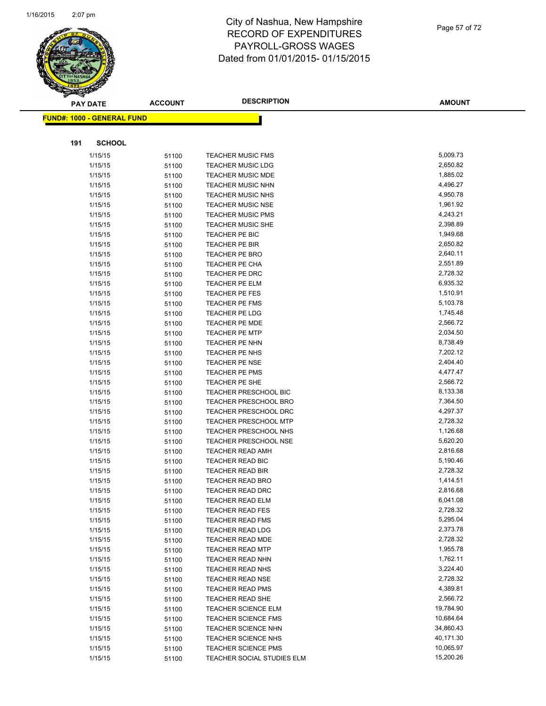

Page 57 of 72

| <b>FUND#: 1000 - GENERAL FUND</b><br>191<br><b>SCHOOL</b><br>5,009.73<br>1/15/15<br><b>TEACHER MUSIC FMS</b><br>51100<br>1/15/15<br>2,650.82<br><b>TEACHER MUSIC LDG</b><br>51100<br>1,885.02<br>1/15/15<br><b>TEACHER MUSIC MDE</b><br>51100<br>TEACHER MUSIC NHN<br>4,496.27<br>1/15/15<br>51100<br><b>TEACHER MUSIC NHS</b><br>4,950.78<br>1/15/15<br>51100<br>1,961.92<br>1/15/15<br><b>TEACHER MUSIC NSE</b><br>51100<br>4,243.21<br>1/15/15<br>51100<br><b>TEACHER MUSIC PMS</b><br>2,398.89<br>1/15/15<br><b>TEACHER MUSIC SHE</b><br>51100<br>1,949.68<br>1/15/15<br>TEACHER PE BIC<br>51100<br>2,650.82<br>1/15/15<br>TEACHER PE BIR<br>51100<br>2,640.11<br>1/15/15<br><b>TEACHER PE BRO</b><br>51100<br>2,551.89<br>1/15/15<br><b>TEACHER PE CHA</b><br>51100<br>2,728.32<br>1/15/15<br>TEACHER PE DRC<br>51100<br>6,935.32<br>TEACHER PE ELM<br>1/15/15<br>51100<br>1/15/15<br>1,510.91<br>TEACHER PE FES<br>51100<br>5,103.78<br>1/15/15<br>51100<br>TEACHER PE FMS<br>TEACHER PE LDG<br>1,745.48<br>1/15/15<br>51100<br>2,566.72<br>1/15/15<br>51100<br><b>TEACHER PE MDE</b><br>2,034.50<br>1/15/15<br><b>TEACHER PE MTP</b><br>51100<br>8,738.49<br>1/15/15<br>TEACHER PE NHN<br>51100<br>7,202.12<br>1/15/15<br>TEACHER PE NHS<br>51100<br>2,404.40<br>1/15/15<br>TEACHER PE NSE<br>51100<br>4,477.47<br>TEACHER PE PMS<br>1/15/15<br>51100<br>2,566.72<br>TEACHER PE SHE<br>1/15/15<br>51100<br>8,133.38<br>TEACHER PRESCHOOL BIC<br>1/15/15<br>51100<br>7,364.50<br>1/15/15<br><b>TEACHER PRESCHOOL BRO</b><br>51100<br>4,297.37<br>1/15/15<br><b>TEACHER PRESCHOOL DRC</b><br>51100<br>1/15/15<br>2,728.32<br><b>TEACHER PRESCHOOL MTP</b><br>51100<br>1,126.68<br>1/15/15<br>51100<br><b>TEACHER PRESCHOOL NHS</b><br>5,620.20<br>1/15/15<br><b>TEACHER PRESCHOOL NSE</b><br>51100<br>2,816.68<br>1/15/15<br><b>TEACHER READ AMH</b><br>51100<br>5,190.46<br>1/15/15<br>TEACHER READ BIC<br>51100<br>2,728.32<br>TEACHER READ BIR<br>1/15/15<br>51100<br>1,414.51<br>1/15/15<br><b>TEACHER READ BRO</b><br>51100<br>2,816.68<br><b>TEACHER READ DRC</b><br>1/15/15<br>51100<br>1/15/15<br>TEACHER READ ELM<br>6,041.08<br>51100<br>2,728.32<br>1/15/15<br>51100<br><b>TEACHER READ FES</b><br>5,295.04<br>1/15/15<br><b>TEACHER READ FMS</b><br>51100<br>2,373.78<br>1/15/15<br>51100<br><b>TEACHER READ LDG</b><br>2,728.32<br>1/15/15<br><b>TEACHER READ MDE</b><br>51100<br>1/15/15<br>1,955.78<br><b>TEACHER READ MTP</b><br>51100<br>1,762.11<br>1/15/15<br><b>TEACHER READ NHN</b><br>51100<br>3,224.40<br>1/15/15<br><b>TEACHER READ NHS</b><br>51100<br>2,728.32<br>1/15/15<br><b>TEACHER READ NSE</b><br>51100<br>4,389.81<br>1/15/15<br><b>TEACHER READ PMS</b><br>51100<br>2,566.72<br>1/15/15<br>51100<br>TEACHER READ SHE<br>19,784.90<br>1/15/15<br><b>TEACHER SCIENCE ELM</b><br>51100<br>10,684.64<br>1/15/15<br>51100<br><b>TEACHER SCIENCE FMS</b><br>TEACHER SCIENCE NHN<br>34,860.43<br>1/15/15<br>51100<br>40,171.30<br>1/15/15<br><b>TEACHER SCIENCE NHS</b><br>51100 | <b>PAY DATE</b> | <b>ACCOUNT</b> | <b>DESCRIPTION</b>         | <b>AMOUNT</b> |
|------------------------------------------------------------------------------------------------------------------------------------------------------------------------------------------------------------------------------------------------------------------------------------------------------------------------------------------------------------------------------------------------------------------------------------------------------------------------------------------------------------------------------------------------------------------------------------------------------------------------------------------------------------------------------------------------------------------------------------------------------------------------------------------------------------------------------------------------------------------------------------------------------------------------------------------------------------------------------------------------------------------------------------------------------------------------------------------------------------------------------------------------------------------------------------------------------------------------------------------------------------------------------------------------------------------------------------------------------------------------------------------------------------------------------------------------------------------------------------------------------------------------------------------------------------------------------------------------------------------------------------------------------------------------------------------------------------------------------------------------------------------------------------------------------------------------------------------------------------------------------------------------------------------------------------------------------------------------------------------------------------------------------------------------------------------------------------------------------------------------------------------------------------------------------------------------------------------------------------------------------------------------------------------------------------------------------------------------------------------------------------------------------------------------------------------------------------------------------------------------------------------------------------------------------------------------------------------------------------------------------------------------------------------------------------------------------------------------------------------------------------------------------------------------------------------------------------------------------------------------------------------------------------------------------------------------------------------------------------------------------------------|-----------------|----------------|----------------------------|---------------|
|                                                                                                                                                                                                                                                                                                                                                                                                                                                                                                                                                                                                                                                                                                                                                                                                                                                                                                                                                                                                                                                                                                                                                                                                                                                                                                                                                                                                                                                                                                                                                                                                                                                                                                                                                                                                                                                                                                                                                                                                                                                                                                                                                                                                                                                                                                                                                                                                                                                                                                                                                                                                                                                                                                                                                                                                                                                                                                                                                                                                                  |                 |                |                            |               |
|                                                                                                                                                                                                                                                                                                                                                                                                                                                                                                                                                                                                                                                                                                                                                                                                                                                                                                                                                                                                                                                                                                                                                                                                                                                                                                                                                                                                                                                                                                                                                                                                                                                                                                                                                                                                                                                                                                                                                                                                                                                                                                                                                                                                                                                                                                                                                                                                                                                                                                                                                                                                                                                                                                                                                                                                                                                                                                                                                                                                                  |                 |                |                            |               |
|                                                                                                                                                                                                                                                                                                                                                                                                                                                                                                                                                                                                                                                                                                                                                                                                                                                                                                                                                                                                                                                                                                                                                                                                                                                                                                                                                                                                                                                                                                                                                                                                                                                                                                                                                                                                                                                                                                                                                                                                                                                                                                                                                                                                                                                                                                                                                                                                                                                                                                                                                                                                                                                                                                                                                                                                                                                                                                                                                                                                                  |                 |                |                            |               |
|                                                                                                                                                                                                                                                                                                                                                                                                                                                                                                                                                                                                                                                                                                                                                                                                                                                                                                                                                                                                                                                                                                                                                                                                                                                                                                                                                                                                                                                                                                                                                                                                                                                                                                                                                                                                                                                                                                                                                                                                                                                                                                                                                                                                                                                                                                                                                                                                                                                                                                                                                                                                                                                                                                                                                                                                                                                                                                                                                                                                                  |                 |                |                            |               |
|                                                                                                                                                                                                                                                                                                                                                                                                                                                                                                                                                                                                                                                                                                                                                                                                                                                                                                                                                                                                                                                                                                                                                                                                                                                                                                                                                                                                                                                                                                                                                                                                                                                                                                                                                                                                                                                                                                                                                                                                                                                                                                                                                                                                                                                                                                                                                                                                                                                                                                                                                                                                                                                                                                                                                                                                                                                                                                                                                                                                                  |                 |                |                            |               |
|                                                                                                                                                                                                                                                                                                                                                                                                                                                                                                                                                                                                                                                                                                                                                                                                                                                                                                                                                                                                                                                                                                                                                                                                                                                                                                                                                                                                                                                                                                                                                                                                                                                                                                                                                                                                                                                                                                                                                                                                                                                                                                                                                                                                                                                                                                                                                                                                                                                                                                                                                                                                                                                                                                                                                                                                                                                                                                                                                                                                                  |                 |                |                            |               |
|                                                                                                                                                                                                                                                                                                                                                                                                                                                                                                                                                                                                                                                                                                                                                                                                                                                                                                                                                                                                                                                                                                                                                                                                                                                                                                                                                                                                                                                                                                                                                                                                                                                                                                                                                                                                                                                                                                                                                                                                                                                                                                                                                                                                                                                                                                                                                                                                                                                                                                                                                                                                                                                                                                                                                                                                                                                                                                                                                                                                                  |                 |                |                            |               |
|                                                                                                                                                                                                                                                                                                                                                                                                                                                                                                                                                                                                                                                                                                                                                                                                                                                                                                                                                                                                                                                                                                                                                                                                                                                                                                                                                                                                                                                                                                                                                                                                                                                                                                                                                                                                                                                                                                                                                                                                                                                                                                                                                                                                                                                                                                                                                                                                                                                                                                                                                                                                                                                                                                                                                                                                                                                                                                                                                                                                                  |                 |                |                            |               |
|                                                                                                                                                                                                                                                                                                                                                                                                                                                                                                                                                                                                                                                                                                                                                                                                                                                                                                                                                                                                                                                                                                                                                                                                                                                                                                                                                                                                                                                                                                                                                                                                                                                                                                                                                                                                                                                                                                                                                                                                                                                                                                                                                                                                                                                                                                                                                                                                                                                                                                                                                                                                                                                                                                                                                                                                                                                                                                                                                                                                                  |                 |                |                            |               |
|                                                                                                                                                                                                                                                                                                                                                                                                                                                                                                                                                                                                                                                                                                                                                                                                                                                                                                                                                                                                                                                                                                                                                                                                                                                                                                                                                                                                                                                                                                                                                                                                                                                                                                                                                                                                                                                                                                                                                                                                                                                                                                                                                                                                                                                                                                                                                                                                                                                                                                                                                                                                                                                                                                                                                                                                                                                                                                                                                                                                                  |                 |                |                            |               |
|                                                                                                                                                                                                                                                                                                                                                                                                                                                                                                                                                                                                                                                                                                                                                                                                                                                                                                                                                                                                                                                                                                                                                                                                                                                                                                                                                                                                                                                                                                                                                                                                                                                                                                                                                                                                                                                                                                                                                                                                                                                                                                                                                                                                                                                                                                                                                                                                                                                                                                                                                                                                                                                                                                                                                                                                                                                                                                                                                                                                                  |                 |                |                            |               |
|                                                                                                                                                                                                                                                                                                                                                                                                                                                                                                                                                                                                                                                                                                                                                                                                                                                                                                                                                                                                                                                                                                                                                                                                                                                                                                                                                                                                                                                                                                                                                                                                                                                                                                                                                                                                                                                                                                                                                                                                                                                                                                                                                                                                                                                                                                                                                                                                                                                                                                                                                                                                                                                                                                                                                                                                                                                                                                                                                                                                                  |                 |                |                            |               |
|                                                                                                                                                                                                                                                                                                                                                                                                                                                                                                                                                                                                                                                                                                                                                                                                                                                                                                                                                                                                                                                                                                                                                                                                                                                                                                                                                                                                                                                                                                                                                                                                                                                                                                                                                                                                                                                                                                                                                                                                                                                                                                                                                                                                                                                                                                                                                                                                                                                                                                                                                                                                                                                                                                                                                                                                                                                                                                                                                                                                                  |                 |                |                            |               |
|                                                                                                                                                                                                                                                                                                                                                                                                                                                                                                                                                                                                                                                                                                                                                                                                                                                                                                                                                                                                                                                                                                                                                                                                                                                                                                                                                                                                                                                                                                                                                                                                                                                                                                                                                                                                                                                                                                                                                                                                                                                                                                                                                                                                                                                                                                                                                                                                                                                                                                                                                                                                                                                                                                                                                                                                                                                                                                                                                                                                                  |                 |                |                            |               |
|                                                                                                                                                                                                                                                                                                                                                                                                                                                                                                                                                                                                                                                                                                                                                                                                                                                                                                                                                                                                                                                                                                                                                                                                                                                                                                                                                                                                                                                                                                                                                                                                                                                                                                                                                                                                                                                                                                                                                                                                                                                                                                                                                                                                                                                                                                                                                                                                                                                                                                                                                                                                                                                                                                                                                                                                                                                                                                                                                                                                                  |                 |                |                            |               |
|                                                                                                                                                                                                                                                                                                                                                                                                                                                                                                                                                                                                                                                                                                                                                                                                                                                                                                                                                                                                                                                                                                                                                                                                                                                                                                                                                                                                                                                                                                                                                                                                                                                                                                                                                                                                                                                                                                                                                                                                                                                                                                                                                                                                                                                                                                                                                                                                                                                                                                                                                                                                                                                                                                                                                                                                                                                                                                                                                                                                                  |                 |                |                            |               |
|                                                                                                                                                                                                                                                                                                                                                                                                                                                                                                                                                                                                                                                                                                                                                                                                                                                                                                                                                                                                                                                                                                                                                                                                                                                                                                                                                                                                                                                                                                                                                                                                                                                                                                                                                                                                                                                                                                                                                                                                                                                                                                                                                                                                                                                                                                                                                                                                                                                                                                                                                                                                                                                                                                                                                                                                                                                                                                                                                                                                                  |                 |                |                            |               |
|                                                                                                                                                                                                                                                                                                                                                                                                                                                                                                                                                                                                                                                                                                                                                                                                                                                                                                                                                                                                                                                                                                                                                                                                                                                                                                                                                                                                                                                                                                                                                                                                                                                                                                                                                                                                                                                                                                                                                                                                                                                                                                                                                                                                                                                                                                                                                                                                                                                                                                                                                                                                                                                                                                                                                                                                                                                                                                                                                                                                                  |                 |                |                            |               |
|                                                                                                                                                                                                                                                                                                                                                                                                                                                                                                                                                                                                                                                                                                                                                                                                                                                                                                                                                                                                                                                                                                                                                                                                                                                                                                                                                                                                                                                                                                                                                                                                                                                                                                                                                                                                                                                                                                                                                                                                                                                                                                                                                                                                                                                                                                                                                                                                                                                                                                                                                                                                                                                                                                                                                                                                                                                                                                                                                                                                                  |                 |                |                            |               |
|                                                                                                                                                                                                                                                                                                                                                                                                                                                                                                                                                                                                                                                                                                                                                                                                                                                                                                                                                                                                                                                                                                                                                                                                                                                                                                                                                                                                                                                                                                                                                                                                                                                                                                                                                                                                                                                                                                                                                                                                                                                                                                                                                                                                                                                                                                                                                                                                                                                                                                                                                                                                                                                                                                                                                                                                                                                                                                                                                                                                                  |                 |                |                            |               |
|                                                                                                                                                                                                                                                                                                                                                                                                                                                                                                                                                                                                                                                                                                                                                                                                                                                                                                                                                                                                                                                                                                                                                                                                                                                                                                                                                                                                                                                                                                                                                                                                                                                                                                                                                                                                                                                                                                                                                                                                                                                                                                                                                                                                                                                                                                                                                                                                                                                                                                                                                                                                                                                                                                                                                                                                                                                                                                                                                                                                                  |                 |                |                            |               |
|                                                                                                                                                                                                                                                                                                                                                                                                                                                                                                                                                                                                                                                                                                                                                                                                                                                                                                                                                                                                                                                                                                                                                                                                                                                                                                                                                                                                                                                                                                                                                                                                                                                                                                                                                                                                                                                                                                                                                                                                                                                                                                                                                                                                                                                                                                                                                                                                                                                                                                                                                                                                                                                                                                                                                                                                                                                                                                                                                                                                                  |                 |                |                            |               |
|                                                                                                                                                                                                                                                                                                                                                                                                                                                                                                                                                                                                                                                                                                                                                                                                                                                                                                                                                                                                                                                                                                                                                                                                                                                                                                                                                                                                                                                                                                                                                                                                                                                                                                                                                                                                                                                                                                                                                                                                                                                                                                                                                                                                                                                                                                                                                                                                                                                                                                                                                                                                                                                                                                                                                                                                                                                                                                                                                                                                                  |                 |                |                            |               |
|                                                                                                                                                                                                                                                                                                                                                                                                                                                                                                                                                                                                                                                                                                                                                                                                                                                                                                                                                                                                                                                                                                                                                                                                                                                                                                                                                                                                                                                                                                                                                                                                                                                                                                                                                                                                                                                                                                                                                                                                                                                                                                                                                                                                                                                                                                                                                                                                                                                                                                                                                                                                                                                                                                                                                                                                                                                                                                                                                                                                                  |                 |                |                            |               |
|                                                                                                                                                                                                                                                                                                                                                                                                                                                                                                                                                                                                                                                                                                                                                                                                                                                                                                                                                                                                                                                                                                                                                                                                                                                                                                                                                                                                                                                                                                                                                                                                                                                                                                                                                                                                                                                                                                                                                                                                                                                                                                                                                                                                                                                                                                                                                                                                                                                                                                                                                                                                                                                                                                                                                                                                                                                                                                                                                                                                                  |                 |                |                            |               |
|                                                                                                                                                                                                                                                                                                                                                                                                                                                                                                                                                                                                                                                                                                                                                                                                                                                                                                                                                                                                                                                                                                                                                                                                                                                                                                                                                                                                                                                                                                                                                                                                                                                                                                                                                                                                                                                                                                                                                                                                                                                                                                                                                                                                                                                                                                                                                                                                                                                                                                                                                                                                                                                                                                                                                                                                                                                                                                                                                                                                                  |                 |                |                            |               |
|                                                                                                                                                                                                                                                                                                                                                                                                                                                                                                                                                                                                                                                                                                                                                                                                                                                                                                                                                                                                                                                                                                                                                                                                                                                                                                                                                                                                                                                                                                                                                                                                                                                                                                                                                                                                                                                                                                                                                                                                                                                                                                                                                                                                                                                                                                                                                                                                                                                                                                                                                                                                                                                                                                                                                                                                                                                                                                                                                                                                                  |                 |                |                            |               |
|                                                                                                                                                                                                                                                                                                                                                                                                                                                                                                                                                                                                                                                                                                                                                                                                                                                                                                                                                                                                                                                                                                                                                                                                                                                                                                                                                                                                                                                                                                                                                                                                                                                                                                                                                                                                                                                                                                                                                                                                                                                                                                                                                                                                                                                                                                                                                                                                                                                                                                                                                                                                                                                                                                                                                                                                                                                                                                                                                                                                                  |                 |                |                            |               |
|                                                                                                                                                                                                                                                                                                                                                                                                                                                                                                                                                                                                                                                                                                                                                                                                                                                                                                                                                                                                                                                                                                                                                                                                                                                                                                                                                                                                                                                                                                                                                                                                                                                                                                                                                                                                                                                                                                                                                                                                                                                                                                                                                                                                                                                                                                                                                                                                                                                                                                                                                                                                                                                                                                                                                                                                                                                                                                                                                                                                                  |                 |                |                            |               |
|                                                                                                                                                                                                                                                                                                                                                                                                                                                                                                                                                                                                                                                                                                                                                                                                                                                                                                                                                                                                                                                                                                                                                                                                                                                                                                                                                                                                                                                                                                                                                                                                                                                                                                                                                                                                                                                                                                                                                                                                                                                                                                                                                                                                                                                                                                                                                                                                                                                                                                                                                                                                                                                                                                                                                                                                                                                                                                                                                                                                                  |                 |                |                            |               |
|                                                                                                                                                                                                                                                                                                                                                                                                                                                                                                                                                                                                                                                                                                                                                                                                                                                                                                                                                                                                                                                                                                                                                                                                                                                                                                                                                                                                                                                                                                                                                                                                                                                                                                                                                                                                                                                                                                                                                                                                                                                                                                                                                                                                                                                                                                                                                                                                                                                                                                                                                                                                                                                                                                                                                                                                                                                                                                                                                                                                                  |                 |                |                            |               |
|                                                                                                                                                                                                                                                                                                                                                                                                                                                                                                                                                                                                                                                                                                                                                                                                                                                                                                                                                                                                                                                                                                                                                                                                                                                                                                                                                                                                                                                                                                                                                                                                                                                                                                                                                                                                                                                                                                                                                                                                                                                                                                                                                                                                                                                                                                                                                                                                                                                                                                                                                                                                                                                                                                                                                                                                                                                                                                                                                                                                                  |                 |                |                            |               |
|                                                                                                                                                                                                                                                                                                                                                                                                                                                                                                                                                                                                                                                                                                                                                                                                                                                                                                                                                                                                                                                                                                                                                                                                                                                                                                                                                                                                                                                                                                                                                                                                                                                                                                                                                                                                                                                                                                                                                                                                                                                                                                                                                                                                                                                                                                                                                                                                                                                                                                                                                                                                                                                                                                                                                                                                                                                                                                                                                                                                                  |                 |                |                            |               |
|                                                                                                                                                                                                                                                                                                                                                                                                                                                                                                                                                                                                                                                                                                                                                                                                                                                                                                                                                                                                                                                                                                                                                                                                                                                                                                                                                                                                                                                                                                                                                                                                                                                                                                                                                                                                                                                                                                                                                                                                                                                                                                                                                                                                                                                                                                                                                                                                                                                                                                                                                                                                                                                                                                                                                                                                                                                                                                                                                                                                                  |                 |                |                            |               |
|                                                                                                                                                                                                                                                                                                                                                                                                                                                                                                                                                                                                                                                                                                                                                                                                                                                                                                                                                                                                                                                                                                                                                                                                                                                                                                                                                                                                                                                                                                                                                                                                                                                                                                                                                                                                                                                                                                                                                                                                                                                                                                                                                                                                                                                                                                                                                                                                                                                                                                                                                                                                                                                                                                                                                                                                                                                                                                                                                                                                                  |                 |                |                            |               |
|                                                                                                                                                                                                                                                                                                                                                                                                                                                                                                                                                                                                                                                                                                                                                                                                                                                                                                                                                                                                                                                                                                                                                                                                                                                                                                                                                                                                                                                                                                                                                                                                                                                                                                                                                                                                                                                                                                                                                                                                                                                                                                                                                                                                                                                                                                                                                                                                                                                                                                                                                                                                                                                                                                                                                                                                                                                                                                                                                                                                                  |                 |                |                            |               |
|                                                                                                                                                                                                                                                                                                                                                                                                                                                                                                                                                                                                                                                                                                                                                                                                                                                                                                                                                                                                                                                                                                                                                                                                                                                                                                                                                                                                                                                                                                                                                                                                                                                                                                                                                                                                                                                                                                                                                                                                                                                                                                                                                                                                                                                                                                                                                                                                                                                                                                                                                                                                                                                                                                                                                                                                                                                                                                                                                                                                                  |                 |                |                            |               |
|                                                                                                                                                                                                                                                                                                                                                                                                                                                                                                                                                                                                                                                                                                                                                                                                                                                                                                                                                                                                                                                                                                                                                                                                                                                                                                                                                                                                                                                                                                                                                                                                                                                                                                                                                                                                                                                                                                                                                                                                                                                                                                                                                                                                                                                                                                                                                                                                                                                                                                                                                                                                                                                                                                                                                                                                                                                                                                                                                                                                                  |                 |                |                            |               |
|                                                                                                                                                                                                                                                                                                                                                                                                                                                                                                                                                                                                                                                                                                                                                                                                                                                                                                                                                                                                                                                                                                                                                                                                                                                                                                                                                                                                                                                                                                                                                                                                                                                                                                                                                                                                                                                                                                                                                                                                                                                                                                                                                                                                                                                                                                                                                                                                                                                                                                                                                                                                                                                                                                                                                                                                                                                                                                                                                                                                                  |                 |                |                            |               |
|                                                                                                                                                                                                                                                                                                                                                                                                                                                                                                                                                                                                                                                                                                                                                                                                                                                                                                                                                                                                                                                                                                                                                                                                                                                                                                                                                                                                                                                                                                                                                                                                                                                                                                                                                                                                                                                                                                                                                                                                                                                                                                                                                                                                                                                                                                                                                                                                                                                                                                                                                                                                                                                                                                                                                                                                                                                                                                                                                                                                                  |                 |                |                            |               |
|                                                                                                                                                                                                                                                                                                                                                                                                                                                                                                                                                                                                                                                                                                                                                                                                                                                                                                                                                                                                                                                                                                                                                                                                                                                                                                                                                                                                                                                                                                                                                                                                                                                                                                                                                                                                                                                                                                                                                                                                                                                                                                                                                                                                                                                                                                                                                                                                                                                                                                                                                                                                                                                                                                                                                                                                                                                                                                                                                                                                                  |                 |                |                            |               |
|                                                                                                                                                                                                                                                                                                                                                                                                                                                                                                                                                                                                                                                                                                                                                                                                                                                                                                                                                                                                                                                                                                                                                                                                                                                                                                                                                                                                                                                                                                                                                                                                                                                                                                                                                                                                                                                                                                                                                                                                                                                                                                                                                                                                                                                                                                                                                                                                                                                                                                                                                                                                                                                                                                                                                                                                                                                                                                                                                                                                                  |                 |                |                            |               |
|                                                                                                                                                                                                                                                                                                                                                                                                                                                                                                                                                                                                                                                                                                                                                                                                                                                                                                                                                                                                                                                                                                                                                                                                                                                                                                                                                                                                                                                                                                                                                                                                                                                                                                                                                                                                                                                                                                                                                                                                                                                                                                                                                                                                                                                                                                                                                                                                                                                                                                                                                                                                                                                                                                                                                                                                                                                                                                                                                                                                                  |                 |                |                            |               |
|                                                                                                                                                                                                                                                                                                                                                                                                                                                                                                                                                                                                                                                                                                                                                                                                                                                                                                                                                                                                                                                                                                                                                                                                                                                                                                                                                                                                                                                                                                                                                                                                                                                                                                                                                                                                                                                                                                                                                                                                                                                                                                                                                                                                                                                                                                                                                                                                                                                                                                                                                                                                                                                                                                                                                                                                                                                                                                                                                                                                                  |                 |                |                            |               |
|                                                                                                                                                                                                                                                                                                                                                                                                                                                                                                                                                                                                                                                                                                                                                                                                                                                                                                                                                                                                                                                                                                                                                                                                                                                                                                                                                                                                                                                                                                                                                                                                                                                                                                                                                                                                                                                                                                                                                                                                                                                                                                                                                                                                                                                                                                                                                                                                                                                                                                                                                                                                                                                                                                                                                                                                                                                                                                                                                                                                                  |                 |                |                            |               |
|                                                                                                                                                                                                                                                                                                                                                                                                                                                                                                                                                                                                                                                                                                                                                                                                                                                                                                                                                                                                                                                                                                                                                                                                                                                                                                                                                                                                                                                                                                                                                                                                                                                                                                                                                                                                                                                                                                                                                                                                                                                                                                                                                                                                                                                                                                                                                                                                                                                                                                                                                                                                                                                                                                                                                                                                                                                                                                                                                                                                                  |                 |                |                            |               |
|                                                                                                                                                                                                                                                                                                                                                                                                                                                                                                                                                                                                                                                                                                                                                                                                                                                                                                                                                                                                                                                                                                                                                                                                                                                                                                                                                                                                                                                                                                                                                                                                                                                                                                                                                                                                                                                                                                                                                                                                                                                                                                                                                                                                                                                                                                                                                                                                                                                                                                                                                                                                                                                                                                                                                                                                                                                                                                                                                                                                                  |                 |                |                            |               |
|                                                                                                                                                                                                                                                                                                                                                                                                                                                                                                                                                                                                                                                                                                                                                                                                                                                                                                                                                                                                                                                                                                                                                                                                                                                                                                                                                                                                                                                                                                                                                                                                                                                                                                                                                                                                                                                                                                                                                                                                                                                                                                                                                                                                                                                                                                                                                                                                                                                                                                                                                                                                                                                                                                                                                                                                                                                                                                                                                                                                                  |                 |                |                            |               |
|                                                                                                                                                                                                                                                                                                                                                                                                                                                                                                                                                                                                                                                                                                                                                                                                                                                                                                                                                                                                                                                                                                                                                                                                                                                                                                                                                                                                                                                                                                                                                                                                                                                                                                                                                                                                                                                                                                                                                                                                                                                                                                                                                                                                                                                                                                                                                                                                                                                                                                                                                                                                                                                                                                                                                                                                                                                                                                                                                                                                                  |                 |                |                            |               |
|                                                                                                                                                                                                                                                                                                                                                                                                                                                                                                                                                                                                                                                                                                                                                                                                                                                                                                                                                                                                                                                                                                                                                                                                                                                                                                                                                                                                                                                                                                                                                                                                                                                                                                                                                                                                                                                                                                                                                                                                                                                                                                                                                                                                                                                                                                                                                                                                                                                                                                                                                                                                                                                                                                                                                                                                                                                                                                                                                                                                                  |                 |                |                            |               |
|                                                                                                                                                                                                                                                                                                                                                                                                                                                                                                                                                                                                                                                                                                                                                                                                                                                                                                                                                                                                                                                                                                                                                                                                                                                                                                                                                                                                                                                                                                                                                                                                                                                                                                                                                                                                                                                                                                                                                                                                                                                                                                                                                                                                                                                                                                                                                                                                                                                                                                                                                                                                                                                                                                                                                                                                                                                                                                                                                                                                                  |                 |                |                            |               |
|                                                                                                                                                                                                                                                                                                                                                                                                                                                                                                                                                                                                                                                                                                                                                                                                                                                                                                                                                                                                                                                                                                                                                                                                                                                                                                                                                                                                                                                                                                                                                                                                                                                                                                                                                                                                                                                                                                                                                                                                                                                                                                                                                                                                                                                                                                                                                                                                                                                                                                                                                                                                                                                                                                                                                                                                                                                                                                                                                                                                                  |                 |                |                            |               |
|                                                                                                                                                                                                                                                                                                                                                                                                                                                                                                                                                                                                                                                                                                                                                                                                                                                                                                                                                                                                                                                                                                                                                                                                                                                                                                                                                                                                                                                                                                                                                                                                                                                                                                                                                                                                                                                                                                                                                                                                                                                                                                                                                                                                                                                                                                                                                                                                                                                                                                                                                                                                                                                                                                                                                                                                                                                                                                                                                                                                                  |                 |                |                            |               |
|                                                                                                                                                                                                                                                                                                                                                                                                                                                                                                                                                                                                                                                                                                                                                                                                                                                                                                                                                                                                                                                                                                                                                                                                                                                                                                                                                                                                                                                                                                                                                                                                                                                                                                                                                                                                                                                                                                                                                                                                                                                                                                                                                                                                                                                                                                                                                                                                                                                                                                                                                                                                                                                                                                                                                                                                                                                                                                                                                                                                                  | 1/15/15         | 51100          | <b>TEACHER SCIENCE PMS</b> | 10,065.97     |
| 15,200.26<br>TEACHER SOCIAL STUDIES ELM<br>1/15/15<br>51100                                                                                                                                                                                                                                                                                                                                                                                                                                                                                                                                                                                                                                                                                                                                                                                                                                                                                                                                                                                                                                                                                                                                                                                                                                                                                                                                                                                                                                                                                                                                                                                                                                                                                                                                                                                                                                                                                                                                                                                                                                                                                                                                                                                                                                                                                                                                                                                                                                                                                                                                                                                                                                                                                                                                                                                                                                                                                                                                                      |                 |                |                            |               |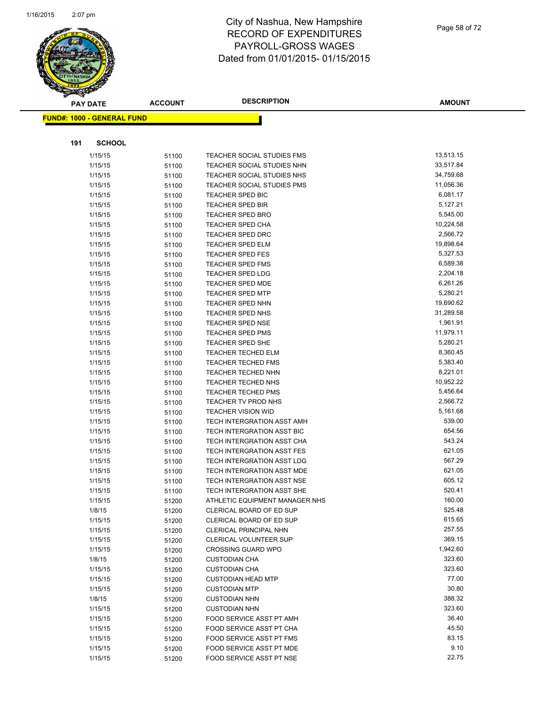

Page 58 of 72

|     | <b>PAY DATE</b>                   | <b>ACCOUNT</b> | <b>DESCRIPTION</b>             | <b>AMOUNT</b> |
|-----|-----------------------------------|----------------|--------------------------------|---------------|
|     | <b>FUND#: 1000 - GENERAL FUND</b> |                |                                |               |
|     |                                   |                |                                |               |
|     |                                   |                |                                |               |
| 191 | <b>SCHOOL</b>                     |                |                                |               |
|     | 1/15/15                           | 51100          | TEACHER SOCIAL STUDIES FMS     | 13,513.15     |
|     | 1/15/15                           | 51100          | TEACHER SOCIAL STUDIES NHN     | 33,517.84     |
|     | 1/15/15                           | 51100          | TEACHER SOCIAL STUDIES NHS     | 34,759.68     |
|     | 1/15/15                           | 51100          | TEACHER SOCIAL STUDIES PMS     | 11,056.36     |
|     | 1/15/15                           | 51100          | <b>TEACHER SPED BIC</b>        | 6,081.17      |
|     | 1/15/15                           | 51100          | <b>TEACHER SPED BIR</b>        | 5,127.21      |
|     | 1/15/15                           | 51100          | <b>TEACHER SPED BRO</b>        | 5,545.00      |
|     | 1/15/15                           | 51100          | <b>TEACHER SPED CHA</b>        | 10,224.58     |
|     | 1/15/15                           | 51100          | <b>TEACHER SPED DRC</b>        | 2,566.72      |
|     | 1/15/15                           | 51100          | <b>TEACHER SPED ELM</b>        | 19,898.64     |
|     | 1/15/15                           | 51100          | <b>TEACHER SPED FES</b>        | 5,327.53      |
|     | 1/15/15                           | 51100          | <b>TEACHER SPED FMS</b>        | 6,589.38      |
|     | 1/15/15                           | 51100          | <b>TEACHER SPED LDG</b>        | 2,204.18      |
|     | 1/15/15                           | 51100          | <b>TEACHER SPED MDE</b>        | 6,261.26      |
|     | 1/15/15                           | 51100          | TEACHER SPED MTP               | 5,280.21      |
|     | 1/15/15                           | 51100          | TEACHER SPED NHN               | 19,690.62     |
|     | 1/15/15                           | 51100          | <b>TEACHER SPED NHS</b>        | 31,289.58     |
|     | 1/15/15                           | 51100          | <b>TEACHER SPED NSE</b>        | 1,961.91      |
|     | 1/15/15                           | 51100          | <b>TEACHER SPED PMS</b>        | 11,979.11     |
|     | 1/15/15                           | 51100          | <b>TEACHER SPED SHE</b>        | 5,280.21      |
|     | 1/15/15                           | 51100          | <b>TEACHER TECHED ELM</b>      | 8,360.45      |
|     | 1/15/15                           | 51100          | <b>TEACHER TECHED FMS</b>      | 5,383.40      |
|     | 1/15/15                           | 51100          | <b>TEACHER TECHED NHN</b>      | 8,221.01      |
|     | 1/15/15                           | 51100          | <b>TEACHER TECHED NHS</b>      | 10,952.22     |
|     | 1/15/15                           | 51100          | <b>TEACHER TECHED PMS</b>      | 5,456.64      |
|     | 1/15/15                           | 51100          | TEACHER TV PROD NHS            | 2,566.72      |
|     | 1/15/15                           | 51100          | <b>TEACHER VISION WID</b>      | 5,161.68      |
|     | 1/15/15                           | 51100          | TECH INTERGRATION ASST AMH     | 539.00        |
|     | 1/15/15                           | 51100          | TECH INTERGRATION ASST BIC     | 654.56        |
|     | 1/15/15                           | 51100          | TECH INTERGRATION ASST CHA     | 543.24        |
|     | 1/15/15                           | 51100          | TECH INTERGRATION ASST FES     | 621.05        |
|     | 1/15/15                           | 51100          | TECH INTERGRATION ASST LDG     | 567.29        |
|     | 1/15/15                           | 51100          | TECH INTERGRATION ASST MDE     | 621.05        |
|     | 1/15/15                           | 51100          | TECH INTERGRATION ASST NSE     | 605.12        |
|     | 1/15/15                           | 51100          | TECH INTERGRATION ASST SHE     | 520.41        |
|     | 1/15/15                           | 51200          | ATHLETIC EQUIPMENT MANAGER NHS | 160.00        |
|     | 1/8/15                            | 51200          | CLERICAL BOARD OF ED SUP       | 525.48        |
|     | 1/15/15                           | 51200          | CLERICAL BOARD OF ED SUP       | 615.65        |
|     | 1/15/15                           | 51200          | <b>CLERICAL PRINCIPAL NHN</b>  | 257.55        |
|     | 1/15/15                           | 51200          | <b>CLERICAL VOLUNTEER SUP</b>  | 369.15        |
|     | 1/15/15                           | 51200          | <b>CROSSING GUARD WPO</b>      | 1,942.60      |
|     | 1/8/15                            | 51200          | <b>CUSTODIAN CHA</b>           | 323.60        |
|     | 1/15/15                           | 51200          | <b>CUSTODIAN CHA</b>           | 323.60        |
|     | 1/15/15                           | 51200          | <b>CUSTODIAN HEAD MTP</b>      | 77.00         |
|     | 1/15/15                           | 51200          | <b>CUSTODIAN MTP</b>           | 30.80         |
|     | 1/8/15                            | 51200          | <b>CUSTODIAN NHN</b>           | 388.32        |
|     | 1/15/15                           | 51200          | <b>CUSTODIAN NHN</b>           | 323.60        |
|     | 1/15/15                           | 51200          | FOOD SERVICE ASST PT AMH       | 36.40         |
|     | 1/15/15                           | 51200          | FOOD SERVICE ASST PT CHA       | 45.50         |
|     | 1/15/15                           | 51200          | FOOD SERVICE ASST PT FMS       | 83.15         |
|     | 1/15/15                           | 51200          | FOOD SERVICE ASST PT MDE       | 9.10          |
|     | 1/15/15                           | 51200          | FOOD SERVICE ASST PT NSE       | 22.75         |
|     |                                   |                |                                |               |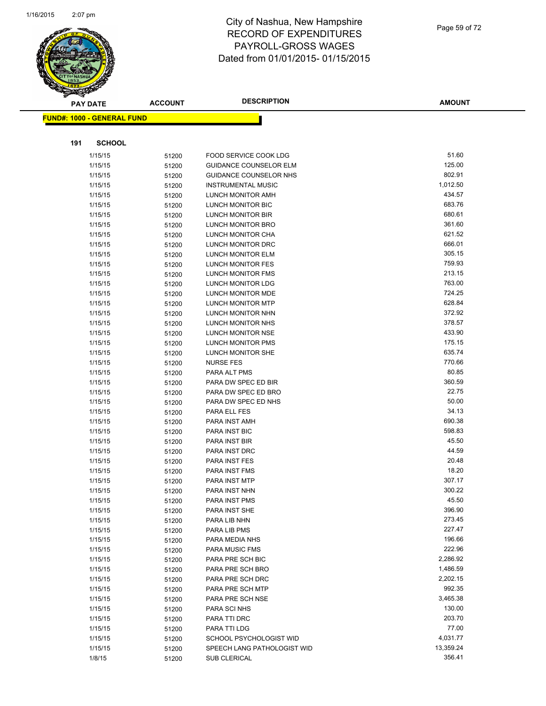

|     | <b>PAY DATE</b>                   | <b>ACCOUNT</b> | <b>DESCRIPTION</b>               | <b>AMOUNT</b>   |
|-----|-----------------------------------|----------------|----------------------------------|-----------------|
|     | <b>FUND#: 1000 - GENERAL FUND</b> |                |                                  |                 |
|     |                                   |                |                                  |                 |
| 191 | <b>SCHOOL</b>                     |                |                                  |                 |
|     | 1/15/15                           | 51200          | <b>FOOD SERVICE COOK LDG</b>     | 51.60           |
|     | 1/15/15                           | 51200          | <b>GUIDANCE COUNSELOR ELM</b>    | 125.00          |
|     | 1/15/15                           | 51200          | <b>GUIDANCE COUNSELOR NHS</b>    | 802.91          |
|     | 1/15/15                           | 51200          | <b>INSTRUMENTAL MUSIC</b>        | 1,012.50        |
|     | 1/15/15                           | 51200          | LUNCH MONITOR AMH                | 434.57          |
|     | 1/15/15                           | 51200          | LUNCH MONITOR BIC                | 683.76          |
|     | 1/15/15                           | 51200          | LUNCH MONITOR BIR                | 680.61          |
|     | 1/15/15                           | 51200          | LUNCH MONITOR BRO                | 361.60          |
|     | 1/15/15                           | 51200          | LUNCH MONITOR CHA                | 621.52          |
|     | 1/15/15                           | 51200          | LUNCH MONITOR DRC                | 666.01          |
|     | 1/15/15                           | 51200          | LUNCH MONITOR ELM                | 305.15          |
|     | 1/15/15                           | 51200          | LUNCH MONITOR FES                | 759.93          |
|     | 1/15/15                           | 51200          | LUNCH MONITOR FMS                | 213.15          |
|     | 1/15/15                           | 51200          | LUNCH MONITOR LDG                | 763.00          |
|     | 1/15/15                           | 51200          | LUNCH MONITOR MDE                | 724.25          |
|     | 1/15/15                           | 51200          | LUNCH MONITOR MTP                | 628.84          |
|     | 1/15/15                           | 51200          | LUNCH MONITOR NHN                | 372.92          |
|     | 1/15/15                           | 51200          | LUNCH MONITOR NHS                | 378.57          |
|     | 1/15/15                           | 51200          | LUNCH MONITOR NSE                | 433.90          |
|     | 1/15/15                           | 51200          | <b>LUNCH MONITOR PMS</b>         | 175.15          |
|     | 1/15/15                           | 51200          | LUNCH MONITOR SHE                | 635.74          |
|     | 1/15/15                           | 51200          | <b>NURSE FES</b>                 | 770.66          |
|     | 1/15/15                           | 51200          | PARA ALT PMS                     | 80.85           |
|     | 1/15/15                           | 51200          | PARA DW SPEC ED BIR              | 360.59          |
|     | 1/15/15                           | 51200          | PARA DW SPEC ED BRO              | 22.75           |
|     | 1/15/15                           | 51200          | PARA DW SPEC ED NHS              | 50.00           |
|     | 1/15/15                           | 51200          | PARA ELL FES                     | 34.13           |
|     | 1/15/15                           | 51200          | PARA INST AMH                    | 690.38          |
|     | 1/15/15                           | 51200          | PARA INST BIC                    | 598.83          |
|     | 1/15/15                           | 51200          | PARA INST BIR                    | 45.50           |
|     | 1/15/15                           | 51200          | PARA INST DRC                    | 44.59           |
|     | 1/15/15                           | 51200          | PARA INST FES                    | 20.48           |
|     | 1/15/15                           | 51200          | PARA INST FMS                    | 18.20           |
|     | 1/15/15                           | 51200          | PARA INST MTP                    | 307.17          |
|     | 1/15/15                           | 51200          | PARA INST NHN                    | 300.22          |
|     | 1/15/15                           | 51200          | PARA INST PMS                    | 45.50<br>396.90 |
|     | 1/15/15                           | 51200          | PARA INST SHE                    | 273.45          |
|     | 1/15/15                           | 51200          | PARA LIB NHN                     | 227.47          |
|     | 1/15/15                           | 51200          | PARA LIB PMS                     | 196.66          |
|     | 1/15/15<br>1/15/15                | 51200          | PARA MEDIA NHS<br>PARA MUSIC FMS | 222.96          |
|     | 1/15/15                           | 51200          | PARA PRE SCH BIC                 | 2,286.92        |
|     | 1/15/15                           | 51200          | PARA PRE SCH BRO                 | 1,486.59        |
|     | 1/15/15                           | 51200<br>51200 | PARA PRE SCH DRC                 | 2,202.15        |
|     | 1/15/15                           |                | PARA PRE SCH MTP                 | 992.35          |
|     | 1/15/15                           | 51200<br>51200 | PARA PRE SCH NSE                 | 3,465.38        |
|     | 1/15/15                           | 51200          | PARA SCI NHS                     | 130.00          |
|     | 1/15/15                           | 51200          | PARA TTI DRC                     | 203.70          |
|     | 1/15/15                           | 51200          | PARA TTI LDG                     | 77.00           |
|     | 1/15/15                           | 51200          | SCHOOL PSYCHOLOGIST WID          | 4,031.77        |
|     | 1/15/15                           | 51200          | SPEECH LANG PATHOLOGIST WID      | 13,359.24       |
|     | 1/8/15                            | 51200          | <b>SUB CLERICAL</b>              | 356.41          |
|     |                                   |                |                                  |                 |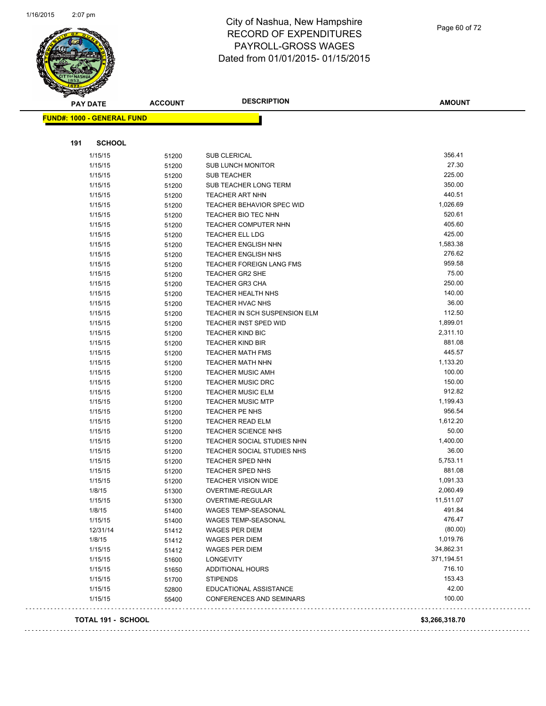÷,



## City of Nashua, New Hampshire RECORD OF EXPENDITURES PAYROLL-GROSS WAGES Dated from 01/01/2015- 01/15/2015

Page 60 of 72

| <b>FUND#: 1000 - GENERAL FUND</b> |       |                                 |                |
|-----------------------------------|-------|---------------------------------|----------------|
|                                   |       |                                 |                |
|                                   |       |                                 |                |
| 191<br><b>SCHOOL</b>              |       |                                 |                |
| 1/15/15                           | 51200 | SUB CLERICAL                    | 356.41         |
| 1/15/15                           | 51200 | <b>SUB LUNCH MONITOR</b>        | 27.30          |
| 1/15/15                           | 51200 | <b>SUB TEACHER</b>              | 225.00         |
| 1/15/15                           | 51200 | SUB TEACHER LONG TERM           | 350.00         |
| 1/15/15                           | 51200 | <b>TEACHER ART NHN</b>          | 440.51         |
| 1/15/15                           | 51200 | TEACHER BEHAVIOR SPEC WID       | 1,026.69       |
| 1/15/15                           | 51200 | <b>TEACHER BIO TEC NHN</b>      | 520.61         |
| 1/15/15                           | 51200 | <b>TEACHER COMPUTER NHN</b>     | 405.60         |
| 1/15/15                           | 51200 | <b>TEACHER ELL LDG</b>          | 425.00         |
| 1/15/15                           | 51200 | <b>TEACHER ENGLISH NHN</b>      | 1,583.38       |
| 1/15/15                           | 51200 | <b>TEACHER ENGLISH NHS</b>      | 276.62         |
| 1/15/15                           | 51200 | <b>TEACHER FOREIGN LANG FMS</b> | 959.58         |
| 1/15/15                           | 51200 | TEACHER GR2 SHE                 | 75.00          |
| 1/15/15                           | 51200 | <b>TEACHER GR3 CHA</b>          | 250.00         |
| 1/15/15                           | 51200 | <b>TEACHER HEALTH NHS</b>       | 140.00         |
| 1/15/15                           | 51200 | <b>TEACHER HVAC NHS</b>         | 36.00          |
| 1/15/15                           | 51200 | TEACHER IN SCH SUSPENSION ELM   | 112.50         |
| 1/15/15                           | 51200 | <b>TEACHER INST SPED WID</b>    | 1,899.01       |
| 1/15/15                           | 51200 | <b>TEACHER KIND BIC</b>         | 2,311.10       |
| 1/15/15                           | 51200 | <b>TEACHER KIND BIR</b>         | 881.08         |
| 1/15/15                           | 51200 | <b>TEACHER MATH FMS</b>         | 445.57         |
| 1/15/15                           | 51200 | <b>TEACHER MATH NHN</b>         | 1,133.20       |
| 1/15/15                           | 51200 | <b>TEACHER MUSIC AMH</b>        | 100.00         |
| 1/15/15                           | 51200 | <b>TEACHER MUSIC DRC</b>        | 150.00         |
| 1/15/15                           | 51200 | <b>TEACHER MUSIC ELM</b>        | 912.82         |
| 1/15/15                           | 51200 | <b>TEACHER MUSIC MTP</b>        | 1,199.43       |
| 1/15/15                           | 51200 | TEACHER PE NHS                  | 956.54         |
| 1/15/15                           | 51200 | <b>TEACHER READ ELM</b>         | 1,612.20       |
| 1/15/15                           | 51200 | <b>TEACHER SCIENCE NHS</b>      | 50.00          |
| 1/15/15                           | 51200 | TEACHER SOCIAL STUDIES NHN      | 1,400.00       |
| 1/15/15                           | 51200 | TEACHER SOCIAL STUDIES NHS      | 36.00          |
| 1/15/15                           | 51200 | <b>TEACHER SPED NHN</b>         | 5,753.11       |
| 1/15/15                           | 51200 | TEACHER SPED NHS                | 881.08         |
| 1/15/15                           | 51200 | <b>TEACHER VISION WIDE</b>      | 1,091.33       |
| 1/8/15                            | 51300 | <b>OVERTIME-REGULAR</b>         | 2,060.49       |
| 1/15/15                           | 51300 | OVERTIME-REGULAR                | 11,511.07      |
| 1/8/15                            | 51400 | WAGES TEMP-SEASONAL             | 491.84         |
| 1/15/15                           | 51400 | WAGES TEMP-SEASONAL             | 476.47         |
| 12/31/14                          | 51412 | WAGES PER DIEM                  | (80.00)        |
| 1/8/15                            | 51412 | WAGES PER DIEM                  | 1,019.76       |
| 1/15/15                           | 51412 | <b>WAGES PER DIEM</b>           | 34,862.31      |
| 1/15/15                           | 51600 | <b>LONGEVITY</b>                | 371,194.51     |
| 1/15/15                           | 51650 | <b>ADDITIONAL HOURS</b>         | 716.10         |
| 1/15/15                           | 51700 | <b>STIPENDS</b>                 | 153.43         |
| 1/15/15                           | 52800 | EDUCATIONAL ASSISTANCE          | 42.00          |
| 1/15/15                           | 55400 | <b>CONFERENCES AND SEMINARS</b> | 100.00         |
| TOTAL 191 - SCHOOL                |       |                                 | \$3,266,318.70 |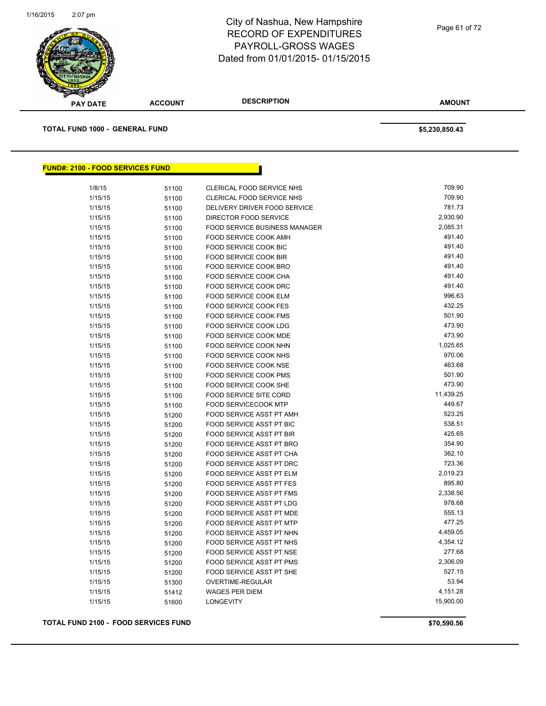

**AMOUNT PAY DATE ACCOUNT DESCRIPTION TOTAL FUND 1000 - GENERAL FUND \$5,230,850.43 FUND#: 2100 - FOOD SERVICES FUND**

| 709.90<br>781.73<br>2,930.90<br>2,085.31<br><b>FOOD SERVICE BUSINESS MANAGER</b><br>491.40<br>491.40<br>491.40<br>491.40<br>491.40<br>491.40<br>996.63<br>432.25<br>501.90<br>473.90<br>473.90<br>1,025.65<br>970.06 |
|----------------------------------------------------------------------------------------------------------------------------------------------------------------------------------------------------------------------|
|                                                                                                                                                                                                                      |
|                                                                                                                                                                                                                      |
|                                                                                                                                                                                                                      |
|                                                                                                                                                                                                                      |
|                                                                                                                                                                                                                      |
|                                                                                                                                                                                                                      |
|                                                                                                                                                                                                                      |
|                                                                                                                                                                                                                      |
|                                                                                                                                                                                                                      |
|                                                                                                                                                                                                                      |
|                                                                                                                                                                                                                      |
|                                                                                                                                                                                                                      |
|                                                                                                                                                                                                                      |
|                                                                                                                                                                                                                      |
|                                                                                                                                                                                                                      |
|                                                                                                                                                                                                                      |
|                                                                                                                                                                                                                      |
| 463.68                                                                                                                                                                                                               |
| 501.90                                                                                                                                                                                                               |
| 473.90                                                                                                                                                                                                               |
| 11,439.25                                                                                                                                                                                                            |
| 449.67                                                                                                                                                                                                               |
| 523.25                                                                                                                                                                                                               |
| 538.51                                                                                                                                                                                                               |
| 425.65                                                                                                                                                                                                               |
| 354.90                                                                                                                                                                                                               |
| 362.10                                                                                                                                                                                                               |
| 723.36                                                                                                                                                                                                               |
| 2,019.23                                                                                                                                                                                                             |
| 895.80                                                                                                                                                                                                               |
| 2,338.56                                                                                                                                                                                                             |
| 978.68                                                                                                                                                                                                               |
| 555.13                                                                                                                                                                                                               |
| 477.25                                                                                                                                                                                                               |
| 4,459.05                                                                                                                                                                                                             |
| 4,354.12                                                                                                                                                                                                             |
| 277.68                                                                                                                                                                                                               |
| 2,306.09                                                                                                                                                                                                             |
| 527.15                                                                                                                                                                                                               |
| 53.94                                                                                                                                                                                                                |
| 4,151.28                                                                                                                                                                                                             |
| 15,900.00                                                                                                                                                                                                            |
|                                                                                                                                                                                                                      |

#### **TOTAL FUND 2100 - FOOD SERVICES FUND \$70,590.56**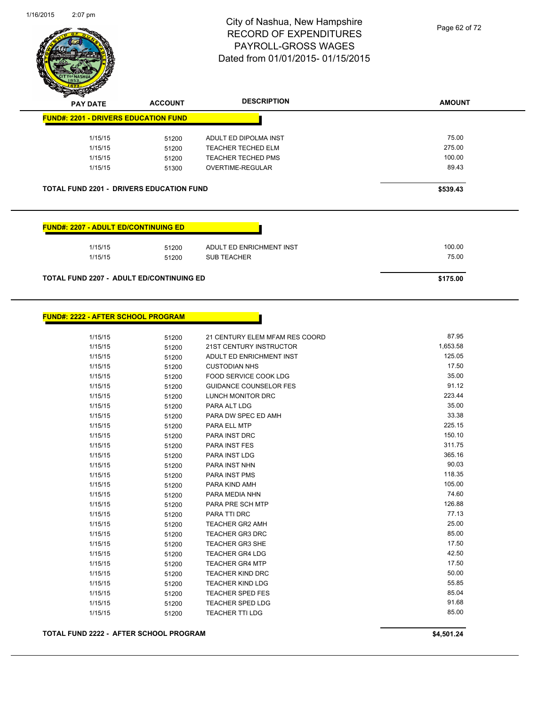

**FUND#: 2222 - AFTER SCHOOL PROGRAM**

#### City of Nashua, New Hampshire RECORD OF EXPENDITURES PAYROLL-GROSS WAGES Dated from 01/01/2015- 01/15/2015

Page 62 of 72

| <b>PAY DATE</b>                                 | <b>ACCOUNT</b> | <b>DESCRIPTION</b>        | <b>AMOUNT</b> |
|-------------------------------------------------|----------------|---------------------------|---------------|
| <b>FUND#: 2201 - DRIVERS EDUCATION FUND</b>     |                |                           |               |
| 1/15/15                                         | 51200          | ADULT ED DIPOLMA INST     | 75.00         |
| 1/15/15                                         | 51200          | <b>TEACHER TECHED ELM</b> | 275.00        |
| 1/15/15                                         | 51200          | <b>TEACHER TECHED PMS</b> | 100.00        |
| 1/15/15                                         | 51300          | <b>OVERTIME-REGULAR</b>   | 89.43         |
| <b>TOTAL FUND 2201 - DRIVERS EDUCATION FUND</b> |                |                           | \$539.43      |
|                                                 |                |                           |               |
| <b>FUND#: 2207 - ADULT ED/CONTINUING ED</b>     |                |                           |               |
| 1/15/15                                         | 51200          | ADULT ED ENRICHMENT INST  | 100.00        |
| 1/15/15                                         | 51200          | <b>SUB TEACHER</b>        | 75.00         |

1/15/15 51200 21 CENTURY ELEM MFAM RES COORD 87.95 1/15/15 51200 21ST CENTURY INSTRUCTOR 1,653.58 1/15/15 51200 ADULT ED ENRICHMENT INST 125.05 1/15/15 51200 CUSTODIAN NHS 17.50 1/15/15 51200 FOOD SERVICE COOK LDG 35.00 1/15/15 51200 GUIDANCE COUNSELOR FES 91.12 1/15/15 51200 LUNCH MONITOR DRC 223.44 1/15/15 51200 PARA ALT LDG 35.00 1/15/15 51200 PARA DW SPEC ED AMH 33.38 1/15/15 51200 PARA ELL MTP 225.15 1/15/15 51200 PARA INST DRC 150.10 1/15/15 51200 PARA INST FES 311.75 1/15/15 51200 PARA INST LDG 365.16 1/15/15 51200 PARA INST NHN 90.03 1/15/15 51200 PARA INST PMS 175/17 175/15 118.35 1/15/15 51200 PARA KIND AMH 105.00 51200 PARA KIND AMH 1/15/15 51200 PARA MEDIA NHN 500 PARA MEDIA NHN 51 AM SAN 1999 10 AM SAN 1999 10 AM SAN 1999 10 AM SAN 1999 10 1/15/15 51200 PARA PRE SCH MTP 126.88 1/15/15 51200 PARA TTI DRC 51200 FARA TTI DRC 1/15/15 51200 TEACHER GR2 AMH 25.00 1/15/15 51200 TEACHER GR3 DRC 85.00 1/15/15 51200 TEACHER GR3 SHE 17.50 1/15/15 51200 TEACHER GR4 LDG 51200 51200 1/15/15 51200 TEACHER GR4 MTP 17.50 1/15/15 51200 TEACHER KIND DRC 1/15/15 51200 TEACHER KIND LDG 55.85 1/15/15 51200 TEACHER SPED FES 85.04 1/15/15 51200 TEACHER SPED LDG<br>1/15/15 51200 TEACHER TTI LDG 91.68 95.00 1/15/15 51200 TEACHER TTI LDG **TOTAL FUND 2222 - AFTER SCHOOL PROGRAM \$4,501.24**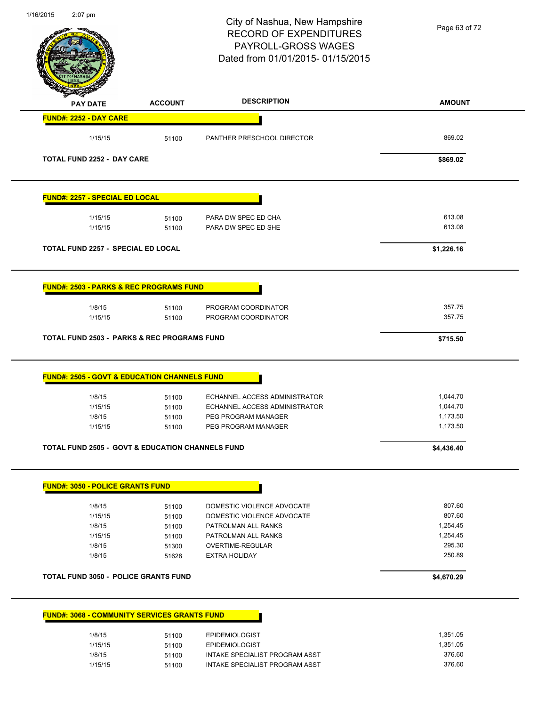| 1/16/2015<br>2:07 pm                  |                                                             | City of Nashua, New Hampshire<br><b>RECORD OF EXPENDITURES</b><br>PAYROLL-GROSS WAGES<br>Dated from 01/01/2015-01/15/2015 | Page 63 of 72    |
|---------------------------------------|-------------------------------------------------------------|---------------------------------------------------------------------------------------------------------------------------|------------------|
| <b>PAY DATE</b>                       | <b>ACCOUNT</b>                                              | <b>DESCRIPTION</b>                                                                                                        | <b>AMOUNT</b>    |
| FUND#: 2252 - DAY CARE                |                                                             |                                                                                                                           |                  |
| 1/15/15                               | 51100                                                       | PANTHER PRESCHOOL DIRECTOR                                                                                                | 869.02           |
| <b>TOTAL FUND 2252 - DAY CARE</b>     |                                                             |                                                                                                                           | \$869.02         |
| <b>FUND#: 2257 - SPECIAL ED LOCAL</b> |                                                             |                                                                                                                           |                  |
| 1/15/15<br>1/15/15                    | 51100<br>51100                                              | PARA DW SPEC ED CHA<br>PARA DW SPEC ED SHE                                                                                | 613.08<br>613.08 |
|                                       | TOTAL FUND 2257 - SPECIAL ED LOCAL                          |                                                                                                                           | \$1,226.16       |
|                                       | <u> FUND#: 2503 - PARKS &amp; REC PROGRAMS FUND</u>         |                                                                                                                           |                  |
| 1/8/15<br>1/15/15                     | 51100<br>51100                                              | PROGRAM COORDINATOR<br>PROGRAM COORDINATOR                                                                                | 357.75<br>357.75 |
|                                       |                                                             |                                                                                                                           |                  |
|                                       | <b>TOTAL FUND 2503 - PARKS &amp; REC PROGRAMS FUND</b>      |                                                                                                                           | \$715.50         |
|                                       | <b>FUND#: 2505 - GOVT &amp; EDUCATION CHANNELS FUND</b>     |                                                                                                                           |                  |
| 1/8/15                                | 51100                                                       | ECHANNEL ACCESS ADMINISTRATOR                                                                                             | 1,044.70         |
| 1/15/15                               | 51100                                                       | ECHANNEL ACCESS ADMINISTRATOR                                                                                             | 1,044.70         |
| 1/8/15                                | 51100                                                       | PEG PROGRAM MANAGER                                                                                                       | 1,173.50         |
| 1/15/15                               | 51100                                                       | PEG PROGRAM MANAGER                                                                                                       | 1,173.50         |
|                                       | <b>TOTAL FUND 2505 - GOVT &amp; EDUCATION CHANNELS FUND</b> |                                                                                                                           | \$4,436.40       |
|                                       | <b>FUND#: 3050 - POLICE GRANTS FUND</b>                     |                                                                                                                           |                  |
| 1/8/15                                | 51100                                                       | DOMESTIC VIOLENCE ADVOCATE                                                                                                | 807.60           |
| 1/15/15                               | 51100                                                       | DOMESTIC VIOLENCE ADVOCATE                                                                                                | 807.60           |
| 1/8/15                                | 51100                                                       | PATROLMAN ALL RANKS                                                                                                       | 1,254.45         |
| 1/15/15                               | 51100                                                       | PATROLMAN ALL RANKS                                                                                                       | 1,254.45         |
| 1/8/15                                | 51300                                                       | OVERTIME-REGULAR                                                                                                          | 295.30           |
| 1/8/15                                | 51628                                                       | <b>EXTRA HOLIDAY</b>                                                                                                      | 250.89           |
|                                       | <b>TOTAL FUND 3050 - POLICE GRANTS FUND</b>                 |                                                                                                                           | \$4,670.29       |
|                                       | <b>FUND#: 3068 - COMMUNITY SERVICES GRANTS FUND</b>         |                                                                                                                           |                  |
| 1/8/15                                | 51100                                                       | <b>EPIDEMIOLOGIST</b>                                                                                                     | 1,351.05         |
| 1/15/15                               | 51100                                                       | <b>EPIDEMIOLOGIST</b>                                                                                                     | 1,351.05         |
| 1/8/15                                | 51100                                                       | INTAKE SPECIALIST PROGRAM ASST                                                                                            | 376.60           |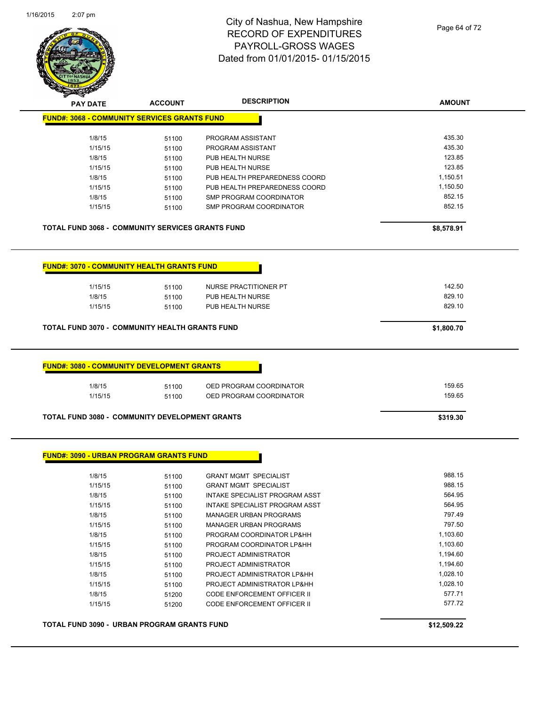

| <b>SARAHA</b>                                         |                |                                |               |
|-------------------------------------------------------|----------------|--------------------------------|---------------|
| <b>PAY DATE</b>                                       | <b>ACCOUNT</b> | <b>DESCRIPTION</b>             | <b>AMOUNT</b> |
| <b>FUND#: 3068 - COMMUNITY SERVICES GRANTS FUND</b>   |                |                                |               |
| 1/8/15                                                | 51100          | PROGRAM ASSISTANT              | 435.30        |
| 1/15/15                                               | 51100          | PROGRAM ASSISTANT              | 435.30        |
| 1/8/15                                                | 51100          | PUB HEALTH NURSE               | 123.85        |
| 1/15/15                                               | 51100          | PUB HEALTH NURSE               | 123.85        |
| 1/8/15                                                | 51100          | PUB HEALTH PREPAREDNESS COORD  | 1,150.51      |
| 1/15/15                                               | 51100          | PUB HEALTH PREPAREDNESS COORD  | 1,150.50      |
| 1/8/15                                                | 51100          | <b>SMP PROGRAM COORDINATOR</b> | 852.15        |
| 1/15/15                                               | 51100          | <b>SMP PROGRAM COORDINATOR</b> | 852.15        |
| TOTAL FUND 3068 - COMMUNITY SERVICES GRANTS FUND      |                |                                | \$8,578.91    |
| <b>FUND#: 3070 - COMMUNITY HEALTH GRANTS FUND</b>     |                |                                |               |
| 1/15/15                                               | 51100          | NURSE PRACTITIONER PT          | 142.50        |
| 1/8/15                                                | 51100          | PUB HEALTH NURSE               | 829.10        |
| 1/15/15                                               | 51100          | PUB HEALTH NURSE               | 829.10        |
| <b>TOTAL FUND 3070 - COMMUNITY HEALTH GRANTS FUND</b> |                |                                | \$1,800.70    |
| 1/8/15                                                | 51100          | OED PROGRAM COORDINATOR        | 159.65        |
| 1/15/15                                               | 51100          | OED PROGRAM COORDINATOR        | 159.65        |
| TOTAL FUND 3080 - COMMUNITY DEVELOPMENT GRANTS        |                |                                | \$319.30      |
| <u> FUND#: 3090 - URBAN PROGRAM GRANTS FUND</u>       |                |                                |               |
| 1/8/15                                                | 51100          | <b>GRANT MGMT SPECIALIST</b>   | 988.15        |
| 1/15/15                                               | 51100          | <b>GRANT MGMT SPECIALIST</b>   | 988.15        |
| 1/8/15                                                | 51100          | INTAKE SPECIALIST PROGRAM ASST | 564.95        |
| 1/15/15                                               | 51100          | INTAKE SPECIALIST PROGRAM ASST | 564.95        |
| 1/8/15                                                | 51100          | <b>MANAGER URBAN PROGRAMS</b>  | 797.49        |
| 1/15/15                                               | 51100          | <b>MANAGER URBAN PROGRAMS</b>  | 797.50        |
| 1/8/15                                                | 51100          | PROGRAM COORDINATOR LP&HH      | 1,103.60      |
| 1/15/15                                               | 51100          | PROGRAM COORDINATOR LP&HH      | 1,103.60      |
| 1/8/15                                                | 51100          | PROJECT ADMINISTRATOR          | 1,194.60      |
| 1/15/15                                               | 51100          | PROJECT ADMINISTRATOR          | 1,194.60      |
| 1/8/15                                                | 51100          | PROJECT ADMINISTRATOR LP&HH    | 1,028.10      |
| 1/15/15                                               | 51100          | PROJECT ADMINISTRATOR LP&HH    | 1,028.10      |
| 1/8/15                                                | 51200          | CODE ENFORCEMENT OFFICER II    | 577.71        |
| 1/15/15                                               |                | CODE ENFORCEMENT OFFICER II    | 577.72        |
|                                                       | 51200          |                                |               |

**TOTAL FUND 3090 - URBAN PROGRAM GRANTS FUND \$12,509.22**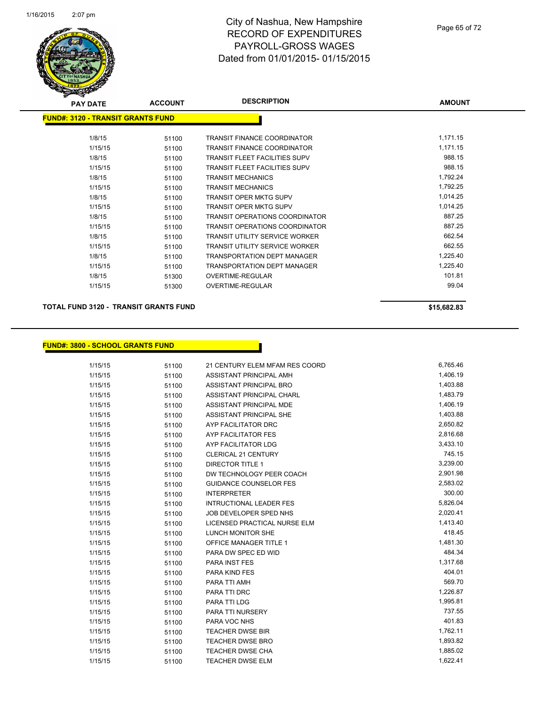

| <b>PAY DATE</b> | <b>ACCOUNT</b>                            | <b>DESCRIPTION</b>                    | <b>AMOUNT</b> |
|-----------------|-------------------------------------------|---------------------------------------|---------------|
|                 | <u> FUND#: 3120 - TRANSIT GRANTS FUND</u> |                                       |               |
| 1/8/15          | 51100                                     | <b>TRANSIT FINANCE COORDINATOR</b>    | 1,171.15      |
| 1/15/15         | 51100                                     | <b>TRANSIT FINANCE COORDINATOR</b>    | 1,171.15      |
| 1/8/15          | 51100                                     | TRANSIT FLEET FACILITIES SUPV         | 988.15        |
| 1/15/15         | 51100                                     | <b>TRANSIT FLEET FACILITIES SUPV</b>  | 988.15        |
| 1/8/15          | 51100                                     | <b>TRANSIT MECHANICS</b>              | 1,792.24      |
| 1/15/15         | 51100                                     | <b>TRANSIT MECHANICS</b>              | 1,792.25      |
| 1/8/15          | 51100                                     | TRANSIT OPER MKTG SUPV                | 1,014.25      |
| 1/15/15         | 51100                                     | <b>TRANSIT OPER MKTG SUPV</b>         | 1,014.25      |
| 1/8/15          | 51100                                     | TRANSIT OPERATIONS COORDINATOR        | 887.25        |
| 1/15/15         | 51100                                     | TRANSIT OPERATIONS COORDINATOR        | 887.25        |
| 1/8/15          | 51100                                     | TRANSIT UTILITY SERVICE WORKER        | 662.54        |
| 1/15/15         | 51100                                     | <b>TRANSIT UTILITY SERVICE WORKER</b> | 662.55        |
| 1/8/15          | 51100                                     | <b>TRANSPORTATION DEPT MANAGER</b>    | 1,225.40      |
| 1/15/15         | 51100                                     | TRANSPORTATION DEPT MANAGER           | 1,225.40      |
| 1/8/15          | 51300                                     | OVERTIME-REGULAR                      | 101.81        |
| 1/15/15         | 51300                                     | OVERTIME-REGULAR                      | 99.04         |
|                 |                                           |                                       |               |

**TOTAL FUND 3120 - TRANSIT GRANTS FUND \$15,682.83** 

#### **FUND#: 3800 - SCHOOL GRANTS FUND**

| 1/15/15 | 51100 | 21 CENTURY ELEM MFAM RES COORD   | 6,765.46 |
|---------|-------|----------------------------------|----------|
| 1/15/15 | 51100 | ASSISTANT PRINCIPAL AMH          | 1,406.19 |
| 1/15/15 | 51100 | ASSISTANT PRINCIPAL BRO          | 1,403.88 |
| 1/15/15 | 51100 | <b>ASSISTANT PRINCIPAL CHARL</b> | 1,483.79 |
| 1/15/15 | 51100 | ASSISTANT PRINCIPAL MDE          | 1,406.19 |
| 1/15/15 | 51100 | ASSISTANT PRINCIPAL SHE          | 1,403.88 |
| 1/15/15 | 51100 | AYP FACILITATOR DRC              | 2,650.82 |
| 1/15/15 | 51100 | AYP FACILITATOR FES              | 2,816.68 |
| 1/15/15 | 51100 | AYP FACILITATOR LDG              | 3,433.10 |
| 1/15/15 | 51100 | CLERICAL 21 CENTURY              | 745.15   |
| 1/15/15 | 51100 | <b>DIRECTOR TITLE 1</b>          | 3,239.00 |
| 1/15/15 | 51100 | DW TECHNOLOGY PEER COACH         | 2,901.98 |
| 1/15/15 | 51100 | <b>GUIDANCE COUNSELOR FES</b>    | 2,583.02 |
| 1/15/15 | 51100 | <b>INTERPRETER</b>               | 300.00   |
| 1/15/15 | 51100 | <b>INTRUCTIONAL LEADER FES</b>   | 5,826.04 |
| 1/15/15 | 51100 | JOB DEVELOPER SPED NHS           | 2,020.41 |
| 1/15/15 | 51100 | LICENSED PRACTICAL NURSE ELM     | 1,413.40 |
| 1/15/15 | 51100 | <b>LUNCH MONITOR SHE</b>         | 418.45   |
| 1/15/15 | 51100 | <b>OFFICE MANAGER TITLE 1</b>    | 1,481.30 |
| 1/15/15 | 51100 | PARA DW SPEC ED WID              | 484.34   |
| 1/15/15 | 51100 | PARA INST FES                    | 1,317.68 |
| 1/15/15 | 51100 | <b>PARA KIND FES</b>             | 404.01   |
| 1/15/15 | 51100 | PARA TTI AMH                     | 569.70   |
| 1/15/15 | 51100 | PARA TTI DRC                     | 1,226.87 |
| 1/15/15 | 51100 | PARA TTI LDG                     | 1,995.81 |
| 1/15/15 | 51100 | PARA TTI NURSERY                 | 737.55   |
| 1/15/15 | 51100 | PARA VOC NHS                     | 401.83   |
| 1/15/15 | 51100 | <b>TEACHER DWSE BIR</b>          | 1,762.11 |
| 1/15/15 | 51100 | <b>TEACHER DWSE BRO</b>          | 1,893.82 |
| 1/15/15 | 51100 | TEACHER DWSE CHA                 | 1,885.02 |
| 1/15/15 | 51100 | <b>TEACHER DWSE ELM</b>          | 1,622.41 |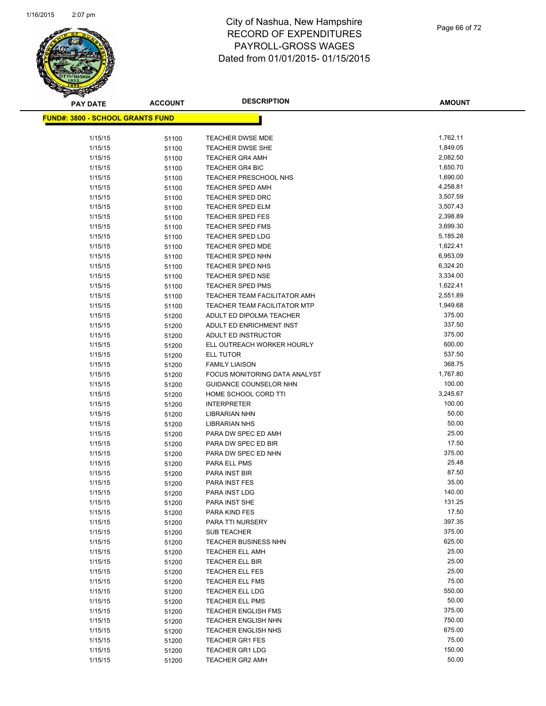

Page 66 of 72

| <b>PAY DATE</b>                          | <b>ACCOUNT</b> | <b>DESCRIPTION</b>                                           | <b>AMOUNT</b>        |
|------------------------------------------|----------------|--------------------------------------------------------------|----------------------|
| <u> FUND#: 3800 - SCHOOL GRANTS FUND</u> |                |                                                              |                      |
|                                          |                |                                                              |                      |
| 1/15/15                                  | 51100          | TEACHER DWSE MDE                                             | 1,762.11             |
| 1/15/15                                  | 51100          | <b>TEACHER DWSE SHE</b>                                      | 1,849.05             |
| 1/15/15                                  | 51100          | <b>TEACHER GR4 AMH</b>                                       | 2,082.50             |
| 1/15/15                                  | 51100          | <b>TEACHER GR4 BIC</b>                                       | 1,650.70             |
| 1/15/15                                  | 51100          | TEACHER PRESCHOOL NHS                                        | 1,690.00             |
| 1/15/15                                  | 51100          | <b>TEACHER SPED AMH</b>                                      | 4,258.81             |
| 1/15/15                                  | 51100          | <b>TEACHER SPED DRC</b>                                      | 3,507.59             |
| 1/15/15                                  | 51100          | TEACHER SPED ELM                                             | 3,507.43             |
| 1/15/15                                  | 51100          | <b>TEACHER SPED FES</b>                                      | 2,398.89             |
| 1/15/15                                  | 51100          | <b>TEACHER SPED FMS</b>                                      | 3,699.30             |
| 1/15/15                                  | 51100          | <b>TEACHER SPED LDG</b>                                      | 5,185.28             |
| 1/15/15                                  | 51100          | <b>TEACHER SPED MDE</b>                                      | 1,622.41             |
| 1/15/15                                  | 51100          | TEACHER SPED NHN                                             | 6,953.09             |
| 1/15/15                                  | 51100          | TEACHER SPED NHS                                             | 6,324.20             |
| 1/15/15                                  | 51100          | <b>TEACHER SPED NSE</b><br><b>TEACHER SPED PMS</b>           | 3,334.00<br>1,622.41 |
| 1/15/15                                  | 51100          |                                                              | 2,551.89             |
| 1/15/15<br>1/15/15                       | 51100          | TEACHER TEAM FACILITATOR AMH<br>TEACHER TEAM FACILITATOR MTP | 1,949.68             |
| 1/15/15                                  | 51100<br>51200 | ADULT ED DIPOLMA TEACHER                                     | 375.00               |
| 1/15/15                                  | 51200          | ADULT ED ENRICHMENT INST                                     | 337.50               |
| 1/15/15                                  | 51200          | ADULT ED INSTRUCTOR                                          | 375.00               |
| 1/15/15                                  | 51200          | ELL OUTREACH WORKER HOURLY                                   | 600.00               |
| 1/15/15                                  | 51200          | ELL TUTOR                                                    | 537.50               |
| 1/15/15                                  | 51200          | <b>FAMILY LIAISON</b>                                        | 368.75               |
| 1/15/15                                  | 51200          | FOCUS MONITORING DATA ANALYST                                | 1,767.80             |
| 1/15/15                                  | 51200          | <b>GUIDANCE COUNSELOR NHN</b>                                | 100.00               |
| 1/15/15                                  | 51200          | HOME SCHOOL CORD TTI                                         | 3,245.67             |
| 1/15/15                                  | 51200          | <b>INTERPRETER</b>                                           | 100.00               |
| 1/15/15                                  | 51200          | <b>LIBRARIAN NHN</b>                                         | 50.00                |
| 1/15/15                                  | 51200          | <b>LIBRARIAN NHS</b>                                         | 50.00                |
| 1/15/15                                  | 51200          | PARA DW SPEC ED AMH                                          | 25.00                |
| 1/15/15                                  | 51200          | PARA DW SPEC ED BIR                                          | 17.50                |
| 1/15/15                                  | 51200          | PARA DW SPEC ED NHN                                          | 375.00               |
| 1/15/15                                  | 51200          | PARA ELL PMS                                                 | 25.48                |
| 1/15/15                                  | 51200          | PARA INST BIR                                                | 87.50                |
| 1/15/15                                  | 51200          | PARA INST FES                                                | 35.00                |
| 1/15/15                                  | 51200          | PARA INST LDG                                                | 140.00               |
| 1/15/15                                  | 51200          | PARA INST SHE                                                | 131.25               |
| 1/15/15                                  | 51200          | PARA KIND FES                                                | 17.50                |
| 1/15/15                                  | 51200          | PARA TTI NURSERY                                             | 397.35               |
| 1/15/15                                  | 51200          | <b>SUB TEACHER</b>                                           | 375.00               |
| 1/15/15                                  | 51200          | <b>TEACHER BUSINESS NHN</b>                                  | 625.00               |
| 1/15/15                                  | 51200          | <b>TEACHER ELL AMH</b>                                       | 25.00                |
| 1/15/15                                  | 51200          | TEACHER ELL BIR                                              | 25.00                |
| 1/15/15                                  | 51200          | <b>TEACHER ELL FES</b>                                       | 25.00                |
| 1/15/15                                  | 51200          | <b>TEACHER ELL FMS</b>                                       | 75.00                |
| 1/15/15                                  | 51200          | <b>TEACHER ELL LDG</b>                                       | 550.00               |
| 1/15/15                                  | 51200          | <b>TEACHER ELL PMS</b>                                       | 50.00                |
| 1/15/15                                  | 51200          | <b>TEACHER ENGLISH FMS</b>                                   | 375.00               |
| 1/15/15                                  | 51200          | <b>TEACHER ENGLISH NHN</b>                                   | 750.00<br>675.00     |
| 1/15/15                                  | 51200          | <b>TEACHER ENGLISH NHS</b>                                   | 75.00                |
| 1/15/15<br>1/15/15                       | 51200          | <b>TEACHER GR1 FES</b><br><b>TEACHER GR1 LDG</b>             | 150.00               |
| 1/15/15                                  | 51200          | <b>TEACHER GR2 AMH</b>                                       | 50.00                |
|                                          | 51200          |                                                              |                      |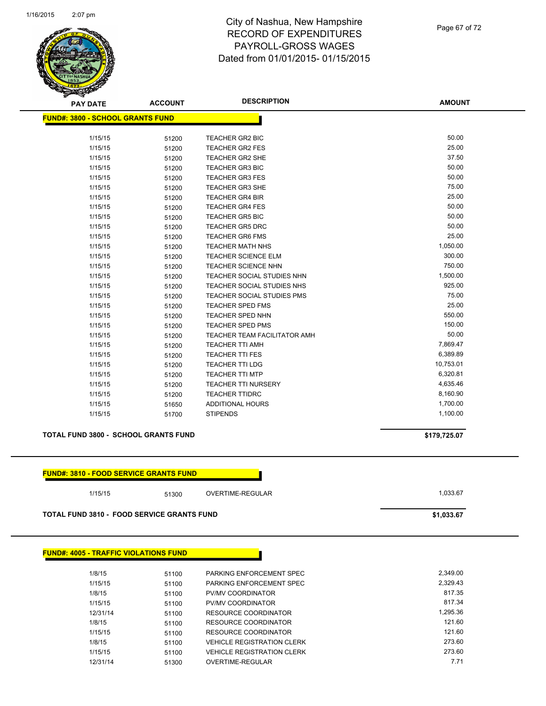

Page 67 of 72

| <b>PAY DATE</b>                         | <b>ACCOUNT</b> | <b>DESCRIPTION</b>                  | <b>AMOUNT</b> |
|-----------------------------------------|----------------|-------------------------------------|---------------|
| <b>FUND#: 3800 - SCHOOL GRANTS FUND</b> |                |                                     |               |
|                                         |                |                                     |               |
| 1/15/15                                 | 51200          | TEACHER GR2 BIC                     | 50.00         |
| 1/15/15                                 | 51200          | <b>TEACHER GR2 FES</b>              | 25.00         |
| 1/15/15                                 | 51200          | <b>TEACHER GR2 SHE</b>              | 37.50         |
| 1/15/15                                 | 51200          | <b>TEACHER GR3 BIC</b>              | 50.00         |
| 1/15/15                                 | 51200          | <b>TEACHER GR3 FES</b>              | 50.00         |
| 1/15/15                                 | 51200          | <b>TEACHER GR3 SHE</b>              | 75.00         |
| 1/15/15                                 | 51200          | <b>TEACHER GR4 BIR</b>              | 25.00         |
| 1/15/15                                 | 51200          | <b>TEACHER GR4 FES</b>              | 50.00         |
| 1/15/15                                 | 51200          | <b>TEACHER GR5 BIC</b>              | 50.00         |
| 1/15/15                                 | 51200          | <b>TEACHER GR5 DRC</b>              | 50.00         |
| 1/15/15                                 | 51200          | <b>TEACHER GR6 FMS</b>              | 25.00         |
| 1/15/15                                 | 51200          | <b>TEACHER MATH NHS</b>             | 1,050.00      |
| 1/15/15                                 | 51200          | TEACHER SCIENCE ELM                 | 300.00        |
| 1/15/15                                 | 51200          | TEACHER SCIENCE NHN                 | 750.00        |
| 1/15/15                                 | 51200          | TEACHER SOCIAL STUDIES NHN          | 1,500.00      |
| 1/15/15                                 | 51200          | TEACHER SOCIAL STUDIES NHS          | 925.00        |
| 1/15/15                                 | 51200          | TEACHER SOCIAL STUDIES PMS          | 75.00         |
| 1/15/15                                 | 51200          | TEACHER SPED FMS                    | 25.00         |
| 1/15/15                                 | 51200          | TEACHER SPED NHN                    | 550.00        |
| 1/15/15                                 | 51200          | <b>TEACHER SPED PMS</b>             | 150.00        |
| 1/15/15                                 | 51200          | <b>TEACHER TEAM FACILITATOR AMH</b> | 50.00         |
| 1/15/15                                 | 51200          | <b>TEACHER TTI AMH</b>              | 7,869.47      |
| 1/15/15                                 | 51200          | <b>TEACHER TTI FES</b>              | 6,389.89      |
| 1/15/15                                 | 51200          | <b>TEACHER TTI LDG</b>              | 10,753.01     |
| 1/15/15                                 | 51200          | <b>TEACHER TTI MTP</b>              | 6,320.81      |
| 1/15/15                                 | 51200          | <b>TEACHER TTI NURSERY</b>          | 4,635.46      |
| 1/15/15                                 | 51200          | <b>TEACHER TTIDRC</b>               | 8,160.90      |
| 1/15/15                                 | 51650          | <b>ADDITIONAL HOURS</b>             | 1,700.00      |
| 1/15/15                                 | 51700          | <b>STIPENDS</b>                     | 1,100.00      |
|                                         |                |                                     |               |
| TOTAL FUND 3800 - SCHOOL GRANTS FUND    |                |                                     | \$179,725.07  |

| <u> FUND#: 3810 - FOOD SERVICE GRANTS FUNDI</u> |
|-------------------------------------------------|
|-------------------------------------------------|

|  | 1/15/15 |  |  |
|--|---------|--|--|

1/15/15 51300 OVERTIME-REGULAR 1/15/15 1,033.67

**TOTAL FUND 3810 - FOOD SERVICE GRANTS FUND \$1,033.67** 

| <b>FUND#: 4005 - TRAFFIC VIOLATIONS FUND</b> |       |                                   |          |
|----------------------------------------------|-------|-----------------------------------|----------|
| 1/8/15                                       | 51100 | PARKING ENFORCEMENT SPEC          | 2.349.00 |
| 1/15/15                                      | 51100 | PARKING ENFORCEMENT SPEC          | 2.329.43 |
| 1/8/15                                       | 51100 | PV/MV COORDINATOR                 | 817.35   |
| 1/15/15                                      | 51100 | PV/MV COORDINATOR                 | 817.34   |
| 12/31/14                                     | 51100 | RESOURCE COORDINATOR              | 1.295.36 |
| 1/8/15                                       | 51100 | RESOURCE COORDINATOR              | 121.60   |
| 1/15/15                                      | 51100 | RESOURCE COORDINATOR              | 121.60   |
| 1/8/15                                       | 51100 | <b>VEHICLE REGISTRATION CLERK</b> | 273.60   |
| 1/15/15                                      | 51100 | <b>VEHICLE REGISTRATION CLERK</b> | 273.60   |
| 12/31/14                                     | 51300 | OVERTIME-REGULAR                  | 7.71     |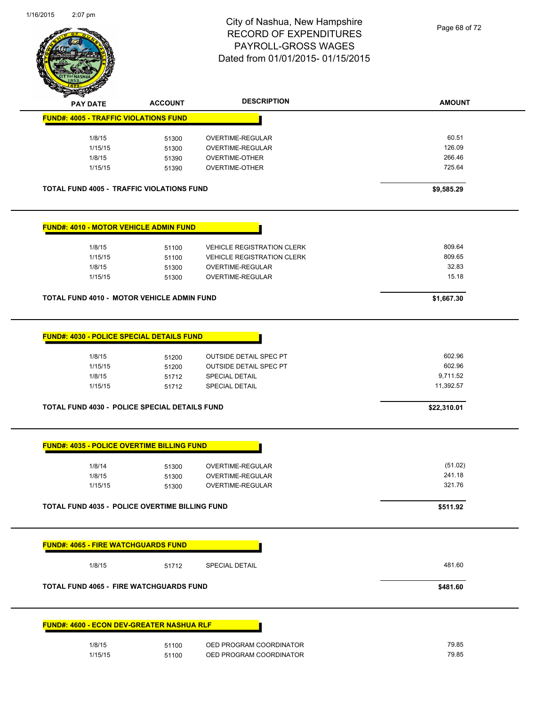

Page 68 of 72

|                                                                                                                                                                                                           | <b>ACCOUNT</b>                            | <b>DESCRIPTION</b>                                                                                         | <b>AMOUNT</b>                                                       |
|-----------------------------------------------------------------------------------------------------------------------------------------------------------------------------------------------------------|-------------------------------------------|------------------------------------------------------------------------------------------------------------|---------------------------------------------------------------------|
| <b>FUND#: 4005 - TRAFFIC VIOLATIONS FUND</b>                                                                                                                                                              |                                           |                                                                                                            |                                                                     |
| 1/8/15                                                                                                                                                                                                    | 51300                                     | OVERTIME-REGULAR                                                                                           | 60.51                                                               |
| 1/15/15                                                                                                                                                                                                   | 51300                                     | OVERTIME-REGULAR                                                                                           | 126.09                                                              |
| 1/8/15                                                                                                                                                                                                    | 51390                                     | OVERTIME-OTHER                                                                                             | 266.46                                                              |
| 1/15/15                                                                                                                                                                                                   | 51390                                     | OVERTIME-OTHER                                                                                             | 725.64                                                              |
| <b>TOTAL FUND 4005 - TRAFFIC VIOLATIONS FUND</b>                                                                                                                                                          |                                           |                                                                                                            | \$9,585.29                                                          |
| <b>FUND#: 4010 - MOTOR VEHICLE ADMIN FUND</b>                                                                                                                                                             |                                           |                                                                                                            |                                                                     |
| 1/8/15                                                                                                                                                                                                    | 51100                                     | <b>VEHICLE REGISTRATION CLERK</b>                                                                          | 809.64                                                              |
| 1/15/15                                                                                                                                                                                                   | 51100                                     | <b>VEHICLE REGISTRATION CLERK</b>                                                                          | 809.65                                                              |
| 1/8/15                                                                                                                                                                                                    | 51300                                     | OVERTIME-REGULAR                                                                                           | 32.83                                                               |
| 1/15/15                                                                                                                                                                                                   | 51300                                     | OVERTIME-REGULAR                                                                                           | 15.18                                                               |
| <b>TOTAL FUND 4010 - MOTOR VEHICLE ADMIN FUND</b>                                                                                                                                                         |                                           |                                                                                                            | \$1,667.30                                                          |
| 1/15/15                                                                                                                                                                                                   | 51200                                     | <b>OUTSIDE DETAIL SPEC PT</b>                                                                              | 602.96                                                              |
| 1/8/15<br>1/15/15<br>1/8/14<br>1/8/15<br>1/15/15                                                                                                                                                          | 51712<br>51712<br>51300<br>51300<br>51300 | <b>SPECIAL DETAIL</b><br><b>SPECIAL DETAIL</b><br>OVERTIME-REGULAR<br>OVERTIME-REGULAR<br>OVERTIME-REGULAR | 9,711.52<br>11,392.57<br>\$22,310.01<br>(51.02)<br>241.18<br>321.76 |
|                                                                                                                                                                                                           |                                           |                                                                                                            | \$511.92                                                            |
| <b>TOTAL FUND 4030 - POLICE SPECIAL DETAILS FUND</b><br><b>FUND#: 4035 - POLICE OVERTIME BILLING FUND</b><br>TOTAL FUND 4035 - POLICE OVERTIME BILLING FUND<br><b>FUND#: 4065 - FIRE WATCHGUARDS FUND</b> |                                           |                                                                                                            |                                                                     |
| 1/8/15                                                                                                                                                                                                    | 51712                                     | SPECIAL DETAIL                                                                                             | 481.60                                                              |
| <b>TOTAL FUND 4065 - FIRE WATCHGUARDS FUND</b>                                                                                                                                                            |                                           |                                                                                                            | \$481.60                                                            |
| <u> FUND#: 4600 - ECON DEV-GREATER NASHUA RLF</u>                                                                                                                                                         |                                           |                                                                                                            |                                                                     |
| 1/8/15                                                                                                                                                                                                    | 51100                                     | OED PROGRAM COORDINATOR                                                                                    | 79.85                                                               |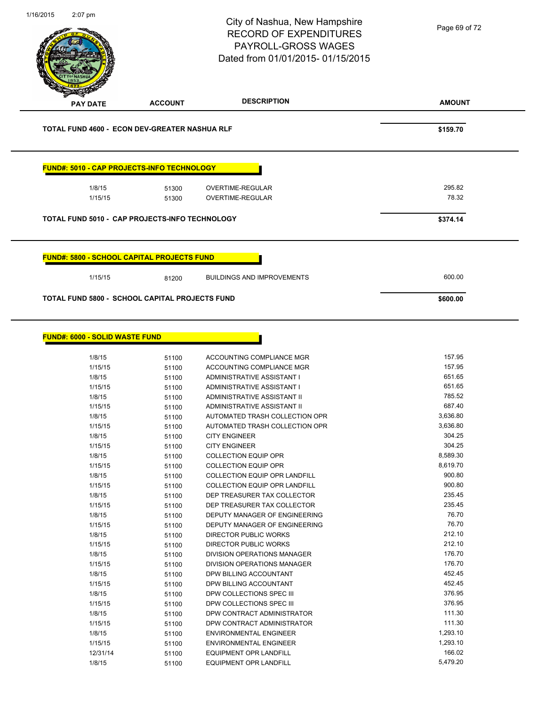| 1/16/2015 | $2:07$ pm                                         |                | City of Nashua, New Hampshire<br><b>RECORD OF EXPENDITURES</b><br>PAYROLL-GROSS WAGES<br>Dated from 01/01/2015-01/15/2015 | Page 69 of 72      |
|-----------|---------------------------------------------------|----------------|---------------------------------------------------------------------------------------------------------------------------|--------------------|
|           | <b>PAY DATE</b>                                   | <b>ACCOUNT</b> | <b>DESCRIPTION</b>                                                                                                        | <b>AMOUNT</b>      |
|           | TOTAL FUND 4600 - ECON DEV-GREATER NASHUA RLF     |                |                                                                                                                           | \$159.70           |
|           | FUND#: 5010 - CAP PROJECTS-INFO TECHNOLOGY        |                |                                                                                                                           |                    |
|           | 1/8/15                                            | 51300          | OVERTIME-REGULAR                                                                                                          | 295.82             |
|           | 1/15/15                                           | 51300          | OVERTIME-REGULAR                                                                                                          | 78.32              |
|           | TOTAL FUND 5010 - CAP PROJECTS-INFO TECHNOLOGY    |                |                                                                                                                           | \$374.14           |
|           | <b>FUND#: 5800 - SCHOOL CAPITAL PROJECTS FUND</b> |                |                                                                                                                           |                    |
|           | 1/15/15                                           | 81200          | <b>BUILDINGS AND IMPROVEMENTS</b>                                                                                         | 600.00             |
|           | TOTAL FUND 5800 - SCHOOL CAPITAL PROJECTS FUND    |                |                                                                                                                           | \$600.00           |
|           | <b>FUND#: 6000 - SOLID WASTE FUND</b>             |                |                                                                                                                           | 157.95             |
|           | 1/8/15<br>1/15/15                                 | 51100<br>51100 | ACCOUNTING COMPLIANCE MGR<br>ACCOUNTING COMPLIANCE MGR                                                                    | 157.95             |
|           | 1/8/15                                            | 51100          | ADMINISTRATIVE ASSISTANT I                                                                                                | 651.65             |
|           | 1/15/15                                           | 51100          | ADMINISTRATIVE ASSISTANT I                                                                                                | 651.65             |
|           | 1/8/15                                            | 51100          | ADMINISTRATIVE ASSISTANT II                                                                                               | 785.52             |
|           | 1/15/15                                           | 51100          | ADMINISTRATIVE ASSISTANT II                                                                                               | 687.40             |
|           | 1/8/15                                            | 51100          | AUTOMATED TRASH COLLECTION OPR                                                                                            | 3,636.80           |
|           | 1/15/15<br>1/8/15                                 | 51100<br>51100 | AUTOMATED TRASH COLLECTION OPR<br><b>CITY ENGINEER</b>                                                                    | 3,636.80<br>304.25 |
|           | 1/15/15                                           | 51100          | <b>CITY ENGINEER</b>                                                                                                      | 304.25             |
|           | 1/8/15                                            | 51100          | <b>COLLECTION EQUIP OPR</b>                                                                                               | 8,589.30           |
|           | 1/15/15                                           | 51100          | <b>COLLECTION EQUIP OPR</b>                                                                                               | 8,619.70           |
|           | 1/8/15                                            | 51100          | <b>COLLECTION EQUIP OPR LANDFILL</b>                                                                                      | 900.80             |
|           | 1/15/15                                           | 51100          | COLLECTION EQUIP OPR LANDFILL                                                                                             | 900.80             |
|           | 1/8/15<br>1/15/15                                 | 51100          | DEP TREASURER TAX COLLECTOR<br>DEP TREASURER TAX COLLECTOR                                                                | 235.45<br>235.45   |
|           | 1/8/15                                            | 51100<br>51100 | DEPUTY MANAGER OF ENGINEERING                                                                                             | 76.70              |
|           | 1/15/15                                           | 51100          | DEPUTY MANAGER OF ENGINEERING                                                                                             | 76.70              |
|           | 1/8/15                                            | 51100          | DIRECTOR PUBLIC WORKS                                                                                                     | 212.10             |
|           | 1/15/15                                           | 51100          | DIRECTOR PUBLIC WORKS                                                                                                     | 212.10             |
|           | 1/8/15                                            | 51100          | DIVISION OPERATIONS MANAGER                                                                                               | 176.70             |
|           | 1/15/15                                           | 51100          | DIVISION OPERATIONS MANAGER                                                                                               | 176.70             |
|           | 1/8/15                                            | 51100          | DPW BILLING ACCOUNTANT                                                                                                    | 452.45             |
|           | 1/15/15                                           | 51100          | DPW BILLING ACCOUNTANT                                                                                                    | 452.45             |
|           | 1/8/15                                            | 51100          | DPW COLLECTIONS SPEC III                                                                                                  | 376.95             |
|           | 1/15/15                                           | 51100          | DPW COLLECTIONS SPEC III                                                                                                  | 376.95             |
|           | 1/8/15                                            | 51100          | DPW CONTRACT ADMINISTRATOR                                                                                                | 111.30             |
|           | 1/15/15                                           | 51100          | DPW CONTRACT ADMINISTRATOR                                                                                                | 111.30             |
|           | 1/8/15                                            | 51100          | <b>ENVIRONMENTAL ENGINEER</b>                                                                                             | 1,293.10           |
|           | 1/15/15                                           | 51100          | <b>ENVIRONMENTAL ENGINEER</b>                                                                                             | 1,293.10           |
|           | 12/31/14                                          | 51100          | EQUIPMENT OPR LANDFILL                                                                                                    | 166.02             |
|           | 1/8/15                                            | 51100          | <b>EQUIPMENT OPR LANDFILL</b>                                                                                             | 5,479.20           |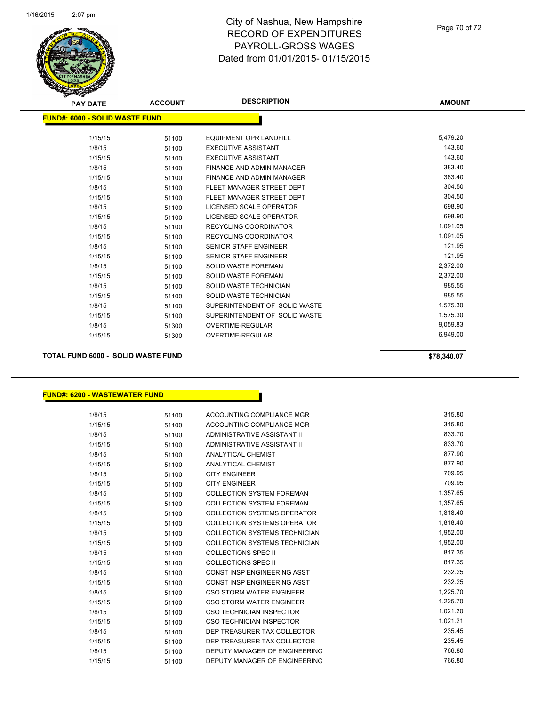

| <b>PAY DATE</b>                       | <b>ACCOUNT</b> | <b>DESCRIPTION</b>               | <b>AMOUNT</b> |
|---------------------------------------|----------------|----------------------------------|---------------|
| <b>FUND#: 6000 - SOLID WASTE FUND</b> |                |                                  |               |
| 1/15/15                               | 51100          | <b>EQUIPMENT OPR LANDFILL</b>    | 5,479.20      |
| 1/8/15                                | 51100          | <b>EXECUTIVE ASSISTANT</b>       | 143.60        |
| 1/15/15                               | 51100          | <b>EXECUTIVE ASSISTANT</b>       | 143.60        |
| 1/8/15                                | 51100          | FINANCE AND ADMIN MANAGER        | 383.40        |
| 1/15/15                               | 51100          | <b>FINANCE AND ADMIN MANAGER</b> | 383.40        |
| 1/8/15                                | 51100          | FLEET MANAGER STREET DEPT        | 304.50        |
| 1/15/15                               | 51100          | FLEET MANAGER STREET DEPT        | 304.50        |
| 1/8/15                                | 51100          | LICENSED SCALE OPERATOR          | 698.90        |
| 1/15/15                               | 51100          | LICENSED SCALE OPERATOR          | 698.90        |
| 1/8/15                                | 51100          | <b>RECYCLING COORDINATOR</b>     | 1,091.05      |
| 1/15/15                               | 51100          | <b>RECYCLING COORDINATOR</b>     | 1,091.05      |
| 1/8/15                                | 51100          | <b>SENIOR STAFF ENGINEER</b>     | 121.95        |
| 1/15/15                               | 51100          | <b>SENIOR STAFF ENGINEER</b>     | 121.95        |
| 1/8/15                                | 51100          | <b>SOLID WASTE FOREMAN</b>       | 2,372.00      |
| 1/15/15                               | 51100          | <b>SOLID WASTE FOREMAN</b>       | 2,372.00      |
| 1/8/15                                | 51100          | SOLID WASTE TECHNICIAN           | 985.55        |
| 1/15/15                               | 51100          | <b>SOLID WASTE TECHNICIAN</b>    | 985.55        |
| 1/8/15                                | 51100          | SUPERINTENDENT OF SOLID WASTE    | 1,575.30      |
| 1/15/15                               | 51100          | SUPERINTENDENT OF SOLID WASTE    | 1,575.30      |
| 1/8/15                                | 51300          | <b>OVERTIME-REGULAR</b>          | 9,059.83      |
| 1/15/15                               | 51300          | <b>OVERTIME-REGULAR</b>          | 6,949.00      |

**TOTAL FUND 6000 - SOLID WASTE FUND \$78,340.07** 

#### **FUND#: 6200 - WASTEWATER FUND**

| 1/8/15  | 51100 | ACCOUNTING COMPLIANCE MGR            | 315.80   |
|---------|-------|--------------------------------------|----------|
| 1/15/15 | 51100 | ACCOUNTING COMPLIANCE MGR            | 315.80   |
| 1/8/15  | 51100 | ADMINISTRATIVE ASSISTANT II          | 833.70   |
| 1/15/15 | 51100 | ADMINISTRATIVE ASSISTANT II          | 833.70   |
| 1/8/15  | 51100 | <b>ANALYTICAL CHEMIST</b>            | 877.90   |
| 1/15/15 | 51100 | <b>ANALYTICAL CHEMIST</b>            | 877.90   |
| 1/8/15  | 51100 | <b>CITY ENGINEER</b>                 | 709.95   |
| 1/15/15 | 51100 | <b>CITY ENGINEER</b>                 | 709.95   |
| 1/8/15  | 51100 | <b>COLLECTION SYSTEM FOREMAN</b>     | 1,357.65 |
| 1/15/15 | 51100 | <b>COLLECTION SYSTEM FOREMAN</b>     | 1,357.65 |
| 1/8/15  | 51100 | <b>COLLECTION SYSTEMS OPERATOR</b>   | 1,818.40 |
| 1/15/15 | 51100 | <b>COLLECTION SYSTEMS OPERATOR</b>   | 1,818.40 |
| 1/8/15  | 51100 | COLLECTION SYSTEMS TECHNICIAN        | 1,952.00 |
| 1/15/15 | 51100 | <b>COLLECTION SYSTEMS TECHNICIAN</b> | 1,952.00 |
| 1/8/15  | 51100 | <b>COLLECTIONS SPEC II</b>           | 817.35   |
| 1/15/15 | 51100 | <b>COLLECTIONS SPEC II</b>           | 817.35   |
| 1/8/15  | 51100 | <b>CONST INSP ENGINEERING ASST</b>   | 232.25   |
| 1/15/15 | 51100 | <b>CONST INSP ENGINEERING ASST</b>   | 232.25   |
| 1/8/15  | 51100 | CSO STORM WATER ENGINEER             | 1,225.70 |
| 1/15/15 | 51100 | CSO STORM WATER ENGINEER             | 1,225.70 |
| 1/8/15  | 51100 | CSO TECHNICIAN INSPECTOR             | 1,021.20 |
| 1/15/15 | 51100 | CSO TECHNICIAN INSPECTOR             | 1,021.21 |
| 1/8/15  | 51100 | DEP TREASURER TAX COLLECTOR          | 235.45   |
| 1/15/15 | 51100 | DEP TREASURER TAX COLLECTOR          | 235.45   |
| 1/8/15  | 51100 | DEPUTY MANAGER OF ENGINEERING        | 766.80   |
| 1/15/15 | 51100 | DEPUTY MANAGER OF ENGINEERING        | 766.80   |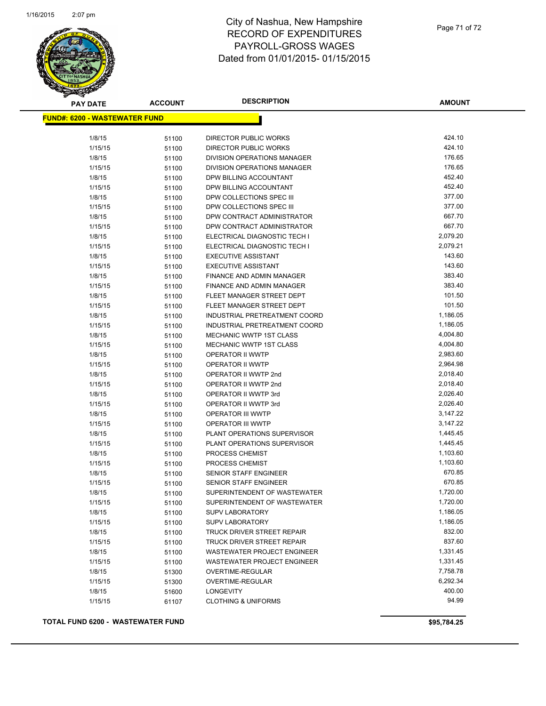

| <b>PAY DATE</b>                      | <b>ACCOUNT</b> | <b>DESCRIPTION</b>                 | <b>AMOUNT</b> |
|--------------------------------------|----------------|------------------------------------|---------------|
| <b>FUND#: 6200 - WASTEWATER FUND</b> |                |                                    |               |
|                                      |                |                                    |               |
| 1/8/15                               | 51100          | DIRECTOR PUBLIC WORKS              | 424.10        |
| 1/15/15                              | 51100          | DIRECTOR PUBLIC WORKS              | 424.10        |
| 1/8/15                               | 51100          | <b>DIVISION OPERATIONS MANAGER</b> | 176.65        |
| 1/15/15                              | 51100          | DIVISION OPERATIONS MANAGER        | 176.65        |
| 1/8/15                               | 51100          | DPW BILLING ACCOUNTANT             | 452.40        |
| 1/15/15                              | 51100          | DPW BILLING ACCOUNTANT             | 452.40        |
| 1/8/15                               | 51100          | DPW COLLECTIONS SPEC III           | 377.00        |
| 1/15/15                              | 51100          | DPW COLLECTIONS SPEC III           | 377.00        |
| 1/8/15                               | 51100          | DPW CONTRACT ADMINISTRATOR         | 667.70        |
| 1/15/15                              | 51100          | DPW CONTRACT ADMINISTRATOR         | 667.70        |
| 1/8/15                               | 51100          | ELECTRICAL DIAGNOSTIC TECH I       | 2,079.20      |
| 1/15/15                              | 51100          | ELECTRICAL DIAGNOSTIC TECH I       | 2,079.21      |
| 1/8/15                               | 51100          | <b>EXECUTIVE ASSISTANT</b>         | 143.60        |
| 1/15/15                              | 51100          | <b>EXECUTIVE ASSISTANT</b>         | 143.60        |
| 1/8/15                               | 51100          | FINANCE AND ADMIN MANAGER          | 383.40        |
| 1/15/15                              | 51100          | <b>FINANCE AND ADMIN MANAGER</b>   | 383.40        |
| 1/8/15                               | 51100          | FLEET MANAGER STREET DEPT          | 101.50        |
| 1/15/15                              | 51100          | FLEET MANAGER STREET DEPT          | 101.50        |
| 1/8/15                               | 51100          | INDUSTRIAL PRETREATMENT COORD      | 1,186.05      |
| 1/15/15                              | 51100          | INDUSTRIAL PRETREATMENT COORD      | 1,186.05      |
| 1/8/15                               | 51100          | MECHANIC WWTP 1ST CLASS            | 4,004.80      |
| 1/15/15                              | 51100          | <b>MECHANIC WWTP 1ST CLASS</b>     | 4,004.80      |
| 1/8/15                               | 51100          | OPERATOR II WWTP                   | 2,983.60      |
| 1/15/15                              | 51100          | OPERATOR II WWTP                   | 2,964.98      |
| 1/8/15                               | 51100          | OPERATOR II WWTP 2nd               | 2,018.40      |
| 1/15/15                              | 51100          | OPERATOR II WWTP 2nd               | 2,018.40      |
| 1/8/15                               | 51100          | OPERATOR II WWTP 3rd               | 2,026.40      |
| 1/15/15                              | 51100          | OPERATOR II WWTP 3rd               | 2,026.40      |
| 1/8/15                               | 51100          | <b>OPERATOR III WWTP</b>           | 3,147.22      |
| 1/15/15                              | 51100          | <b>OPERATOR III WWTP</b>           | 3,147.22      |
| 1/8/15                               | 51100          | PLANT OPERATIONS SUPERVISOR        | 1,445.45      |
| 1/15/15                              | 51100          | PLANT OPERATIONS SUPERVISOR        | 1,445.45      |
| 1/8/15                               | 51100          | PROCESS CHEMIST                    | 1,103.60      |
| 1/15/15                              | 51100          | PROCESS CHEMIST                    | 1,103.60      |
| 1/8/15                               | 51100          | <b>SENIOR STAFF ENGINEER</b>       | 670.85        |
| 1/15/15                              | 51100          | <b>SENIOR STAFF ENGINEER</b>       | 670.85        |
| 1/8/15                               | 51100          | SUPERINTENDENT OF WASTEWATER       | 1,720.00      |
| 1/15/15                              | 51100          | SUPERINTENDENT OF WASTEWATER       | 1,720.00      |
| 1/8/15                               | 51100          | <b>SUPV LABORATORY</b>             | 1,186.05      |
| 1/15/15                              | 51100          | <b>SUPV LABORATORY</b>             | 1,186.05      |
| 1/8/15                               | 51100          | TRUCK DRIVER STREET REPAIR         | 832.00        |
| 1/15/15                              | 51100          | TRUCK DRIVER STREET REPAIR         | 837.60        |
| 1/8/15                               | 51100          | <b>WASTEWATER PROJECT ENGINEER</b> | 1,331.45      |
| 1/15/15                              | 51100          | WASTEWATER PROJECT ENGINEER        | 1,331.45      |
| 1/8/15                               | 51300          | <b>OVERTIME-REGULAR</b>            | 7,758.78      |
| 1/15/15                              | 51300          | <b>OVERTIME-REGULAR</b>            | 6,292.34      |
| 1/8/15                               | 51600          | <b>LONGEVITY</b>                   | 400.00        |
| 1/15/15                              | 61107          | <b>CLOTHING &amp; UNIFORMS</b>     | 94.99         |
|                                      |                |                                    |               |

#### **TOTAL FUND 6200 - WASTEWATER FUND \$95,784.25**